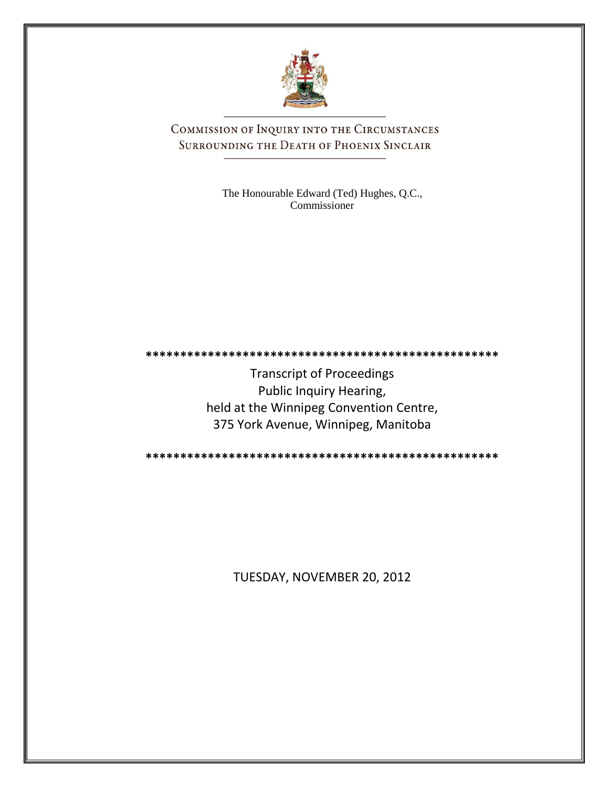

COMMISSION OF INQUIRY INTO THE CIRCUMSTANCES SURROUNDING THE DEATH OF PHOENIX SINCLAIR

> The Honourable Edward (Ted) Hughes, Q.C., Commissioner

**\*\*\*\*\*\*\*\*\*\*\*\*\*\*\*\*\*\*\*\*\*\*\*\*\*\*\*\*\*\*\*\*\*\*\*\*\*\*\*\*\*\*\*\*\*\*\*\*\*\*\***

Transcript of Proceedings Public Inquiry Hearing, held at the Winnipeg Convention Centre, 375 York Avenue, Winnipeg, Manitoba

**\*\*\*\*\*\*\*\*\*\*\*\*\*\*\*\*\*\*\*\*\*\*\*\*\*\*\*\*\*\*\*\*\*\*\*\*\*\*\*\*\*\*\*\*\*\*\*\*\*\*\***

TUESDAY, NOVEMBER 20, 2012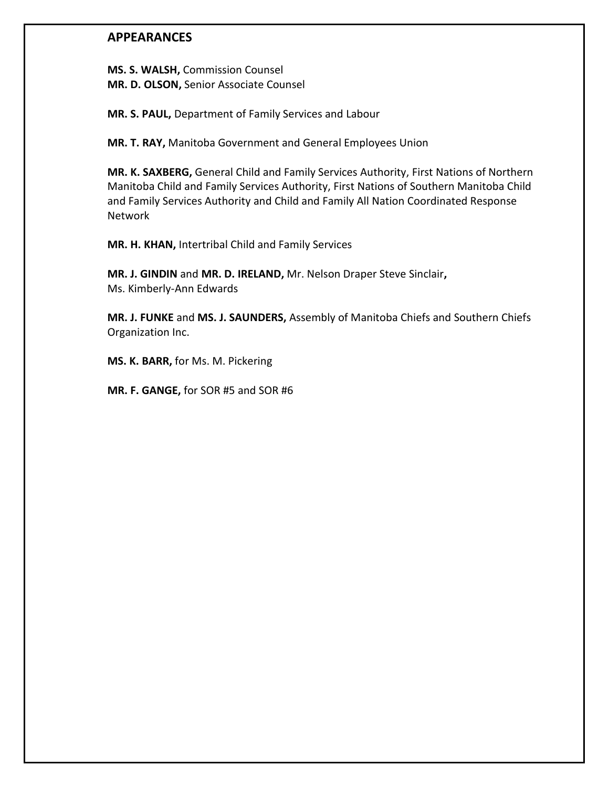## **APPEARANCES**

**MS. S. WALSH,** Commission Counsel **MR. D. OLSON,** Senior Associate Counsel

**MR. S. PAUL,** Department of Family Services and Labour

**MR. T. RAY,** Manitoba Government and General Employees Union

**MR. K. SAXBERG,** General Child and Family Services Authority, First Nations of Northern Manitoba Child and Family Services Authority, First Nations of Southern Manitoba Child and Family Services Authority and Child and Family All Nation Coordinated Response Network

**MR. H. KHAN,** Intertribal Child and Family Services

**MR. J. GINDIN** and **MR. D. IRELAND,** Mr. Nelson Draper Steve Sinclair**,** Ms. Kimberly-Ann Edwards

**MR. J. FUNKE** and **MS. J. SAUNDERS,** Assembly of Manitoba Chiefs and Southern Chiefs Organization Inc.

**MS. K. BARR,** for Ms. M. Pickering

**MR. F. GANGE,** for SOR #5 and SOR #6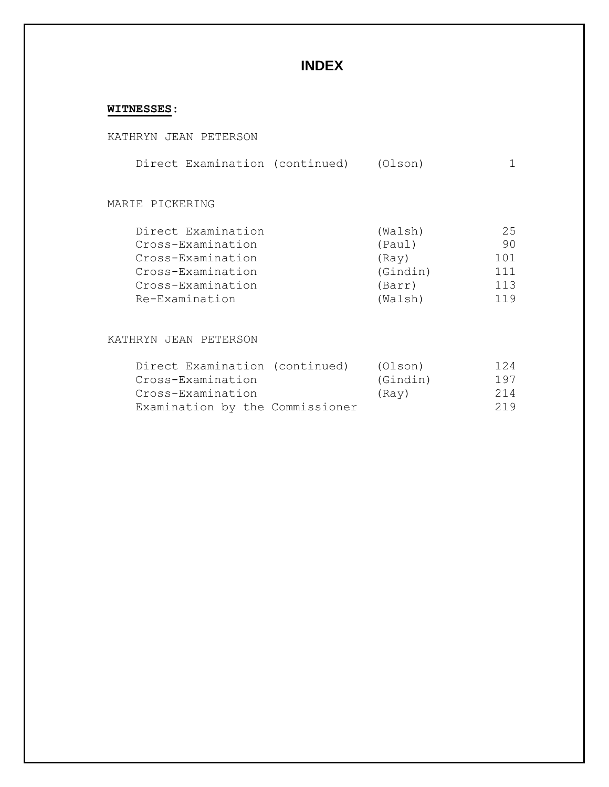# **INDEX**

## **WITNESSES:**

|  |  |  | KATHRYN JEAN PETERSON |
|--|--|--|-----------------------|
|--|--|--|-----------------------|

|  |  | Direct Examination (continued) | (Olson) |  |
|--|--|--------------------------------|---------|--|
|--|--|--------------------------------|---------|--|

### MARIE PICKERING

| Direct Examination | (Walsh)  | 25  |
|--------------------|----------|-----|
| Cross-Examination  | (Paul)   | 90  |
| Cross-Examination  | (Rav)    | 101 |
| Cross-Examination  | (Gindin) | 111 |
| Cross-Examination  | (Barr)   | 113 |
| Re-Examination     | (Walsh)  | 119 |

### KATHRYN JEAN PETERSON

| Direct Examination (continued)  |  | (Olson)  | 124 |
|---------------------------------|--|----------|-----|
| Cross-Examination               |  | (Gindin) | 197 |
| Cross-Examination               |  | (Rav)    | 214 |
| Examination by the Commissioner |  |          | 219 |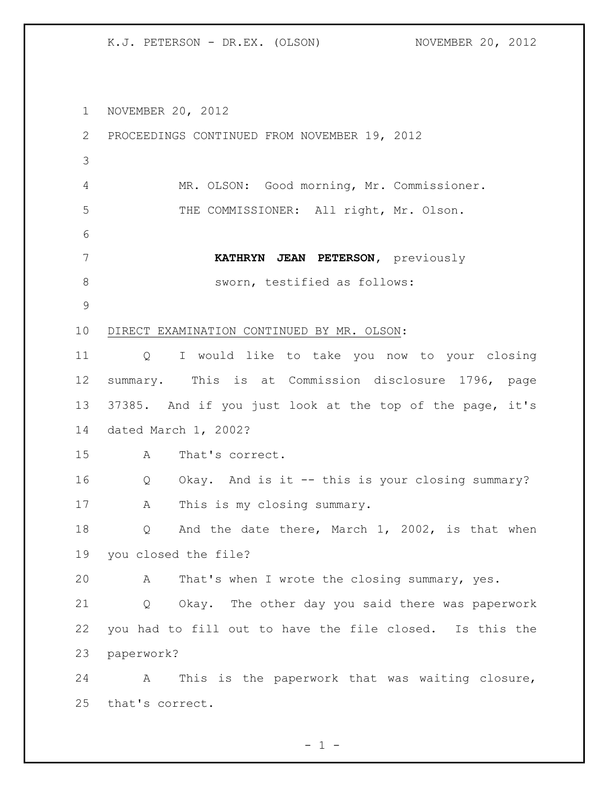NOVEMBER 20, 2012 PROCEEDINGS CONTINUED FROM NOVEMBER 19, 2012 MR. OLSON: Good morning, Mr. Commissioner. THE COMMISSIONER: All right, Mr. Olson. **KATHRYN JEAN PETERSON,** previously 8 sworn, testified as follows: DIRECT EXAMINATION CONTINUED BY MR. OLSON: Q I would like to take you now to your closing summary. This is at Commission disclosure 1796, page 37385. And if you just look at the top of the page, it's dated March 1, 2002? A That's correct. Q Okay. And is it -- this is your closing summary? 17 A This is my closing summary. 18 Q And the date there, March 1, 2002, is that when you closed the file? A That's when I wrote the closing summary, yes. Q Okay. The other day you said there was paperwork you had to fill out to have the file closed. Is this the paperwork? A This is the paperwork that was waiting closure, that's correct.

 $- 1 -$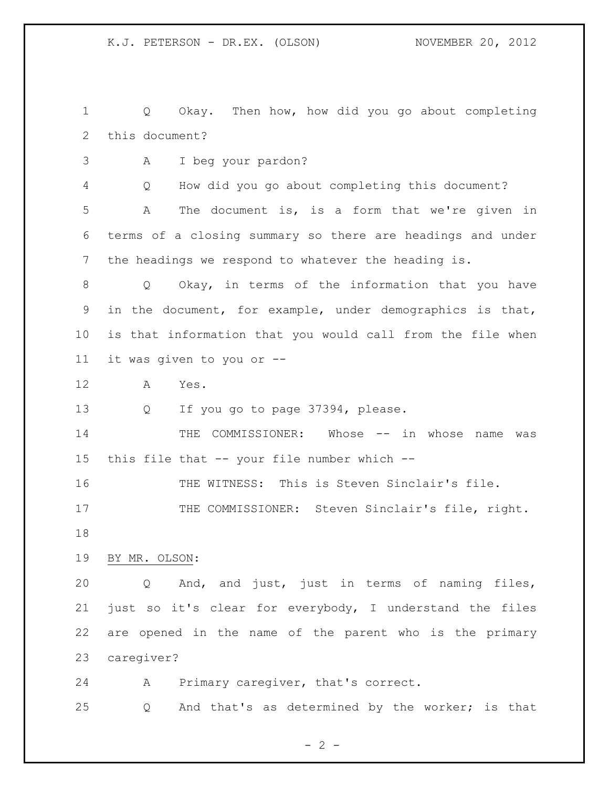Q Okay. Then how, how did you go about completing this document?

A I beg your pardon?

Q How did you go about completing this document?

 A The document is, is a form that we're given in terms of a closing summary so there are headings and under the headings we respond to whatever the heading is.

 Q Okay, in terms of the information that you have in the document, for example, under demographics is that, is that information that you would call from the file when it was given to you or --

- A Yes.
- 13 Q If you go to page 37394, please.

14 THE COMMISSIONER: Whose -- in whose name was this file that -- your file number which --

 THE WITNESS: This is Steven Sinclair's file. 17 THE COMMISSIONER: Steven Sinclair's file, right. 

### BY MR. OLSON:

 Q And, and just, just in terms of naming files, just so it's clear for everybody, I understand the files are opened in the name of the parent who is the primary caregiver?

A Primary caregiver, that's correct.

Q And that's as determined by the worker; is that

 $- 2 -$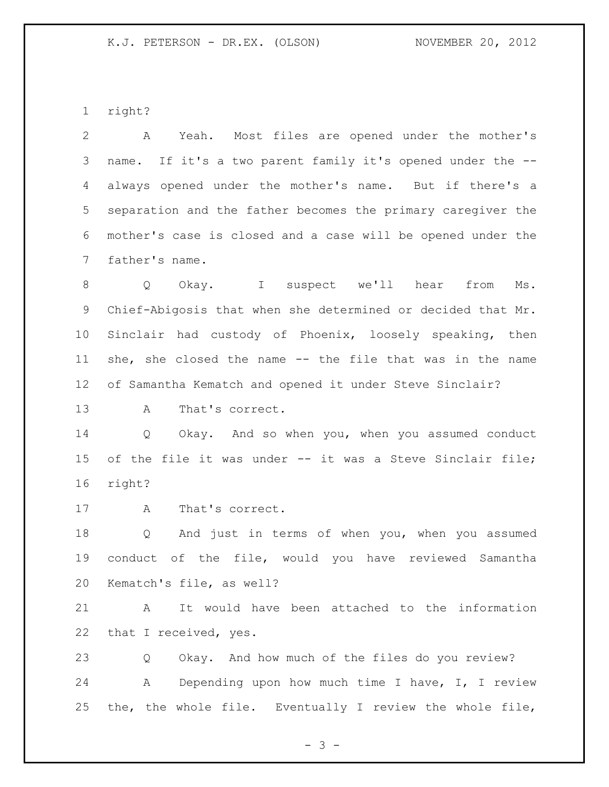right?

 A Yeah. Most files are opened under the mother's name. If it's a two parent family it's opened under the -- always opened under the mother's name. But if there's a separation and the father becomes the primary caregiver the mother's case is closed and a case will be opened under the father's name.

 Q Okay. I suspect we'll hear from Ms. Chief-Abigosis that when she determined or decided that Mr. Sinclair had custody of Phoenix, loosely speaking, then she, she closed the name -- the file that was in the name of Samantha Kematch and opened it under Steve Sinclair?

A That's correct.

 Q Okay. And so when you, when you assumed conduct of the file it was under -- it was a Steve Sinclair file; right?

A That's correct.

 Q And just in terms of when you, when you assumed conduct of the file, would you have reviewed Samantha Kematch's file, as well?

 A It would have been attached to the information 22 that I received, yes.

 Q Okay. And how much of the files do you review? A Depending upon how much time I have, I, I review the, the whole file. Eventually I review the whole file,

 $- 3 -$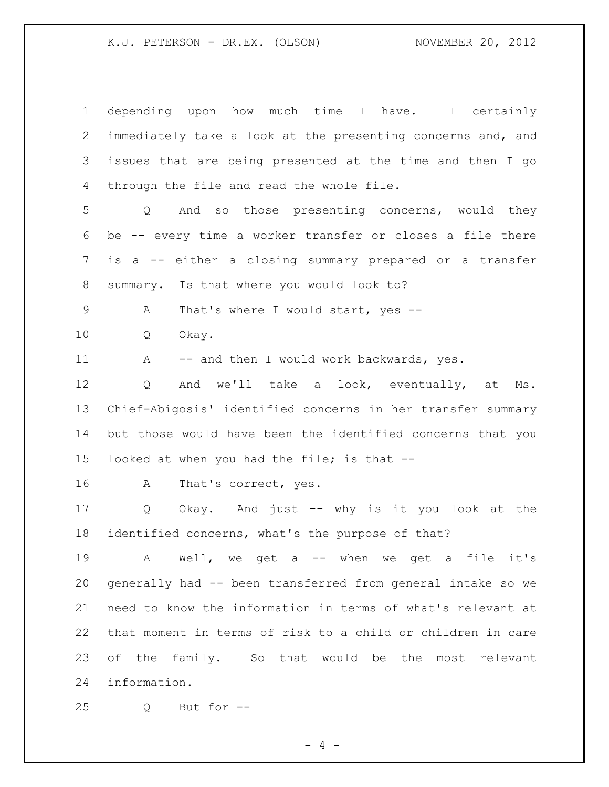| $\mathbf 1$ | depending upon how much time I have. I certainly            |
|-------------|-------------------------------------------------------------|
| 2           | immediately take a look at the presenting concerns and, and |
| 3           | issues that are being presented at the time and then I go   |
| 4           | through the file and read the whole file.                   |
| 5           | And so those presenting concerns, would they<br>Q           |
| 6           | be -- every time a worker transfer or closes a file there   |
| 7           | is a -- either a closing summary prepared or a transfer     |
| $8\,$       | summary. Is that where you would look to?                   |
| 9           | That's where I would start, yes --<br>Α                     |
| 10          | Q<br>Okay.                                                  |
| 11          | -- and then I would work backwards, yes.<br>A               |
| 12          | And we'll take a look, eventually, at<br>Q<br>Ms.           |
| 13          | Chief-Abigosis' identified concerns in her transfer summary |
| 14          | but those would have been the identified concerns that you  |
| 15          | looked at when you had the file; is that --                 |
| 16          | That's correct, yes.<br>A                                   |
| 17          | Okay. And just -- why is it you look at the<br>Q            |
| 18          | identified concerns, what's the purpose of that?            |
| 19          | Well, we get a -- when we get a file it's<br>A              |
| 20          | generally had -- been transferred from general intake so we |
| 21          | need to know the information in terms of what's relevant at |
| 22          | that moment in terms of risk to a child or children in care |
| 23          | of the family. So that would be the most relevant           |
| 24          | information.                                                |
| 25          | But for --<br>Q                                             |

- 4 -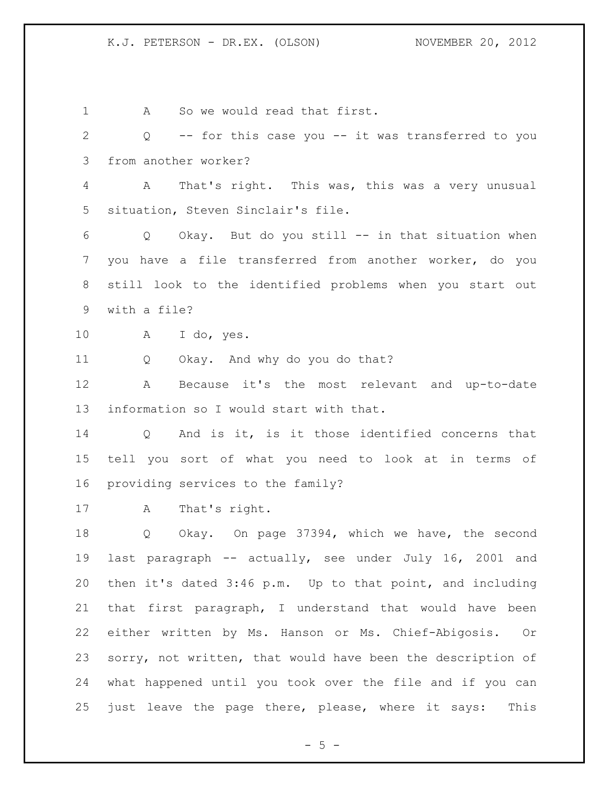1 A So we would read that first. Q -- for this case you -- it was transferred to you from another worker? A That's right. This was, this was a very unusual situation, Steven Sinclair's file. Q Okay. But do you still -- in that situation when you have a file transferred from another worker, do you still look to the identified problems when you start out with a file? A I do, yes. Q Okay. And why do you do that? A Because it's the most relevant and up-to-date information so I would start with that. Q And is it, is it those identified concerns that tell you sort of what you need to look at in terms of providing services to the family? A That's right. Q Okay. On page 37394, which we have, the second last paragraph -- actually, see under July 16, 2001 and then it's dated 3:46 p.m. Up to that point, and including that first paragraph, I understand that would have been either written by Ms. Hanson or Ms. Chief-Abigosis. Or sorry, not written, that would have been the description of what happened until you took over the file and if you can just leave the page there, please, where it says: This

 $- 5 -$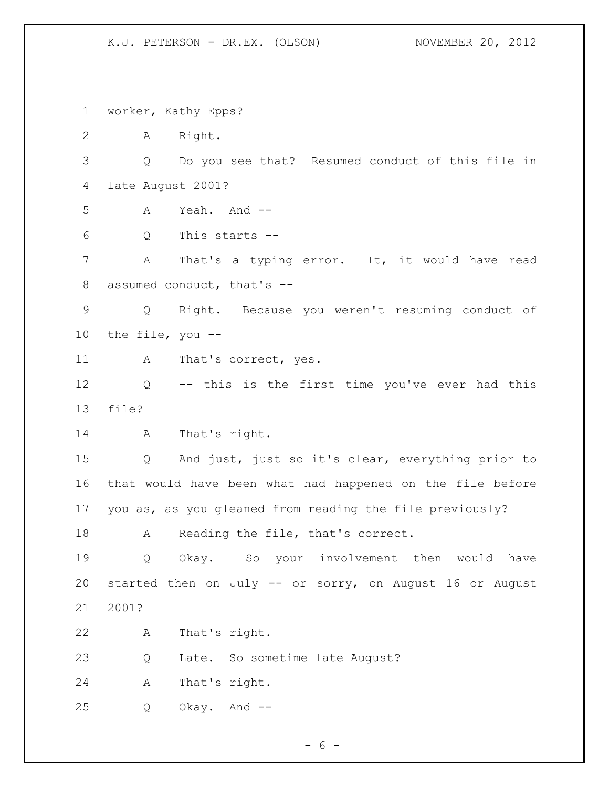worker, Kathy Epps? A Right. Q Do you see that? Resumed conduct of this file in late August 2001? A Yeah. And -- Q This starts -- A That's a typing error. It, it would have read assumed conduct, that's -- Q Right. Because you weren't resuming conduct of the file, you -- 11 A That's correct, yes. Q -- this is the first time you've ever had this file? A That's right. Q And just, just so it's clear, everything prior to that would have been what had happened on the file before you as, as you gleaned from reading the file previously? 18 A Reading the file, that's correct. Q Okay. So your involvement then would have started then on July -- or sorry, on August 16 or August 2001? A That's right. Q Late. So sometime late August? A That's right. Q Okay. And --

 $- 6 -$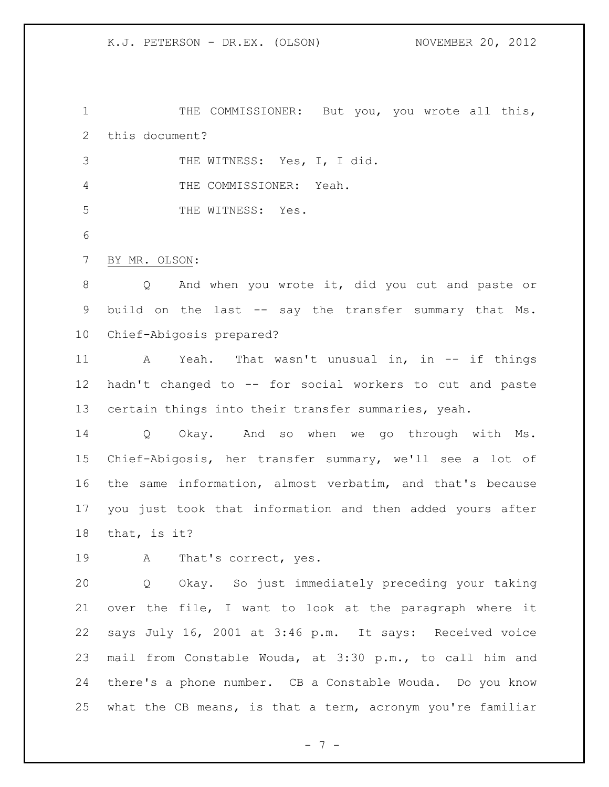THE COMMISSIONER: But you, you wrote all this, this document?

THE WITNESS: Yes, I, I did.

THE COMMISSIONER: Yeah.

5 THE WITNESS: Yes.

BY MR. OLSON:

 Q And when you wrote it, did you cut and paste or build on the last -- say the transfer summary that Ms. Chief-Abigosis prepared?

 A Yeah. That wasn't unusual in, in -- if things hadn't changed to -- for social workers to cut and paste certain things into their transfer summaries, yeah.

 Q Okay. And so when we go through with Ms. Chief-Abigosis, her transfer summary, we'll see a lot of the same information, almost verbatim, and that's because you just took that information and then added yours after that, is it?

A That's correct, yes.

 Q Okay. So just immediately preceding your taking over the file, I want to look at the paragraph where it says July 16, 2001 at 3:46 p.m. It says: Received voice mail from Constable Wouda, at 3:30 p.m., to call him and there's a phone number. CB a Constable Wouda. Do you know what the CB means, is that a term, acronym you're familiar

- 7 -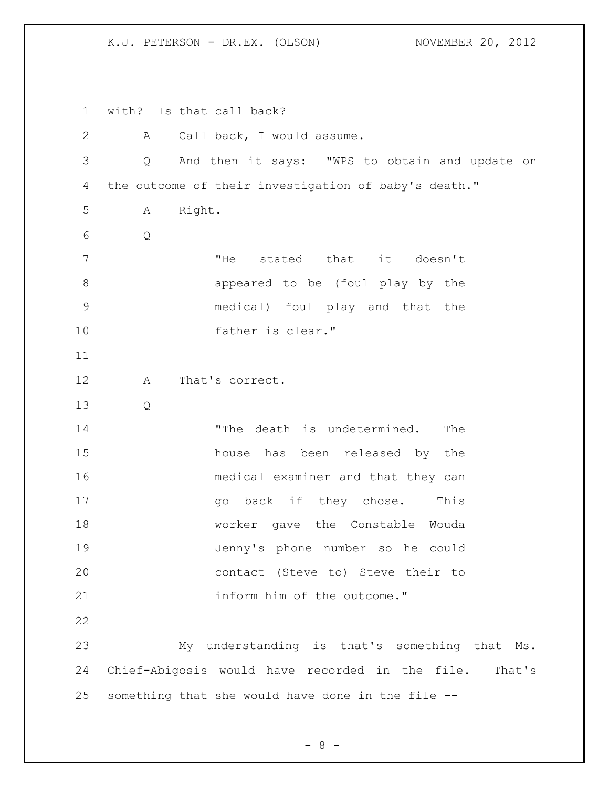with? Is that call back? A Call back, I would assume. Q And then it says: "WPS to obtain and update on the outcome of their investigation of baby's death." A Right. Q "He stated that it doesn't appeared to be (foul play by the medical) foul play and that the father is clear." A That's correct. Q 14 The death is undetermined. The house has been released by the medical examiner and that they can 17 and 90 back if they chose. This worker gave the Constable Wouda Jenny's phone number so he could contact (Steve to) Steve their to 21 inform him of the outcome." My understanding is that's something that Ms. Chief-Abigosis would have recorded in the file. That's something that she would have done in the file --

 $- 8 -$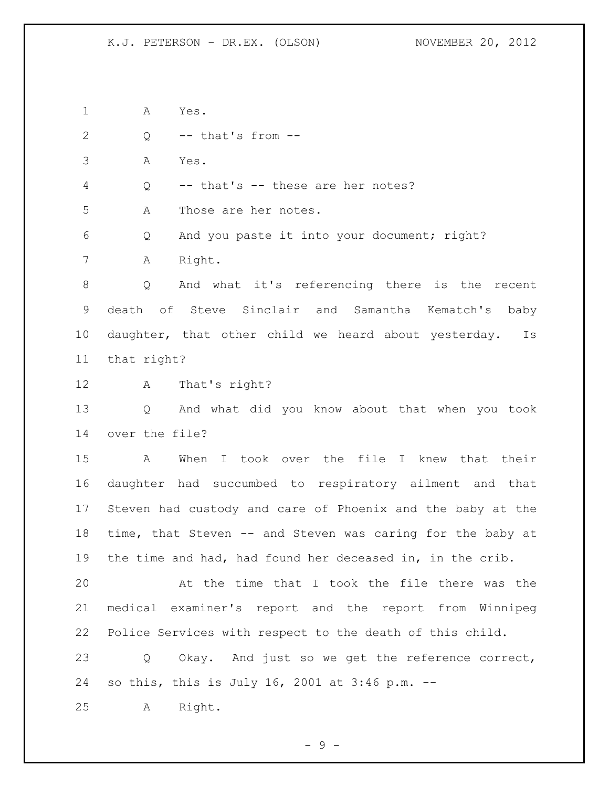A Yes.

2  $Q \leftarrow$  -- that's from --

A Yes.

Q -- that's -- these are her notes?

A Those are her notes.

 Q And you paste it into your document; right? A Right.

 Q And what it's referencing there is the recent death of Steve Sinclair and Samantha Kematch's baby daughter, that other child we heard about yesterday. Is that right?

A That's right?

 Q And what did you know about that when you took over the file?

 A When I took over the file I knew that their daughter had succumbed to respiratory ailment and that Steven had custody and care of Phoenix and the baby at the time, that Steven -- and Steven was caring for the baby at the time and had, had found her deceased in, in the crib.

 At the time that I took the file there was the medical examiner's report and the report from Winnipeg Police Services with respect to the death of this child.

 Q Okay. And just so we get the reference correct, so this, this is July 16, 2001 at 3:46 p.m. --

A Right.

- 9 -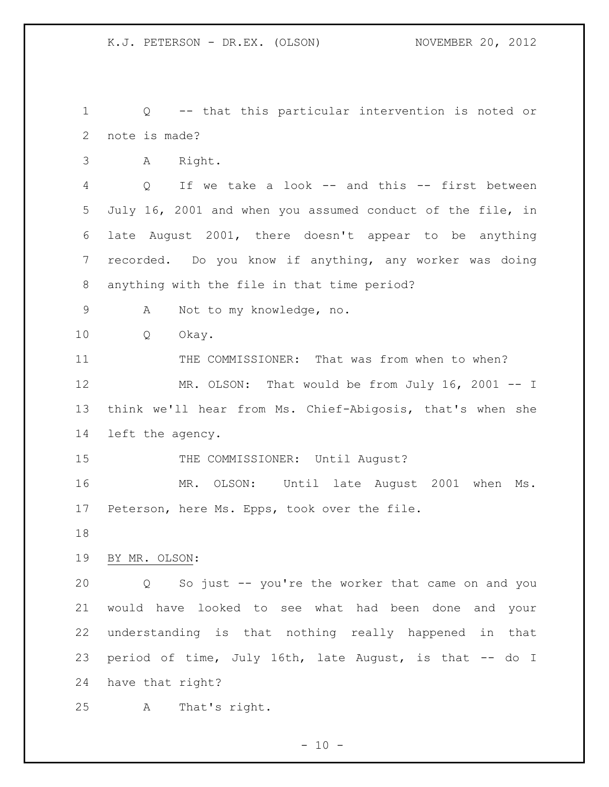Q -- that this particular intervention is noted or note is made?

A Right.

 Q If we take a look -- and this -- first between July 16, 2001 and when you assumed conduct of the file, in late August 2001, there doesn't appear to be anything recorded. Do you know if anything, any worker was doing anything with the file in that time period?

A Not to my knowledge, no.

Q Okay.

11 THE COMMISSIONER: That was from when to when?

12 MR. OLSON: That would be from July 16, 2001 -- I think we'll hear from Ms. Chief-Abigosis, that's when she left the agency.

15 THE COMMISSIONER: Until August?

 MR. OLSON: Until late August 2001 when Ms. Peterson, here Ms. Epps, took over the file.

BY MR. OLSON:

 Q So just -- you're the worker that came on and you would have looked to see what had been done and your understanding is that nothing really happened in that period of time, July 16th, late August, is that -- do I have that right?

A That's right.

 $- 10 -$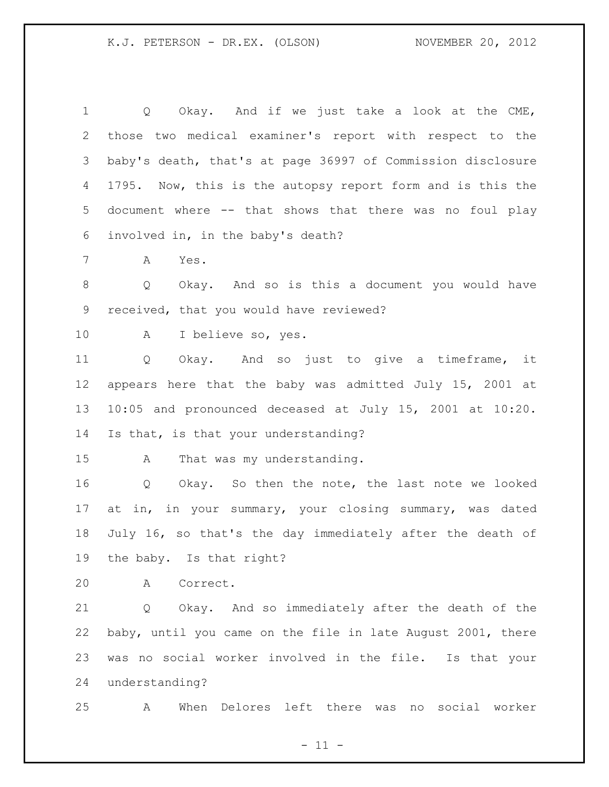Q Okay. And if we just take a look at the CME, those two medical examiner's report with respect to the baby's death, that's at page 36997 of Commission disclosure 1795. Now, this is the autopsy report form and is this the document where -- that shows that there was no foul play involved in, in the baby's death? A Yes. Q Okay. And so is this a document you would have received, that you would have reviewed? A I believe so, yes. Q Okay. And so just to give a timeframe, it appears here that the baby was admitted July 15, 2001 at 10:05 and pronounced deceased at July 15, 2001 at 10:20. Is that, is that your understanding? A That was my understanding. Q Okay. So then the note, the last note we looked at in, in your summary, your closing summary, was dated July 16, so that's the day immediately after the death of the baby. Is that right? A Correct. Q Okay. And so immediately after the death of the baby, until you came on the file in late August 2001, there was no social worker involved in the file. Is that your understanding?

A When Delores left there was no social worker

 $-11 -$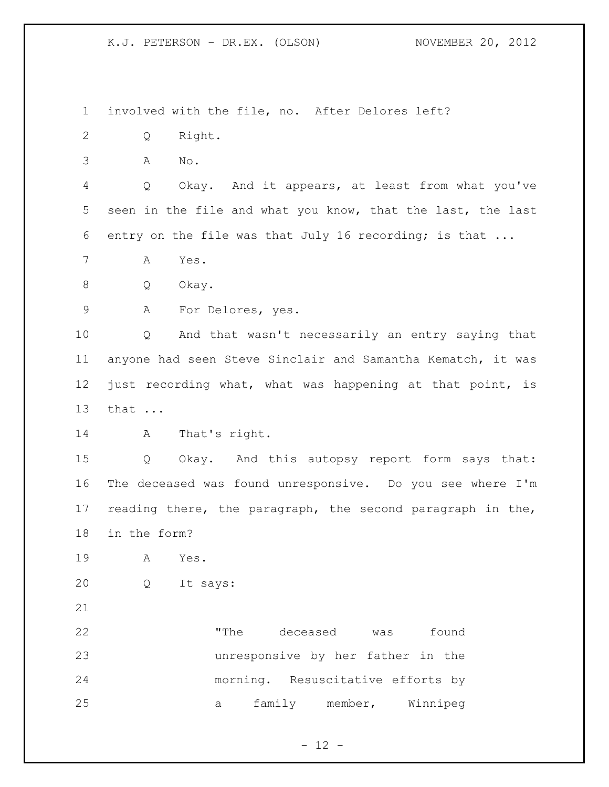involved with the file, no. After Delores left?

- Q Right.
- A No.

 Q Okay. And it appears, at least from what you've seen in the file and what you know, that the last, the last entry on the file was that July 16 recording; is that ...

A Yes.

Q Okay.

A For Delores, yes.

 Q And that wasn't necessarily an entry saying that anyone had seen Steve Sinclair and Samantha Kematch, it was just recording what, what was happening at that point, is that ...

A That's right.

 Q Okay. And this autopsy report form says that: The deceased was found unresponsive. Do you see where I'm reading there, the paragraph, the second paragraph in the, in the form?

- A Yes.
- Q It says:
- 

 "The deceased was found unresponsive by her father in the morning. Resuscitative efforts by a family member, Winnipeg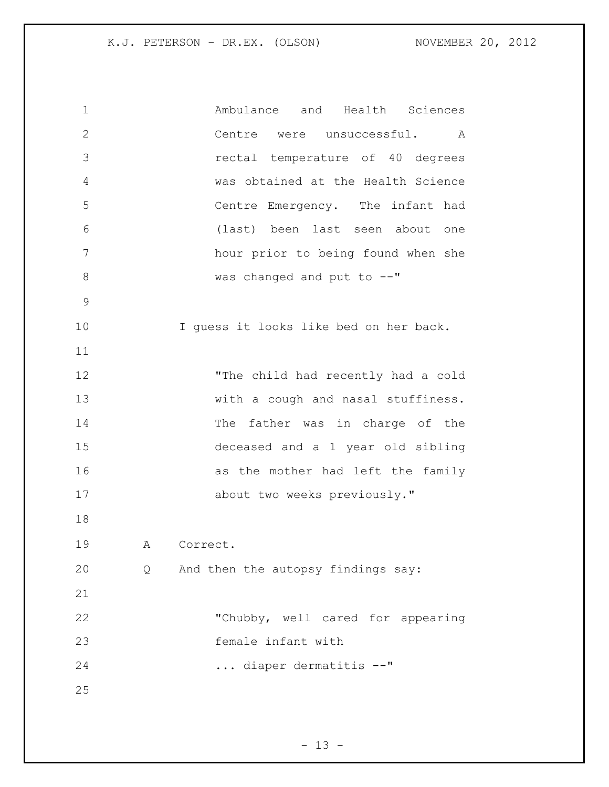Ambulance and Health Sciences Centre were unsuccessful. A rectal temperature of 40 degrees was obtained at the Health Science Centre Emergency. The infant had (last) been last seen about one hour prior to being found when she 8 was changed and put to  $-$ " I guess it looks like bed on her back. "The child had recently had a cold 13 With a cough and nasal stuffiness. 14 The father was in charge of the deceased and a 1 year old sibling 16 as the mother had left the family 17 about two weeks previously." A Correct. Q And then the autopsy findings say: "Chubby, well cared for appearing female infant with ... diaper dermatitis --"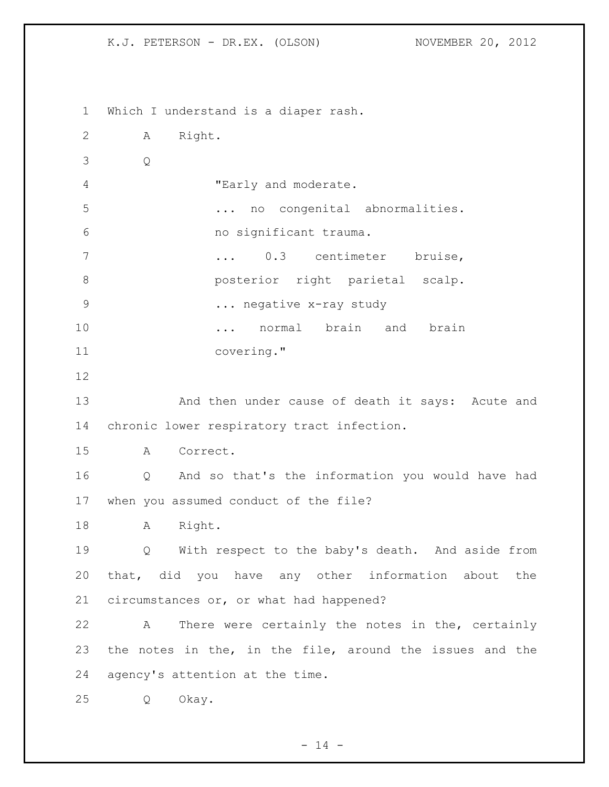Which I understand is a diaper rash. A Right. Q "Early and moderate. ... no congenital abnormalities. no significant trauma. ... 0.3 centimeter bruise, **b** posterior right parietal scalp. 9 ... negative x-ray study **...** normal brain and brain covering." And then under cause of death it says: Acute and chronic lower respiratory tract infection. A Correct. Q And so that's the information you would have had when you assumed conduct of the file? 18 A Right. Q With respect to the baby's death. And aside from that, did you have any other information about the circumstances or, or what had happened? A There were certainly the notes in the, certainly the notes in the, in the file, around the issues and the agency's attention at the time. Q Okay.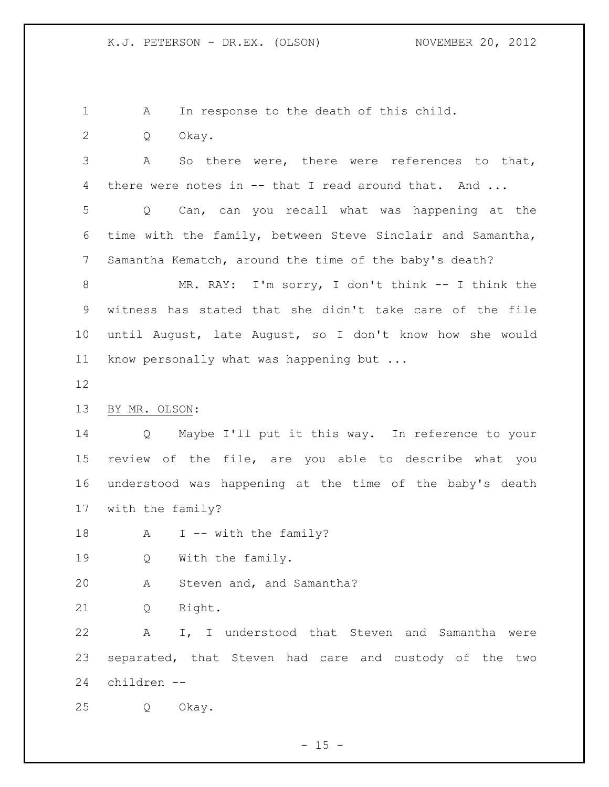1 A In response to the death of this child.

Q Okay.

 A So there were, there were references to that, 4 there were notes in -- that I read around that. And ...

 Q Can, can you recall what was happening at the time with the family, between Steve Sinclair and Samantha, Samantha Kematch, around the time of the baby's death?

 MR. RAY: I'm sorry, I don't think -- I think the witness has stated that she didn't take care of the file until August, late August, so I don't know how she would know personally what was happening but ...

### BY MR. OLSON:

 Q Maybe I'll put it this way. In reference to your review of the file, are you able to describe what you understood was happening at the time of the baby's death with the family?

18 A I -- with the family?

Q With the family.

A Steven and, and Samantha?

Q Right.

 A I, I understood that Steven and Samantha were separated, that Steven had care and custody of the two children --

Q Okay.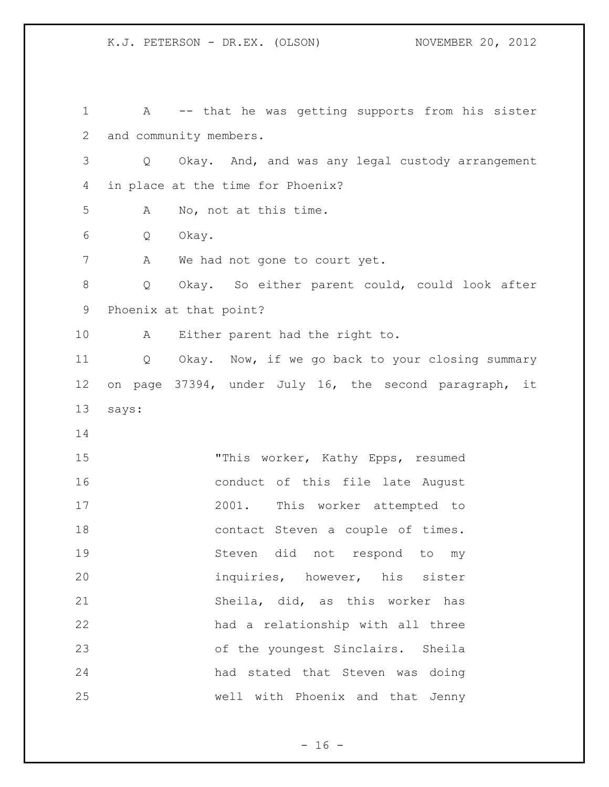A -- that he was getting supports from his sister and community members. Q Okay. And, and was any legal custody arrangement in place at the time for Phoenix? A No, not at this time. Q Okay. 7 A We had not gone to court yet. Q Okay. So either parent could, could look after Phoenix at that point? A Either parent had the right to. Q Okay. Now, if we go back to your closing summary on page 37394, under July 16, the second paragraph, it says: "This worker, Kathy Epps, resumed conduct of this file late August 2001. This worker attempted to 18 contact Steven a couple of times. Steven did not respond to my inquiries, however, his sister Sheila, did, as this worker has had a relationship with all three of the youngest Sinclairs. Sheila had stated that Steven was doing well with Phoenix and that Jenny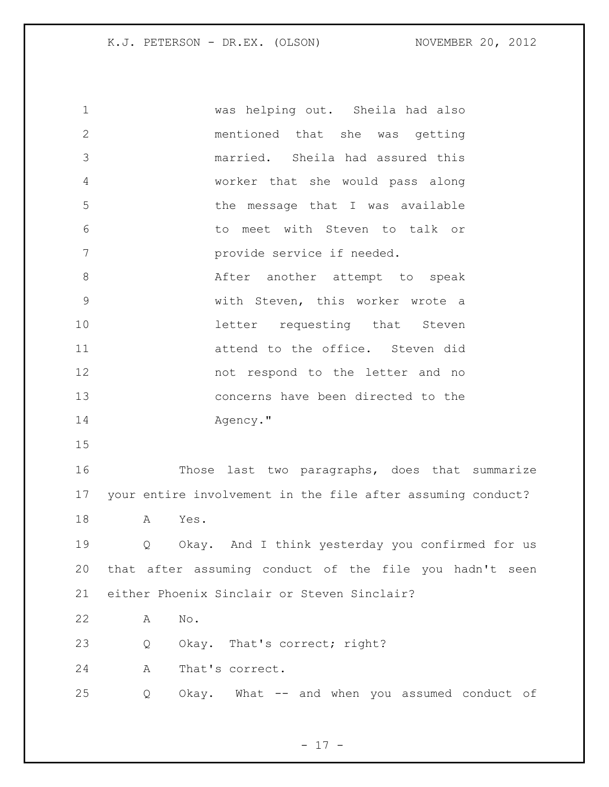| $\mathbf 1$    |           | was helping out. Sheila had also                            |
|----------------|-----------|-------------------------------------------------------------|
| $\mathbf{2}$   |           | mentioned that she was getting                              |
| 3              |           | married. Sheila had assured this                            |
| $\overline{4}$ |           | worker that she would pass along                            |
| 5              |           | the message that I was available                            |
| 6              |           | to meet with Steven to talk or                              |
| 7              |           | provide service if needed.                                  |
| $8\,$          |           | After another attempt to speak                              |
| $\mathsf{S}$   |           | with Steven, this worker wrote a                            |
| 10             |           | letter requesting that Steven                               |
| 11             |           | attend to the office. Steven did                            |
| 12             |           | not respond to the letter and no                            |
| 13             |           | concerns have been directed to the                          |
| 14             |           | Agency."                                                    |
| 15             |           |                                                             |
| 16             |           | Those last two paragraphs, does that summarize              |
| 17             |           | your entire involvement in the file after assuming conduct? |
| 18             | Yes.<br>A |                                                             |
| 19             | Q         | Okay. And I think yesterday you confirmed for us            |
| 20             |           | that after assuming conduct of the file you hadn't seen     |
| 21             |           | either Phoenix Sinclair or Steven Sinclair?                 |
| 22             | No.<br>Α  |                                                             |
| 23             | Q         | Okay. That's correct; right?                                |
| 24             | A         | That's correct.                                             |
| 25             | Q         | Okay. What -- and when you assumed conduct of               |
|                |           |                                                             |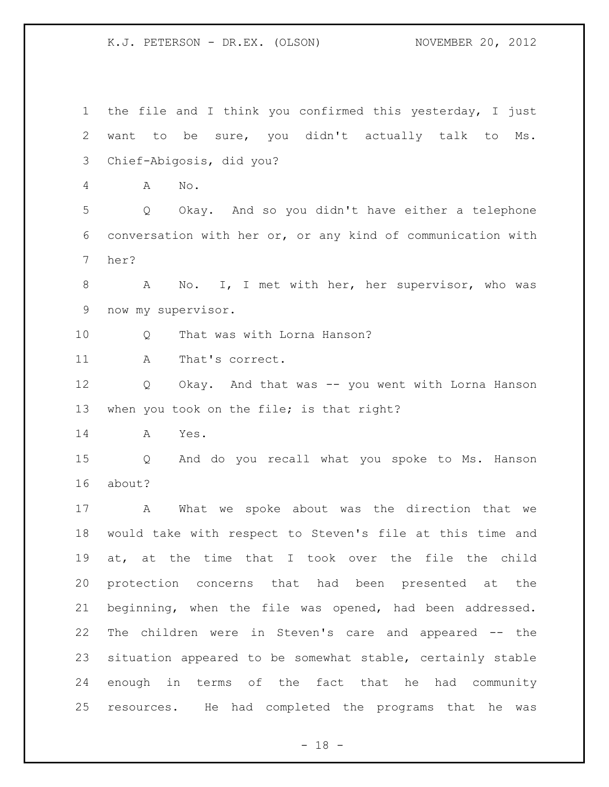the file and I think you confirmed this yesterday, I just want to be sure, you didn't actually talk to Ms. Chief-Abigosis, did you? A No. Q Okay. And so you didn't have either a telephone conversation with her or, or any kind of communication with her? 8 A No. I, I met with her, her supervisor, who was now my supervisor. 10 0 That was with Lorna Hanson? 11 A That's correct. Q Okay. And that was -- you went with Lorna Hanson 13 when you took on the file; is that right? A Yes. Q And do you recall what you spoke to Ms. Hanson about? A What we spoke about was the direction that we would take with respect to Steven's file at this time and at, at the time that I took over the file the child protection concerns that had been presented at the beginning, when the file was opened, had been addressed. The children were in Steven's care and appeared -- the situation appeared to be somewhat stable, certainly stable enough in terms of the fact that he had community resources. He had completed the programs that he was

 $- 18 -$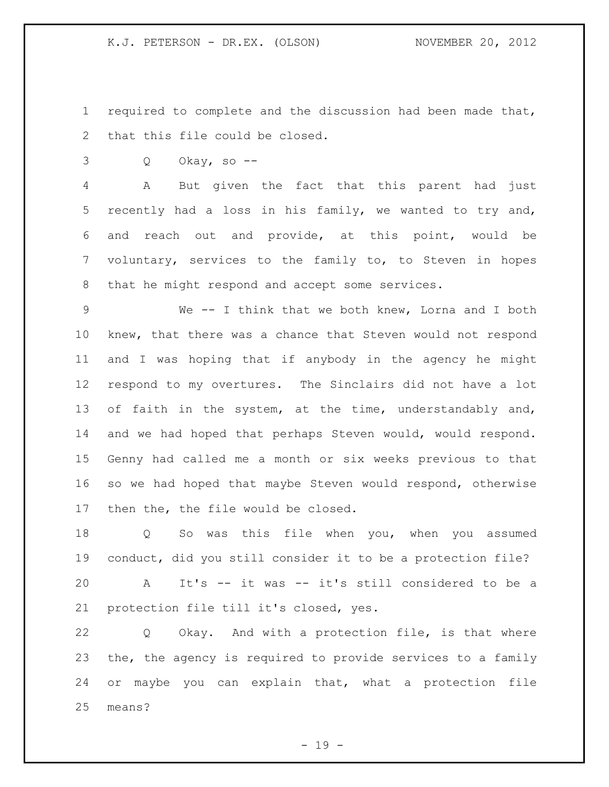required to complete and the discussion had been made that, that this file could be closed.

Q Okay, so --

 A But given the fact that this parent had just recently had a loss in his family, we wanted to try and, and reach out and provide, at this point, would be voluntary, services to the family to, to Steven in hopes that he might respond and accept some services.

 We -- I think that we both knew, Lorna and I both knew, that there was a chance that Steven would not respond and I was hoping that if anybody in the agency he might respond to my overtures. The Sinclairs did not have a lot 13 of faith in the system, at the time, understandably and, and we had hoped that perhaps Steven would, would respond. Genny had called me a month or six weeks previous to that so we had hoped that maybe Steven would respond, otherwise then the, the file would be closed.

 Q So was this file when you, when you assumed conduct, did you still consider it to be a protection file?

 A It's -- it was -- it's still considered to be a protection file till it's closed, yes.

 Q Okay. And with a protection file, is that where the, the agency is required to provide services to a family or maybe you can explain that, what a protection file means?

- 19 -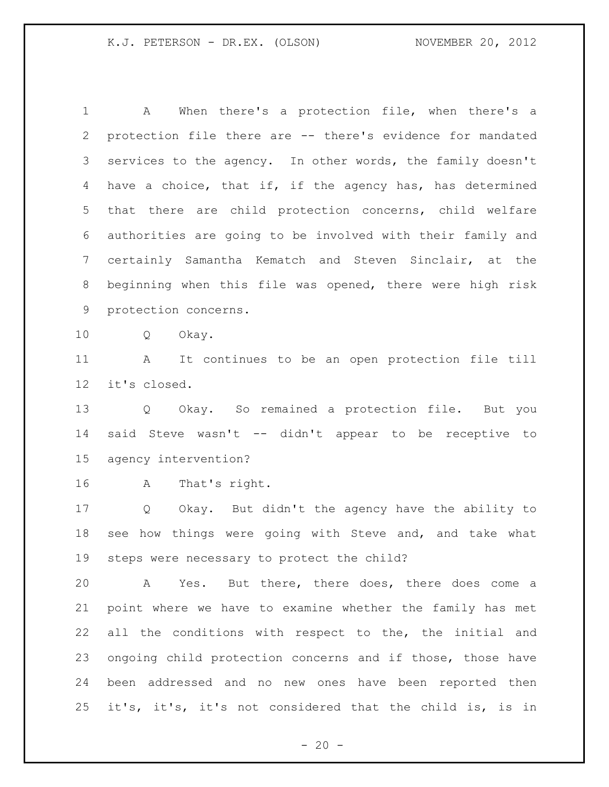A When there's a protection file, when there's a protection file there are -- there's evidence for mandated 3 services to the agency. In other words, the family doesn't have a choice, that if, if the agency has, has determined that there are child protection concerns, child welfare authorities are going to be involved with their family and certainly Samantha Kematch and Steven Sinclair, at the beginning when this file was opened, there were high risk protection concerns. Q Okay. A It continues to be an open protection file till it's closed. Q Okay. So remained a protection file. But you said Steve wasn't -- didn't appear to be receptive to agency intervention? A That's right. Q Okay. But didn't the agency have the ability to see how things were going with Steve and, and take what steps were necessary to protect the child? A Yes. But there, there does, there does come a point where we have to examine whether the family has met all the conditions with respect to the, the initial and

 ongoing child protection concerns and if those, those have been addressed and no new ones have been reported then it's, it's, it's not considered that the child is, is in

 $- 20 -$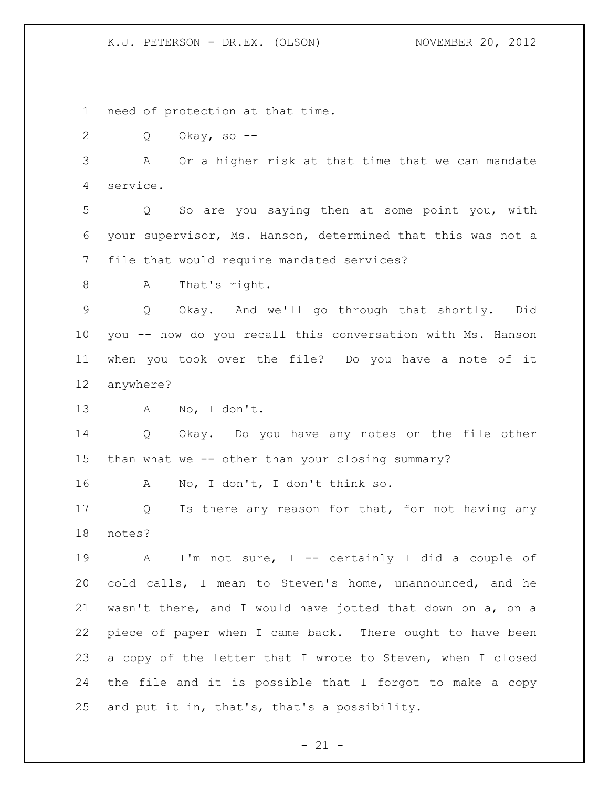need of protection at that time.

Q Okay, so --

 A Or a higher risk at that time that we can mandate service.

 Q So are you saying then at some point you, with your supervisor, Ms. Hanson, determined that this was not a file that would require mandated services?

A That's right.

 Q Okay. And we'll go through that shortly. Did you -- how do you recall this conversation with Ms. Hanson when you took over the file? Do you have a note of it anywhere?

A No, I don't.

 Q Okay. Do you have any notes on the file other than what we -- other than your closing summary?

A No, I don't, I don't think so.

17 Q Is there any reason for that, for not having any notes?

 A I'm not sure, I -- certainly I did a couple of cold calls, I mean to Steven's home, unannounced, and he wasn't there, and I would have jotted that down on a, on a piece of paper when I came back. There ought to have been a copy of the letter that I wrote to Steven, when I closed the file and it is possible that I forgot to make a copy and put it in, that's, that's a possibility.

 $- 21 -$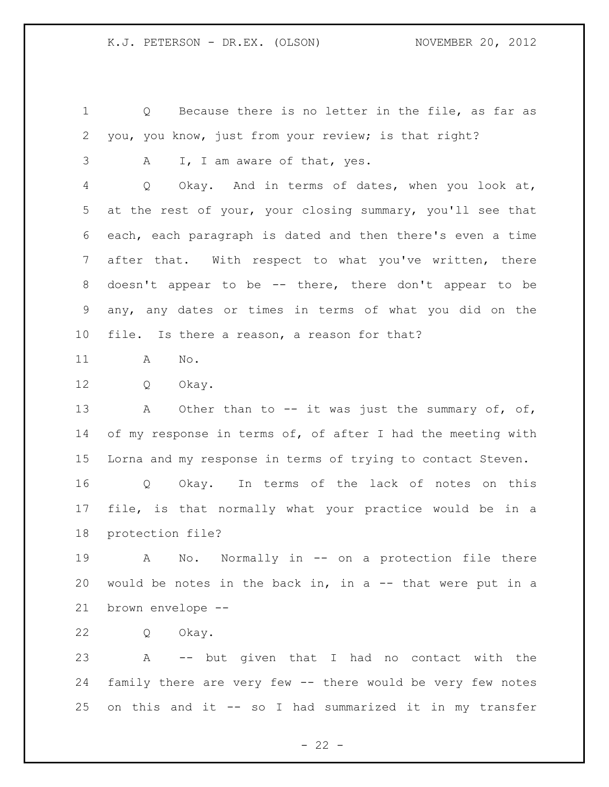Q Because there is no letter in the file, as far as you, you know, just from your review; is that right?

3 A I, I am aware of that, yes.

 Q Okay. And in terms of dates, when you look at, at the rest of your, your closing summary, you'll see that each, each paragraph is dated and then there's even a time after that. With respect to what you've written, there doesn't appear to be -- there, there don't appear to be any, any dates or times in terms of what you did on the file. Is there a reason, a reason for that?

A No.

Q Okay.

13 A Other than to -- it was just the summary of, of, 14 of my response in terms of, of after I had the meeting with Lorna and my response in terms of trying to contact Steven.

 Q Okay. In terms of the lack of notes on this file, is that normally what your practice would be in a protection file?

 A No. Normally in -- on a protection file there would be notes in the back in, in a -- that were put in a brown envelope --

Q Okay.

 A -- but given that I had no contact with the family there are very few -- there would be very few notes on this and it -- so I had summarized it in my transfer

 $- 22 -$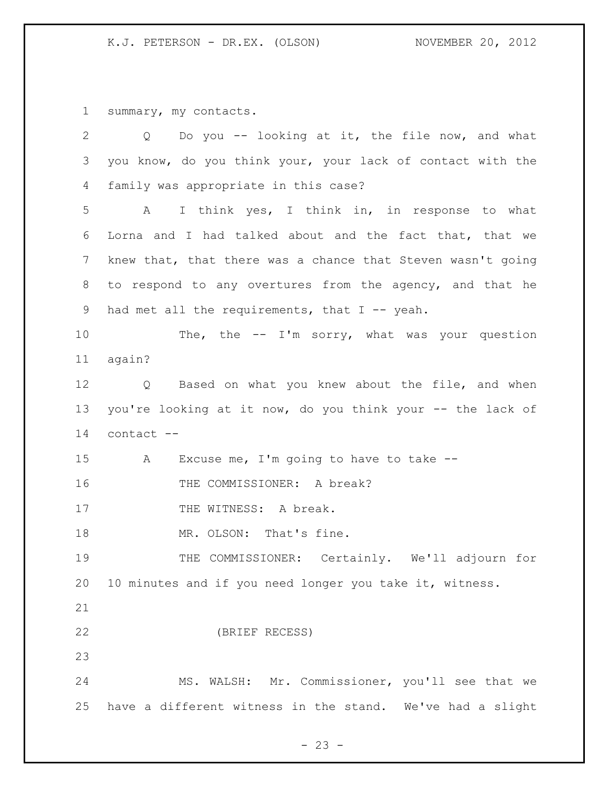summary, my contacts.

| $\overline{2}$ | Do you -- looking at it, the file now, and what<br>Q        |
|----------------|-------------------------------------------------------------|
| 3              | you know, do you think your, your lack of contact with the  |
| 4              | family was appropriate in this case?                        |
| 5              | I think yes, I think in, in response to what<br>A           |
| 6              | Lorna and I had talked about and the fact that, that we     |
| 7              | knew that, that there was a chance that Steven wasn't going |
| 8              | to respond to any overtures from the agency, and that he    |
| 9              | had met all the requirements, that $I$ -- yeah.             |
| 10             | The, the $-$ I'm sorry, what was your question              |
| 11             | again?                                                      |
| 12             | Q Based on what you knew about the file, and when           |
| 13             | you're looking at it now, do you think your -- the lack of  |
| 14             | contact --                                                  |
| 15             | Excuse me, I'm going to have to take $-$ -<br>A             |
| 16             | THE COMMISSIONER: A break?                                  |
| 17             | THE WITNESS: A break.                                       |
| 18             | MR. OLSON: That's fine.                                     |
| 19             | THE COMMISSIONER: Certainly. We'll adjourn for              |
| 20             | 10 minutes and if you need longer you take it, witness.     |
| 21             |                                                             |
| 22             | (BRIEF RECESS)                                              |
| 23             |                                                             |
| 24             | MS. WALSH: Mr. Commissioner, you'll see that we             |
| 25             | have a different witness in the stand. We've had a slight   |

- 23 -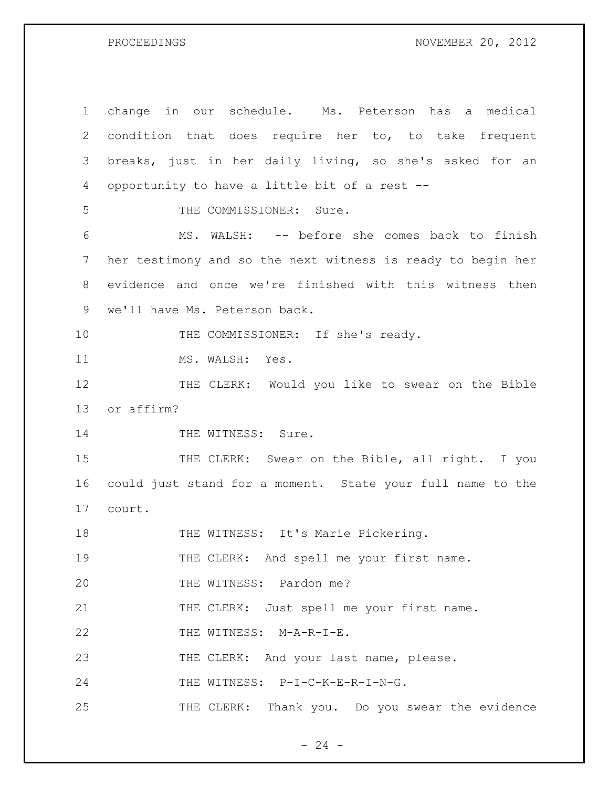PROCEEDINGS NOVEMBER 20, 2012

1 change in our schedule. Ms. Peterson has a medical 2 condition that does require her to, to take frequent 3 breaks, just in her daily living, so she's asked for an 4 opportunity to have a little bit of a rest -- 5 THE COMMISSIONER: Sure. 6 MS. WALSH: -- before she comes back to finish 7 her testimony and so the next witness is ready to begin her 8 evidence and once we're finished with this witness then 9 we'll have Ms. Peterson back. 10 THE COMMISSIONER: If she's ready. 11 MS. WALSH: Yes. 12 THE CLERK: Would you like to swear on the Bible 13 or affirm? 14 THE WITNESS: Sure. 15 THE CLERK: Swear on the Bible, all right. I you 16 could just stand for a moment. State your full name to the 17 court. 18 THE WITNESS: It's Marie Pickering. 19 THE CLERK: And spell me your first name. 20 THE WITNESS: Pardon me? 21 THE CLERK: Just spell me your first name. 22 THE WITNESS: M-A-R-I-E. 23 THE CLERK: And your last name, please. 24 THE WITNESS: P-I-C-K-E-R-I-N-G. 25 THE CLERK: Thank you. Do you swear the evidence

 $- 24 -$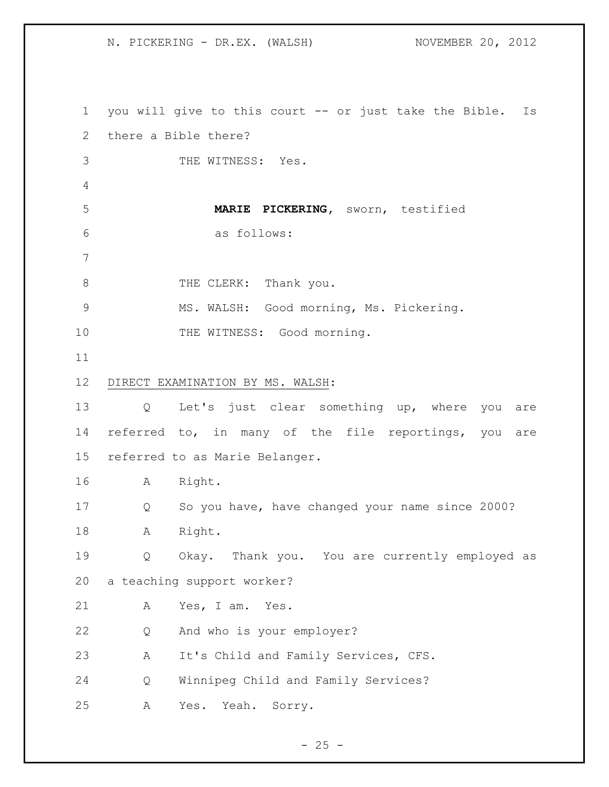N. PICKERING - DR.EX. (WALSH) NOVEMBER 20, 2012

 you will give to this court -- or just take the Bible. Is there a Bible there? THE WITNESS: Yes. **MARIE PICKERING,** sworn, testified as follows: 8 THE CLERK: Thank you. MS. WALSH: Good morning, Ms. Pickering. 10 THE WITNESS: Good morning. DIRECT EXAMINATION BY MS. WALSH: Q Let's just clear something up, where you are referred to, in many of the file reportings, you are referred to as Marie Belanger. A Right. Q So you have, have changed your name since 2000? A Right. Q Okay. Thank you. You are currently employed as a teaching support worker? A Yes, I am. Yes. Q And who is your employer? A It's Child and Family Services, CFS. Q Winnipeg Child and Family Services? A Yes. Yeah. Sorry.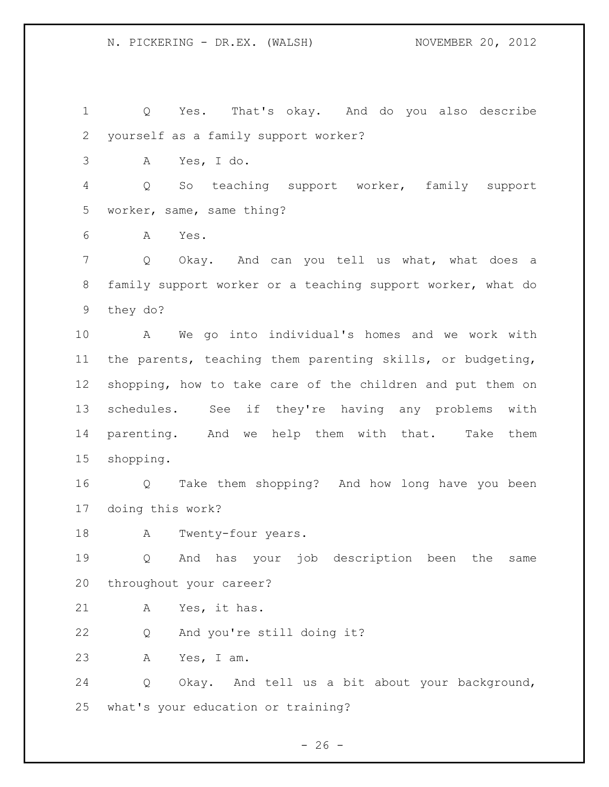Q Yes. That's okay. And do you also describe yourself as a family support worker? A Yes, I do. Q So teaching support worker, family support worker, same, same thing? A Yes. Q Okay. And can you tell us what, what does a family support worker or a teaching support worker, what do they do? A We go into individual's homes and we work with the parents, teaching them parenting skills, or budgeting, shopping, how to take care of the children and put them on schedules. See if they're having any problems with parenting. And we help them with that. Take them shopping. Q Take them shopping? And how long have you been doing this work? A Twenty-four years. Q And has your job description been the same throughout your career? A Yes, it has. Q And you're still doing it? A Yes, I am. Q Okay. And tell us a bit about your background, what's your education or training?

 $- 26 -$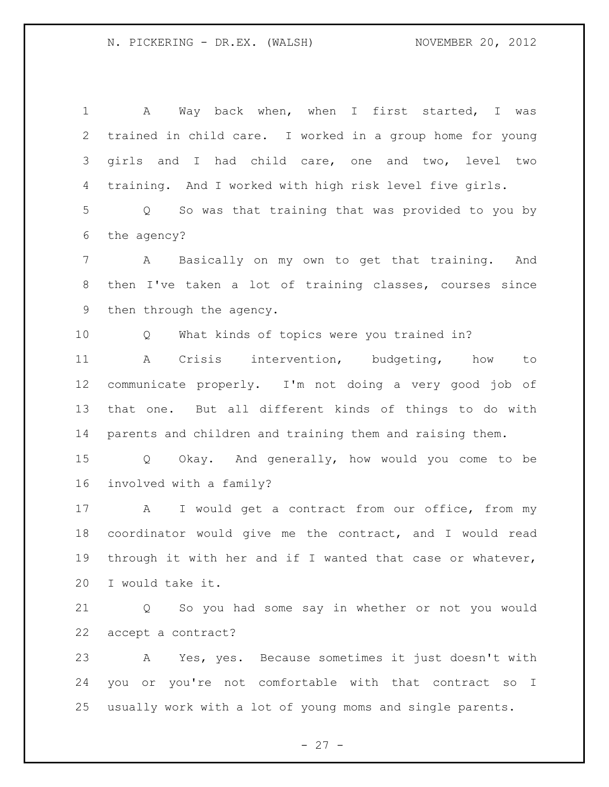A Way back when, when I first started, I was trained in child care. I worked in a group home for young girls and I had child care, one and two, level two training. And I worked with high risk level five girls. Q So was that training that was provided to you by the agency? A Basically on my own to get that training. And then I've taken a lot of training classes, courses since then through the agency. Q What kinds of topics were you trained in? A Crisis intervention, budgeting, how to communicate properly. I'm not doing a very good job of that one. But all different kinds of things to do with parents and children and training them and raising them. Q Okay. And generally, how would you come to be involved with a family? A I would get a contract from our office, from my coordinator would give me the contract, and I would read through it with her and if I wanted that case or whatever, I would take it. Q So you had some say in whether or not you would accept a contract? A Yes, yes. Because sometimes it just doesn't with you or you're not comfortable with that contract so I usually work with a lot of young moms and single parents.

 $- 27 -$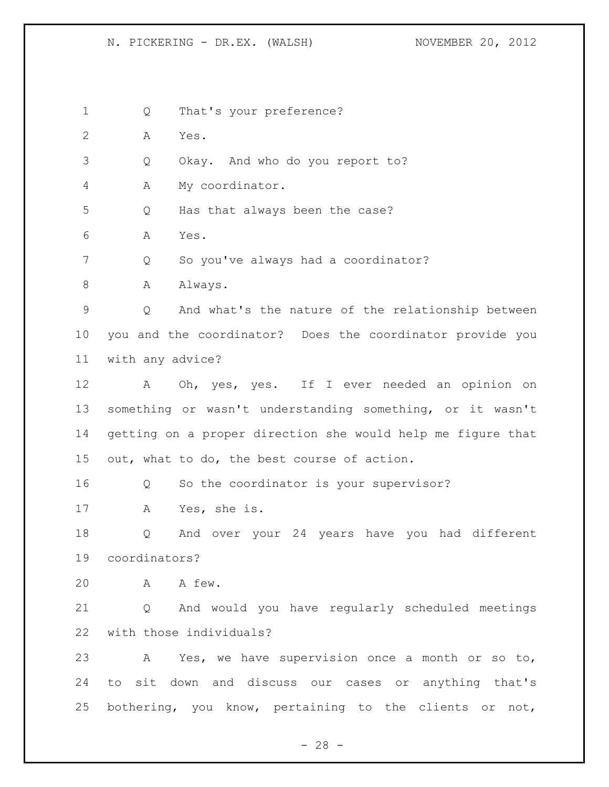N. PICKERING - DR.EX. (WALSH) NOVEMBER 20, 2012

Q That's your preference?

A Yes.

Q Okay. And who do you report to?

A My coordinator.

Q Has that always been the case?

A Yes.

Q So you've always had a coordinator?

8 A Always.

 Q And what's the nature of the relationship between you and the coordinator? Does the coordinator provide you with any advice?

 A Oh, yes, yes. If I ever needed an opinion on something or wasn't understanding something, or it wasn't getting on a proper direction she would help me figure that out, what to do, the best course of action.

Q So the coordinator is your supervisor?

A Yes, she is.

 Q And over your 24 years have you had different coordinators?

A A few.

 Q And would you have regularly scheduled meetings with those individuals?

 A Yes, we have supervision once a month or so to, to sit down and discuss our cases or anything that's bothering, you know, pertaining to the clients or not,

 $- 28 -$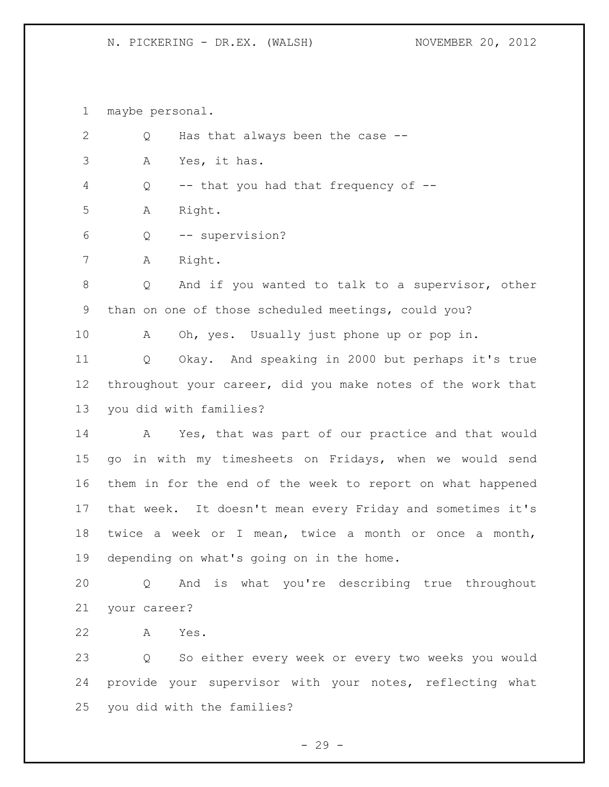# N. PICKERING - DR.EX. (WALSH) NOVEMBER 20, 2012

maybe personal.

| Q | Has that always been the case --                            |
|---|-------------------------------------------------------------|
| Α | Yes, it has.                                                |
| Q | -- that you had that frequency of --                        |
| Α | Right.                                                      |
| Q | -- supervision?                                             |
| Α | Right.                                                      |
| Q | And if you wanted to talk to a supervisor, other            |
|   | than on one of those scheduled meetings, could you?         |
| Α | Oh, yes. Usually just phone up or pop in.                   |
| Q | Okay. And speaking in 2000 but perhaps it's true            |
|   | throughout your career, did you make notes of the work that |
|   | you did with families?                                      |
| A | Yes, that was part of our practice and that would           |
|   | go in with my timesheets on Fridays, when we would send     |
|   | them in for the end of the week to report on what happened  |
|   | that week. It doesn't mean every Friday and sometimes it's  |
|   | twice a week or I mean, twice a month or once a month,      |
|   | depending on what's going on in the home.                   |
|   | Q And is what you're describing true throughout             |
|   |                                                             |
| Α | Yes.                                                        |
| Q | So either every week or every two weeks you would           |
|   | your career?                                                |

 provide your supervisor with your notes, reflecting what you did with the families?

- 29 -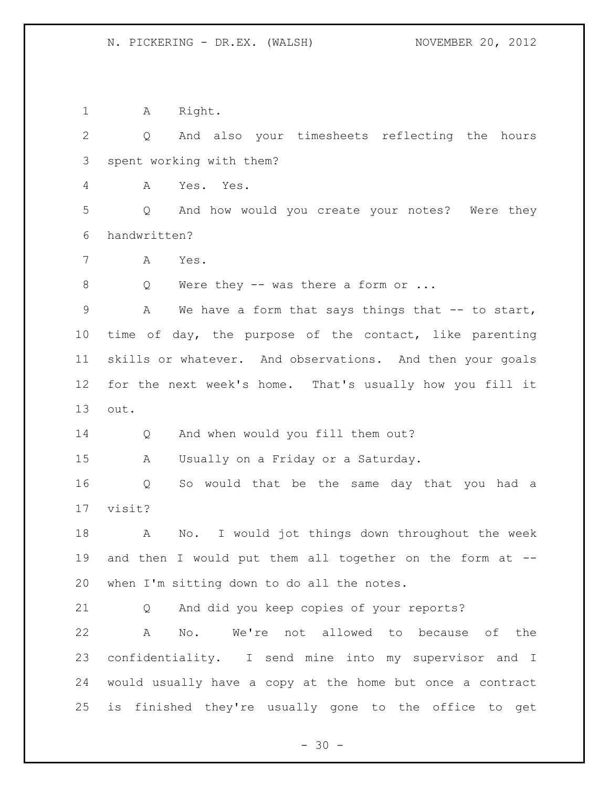1 A Right.

 Q And also your timesheets reflecting the hours spent working with them?

A Yes. Yes.

 Q And how would you create your notes? Were they handwritten?

A Yes.

8 Q Were they -- was there a form or ...

9 A We have a form that says things that -- to start, time of day, the purpose of the contact, like parenting skills or whatever. And observations. And then your goals for the next week's home. That's usually how you fill it out.

14 Q And when would you fill them out?

A Usually on a Friday or a Saturday.

 Q So would that be the same day that you had a visit?

 A No. I would jot things down throughout the week and then I would put them all together on the form at -- when I'm sitting down to do all the notes.

Q And did you keep copies of your reports?

 A No. We're not allowed to because of the confidentiality. I send mine into my supervisor and I would usually have a copy at the home but once a contract is finished they're usually gone to the office to get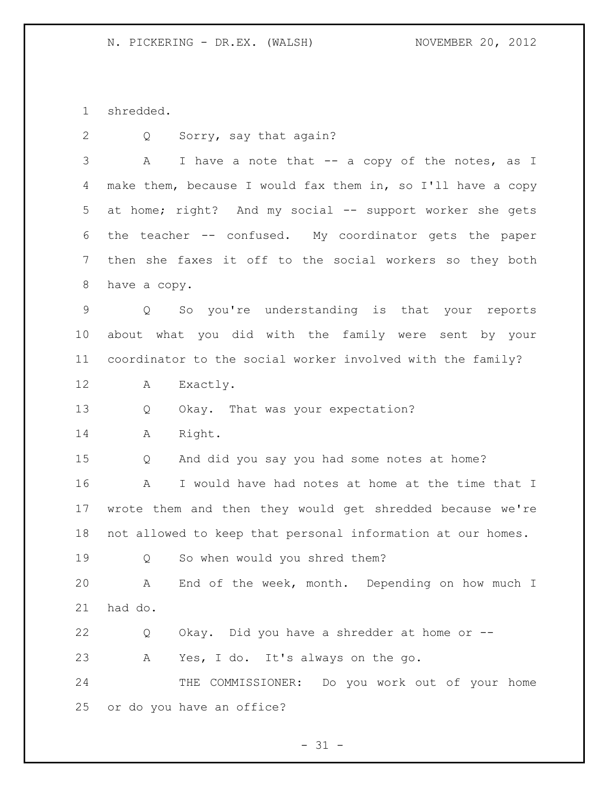shredded.

Q Sorry, say that again?

3 A I have a note that -- a copy of the notes, as I make them, because I would fax them in, so I'll have a copy at home; right? And my social -- support worker she gets the teacher -- confused. My coordinator gets the paper then she faxes it off to the social workers so they both have a copy.

 Q So you're understanding is that your reports about what you did with the family were sent by your coordinator to the social worker involved with the family?

A Exactly.

Q Okay. That was your expectation?

A Right.

Q And did you say you had some notes at home?

 A I would have had notes at home at the time that I wrote them and then they would get shredded because we're not allowed to keep that personal information at our homes.

Q So when would you shred them?

 A End of the week, month. Depending on how much I had do.

 Q Okay. Did you have a shredder at home or -- A Yes, I do. It's always on the go.

24 THE COMMISSIONER: Do you work out of your home or do you have an office?

 $- 31 -$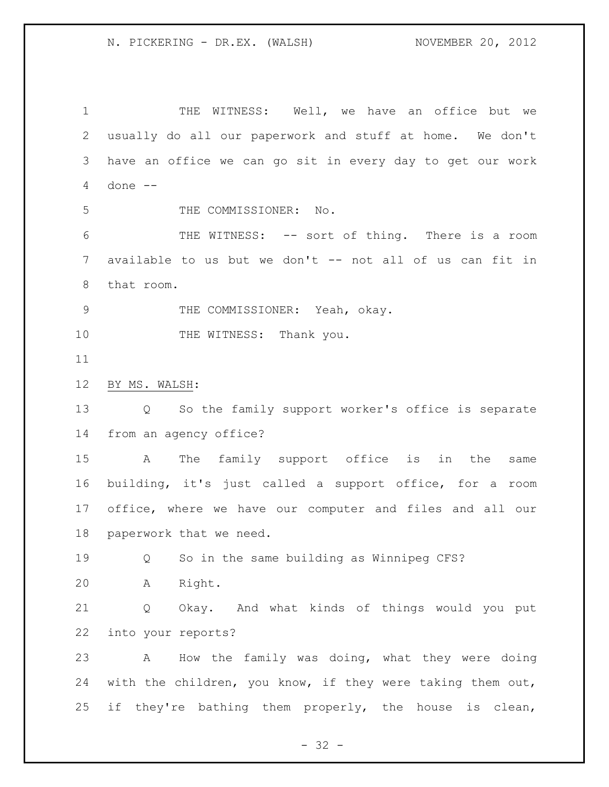THE WITNESS: Well, we have an office but we usually do all our paperwork and stuff at home. We don't have an office we can go sit in every day to get our work done -- THE COMMISSIONER: No. THE WITNESS: -- sort of thing. There is a room 7 available to us but we don't -- not all of us can fit in that room. THE COMMISSIONER: Yeah, okay. 10 THE WITNESS: Thank you. BY MS. WALSH: Q So the family support worker's office is separate from an agency office? A The family support office is in the same building, it's just called a support office, for a room office, where we have our computer and files and all our paperwork that we need. Q So in the same building as Winnipeg CFS? A Right. Q Okay. And what kinds of things would you put into your reports? A How the family was doing, what they were doing with the children, you know, if they were taking them out, if they're bathing them properly, the house is clean,

 $- 32 -$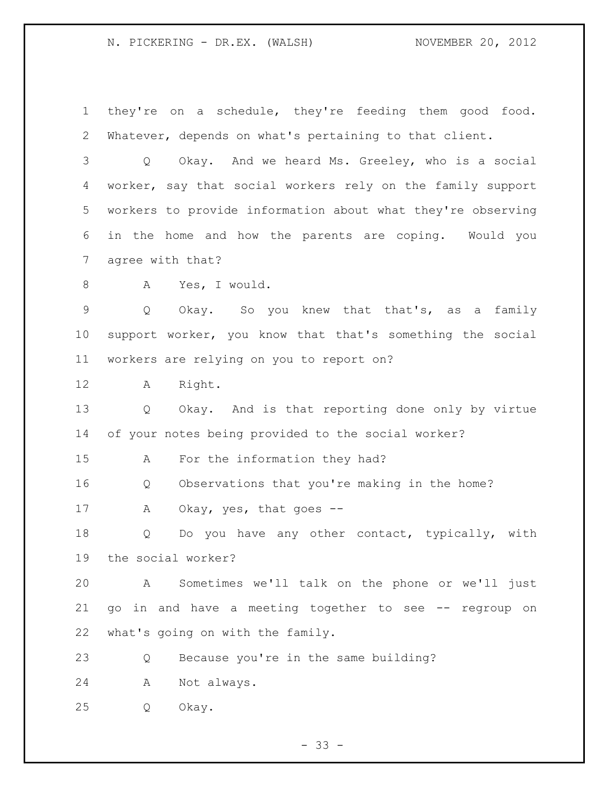### N. PICKERING - DR.EX. (WALSH) NOVEMBER 20, 2012

 they're on a schedule, they're feeding them good food. Whatever, depends on what's pertaining to that client. Q Okay. And we heard Ms. Greeley, who is a social worker, say that social workers rely on the family support workers to provide information about what they're observing in the home and how the parents are coping. Would you agree with that? A Yes, I would. Q Okay. So you knew that that's, as a family support worker, you know that that's something the social workers are relying on you to report on? A Right. Q Okay. And is that reporting done only by virtue of your notes being provided to the social worker? A For the information they had? Q Observations that you're making in the home? 17 A Okay, yes, that goes -- Q Do you have any other contact, typically, with the social worker? A Sometimes we'll talk on the phone or we'll just go in and have a meeting together to see -- regroup on what's going on with the family. Q Because you're in the same building? A Not always. Q Okay.

- 33 -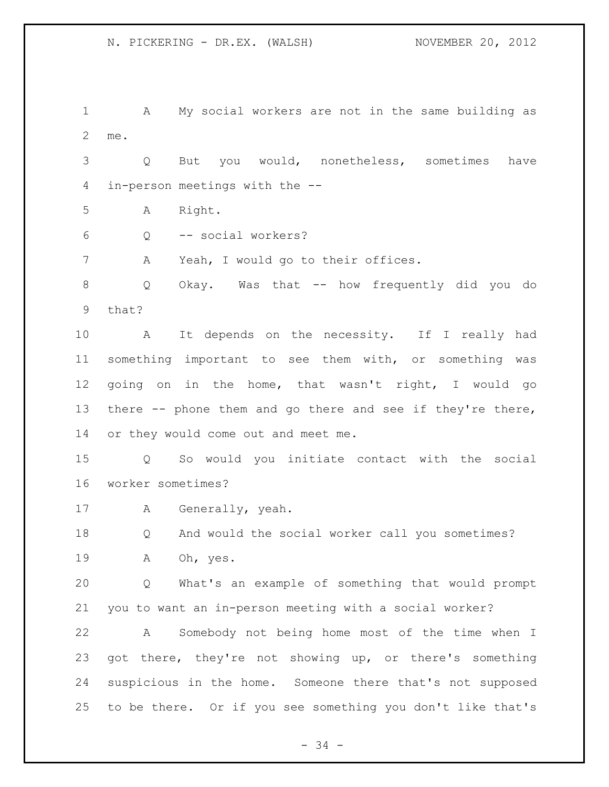A My social workers are not in the same building as me. Q But you would, nonetheless, sometimes have in-person meetings with the --

A Right.

Q -- social workers?

A Yeah, I would go to their offices.

 Q Okay. Was that -- how frequently did you do that?

 A It depends on the necessity. If I really had something important to see them with, or something was going on in the home, that wasn't right, I would go there -- phone them and go there and see if they're there, or they would come out and meet me.

 Q So would you initiate contact with the social worker sometimes?

A Generally, yeah.

 Q And would the social worker call you sometimes? A Oh, yes.

 Q What's an example of something that would prompt you to want an in-person meeting with a social worker?

 A Somebody not being home most of the time when I got there, they're not showing up, or there's something suspicious in the home. Someone there that's not supposed to be there. Or if you see something you don't like that's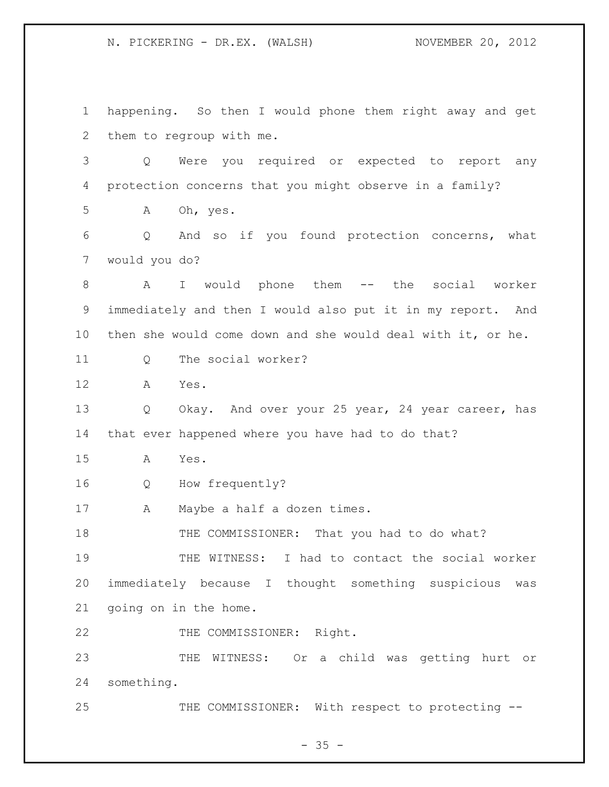happening. So then I would phone them right away and get them to regroup with me. Q Were you required or expected to report any protection concerns that you might observe in a family? A Oh, yes. Q And so if you found protection concerns, what would you do? A I would phone them -- the social worker immediately and then I would also put it in my report. And then she would come down and she would deal with it, or he. Q The social worker? A Yes. Q Okay. And over your 25 year, 24 year career, has that ever happened where you have had to do that? A Yes. Q How frequently? A Maybe a half a dozen times. 18 THE COMMISSIONER: That you had to do what? 19 THE WITNESS: I had to contact the social worker immediately because I thought something suspicious was going on in the home. 22 THE COMMISSIONER: Right. THE WITNESS: Or a child was getting hurt or something. 25 THE COMMISSIONER: With respect to protecting --

 $- 35 -$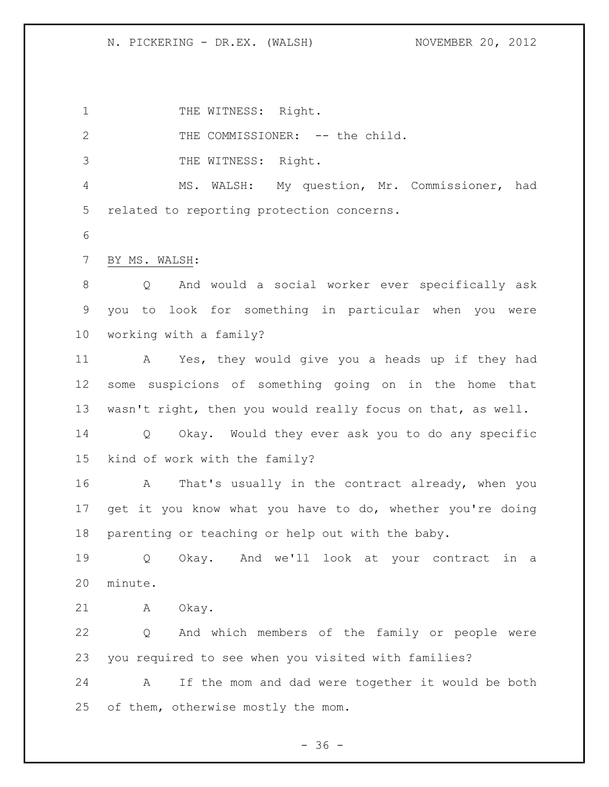1 THE WITNESS: Right.

2 THE COMMISSIONER: -- the child. THE WITNESS: Right. MS. WALSH: My question, Mr. Commissioner, had related to reporting protection concerns. BY MS. WALSH: Q And would a social worker ever specifically ask you to look for something in particular when you were working with a family? A Yes, they would give you a heads up if they had some suspicions of something going on in the home that wasn't right, then you would really focus on that, as well. Q Okay. Would they ever ask you to do any specific kind of work with the family? A That's usually in the contract already, when you get it you know what you have to do, whether you're doing parenting or teaching or help out with the baby. Q Okay. And we'll look at your contract in a minute. A Okay. Q And which members of the family or people were you required to see when you visited with families? A If the mom and dad were together it would be both 25 of them, otherwise mostly the mom.

 $- 36 -$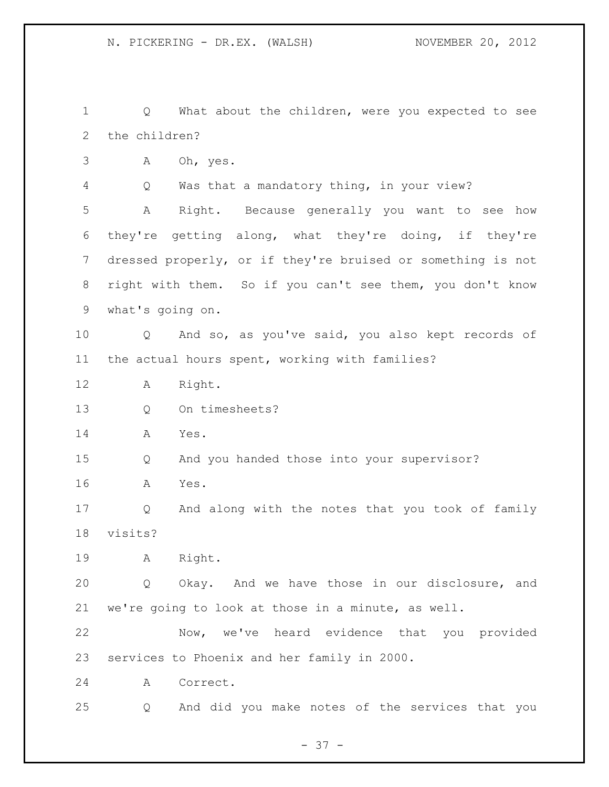Q What about the children, were you expected to see the children?

A Oh, yes.

Q Was that a mandatory thing, in your view?

 A Right. Because generally you want to see how they're getting along, what they're doing, if they're dressed properly, or if they're bruised or something is not right with them. So if you can't see them, you don't know what's going on.

 Q And so, as you've said, you also kept records of the actual hours spent, working with families?

- A Right.
- Q On timesheets?
- A Yes.

Q And you handed those into your supervisor?

A Yes.

 Q And along with the notes that you took of family visits?

A Right.

 Q Okay. And we have those in our disclosure, and we're going to look at those in a minute, as well.

 Now, we've heard evidence that you provided services to Phoenix and her family in 2000.

A Correct.

Q And did you make notes of the services that you

- 37 -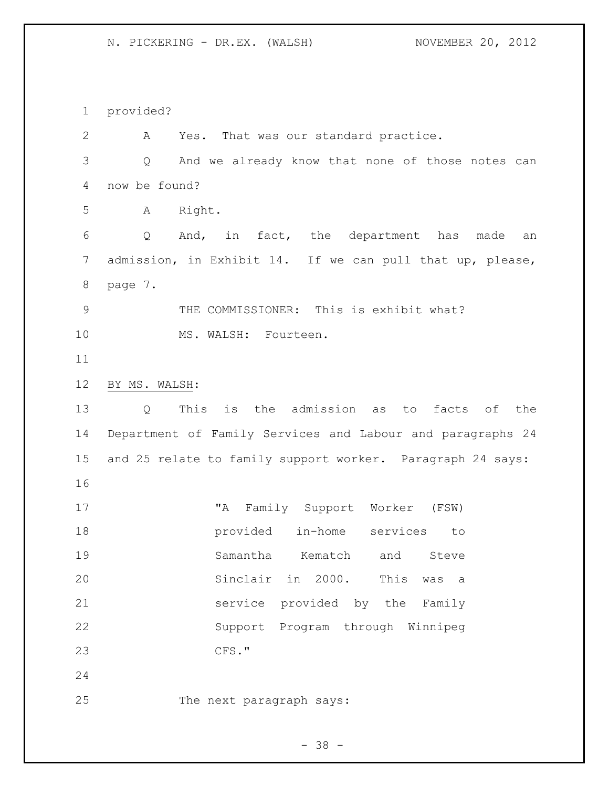provided? A Yes. That was our standard practice. Q And we already know that none of those notes can now be found? A Right. Q And, in fact, the department has made an admission, in Exhibit 14. If we can pull that up, please, page 7. 9 THE COMMISSIONER: This is exhibit what? 10 MS. WALSH: Fourteen. BY MS. WALSH: Q This is the admission as to facts of the Department of Family Services and Labour and paragraphs 24 and 25 relate to family support worker. Paragraph 24 says: "A Family Support Worker (FSW) provided in-home services to Samantha Kematch and Steve Sinclair in 2000. This was a service provided by the Family Support Program through Winnipeg CFS." The next paragraph says: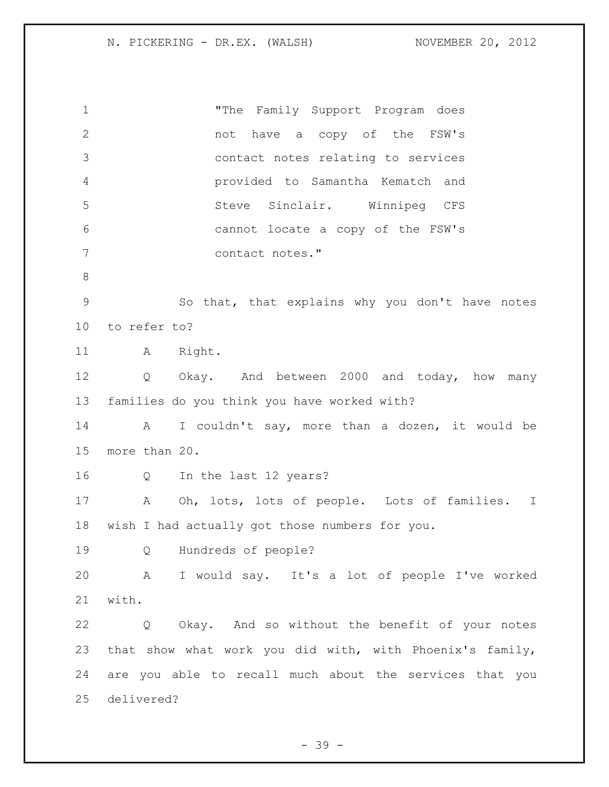| $\mathbf{2}$<br>not have a copy of the FSW's<br>3<br>contact notes relating to services<br>$\overline{4}$<br>provided to Samantha Kematch and<br>5<br>Steve Sinclair. Winnipeg CFS<br>6<br>cannot locate a copy of the FSW's<br>7<br>contact notes."<br>$\,8\,$<br>$\mathcal{G}$<br>So that, that explains why you don't have notes<br>to refer to?<br>10 <sub>o</sub><br>11<br>A Right.<br>12<br>$Q \qquad \qquad$<br>Okay. And between 2000 and today, how many<br>13<br>families do you think you have worked with?<br>14<br>A<br>I couldn't say, more than a dozen, it would be<br>15<br>more than 20.<br>16<br>In the last 12 years?<br>$Q \qquad \qquad$<br>17<br>Oh, lots, lots of people. Lots of families. I<br>Α<br>18<br>wish I had actually got those numbers for you.<br>19<br>Hundreds of people?<br>$\mathsf{Q}$<br>20<br>A I would say. It's a lot of people I've worked<br>21<br>with.<br>22<br>Q Okay. And so without the benefit of your notes<br>23<br>that show what work you did with, with Phoenix's family,<br>24<br>are you able to recall much about the services that you | $\mathbf 1$ | "The Family Support Program does |  |  |  |  |  |  |
|------------------------------------------------------------------------------------------------------------------------------------------------------------------------------------------------------------------------------------------------------------------------------------------------------------------------------------------------------------------------------------------------------------------------------------------------------------------------------------------------------------------------------------------------------------------------------------------------------------------------------------------------------------------------------------------------------------------------------------------------------------------------------------------------------------------------------------------------------------------------------------------------------------------------------------------------------------------------------------------------------------------------------------------------------------------------------------------------------|-------------|----------------------------------|--|--|--|--|--|--|
|                                                                                                                                                                                                                                                                                                                                                                                                                                                                                                                                                                                                                                                                                                                                                                                                                                                                                                                                                                                                                                                                                                      |             |                                  |  |  |  |  |  |  |
|                                                                                                                                                                                                                                                                                                                                                                                                                                                                                                                                                                                                                                                                                                                                                                                                                                                                                                                                                                                                                                                                                                      |             |                                  |  |  |  |  |  |  |
|                                                                                                                                                                                                                                                                                                                                                                                                                                                                                                                                                                                                                                                                                                                                                                                                                                                                                                                                                                                                                                                                                                      |             |                                  |  |  |  |  |  |  |
|                                                                                                                                                                                                                                                                                                                                                                                                                                                                                                                                                                                                                                                                                                                                                                                                                                                                                                                                                                                                                                                                                                      |             |                                  |  |  |  |  |  |  |
|                                                                                                                                                                                                                                                                                                                                                                                                                                                                                                                                                                                                                                                                                                                                                                                                                                                                                                                                                                                                                                                                                                      |             |                                  |  |  |  |  |  |  |
|                                                                                                                                                                                                                                                                                                                                                                                                                                                                                                                                                                                                                                                                                                                                                                                                                                                                                                                                                                                                                                                                                                      |             |                                  |  |  |  |  |  |  |
|                                                                                                                                                                                                                                                                                                                                                                                                                                                                                                                                                                                                                                                                                                                                                                                                                                                                                                                                                                                                                                                                                                      |             |                                  |  |  |  |  |  |  |
|                                                                                                                                                                                                                                                                                                                                                                                                                                                                                                                                                                                                                                                                                                                                                                                                                                                                                                                                                                                                                                                                                                      |             |                                  |  |  |  |  |  |  |
|                                                                                                                                                                                                                                                                                                                                                                                                                                                                                                                                                                                                                                                                                                                                                                                                                                                                                                                                                                                                                                                                                                      |             |                                  |  |  |  |  |  |  |
|                                                                                                                                                                                                                                                                                                                                                                                                                                                                                                                                                                                                                                                                                                                                                                                                                                                                                                                                                                                                                                                                                                      |             |                                  |  |  |  |  |  |  |
|                                                                                                                                                                                                                                                                                                                                                                                                                                                                                                                                                                                                                                                                                                                                                                                                                                                                                                                                                                                                                                                                                                      |             |                                  |  |  |  |  |  |  |
|                                                                                                                                                                                                                                                                                                                                                                                                                                                                                                                                                                                                                                                                                                                                                                                                                                                                                                                                                                                                                                                                                                      |             |                                  |  |  |  |  |  |  |
|                                                                                                                                                                                                                                                                                                                                                                                                                                                                                                                                                                                                                                                                                                                                                                                                                                                                                                                                                                                                                                                                                                      |             |                                  |  |  |  |  |  |  |
|                                                                                                                                                                                                                                                                                                                                                                                                                                                                                                                                                                                                                                                                                                                                                                                                                                                                                                                                                                                                                                                                                                      |             |                                  |  |  |  |  |  |  |
|                                                                                                                                                                                                                                                                                                                                                                                                                                                                                                                                                                                                                                                                                                                                                                                                                                                                                                                                                                                                                                                                                                      |             |                                  |  |  |  |  |  |  |
|                                                                                                                                                                                                                                                                                                                                                                                                                                                                                                                                                                                                                                                                                                                                                                                                                                                                                                                                                                                                                                                                                                      |             |                                  |  |  |  |  |  |  |
|                                                                                                                                                                                                                                                                                                                                                                                                                                                                                                                                                                                                                                                                                                                                                                                                                                                                                                                                                                                                                                                                                                      |             |                                  |  |  |  |  |  |  |
|                                                                                                                                                                                                                                                                                                                                                                                                                                                                                                                                                                                                                                                                                                                                                                                                                                                                                                                                                                                                                                                                                                      |             |                                  |  |  |  |  |  |  |
|                                                                                                                                                                                                                                                                                                                                                                                                                                                                                                                                                                                                                                                                                                                                                                                                                                                                                                                                                                                                                                                                                                      |             |                                  |  |  |  |  |  |  |
|                                                                                                                                                                                                                                                                                                                                                                                                                                                                                                                                                                                                                                                                                                                                                                                                                                                                                                                                                                                                                                                                                                      |             |                                  |  |  |  |  |  |  |
|                                                                                                                                                                                                                                                                                                                                                                                                                                                                                                                                                                                                                                                                                                                                                                                                                                                                                                                                                                                                                                                                                                      |             |                                  |  |  |  |  |  |  |
|                                                                                                                                                                                                                                                                                                                                                                                                                                                                                                                                                                                                                                                                                                                                                                                                                                                                                                                                                                                                                                                                                                      |             |                                  |  |  |  |  |  |  |
|                                                                                                                                                                                                                                                                                                                                                                                                                                                                                                                                                                                                                                                                                                                                                                                                                                                                                                                                                                                                                                                                                                      |             |                                  |  |  |  |  |  |  |
| delivered?                                                                                                                                                                                                                                                                                                                                                                                                                                                                                                                                                                                                                                                                                                                                                                                                                                                                                                                                                                                                                                                                                           | 25          |                                  |  |  |  |  |  |  |

- 39 -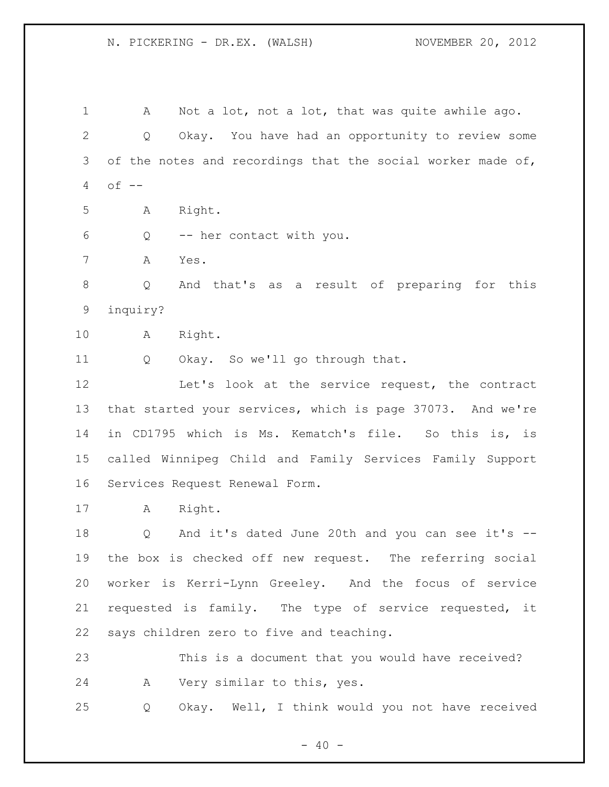1 A Not a lot, not a lot, that was quite awhile ago. Q Okay. You have had an opportunity to review some of the notes and recordings that the social worker made of, of  $-$  A Right. Q -- her contact with you. A Yes. Q And that's as a result of preparing for this inquiry? A Right. 11 Q Okay. So we'll go through that. Let's look at the service request, the contract that started your services, which is page 37073. And we're in CD1795 which is Ms. Kematch's file. So this is, is called Winnipeg Child and Family Services Family Support Services Request Renewal Form. A Right. Q And it's dated June 20th and you can see it's -- the box is checked off new request. The referring social worker is Kerri-Lynn Greeley. And the focus of service requested is family. The type of service requested, it says children zero to five and teaching. This is a document that you would have received? A Very similar to this, yes. Q Okay. Well, I think would you not have received

 $- 40 -$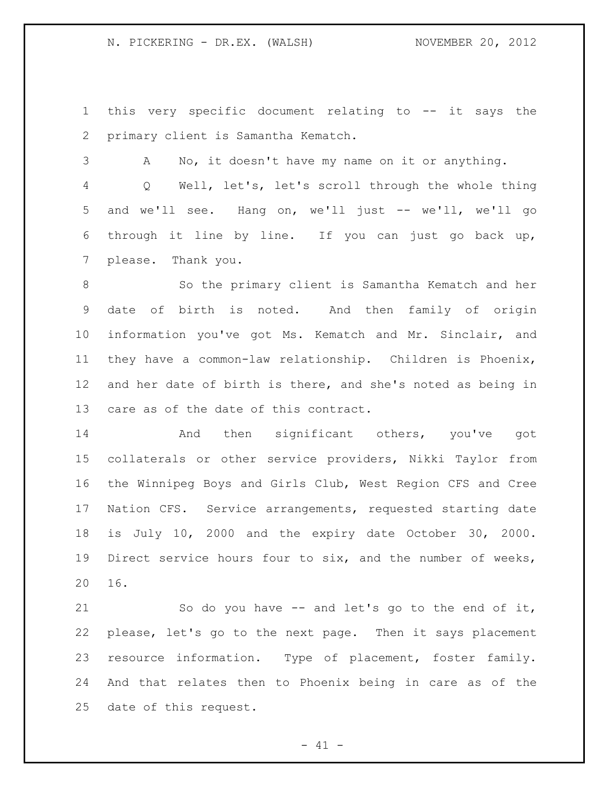this very specific document relating to -- it says the primary client is Samantha Kematch.

 A No, it doesn't have my name on it or anything. Q Well, let's, let's scroll through the whole thing and we'll see. Hang on, we'll just -- we'll, we'll go through it line by line. If you can just go back up, please. Thank you.

 So the primary client is Samantha Kematch and her date of birth is noted. And then family of origin information you've got Ms. Kematch and Mr. Sinclair, and they have a common-law relationship. Children is Phoenix, and her date of birth is there, and she's noted as being in care as of the date of this contract.

 And then significant others, you've got collaterals or other service providers, Nikki Taylor from the Winnipeg Boys and Girls Club, West Region CFS and Cree Nation CFS. Service arrangements, requested starting date is July 10, 2000 and the expiry date October 30, 2000. Direct service hours four to six, and the number of weeks, 16.

 So do you have -- and let's go to the end of it, please, let's go to the next page. Then it says placement resource information. Type of placement, foster family. And that relates then to Phoenix being in care as of the date of this request.

 $- 41 -$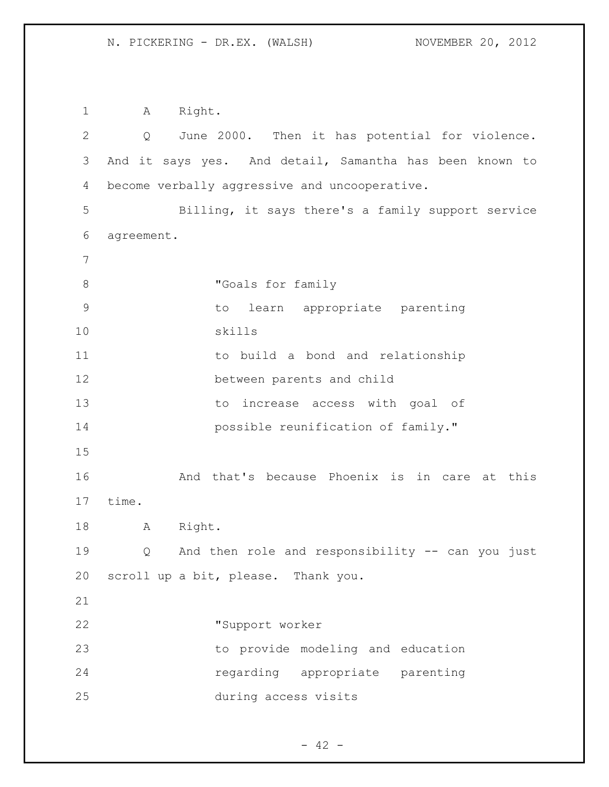A Right. Q June 2000. Then it has potential for violence. And it says yes. And detail, Samantha has been known to become verbally aggressive and uncooperative. Billing, it says there's a family support service agreement. 8 "Goals for family to learn appropriate parenting skills to build a bond and relationship between parents and child to increase access with goal of **possible reunification of family."**  And that's because Phoenix is in care at this time. A Right. Q And then role and responsibility -- can you just scroll up a bit, please. Thank you. "Support worker to provide modeling and education regarding appropriate parenting during access visits

 $- 42 -$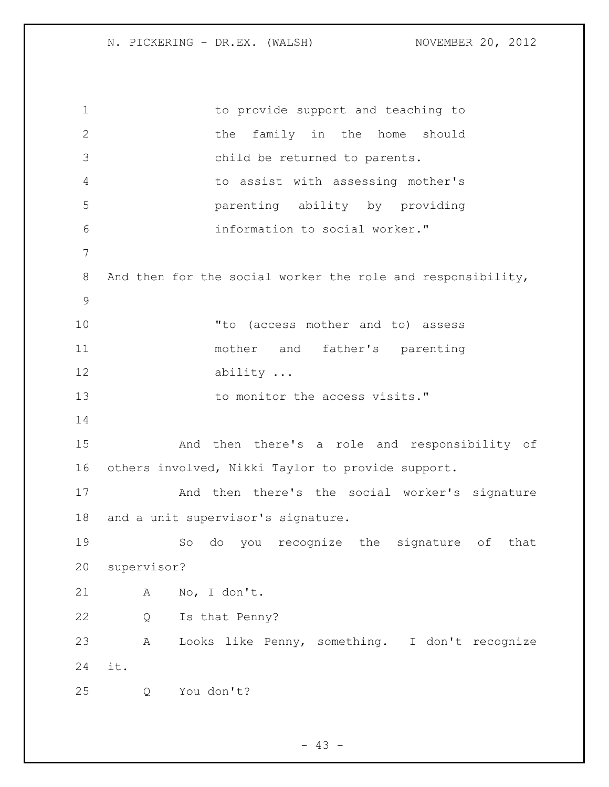1 to provide support and teaching to 2 the family in the home should child be returned to parents. to assist with assessing mother's parenting ability by providing information to social worker." 8 And then for the social worker the role and responsibility, "to (access mother and to) assess mother and father's parenting 12 ability ... 13 to monitor the access visits." And then there's a role and responsibility of others involved, Nikki Taylor to provide support. And then there's the social worker's signature and a unit supervisor's signature. So do you recognize the signature of that supervisor? A No, I don't. Q Is that Penny? A Looks like Penny, something. I don't recognize it. Q You don't?

 $- 43 -$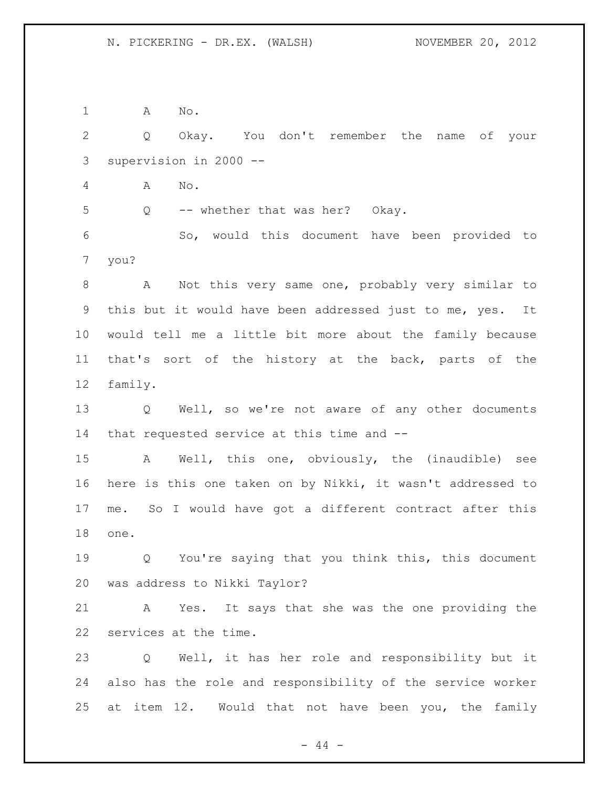A No.

 Q Okay. You don't remember the name of your supervision in 2000 -- A No. Q -- whether that was her? Okay. So, would this document have been provided to you? A Not this very same one, probably very similar to this but it would have been addressed just to me, yes. It would tell me a little bit more about the family because that's sort of the history at the back, parts of the family. Q Well, so we're not aware of any other documents that requested service at this time and -- A Well, this one, obviously, the (inaudible) see here is this one taken on by Nikki, it wasn't addressed to me. So I would have got a different contract after this one.

 Q You're saying that you think this, this document was address to Nikki Taylor?

 A Yes. It says that she was the one providing the services at the time.

 Q Well, it has her role and responsibility but it also has the role and responsibility of the service worker at item 12. Would that not have been you, the family

 $-44 -$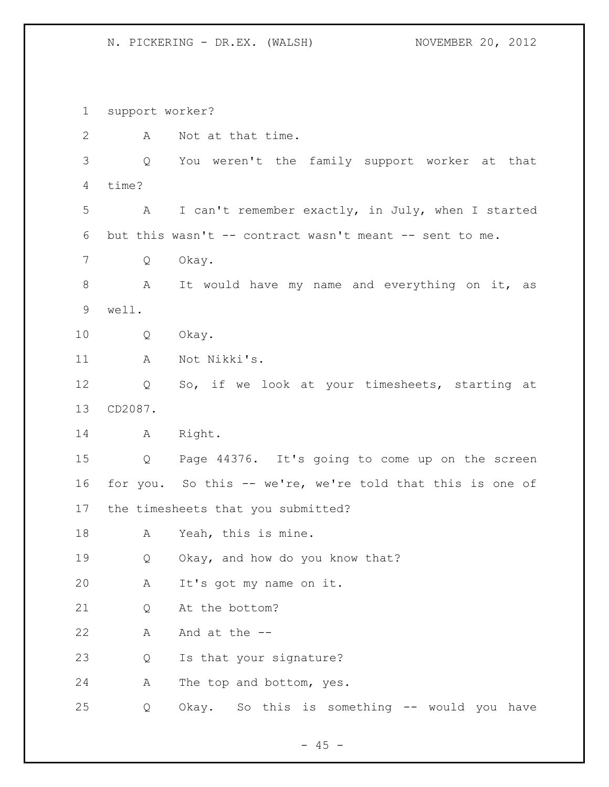support worker? A Not at that time. Q You weren't the family support worker at that time? A I can't remember exactly, in July, when I started but this wasn't -- contract wasn't meant -- sent to me. Q Okay. 8 A It would have my name and everything on it, as well. Q Okay. A Not Nikki's. Q So, if we look at your timesheets, starting at CD2087. A Right. Q Page 44376. It's going to come up on the screen for you. So this -- we're, we're told that this is one of the timesheets that you submitted? A Yeah, this is mine. Q Okay, and how do you know that? A It's got my name on it. Q At the bottom? A And at the -- Q Is that your signature? A The top and bottom, yes. Q Okay. So this is something -- would you have

 $- 45 -$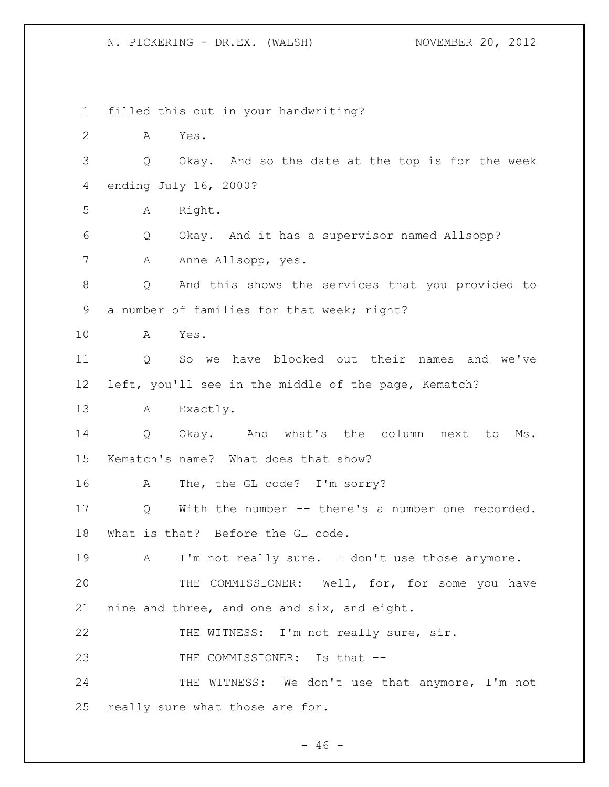filled this out in your handwriting? A Yes. Q Okay. And so the date at the top is for the week ending July 16, 2000? A Right. Q Okay. And it has a supervisor named Allsopp? 7 A Anne Allsopp, yes. Q And this shows the services that you provided to 9 a number of families for that week; right? A Yes. Q So we have blocked out their names and we've left, you'll see in the middle of the page, Kematch? A Exactly. Q Okay. And what's the column next to Ms. Kematch's name? What does that show? A The, the GL code? I'm sorry? Q With the number -- there's a number one recorded. What is that? Before the GL code. A I'm not really sure. I don't use those anymore. THE COMMISSIONER: Well, for, for some you have nine and three, and one and six, and eight. THE WITNESS: I'm not really sure, sir. 23 THE COMMISSIONER: Is that --24 THE WITNESS: We don't use that anymore, I'm not really sure what those are for.

 $- 46 -$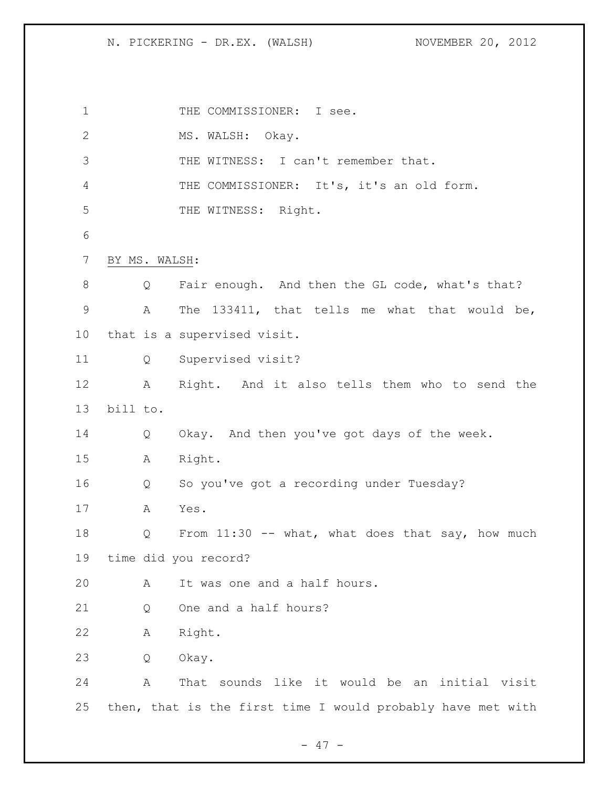1 THE COMMISSIONER: I see. 2 MS. WALSH: Okay. THE WITNESS: I can't remember that. THE COMMISSIONER: It's, it's an old form. THE WITNESS: Right. BY MS. WALSH: 8 Q Fair enough. And then the GL code, what's that? A The 133411, that tells me what that would be, that is a supervised visit. Q Supervised visit? A Right. And it also tells them who to send the bill to. Q Okay. And then you've got days of the week. A Right. Q So you've got a recording under Tuesday? A Yes. 18 Q From 11:30 -- what, what does that say, how much time did you record? A It was one and a half hours. 21 O One and a half hours? A Right. Q Okay. A That sounds like it would be an initial visit then, that is the first time I would probably have met with

 $- 47 -$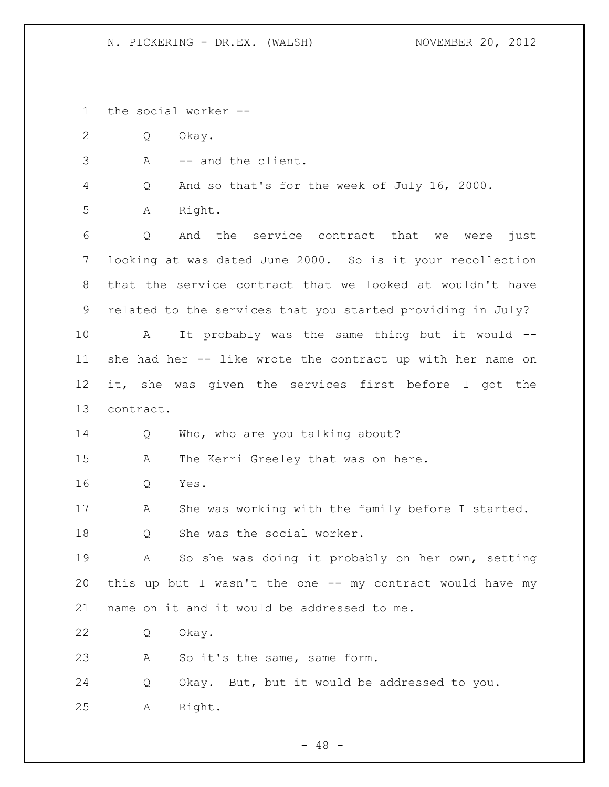the social worker --

Q Okay.

A -- and the client.

Q And so that's for the week of July 16, 2000.

A Right.

 Q And the service contract that we were just looking at was dated June 2000. So is it your recollection that the service contract that we looked at wouldn't have related to the services that you started providing in July? A It probably was the same thing but it would -- she had her -- like wrote the contract up with her name on it, she was given the services first before I got the

contract.

14 Q Who, who are you talking about?

A The Kerri Greeley that was on here.

Q Yes.

A She was working with the family before I started.

Q She was the social worker.

 A So she was doing it probably on her own, setting this up but I wasn't the one -- my contract would have my name on it and it would be addressed to me.

Q Okay.

23 A So it's the same, same form.

Q Okay. But, but it would be addressed to you.

A Right.

 $- 48 -$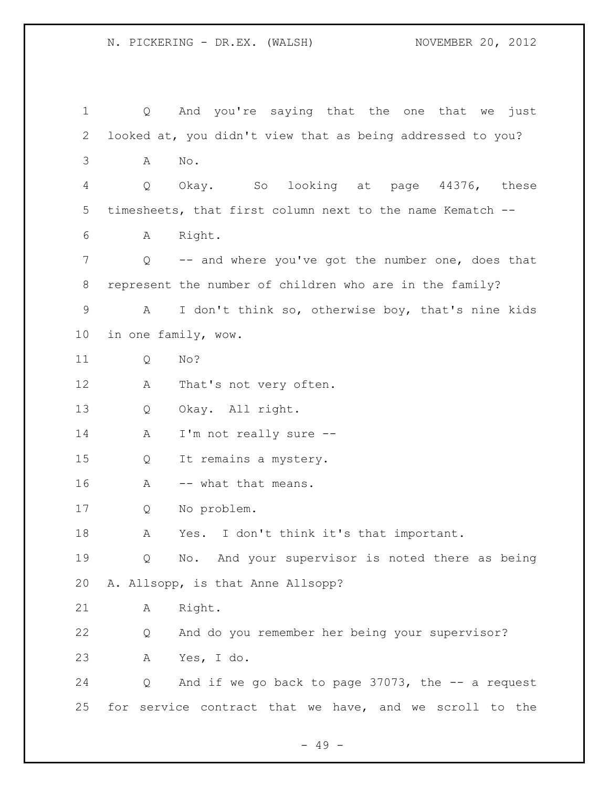| $\mathbf 1$     | Q                                                         | And you're saying that the one that we<br>just             |  |  |  |  |  |  |
|-----------------|-----------------------------------------------------------|------------------------------------------------------------|--|--|--|--|--|--|
| 2               |                                                           | looked at, you didn't view that as being addressed to you? |  |  |  |  |  |  |
| 3               | Α                                                         | No.                                                        |  |  |  |  |  |  |
| 4               | Q                                                         | SO<br>looking at page 44376,<br>Okay.<br>these             |  |  |  |  |  |  |
| 5               | timesheets, that first column next to the name Kematch -- |                                                            |  |  |  |  |  |  |
| 6               | Α                                                         | Right.                                                     |  |  |  |  |  |  |
| 7               | $Q \qquad \qquad$                                         | -- and where you've got the number one, does that          |  |  |  |  |  |  |
| 8               | represent the number of children who are in the family?   |                                                            |  |  |  |  |  |  |
| $\mathsf 9$     | Α                                                         | I don't think so, otherwise boy, that's nine kids          |  |  |  |  |  |  |
| 10 <sub>o</sub> | in one family, wow.                                       |                                                            |  |  |  |  |  |  |
| 11              | Q                                                         | No?                                                        |  |  |  |  |  |  |
| 12              | А                                                         | That's not very often.                                     |  |  |  |  |  |  |
| 13              | Q                                                         | Okay. All right.                                           |  |  |  |  |  |  |
| 14              | Α                                                         | I'm not really sure --                                     |  |  |  |  |  |  |
| 15              | Q                                                         | It remains a mystery.                                      |  |  |  |  |  |  |
| 16              | -- what that means.<br>Α                                  |                                                            |  |  |  |  |  |  |
| 17              | Q                                                         | No problem.                                                |  |  |  |  |  |  |
| 18              | Α                                                         | I don't think it's that important.<br>Yes.                 |  |  |  |  |  |  |
| 19              | Q                                                         | No. And your supervisor is noted there as being            |  |  |  |  |  |  |
| 20              |                                                           | A. Allsopp, is that Anne Allsopp?                          |  |  |  |  |  |  |
| 21              | Α                                                         | Right.                                                     |  |  |  |  |  |  |
| 22              | Q                                                         | And do you remember her being your supervisor?             |  |  |  |  |  |  |
| 23              | Α                                                         | Yes, I do.                                                 |  |  |  |  |  |  |
| 24              | Q                                                         | And if we go back to page $37073$ , the $-$ a request      |  |  |  |  |  |  |
| 25              | for service contract that we have, and we scroll to the   |                                                            |  |  |  |  |  |  |

- 49 -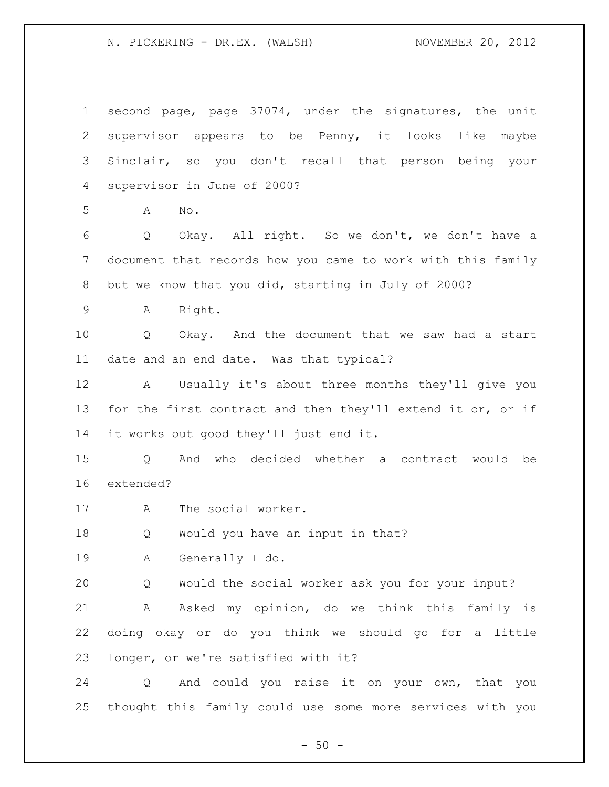second page, page 37074, under the signatures, the unit supervisor appears to be Penny, it looks like maybe Sinclair, so you don't recall that person being your supervisor in June of 2000? A No. Q Okay. All right. So we don't, we don't have a document that records how you came to work with this family but we know that you did, starting in July of 2000? A Right. Q Okay. And the document that we saw had a start date and an end date. Was that typical? A Usually it's about three months they'll give you 13 for the first contract and then they'll extend it or, or if it works out good they'll just end it. Q And who decided whether a contract would be extended? A The social worker. Q Would you have an input in that? A Generally I do. Q Would the social worker ask you for your input? A Asked my opinion, do we think this family is doing okay or do you think we should go for a little longer, or we're satisfied with it? Q And could you raise it on your own, that you thought this family could use some more services with you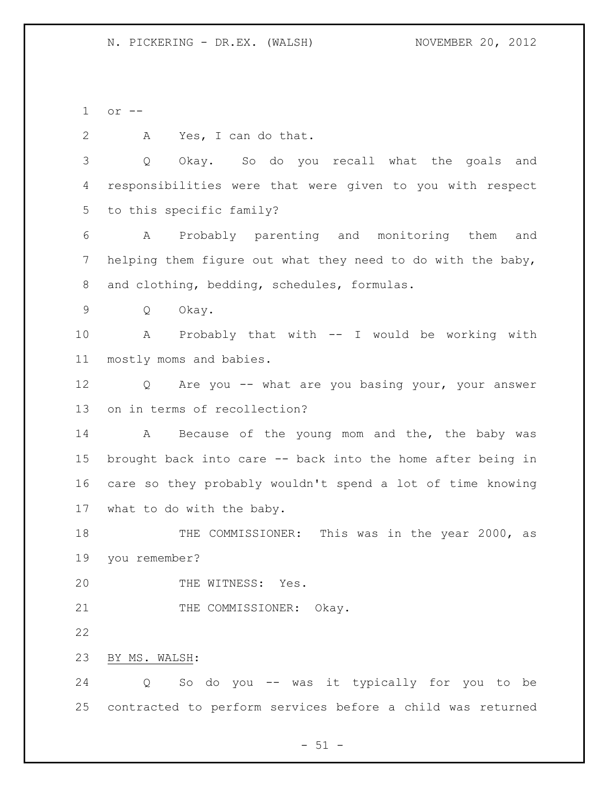or -- A Yes, I can do that. Q Okay. So do you recall what the goals and responsibilities were that were given to you with respect to this specific family? A Probably parenting and monitoring them and helping them figure out what they need to do with the baby, and clothing, bedding, schedules, formulas. Q Okay. A Probably that with -- I would be working with mostly moms and babies. Q Are you -- what are you basing your, your answer on in terms of recollection? 14 A Because of the young mom and the, the baby was brought back into care -- back into the home after being in care so they probably wouldn't spend a lot of time knowing what to do with the baby. 18 THE COMMISSIONER: This was in the year 2000, as you remember? 20 THE WITNESS: Yes. 21 THE COMMISSIONER: Okay. BY MS. WALSH: Q So do you -- was it typically for you to be contracted to perform services before a child was returned

 $- 51 -$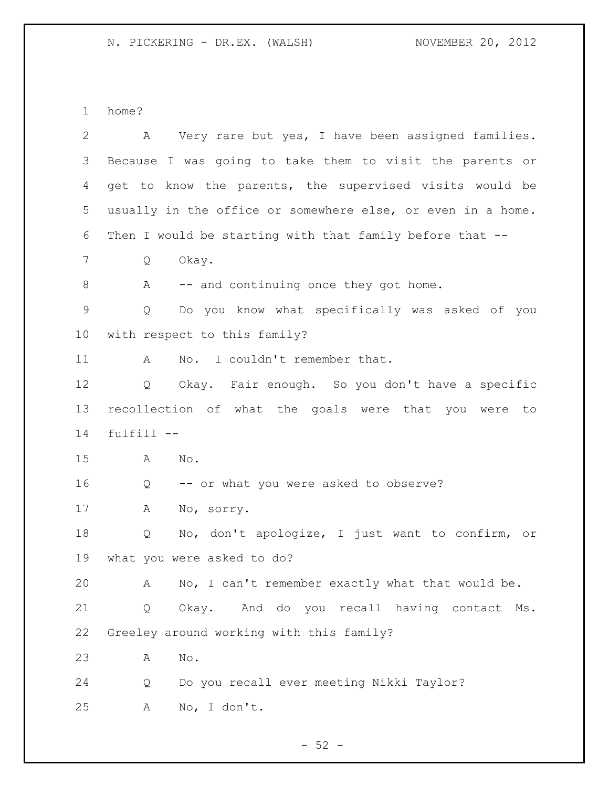home?

| $\mathbf{2}$ | Very rare but yes, I have been assigned families.<br>Α      |
|--------------|-------------------------------------------------------------|
| 3            | Because I was going to take them to visit the parents or    |
| 4            | get to know the parents, the supervised visits would be     |
| 5            | usually in the office or somewhere else, or even in a home. |
| 6            | Then I would be starting with that family before that --    |
| 7            | Okay.<br>Q                                                  |
| 8            | -- and continuing once they got home.<br>A                  |
| $\mathsf 9$  | Do you know what specifically was asked of you<br>Q         |
| 10           | with respect to this family?                                |
| 11           | No. I couldn't remember that.<br>A                          |
| 12           | Okay. Fair enough. So you don't have a specific<br>Q        |
| 13           | recollection of what the goals were that you were<br>to     |
| 14           | fulfill --                                                  |
| 15           | No.<br>A                                                    |
| 16           | -- or what you were asked to observe?<br>Q                  |
| 17           | No, sorry.<br>Α                                             |
| 18           | No, don't apologize, I just want to confirm, or<br>Q        |
| 19           | what you were asked to do?                                  |
| 20           | No, I can't remember exactly what that would be.<br>Α       |
| 21           | Okay. And do you recall having contact Ms.<br>Q             |
| 22           | Greeley around working with this family?                    |
|              | $\mathrm{No}$ .<br>Α                                        |
| 23           |                                                             |
| 24           | Do you recall ever meeting Nikki Taylor?<br>Q               |

- 52 -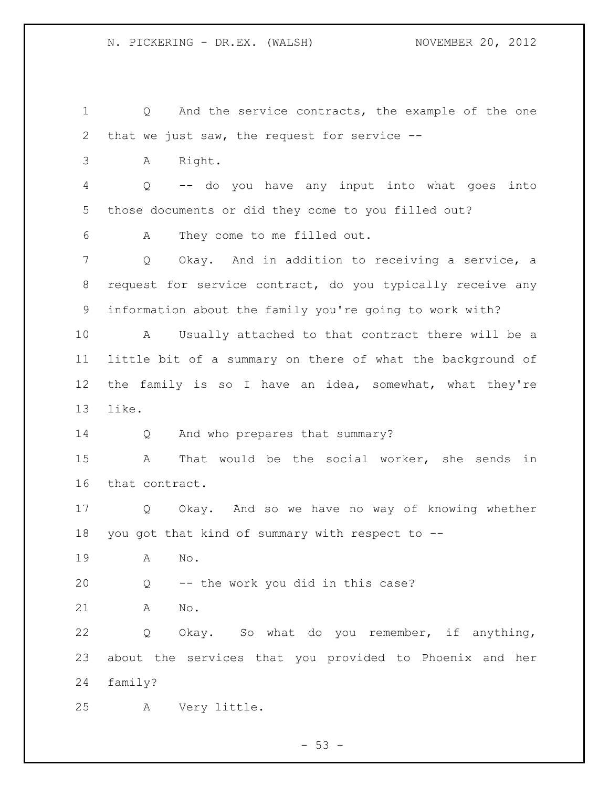Q And the service contracts, the example of the one that we just saw, the request for service -- A Right. Q -- do you have any input into what goes into those documents or did they come to you filled out? A They come to me filled out. Q Okay. And in addition to receiving a service, a request for service contract, do you typically receive any information about the family you're going to work with? A Usually attached to that contract there will be a little bit of a summary on there of what the background of the family is so I have an idea, somewhat, what they're like. Q And who prepares that summary? A That would be the social worker, she sends in that contract. Q Okay. And so we have no way of knowing whether you got that kind of summary with respect to -- A No. Q -- the work you did in this case? A No. Q Okay. So what do you remember, if anything, about the services that you provided to Phoenix and her family? A Very little.

 $-53 -$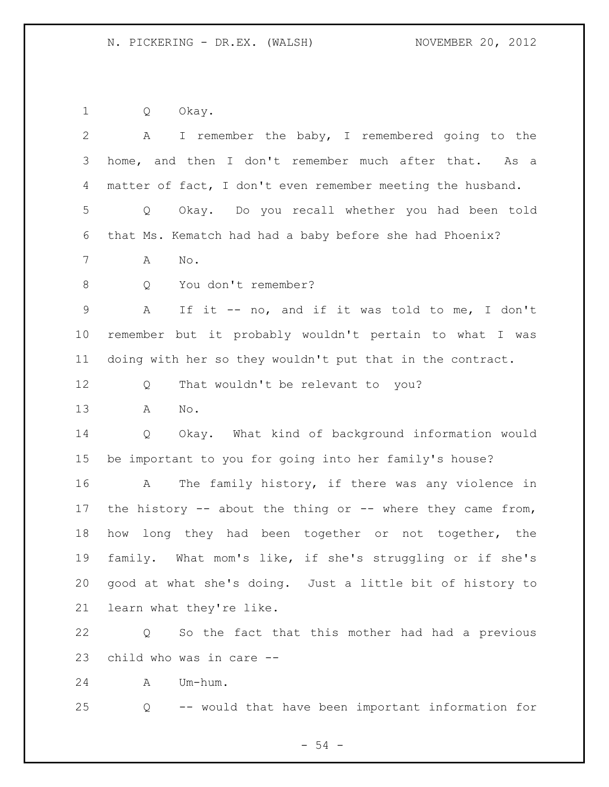Q Okay.

| $\overline{2}$ | I remember the baby, I remembered going to the<br>A        |  |  |  |  |  |  |
|----------------|------------------------------------------------------------|--|--|--|--|--|--|
| 3              | home, and then I don't remember much after that. As a      |  |  |  |  |  |  |
| 4              | matter of fact, I don't even remember meeting the husband. |  |  |  |  |  |  |
| 5              | Okay. Do you recall whether you had been told<br>Q         |  |  |  |  |  |  |
| 6              | that Ms. Kematch had had a baby before she had Phoenix?    |  |  |  |  |  |  |
| $7\phantom{.}$ | No.<br>А                                                   |  |  |  |  |  |  |
| 8              | You don't remember?<br>Q                                   |  |  |  |  |  |  |
| $\mathsf 9$    | If it -- no, and if it was told to me, I don't<br>Α        |  |  |  |  |  |  |
| 10             | remember but it probably wouldn't pertain to what I was    |  |  |  |  |  |  |
| 11             | doing with her so they wouldn't put that in the contract.  |  |  |  |  |  |  |
| 12             | That wouldn't be relevant to you?<br>Q                     |  |  |  |  |  |  |
| 13             | No.<br>Α                                                   |  |  |  |  |  |  |
| 14             | Okay. What kind of background information would<br>Q       |  |  |  |  |  |  |
| 15             | be important to you for going into her family's house?     |  |  |  |  |  |  |
| 16             | The family history, if there was any violence in<br>A      |  |  |  |  |  |  |
| 17             | the history -- about the thing or -- where they came from, |  |  |  |  |  |  |
| 18             | long they had been together or not together, the<br>how    |  |  |  |  |  |  |
| 19             | family. What mom's like, if she's struggling or if she's   |  |  |  |  |  |  |
| 20             | good at what she's doing. Just a little bit of history to  |  |  |  |  |  |  |
| 21             | learn what they're like.                                   |  |  |  |  |  |  |
| 22             | So the fact that this mother had had a previous<br>Q       |  |  |  |  |  |  |
| 23             | child who was in care --                                   |  |  |  |  |  |  |
| 24             | Um-hum.<br>A                                               |  |  |  |  |  |  |
| 25             | -- would that have been important information for<br>Q     |  |  |  |  |  |  |
|                | $-54 -$                                                    |  |  |  |  |  |  |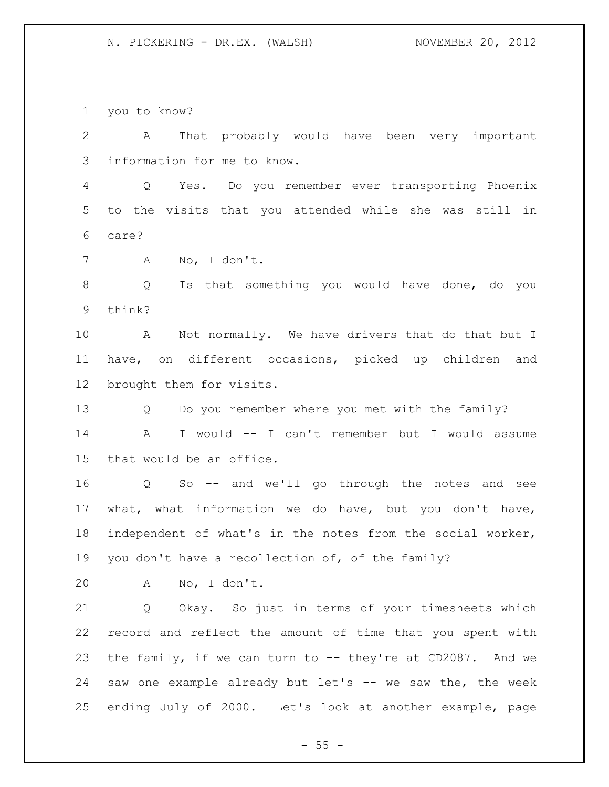you to know?

 A That probably would have been very important information for me to know.

 Q Yes. Do you remember ever transporting Phoenix to the visits that you attended while she was still in care?

A No, I don't.

 Q Is that something you would have done, do you think?

 A Not normally. We have drivers that do that but I have, on different occasions, picked up children and brought them for visits.

 Q Do you remember where you met with the family? A I would -- I can't remember but I would assume

that would be an office.

 Q So -- and we'll go through the notes and see what, what information we do have, but you don't have, independent of what's in the notes from the social worker, you don't have a recollection of, of the family?

A No, I don't.

 Q Okay. So just in terms of your timesheets which record and reflect the amount of time that you spent with the family, if we can turn to -- they're at CD2087. And we saw one example already but let's -- we saw the, the week ending July of 2000. Let's look at another example, page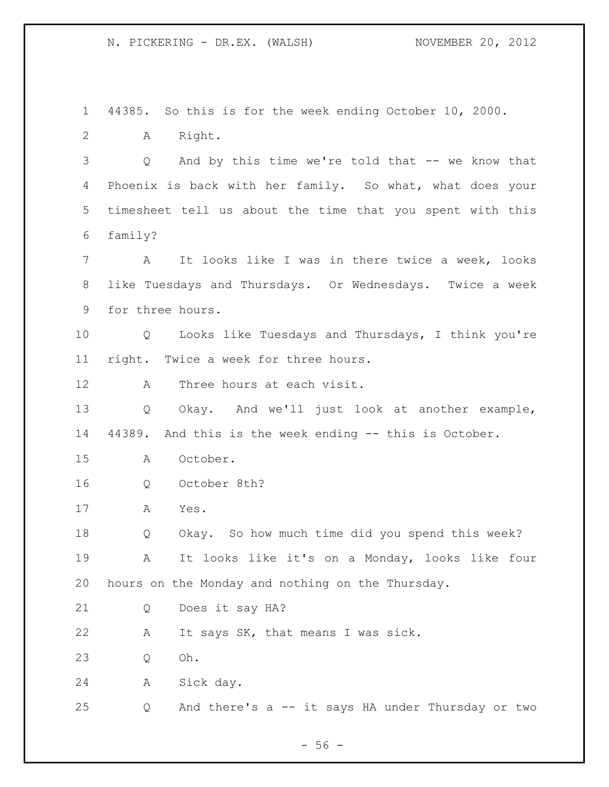44385. So this is for the week ending October 10, 2000. A Right. Q And by this time we're told that -- we know that Phoenix is back with her family. So what, what does your timesheet tell us about the time that you spent with this family? A It looks like I was in there twice a week, looks like Tuesdays and Thursdays. Or Wednesdays. Twice a week for three hours. Q Looks like Tuesdays and Thursdays, I think you're right. Twice a week for three hours. A Three hours at each visit. Q Okay. And we'll just look at another example, 44389. And this is the week ending -- this is October. A October. Q October 8th? A Yes. Q Okay. So how much time did you spend this week? A It looks like it's on a Monday, looks like four hours on the Monday and nothing on the Thursday. Q Does it say HA? A It says SK, that means I was sick. Q Oh. A Sick day. Q And there's a -- it says HA under Thursday or two

 $-56 -$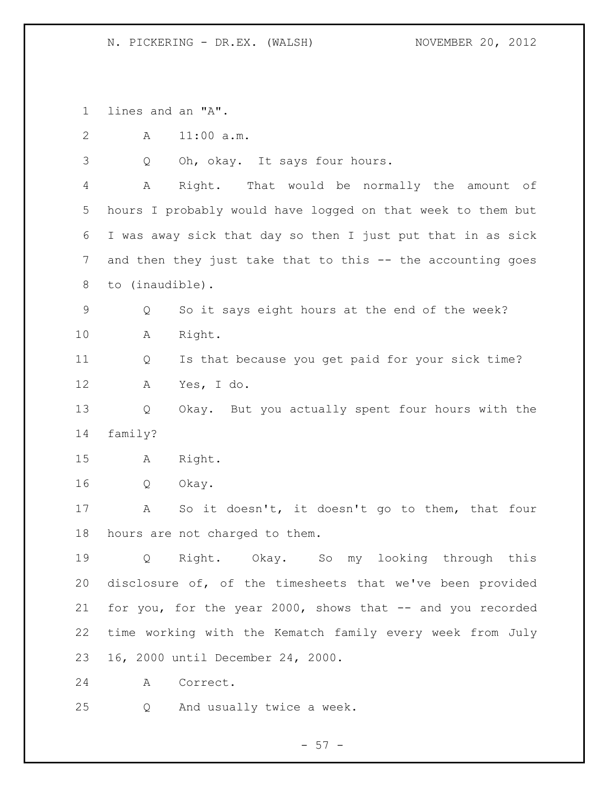lines and an "A". A 11:00 a.m. Q Oh, okay. It says four hours. A Right. That would be normally the amount of hours I probably would have logged on that week to them but I was away sick that day so then I just put that in as sick and then they just take that to this -- the accounting goes to (inaudible). Q So it says eight hours at the end of the week? A Right. Q Is that because you get paid for your sick time? A Yes, I do. Q Okay. But you actually spent four hours with the family? A Right. Q Okay. A So it doesn't, it doesn't go to them, that four hours are not charged to them. Q Right. Okay. So my looking through this disclosure of, of the timesheets that we've been provided for you, for the year 2000, shows that -- and you recorded time working with the Kematch family every week from July 16, 2000 until December 24, 2000. A Correct. Q And usually twice a week.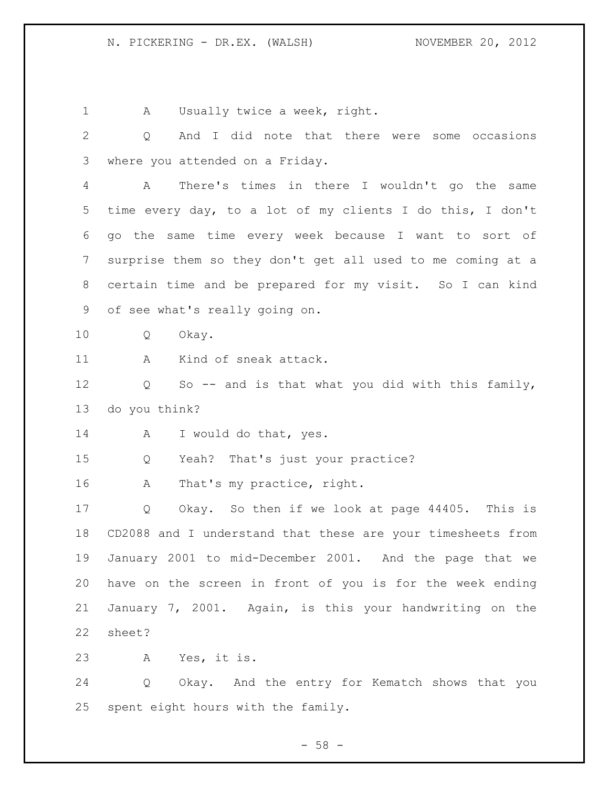1 A Usually twice a week, right. Q And I did note that there were some occasions where you attended on a Friday. A There's times in there I wouldn't go the same time every day, to a lot of my clients I do this, I don't go the same time every week because I want to sort of surprise them so they don't get all used to me coming at a certain time and be prepared for my visit. So I can kind of see what's really going on. Q Okay. A Kind of sneak attack. Q So -- and is that what you did with this family, do you think? A I would do that, yes. Q Yeah? That's just your practice? 16 A That's my practice, right. Q Okay. So then if we look at page 44405. This is CD2088 and I understand that these are your timesheets from January 2001 to mid-December 2001. And the page that we have on the screen in front of you is for the week ending January 7, 2001. Again, is this your handwriting on the sheet? A Yes, it is. Q Okay. And the entry for Kematch shows that you spent eight hours with the family.

 $- 58 -$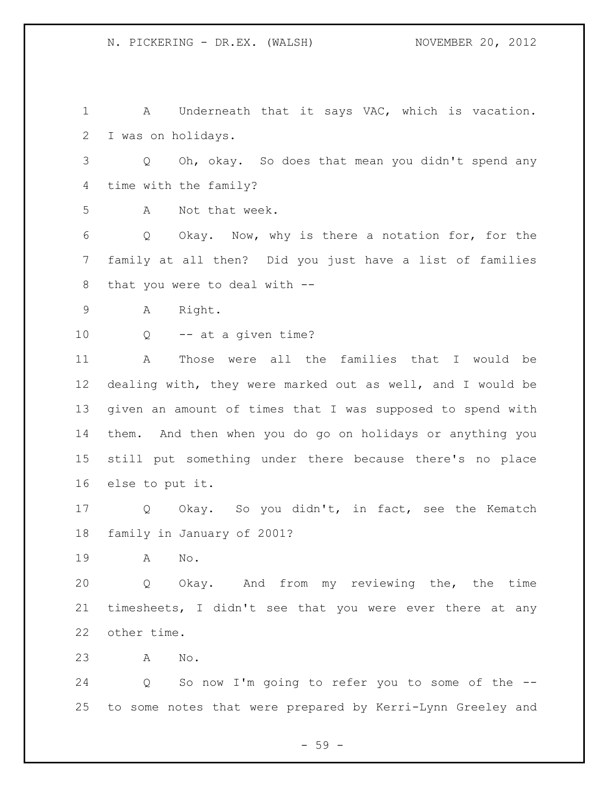A Underneath that it says VAC, which is vacation. I was on holidays. Q Oh, okay. So does that mean you didn't spend any time with the family? A Not that week. Q Okay. Now, why is there a notation for, for the family at all then? Did you just have a list of families that you were to deal with -- A Right. Q -- at a given time? A Those were all the families that I would be dealing with, they were marked out as well, and I would be given an amount of times that I was supposed to spend with them. And then when you do go on holidays or anything you still put something under there because there's no place else to put it. Q Okay. So you didn't, in fact, see the Kematch family in January of 2001? A No. Q Okay. And from my reviewing the, the time timesheets, I didn't see that you were ever there at any other time. A No. Q So now I'm going to refer you to some of the -- to some notes that were prepared by Kerri-Lynn Greeley and

- 59 -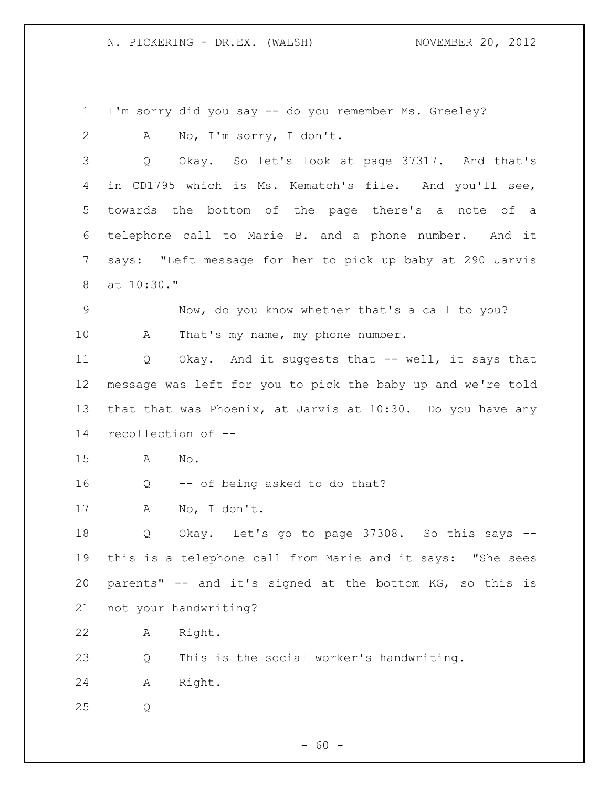I'm sorry did you say -- do you remember Ms. Greeley? A No, I'm sorry, I don't. Q Okay. So let's look at page 37317. And that's in CD1795 which is Ms. Kematch's file. And you'll see, towards the bottom of the page there's a note of a telephone call to Marie B. and a phone number. And it says: "Left message for her to pick up baby at 290 Jarvis at 10:30." Now, do you know whether that's a call to you? 10 A That's my name, my phone number. Q Okay. And it suggests that -- well, it says that message was left for you to pick the baby up and we're told that that was Phoenix, at Jarvis at 10:30. Do you have any recollection of -- A No. Q -- of being asked to do that? A No, I don't. Q Okay. Let's go to page 37308. So this says -- this is a telephone call from Marie and it says: "She sees parents" -- and it's signed at the bottom KG, so this is not your handwriting? A Right. Q This is the social worker's handwriting. A Right. Q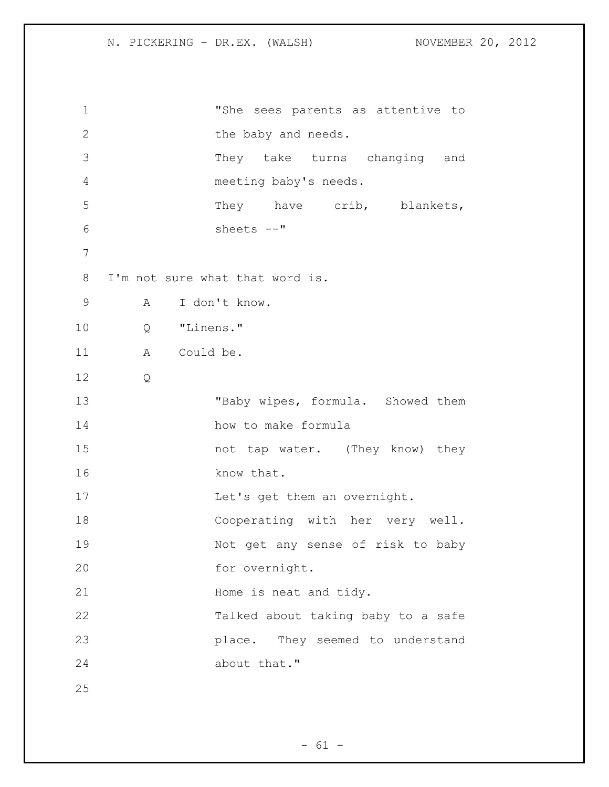```
1 "She sees parents as attentive to 
2 the baby and needs.
3 They take turns changing and 
4 meeting baby's needs. 
5 They have crib, blankets,
6 sheets --"
7
8 I'm not sure what that word is.
9 A I don't know.
10 Q "Linens."
11 A Could be.
12 Q
13 "Baby wipes, formula. Showed them
14 how to make formula
15 not tap water. (They know) they
16 know that. 
17 Let's get them an overnight.
18 Cooperating with her very well. 
19 Not get any sense of risk to baby 
20 for overnight.
21 Home is neat and tidy.
22 Talked about taking baby to a safe 
23 place. They seemed to understand 
24 about that."
25
```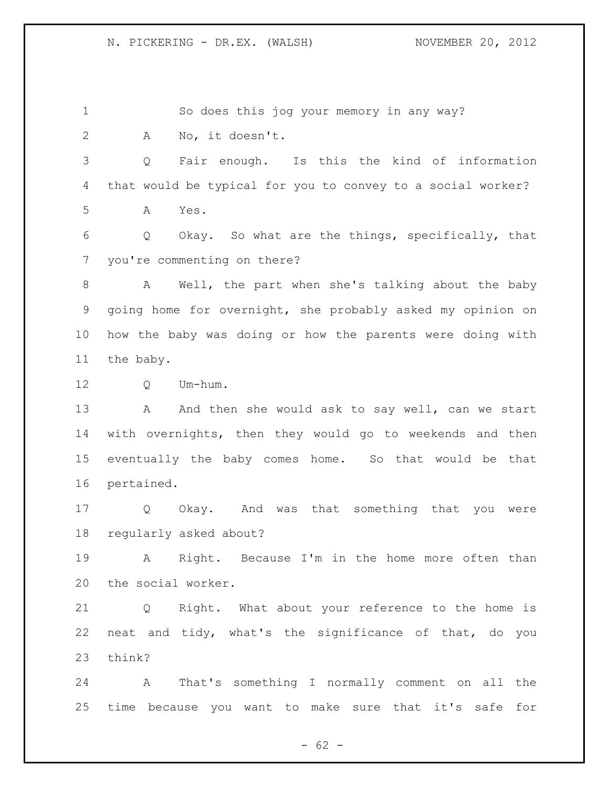So does this jog your memory in any way? A No, it doesn't. Q Fair enough. Is this the kind of information that would be typical for you to convey to a social worker? A Yes. Q Okay. So what are the things, specifically, that you're commenting on there? A Well, the part when she's talking about the baby going home for overnight, she probably asked my opinion on how the baby was doing or how the parents were doing with the baby. Q Um-hum. 13 A And then she would ask to say well, can we start with overnights, then they would go to weekends and then eventually the baby comes home. So that would be that pertained. Q Okay. And was that something that you were regularly asked about? A Right. Because I'm in the home more often than the social worker. Q Right. What about your reference to the home is neat and tidy, what's the significance of that, do you think? A That's something I normally comment on all the time because you want to make sure that it's safe for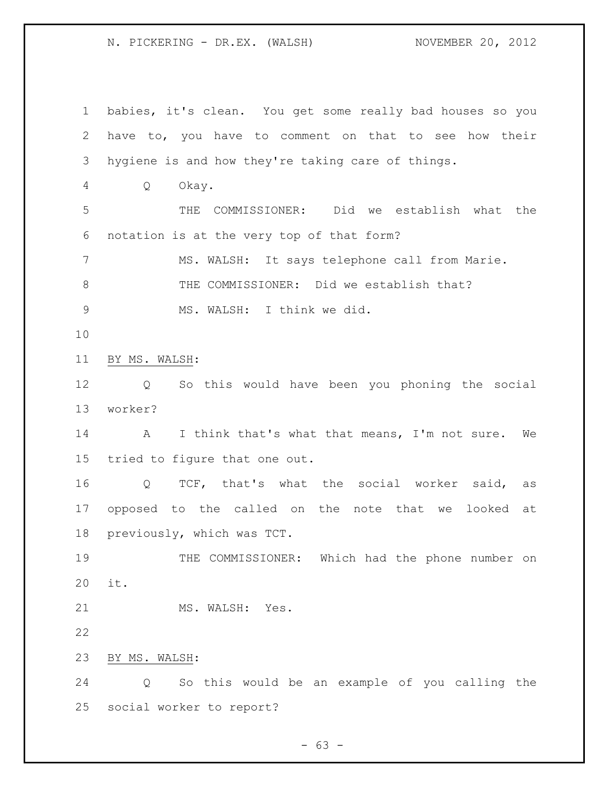babies, it's clean. You get some really bad houses so you have to, you have to comment on that to see how their hygiene is and how they're taking care of things. Q Okay. THE COMMISSIONER: Did we establish what the notation is at the very top of that form? MS. WALSH: It says telephone call from Marie. 8 THE COMMISSIONER: Did we establish that? MS. WALSH: I think we did. BY MS. WALSH: Q So this would have been you phoning the social worker? A I think that's what that means, I'm not sure. We tried to figure that one out. Q TCF, that's what the social worker said, as opposed to the called on the note that we looked at previously, which was TCT. THE COMMISSIONER: Which had the phone number on it. 21 MS. WALSH: Yes. BY MS. WALSH: Q So this would be an example of you calling the social worker to report?

 $- 63 -$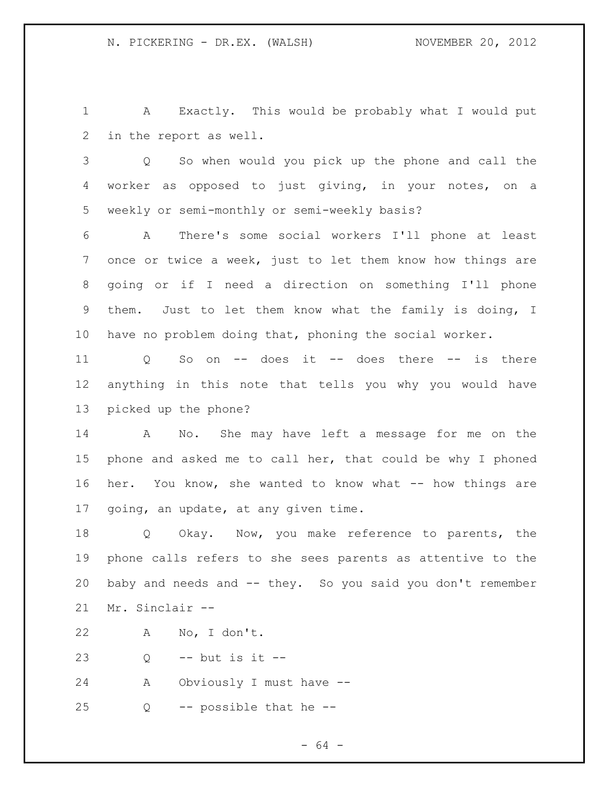A Exactly. This would be probably what I would put in the report as well.

 Q So when would you pick up the phone and call the worker as opposed to just giving, in your notes, on a weekly or semi-monthly or semi-weekly basis?

 A There's some social workers I'll phone at least once or twice a week, just to let them know how things are going or if I need a direction on something I'll phone them. Just to let them know what the family is doing, I have no problem doing that, phoning the social worker.

 Q So on -- does it -- does there -- is there anything in this note that tells you why you would have picked up the phone?

 A No. She may have left a message for me on the phone and asked me to call her, that could be why I phoned her. You know, she wanted to know what -- how things are going, an update, at any given time.

 Q Okay. Now, you make reference to parents, the phone calls refers to she sees parents as attentive to the baby and needs and -- they. So you said you don't remember Mr. Sinclair --

A No, I don't.

Q -- but is it --

A Obviously I must have --

Q -- possible that he --

- 64 -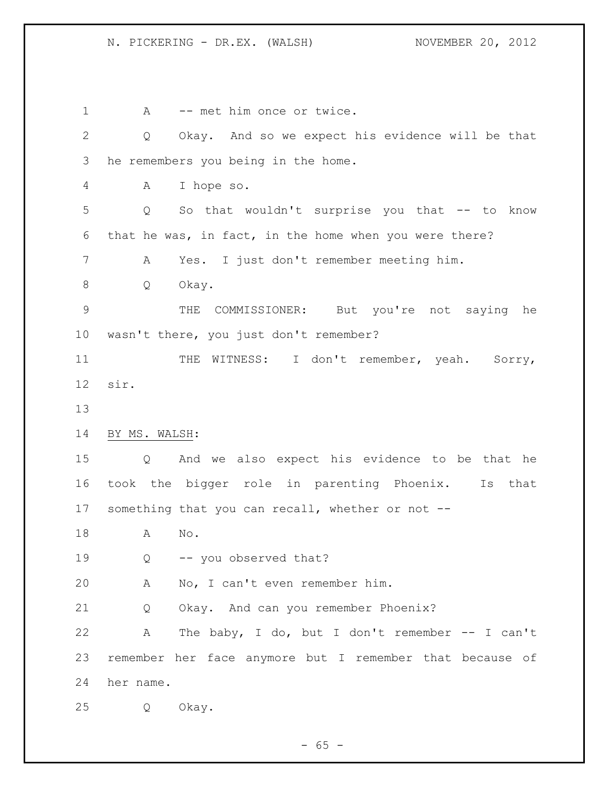1 A -- met him once or twice. Q Okay. And so we expect his evidence will be that he remembers you being in the home. A I hope so. Q So that wouldn't surprise you that -- to know that he was, in fact, in the home when you were there? A Yes. I just don't remember meeting him. Q Okay. THE COMMISSIONER: But you're not saying he wasn't there, you just don't remember? 11 THE WITNESS: I don't remember, yeah. Sorry, sir. BY MS. WALSH: Q And we also expect his evidence to be that he took the bigger role in parenting Phoenix. Is that something that you can recall, whether or not -- A No. Q -- you observed that? A No, I can't even remember him. Q Okay. And can you remember Phoenix? A The baby, I do, but I don't remember -- I can't remember her face anymore but I remember that because of her name. Q Okay.

 $- 65 -$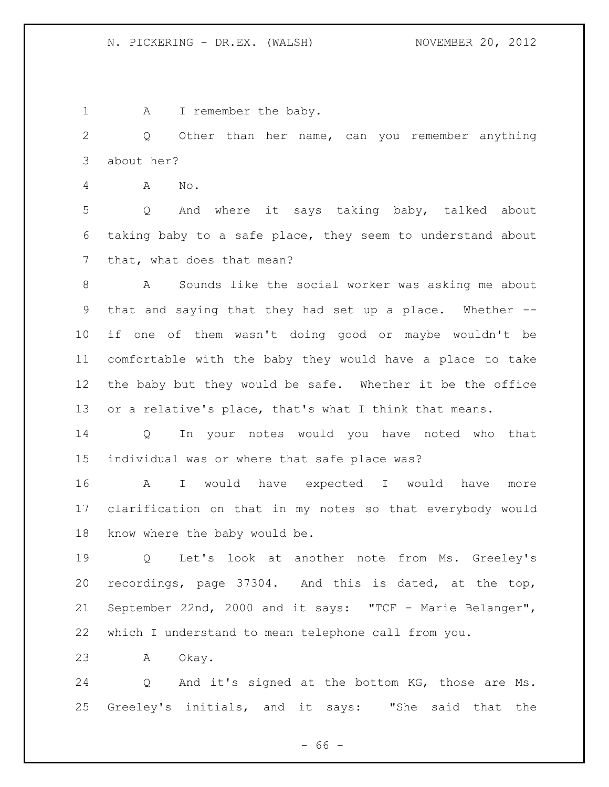1 A I remember the baby.

 Q Other than her name, can you remember anything about her?

A No.

 Q And where it says taking baby, talked about taking baby to a safe place, they seem to understand about that, what does that mean?

 A Sounds like the social worker was asking me about that and saying that they had set up a place. Whether -- if one of them wasn't doing good or maybe wouldn't be comfortable with the baby they would have a place to take the baby but they would be safe. Whether it be the office or a relative's place, that's what I think that means.

 Q In your notes would you have noted who that individual was or where that safe place was?

 A I would have expected I would have more clarification on that in my notes so that everybody would know where the baby would be.

 Q Let's look at another note from Ms. Greeley's recordings, page 37304. And this is dated, at the top, September 22nd, 2000 and it says: "TCF - Marie Belanger", which I understand to mean telephone call from you.

A Okay.

 Q And it's signed at the bottom KG, those are Ms. Greeley's initials, and it says: "She said that the

 $- 66 -$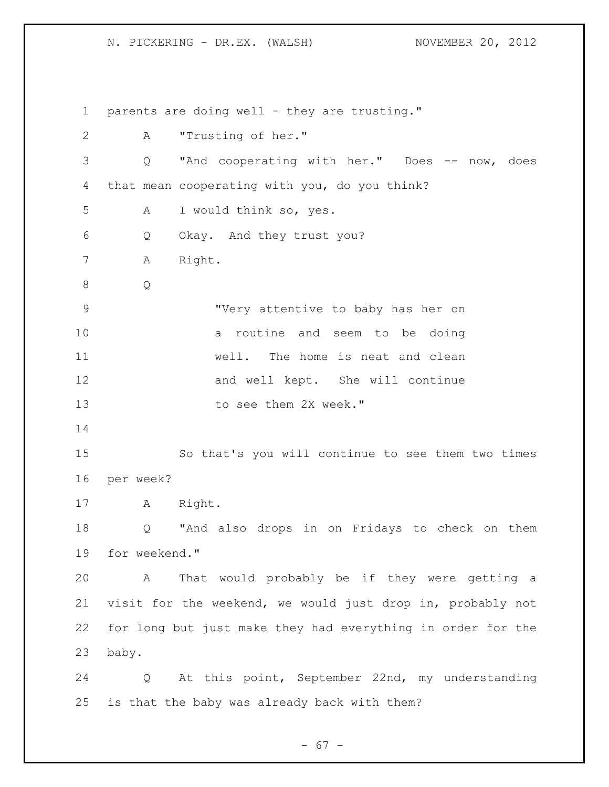1 parents are doing well - they are trusting." A "Trusting of her." Q "And cooperating with her." Does -- now, does that mean cooperating with you, do you think? A I would think so, yes. Q Okay. And they trust you? A Right. Q "Very attentive to baby has her on a routine and seem to be doing well. The home is neat and clean and well kept. She will continue 13 to see them 2X week." So that's you will continue to see them two times per week? A Right. Q "And also drops in on Fridays to check on them for weekend." A That would probably be if they were getting a visit for the weekend, we would just drop in, probably not for long but just make they had everything in order for the baby. Q At this point, September 22nd, my understanding is that the baby was already back with them?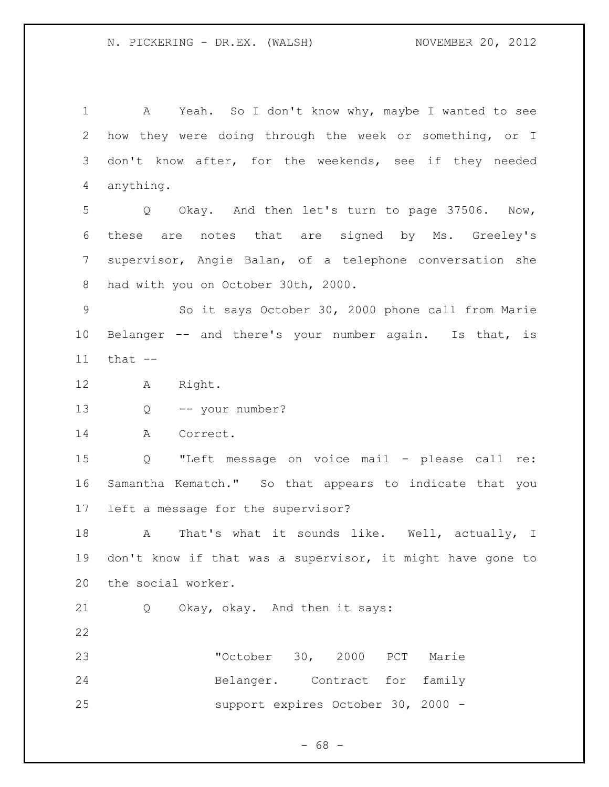A Yeah. So I don't know why, maybe I wanted to see how they were doing through the week or something, or I don't know after, for the weekends, see if they needed anything.

 Q Okay. And then let's turn to page 37506. Now, these are notes that are signed by Ms. Greeley's supervisor, Angie Balan, of a telephone conversation she had with you on October 30th, 2000.

 So it says October 30, 2000 phone call from Marie Belanger -- and there's your number again. Is that, is that --

- A Right.
- Q -- your number?

14 A Correct.

 Q "Left message on voice mail - please call re: Samantha Kematch." So that appears to indicate that you left a message for the supervisor?

18 A That's what it sounds like. Well, actually, I don't know if that was a supervisor, it might have gone to the social worker.

Q Okay, okay. And then it says:

| 23 | "October 30, 2000 PCT Marie        |  |  |
|----|------------------------------------|--|--|
| 24 | Belanger. Contract for family      |  |  |
| 25 | support expires October 30, 2000 - |  |  |

 $- 68 -$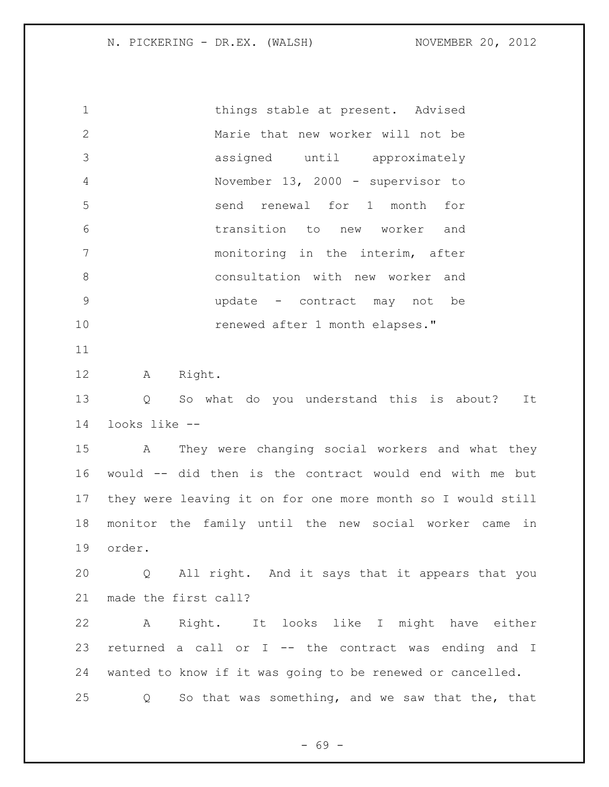things stable at present. Advised Marie that new worker will not be assigned until approximately November 13, 2000 - supervisor to send renewal for 1 month for transition to new worker and monitoring in the interim, after consultation with new worker and update - contract may not be renewed after 1 month elapses." A Right. Q So what do you understand this is about? It

looks like --

 A They were changing social workers and what they would -- did then is the contract would end with me but they were leaving it on for one more month so I would still monitor the family until the new social worker came in order.

 Q All right. And it says that it appears that you made the first call?

 A Right. It looks like I might have either returned a call or I -- the contract was ending and I wanted to know if it was going to be renewed or cancelled. Q So that was something, and we saw that the, that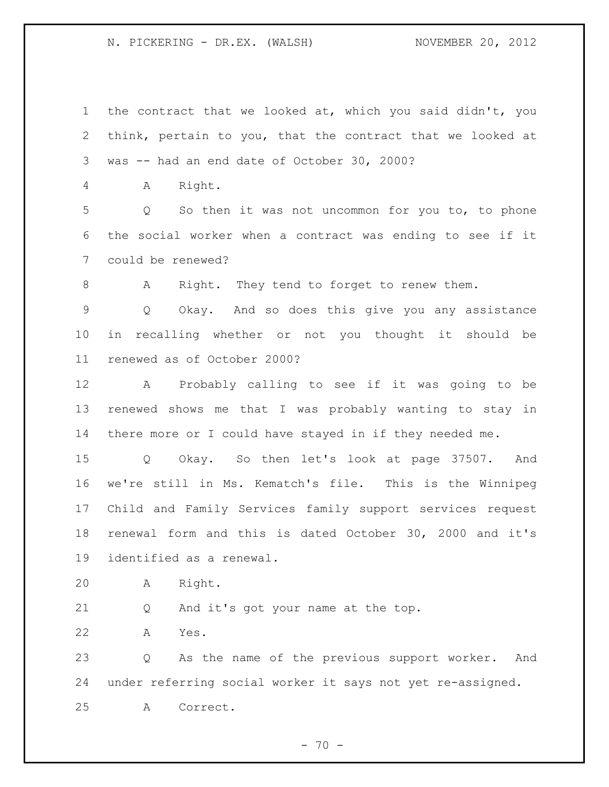the contract that we looked at, which you said didn't, you think, pertain to you, that the contract that we looked at was -- had an end date of October 30, 2000? A Right. Q So then it was not uncommon for you to, to phone the social worker when a contract was ending to see if it could be renewed? 8 A Right. They tend to forget to renew them. Q Okay. And so does this give you any assistance in recalling whether or not you thought it should be renewed as of October 2000? A Probably calling to see if it was going to be renewed shows me that I was probably wanting to stay in there more or I could have stayed in if they needed me. Q Okay. So then let's look at page 37507. And we're still in Ms. Kematch's file. This is the Winnipeg Child and Family Services family support services request renewal form and this is dated October 30, 2000 and it's identified as a renewal. A Right. Q And it's got your name at the top.

A Yes.

 Q As the name of the previous support worker. And under referring social worker it says not yet re-assigned. A Correct.

 $- 70 -$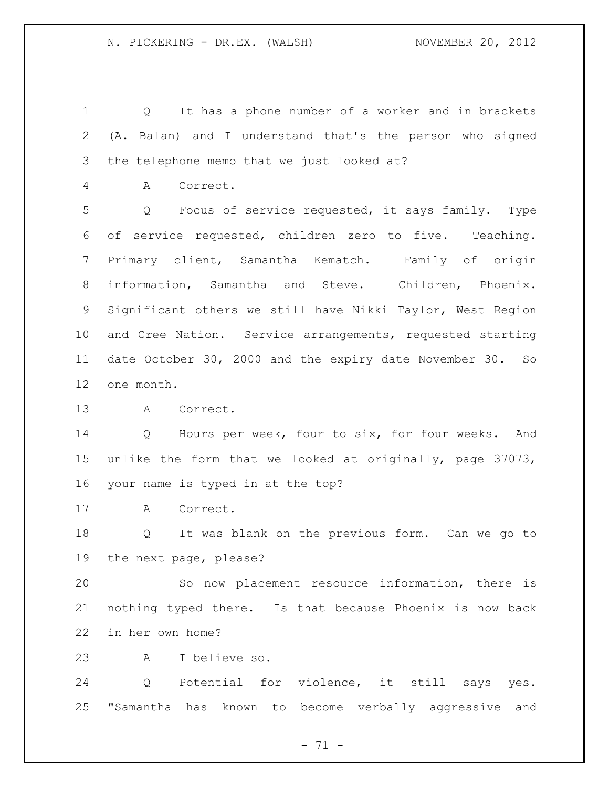Q It has a phone number of a worker and in brackets (A. Balan) and I understand that's the person who signed the telephone memo that we just looked at?

A Correct.

 Q Focus of service requested, it says family. Type of service requested, children zero to five. Teaching. Primary client, Samantha Kematch. Family of origin information, Samantha and Steve. Children, Phoenix. Significant others we still have Nikki Taylor, West Region and Cree Nation. Service arrangements, requested starting date October 30, 2000 and the expiry date November 30. So one month.

A Correct.

 Q Hours per week, four to six, for four weeks. And unlike the form that we looked at originally, page 37073, your name is typed in at the top?

A Correct.

 Q It was blank on the previous form. Can we go to the next page, please?

 So now placement resource information, there is nothing typed there. Is that because Phoenix is now back in her own home?

A I believe so.

 Q Potential for violence, it still says yes. "Samantha has known to become verbally aggressive and

- 71 -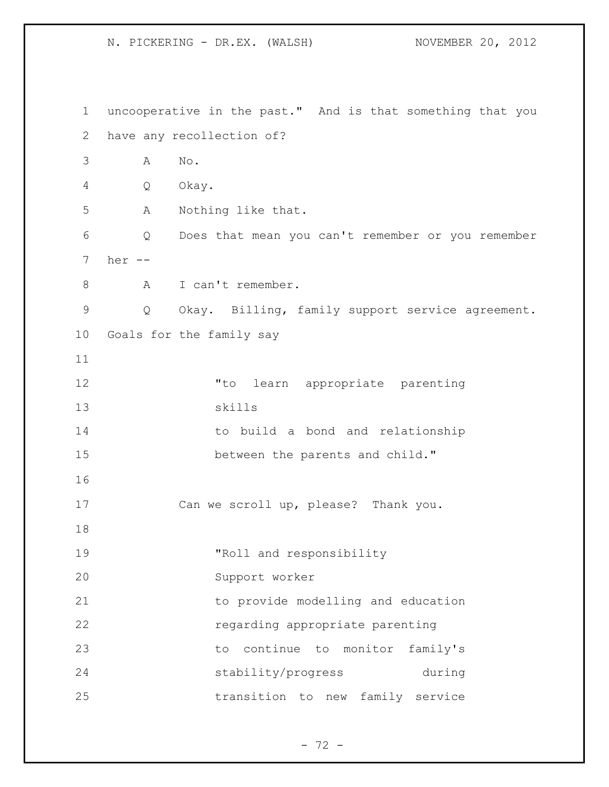uncooperative in the past." And is that something that you have any recollection of? A No. Q Okay. A Nothing like that. Q Does that mean you can't remember or you remember her -- 8 A I can't remember. Q Okay. Billing, family support service agreement. Goals for the family say "to learn appropriate parenting skills to build a bond and relationship between the parents and child." Can we scroll up, please? Thank you. "Roll and responsibility Support worker to provide modelling and education regarding appropriate parenting to continue to monitor family's stability/progress during transition to new family service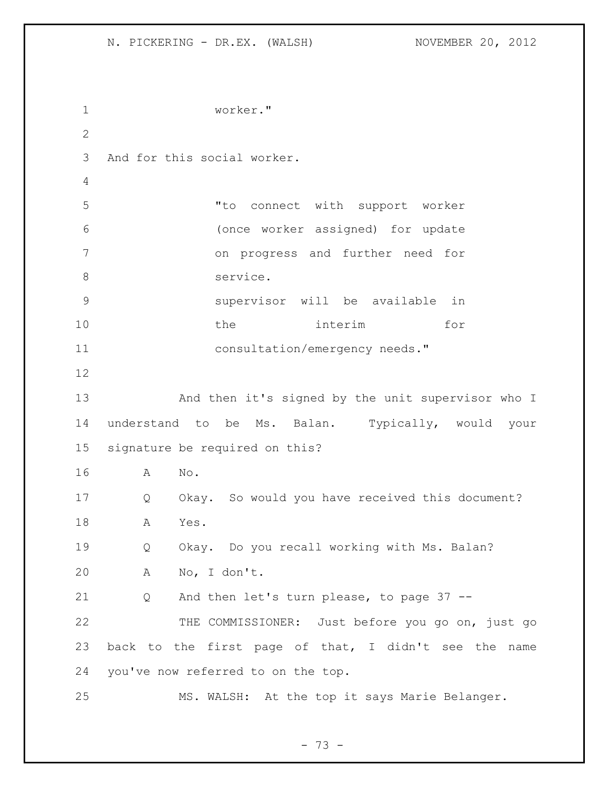```
1 worker."
2
3 And for this social worker.
4
5 "to connect with support worker 
6 (once worker assigned) for update 
7 on progress and further need for 
8 service.
9 supervisor will be available in 
10 the interim for 
11 consultation/emergency needs."
12
13 And then it's signed by the unit supervisor who I 
14 understand to be Ms. Balan. Typically, would your 
15 signature be required on this?
16 A No.
17 Q Okay. So would you have received this document?
18 A Yes.
19 Q Okay. Do you recall working with Ms. Balan?
20 A No, I don't.
21 Q And then let's turn please, to page 37 --
22 THE COMMISSIONER: Just before you go on, just go
23 back to the first page of that, I didn't see the name 
24 you've now referred to on the top.
25 MS. WALSH: At the top it says Marie Belanger.
```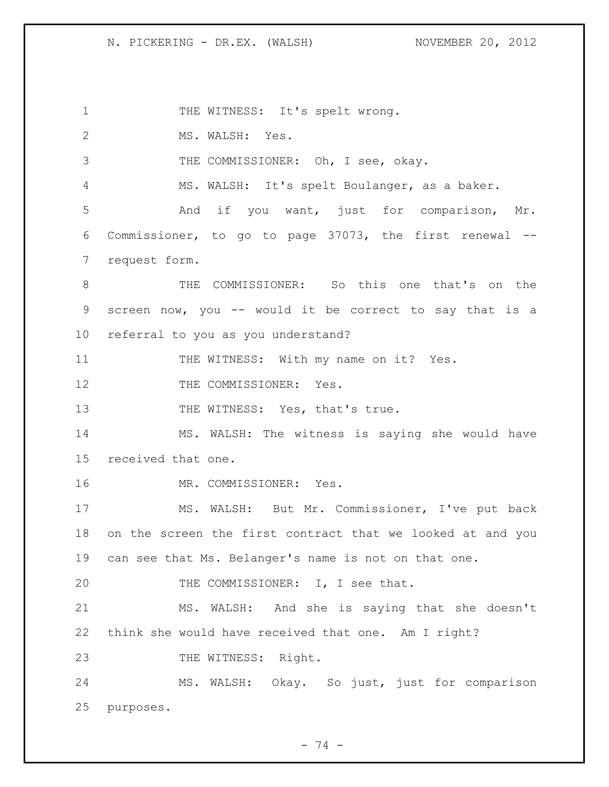1 THE WITNESS: It's spelt wrong. 2 MS. WALSH: Yes. 3 THE COMMISSIONER: Oh, I see, okay. MS. WALSH: It's spelt Boulanger, as a baker. And if you want, just for comparison, Mr. Commissioner, to go to page 37073, the first renewal -- request form. THE COMMISSIONER: So this one that's on the screen now, you -- would it be correct to say that is a referral to you as you understand? 11 THE WITNESS: With my name on it? Yes. 12 THE COMMISSIONER: Yes. 13 THE WITNESS: Yes, that's true. MS. WALSH: The witness is saying she would have received that one. MR. COMMISSIONER: Yes. MS. WALSH: But Mr. Commissioner, I've put back on the screen the first contract that we looked at and you can see that Ms. Belanger's name is not on that one. 20 THE COMMISSIONER: I, I see that. MS. WALSH: And she is saying that she doesn't think she would have received that one. Am I right? 23 THE WITNESS: Right. MS. WALSH: Okay. So just, just for comparison purposes.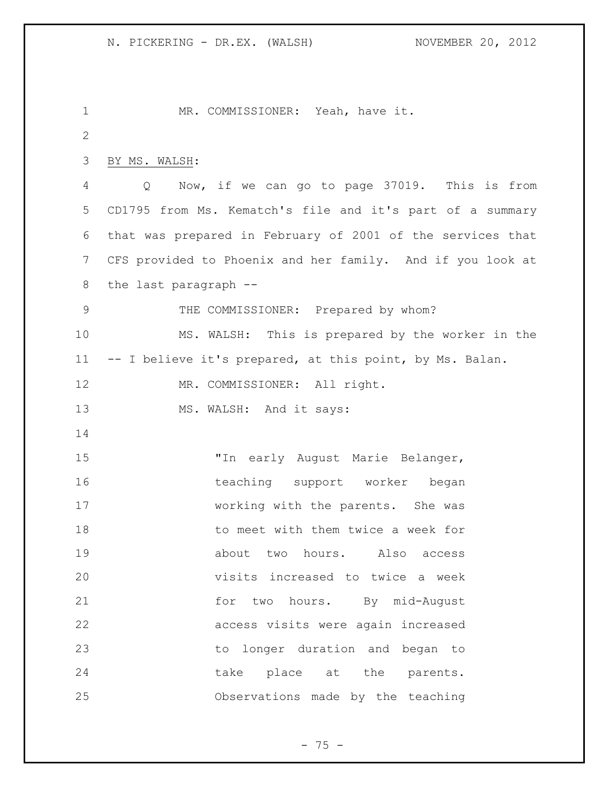MR. COMMISSIONER: Yeah, have it. BY MS. WALSH: Q Now, if we can go to page 37019. This is from CD1795 from Ms. Kematch's file and it's part of a summary that was prepared in February of 2001 of the services that CFS provided to Phoenix and her family. And if you look at the last paragraph -- 9 THE COMMISSIONER: Prepared by whom? MS. WALSH: This is prepared by the worker in the -- I believe it's prepared, at this point, by Ms. Balan. 12 MR. COMMISSIONER: All right. 13 MS. WALSH: And it says: "In early August Marie Belanger, 16 teaching support worker began working with the parents. She was to meet with them twice a week for about two hours. Also access visits increased to twice a week 21 for two hours. By mid-August access visits were again increased to longer duration and began to 24 take place at the parents. Observations made by the teaching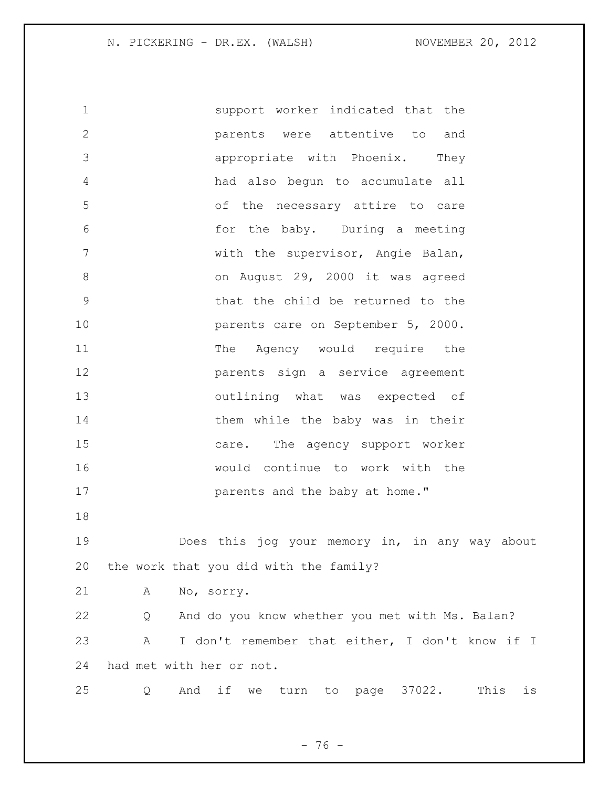support worker indicated that the parents were attentive to and appropriate with Phoenix. They had also begun to accumulate all of the necessary attire to care for the baby. During a meeting with the supervisor, Angie Balan, 8 on August 29, 2000 it was agreed that the child be returned to the **parents** care on September 5, 2000. 11 The Agency would require the parents sign a service agreement outlining what was expected of 14 them while the baby was in their care. The agency support worker would continue to work with the **parents** and the baby at home." Does this jog your memory in, in any way about the work that you did with the family? A No, sorry. Q And do you know whether you met with Ms. Balan? A I don't remember that either, I don't know if I had met with her or not. Q And if we turn to page 37022. This is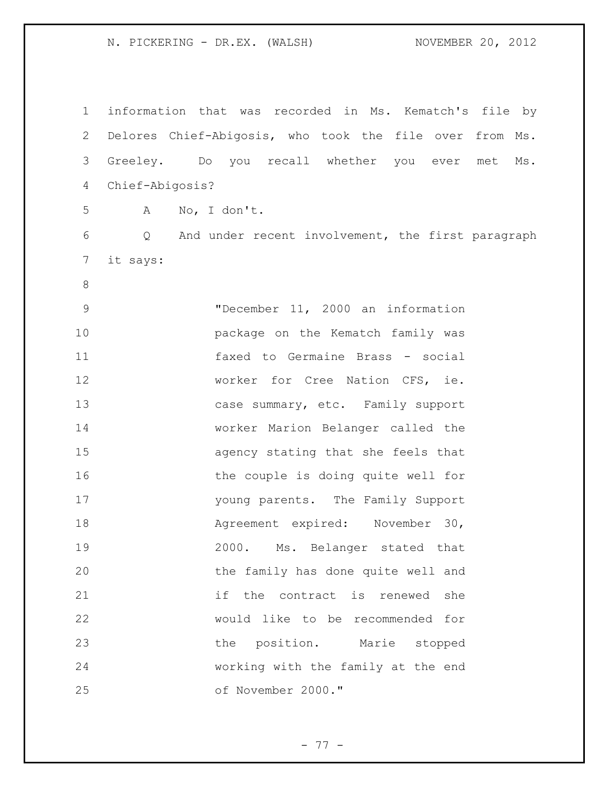| $\mathbf 1$    | information that was recorded in Ms. Kematch's file by  |
|----------------|---------------------------------------------------------|
| 2              | Delores Chief-Abigosis, who took the file over from Ms. |
| 3              | Greeley. Do you recall whether you ever<br>met<br>Ms.   |
| 4              | Chief-Abigosis?                                         |
| 5              | No, I don't.<br>$\mathbf{A}$                            |
| 6              | And under recent involvement, the first paragraph<br>Q  |
| $7\phantom{.}$ | it says:                                                |
| $\,8\,$        |                                                         |
| $\mathsf 9$    | "December 11, 2000 an information                       |
| 10             | package on the Kematch family was                       |
| 11             | faxed to Germaine Brass - social                        |
| 12             | worker for Cree Nation CFS, ie.                         |
| 13             | case summary, etc. Family support                       |
| 14             | worker Marion Belanger called the                       |
| 15             | agency stating that she feels that                      |
| 16             | the couple is doing quite well for                      |
| 17             | young parents. The Family Support                       |
| 18             | Agreement expired: November 30,                         |
| 19             | 2000. Ms. Belanger stated that                          |
| 20             | the family has done quite well and                      |
| 21             | if<br>the contract is renewed<br>she                    |
| 22             | would like to be recommended for                        |
| 23             | the position. Marie stopped                             |
| 24             | working with the family at the end                      |
| 25             | of November 2000."                                      |

- 77 -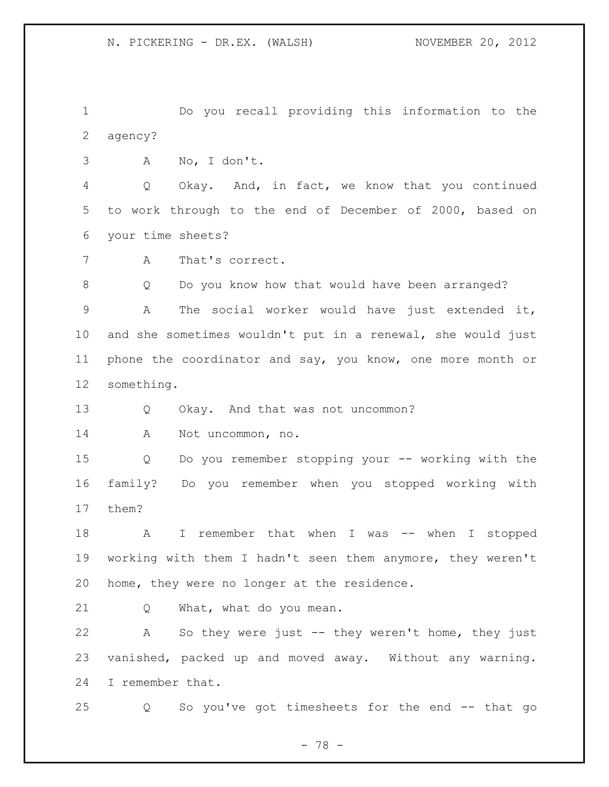Do you recall providing this information to the agency?

A No, I don't.

 Q Okay. And, in fact, we know that you continued to work through to the end of December of 2000, based on your time sheets?

A That's correct.

Q Do you know how that would have been arranged?

 A The social worker would have just extended it, and she sometimes wouldn't put in a renewal, she would just phone the coordinator and say, you know, one more month or something.

13 Q Okay. And that was not uncommon?

A Not uncommon, no.

 Q Do you remember stopping your -- working with the family? Do you remember when you stopped working with them?

18 A I remember that when I was -- when I stopped working with them I hadn't seen them anymore, they weren't home, they were no longer at the residence.

Q What, what do you mean.

 A So they were just -- they weren't home, they just vanished, packed up and moved away. Without any warning. I remember that.

Q So you've got timesheets for the end -- that go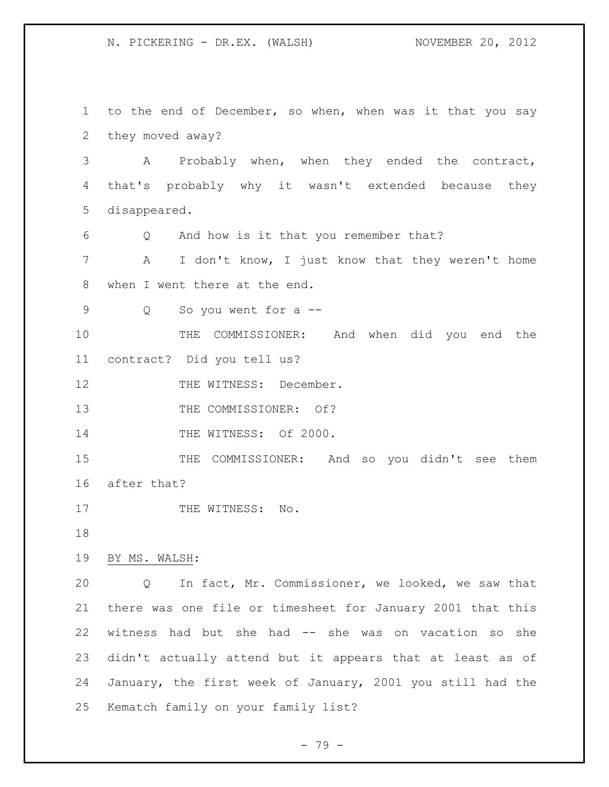to the end of December, so when, when was it that you say they moved away? A Probably when, when they ended the contract, that's probably why it wasn't extended because they disappeared. Q And how is it that you remember that? A I don't know, I just know that they weren't home when I went there at the end. Q So you went for a -- THE COMMISSIONER: And when did you end the contract? Did you tell us? 12 THE WITNESS: December. 13 THE COMMISSIONER: Of? 14 THE WITNESS: Of 2000. THE COMMISSIONER: And so you didn't see them after that? 17 THE WITNESS: No. BY MS. WALSH: Q In fact, Mr. Commissioner, we looked, we saw that there was one file or timesheet for January 2001 that this witness had but she had -- she was on vacation so she didn't actually attend but it appears that at least as of January, the first week of January, 2001 you still had the Kematch family on your family list?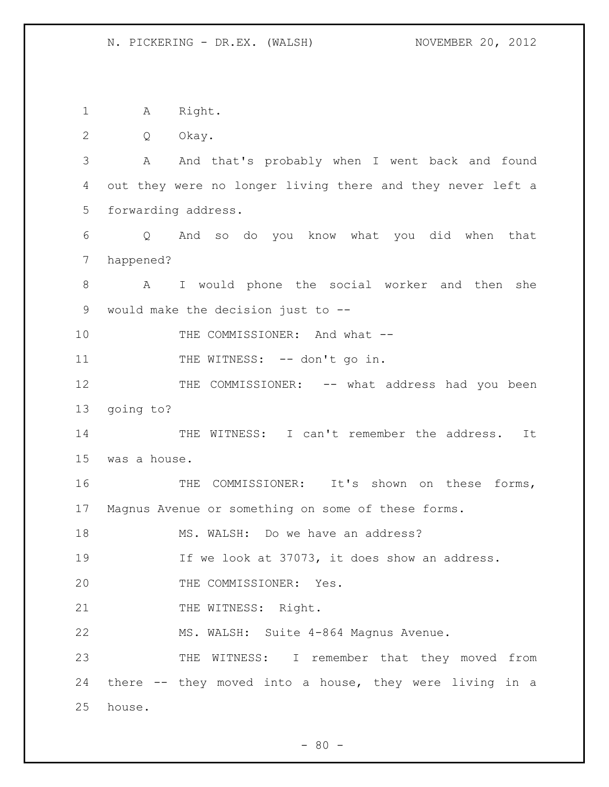A Right.

Q Okay.

 A And that's probably when I went back and found out they were no longer living there and they never left a forwarding address.

 Q And so do you know what you did when that happened?

 A I would phone the social worker and then she would make the decision just to --

10 THE COMMISSIONER: And what --

11 THE WITNESS: -- don't go in.

12 THE COMMISSIONER: -- what address had you been going to?

14 THE WITNESS: I can't remember the address. It was a house.

16 THE COMMISSIONER: It's shown on these forms, Magnus Avenue or something on some of these forms.

18 MS. WALSH: Do we have an address?

If we look at 37073, it does show an address.

20 THE COMMISSIONER: Yes.

21 THE WITNESS: Right.

MS. WALSH: Suite 4-864 Magnus Avenue.

 THE WITNESS: I remember that they moved from there -- they moved into a house, they were living in a house.

 $- 80 -$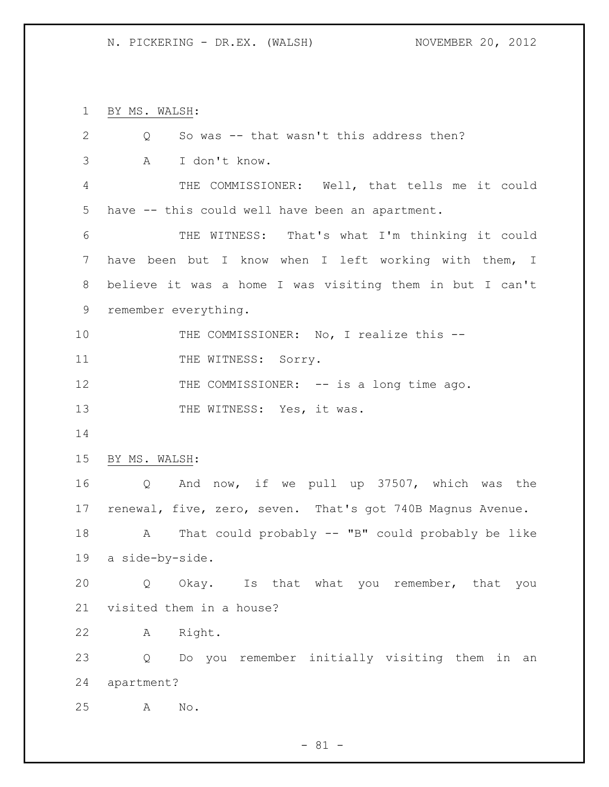BY MS. WALSH:

| So was -- that wasn't this address then?<br>Q              |
|------------------------------------------------------------|
| Α<br>I don't know.                                         |
| THE COMMISSIONER: Well, that tells me it could             |
| have -- this could well have been an apartment.            |
| THE WITNESS: That's what I'm thinking it could             |
| have been but I know when I left working with them, I      |
| believe it was a home I was visiting them in but I can't   |
| remember everything.                                       |
| THE COMMISSIONER: No, I realize this --                    |
| THE WITNESS: SOrry.                                        |
| THE COMMISSIONER: -- is a long time ago.                   |
| THE WITNESS: Yes, it was.                                  |
|                                                            |
| BY MS. WALSH:                                              |
| And now, if we pull up 37507, which was the<br>Q           |
| renewal, five, zero, seven. That's got 740B Magnus Avenue. |
| That could probably $--$ "B" could probably be like<br>A   |
| a side-by-side.                                            |
| Okay. Is that what you remember, that you<br>Q             |
| visited them in a house?                                   |
| Right.<br>Α                                                |
| Do you remember initially visiting them in an<br>Q         |
| apartment?                                                 |
| No.<br>Α                                                   |
|                                                            |

- 81 -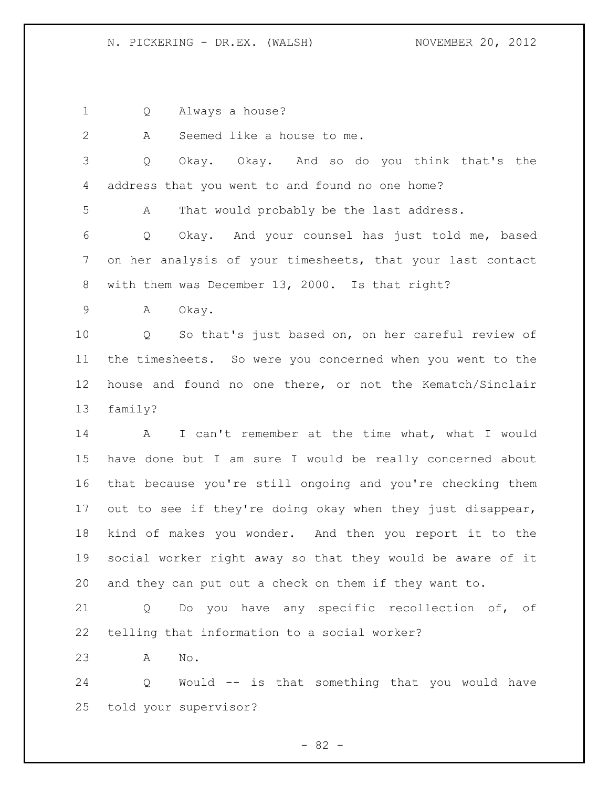Q Always a house?

A Seemed like a house to me.

 Q Okay. Okay. And so do you think that's the address that you went to and found no one home?

A That would probably be the last address.

 Q Okay. And your counsel has just told me, based on her analysis of your timesheets, that your last contact with them was December 13, 2000. Is that right?

A Okay.

 Q So that's just based on, on her careful review of the timesheets. So were you concerned when you went to the house and found no one there, or not the Kematch/Sinclair family?

 A I can't remember at the time what, what I would have done but I am sure I would be really concerned about that because you're still ongoing and you're checking them 17 out to see if they're doing okay when they just disappear, kind of makes you wonder. And then you report it to the social worker right away so that they would be aware of it and they can put out a check on them if they want to.

 Q Do you have any specific recollection of, of telling that information to a social worker?

A No.

 Q Would -- is that something that you would have told your supervisor?

- 82 -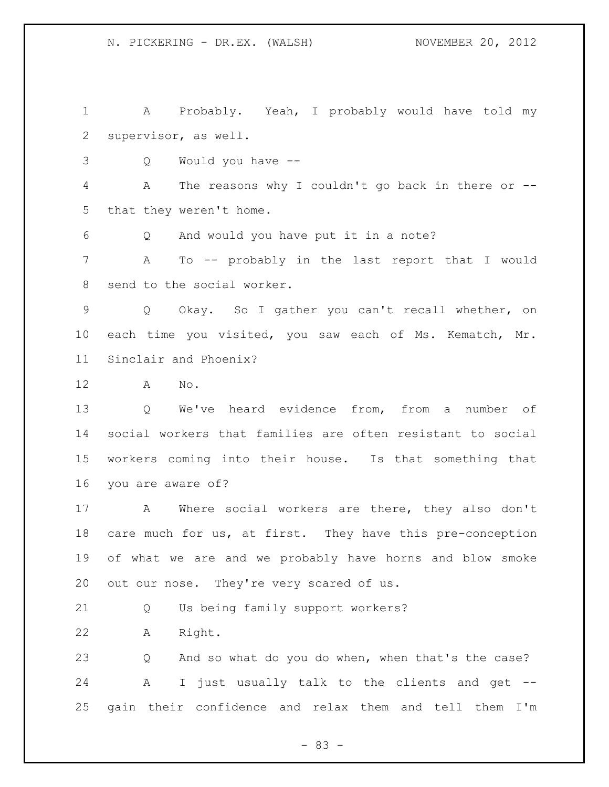A Probably. Yeah, I probably would have told my supervisor, as well.

Q Would you have --

 A The reasons why I couldn't go back in there or -- that they weren't home.

Q And would you have put it in a note?

 A To -- probably in the last report that I would send to the social worker.

 Q Okay. So I gather you can't recall whether, on each time you visited, you saw each of Ms. Kematch, Mr. Sinclair and Phoenix?

A No.

 Q We've heard evidence from, from a number of social workers that families are often resistant to social workers coming into their house. Is that something that you are aware of?

 A Where social workers are there, they also don't 18 care much for us, at first. They have this pre-conception of what we are and we probably have horns and blow smoke 20 out our nose. They're very scared of us.

Q Us being family support workers?

A Right.

 Q And so what do you do when, when that's the case? A I just usually talk to the clients and get -- gain their confidence and relax them and tell them I'm

- 83 -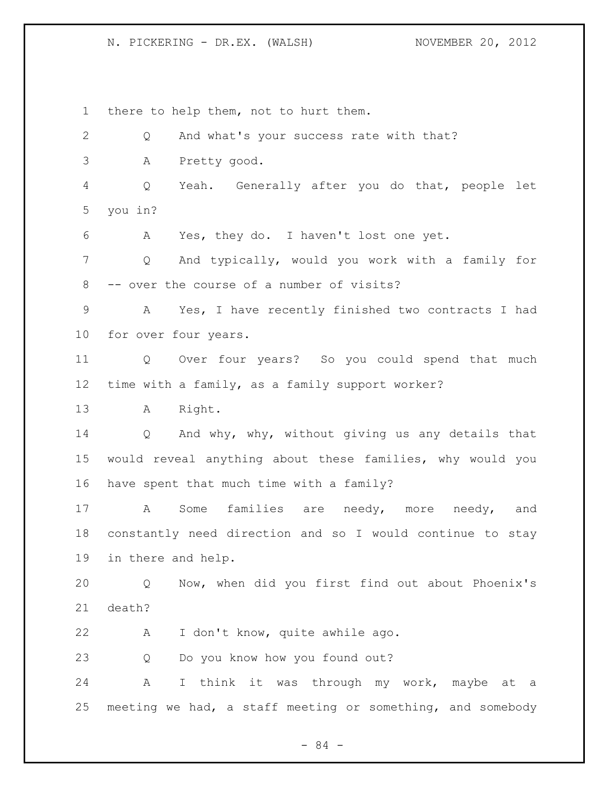there to help them, not to hurt them. Q And what's your success rate with that? A Pretty good. Q Yeah. Generally after you do that, people let you in? A Yes, they do. I haven't lost one yet. Q And typically, would you work with a family for -- over the course of a number of visits? A Yes, I have recently finished two contracts I had for over four years. Q Over four years? So you could spend that much time with a family, as a family support worker? A Right. Q And why, why, without giving us any details that would reveal anything about these families, why would you have spent that much time with a family? A Some families are needy, more needy, and constantly need direction and so I would continue to stay in there and help. Q Now, when did you first find out about Phoenix's death? A I don't know, quite awhile ago. Q Do you know how you found out? A I think it was through my work, maybe at a meeting we had, a staff meeting or something, and somebody

- 84 -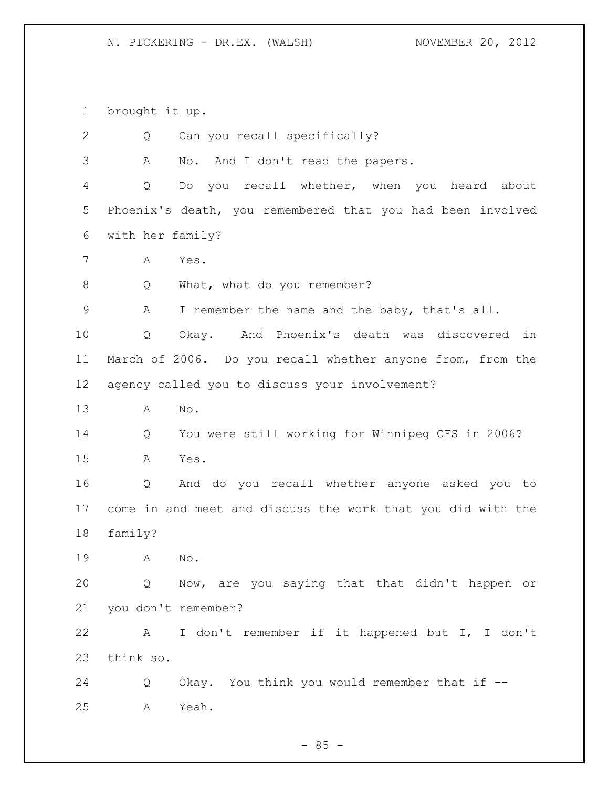brought it up. Q Can you recall specifically? A No. And I don't read the papers. Q Do you recall whether, when you heard about Phoenix's death, you remembered that you had been involved with her family? A Yes. 8 Q What, what do you remember? A I remember the name and the baby, that's all. Q Okay. And Phoenix's death was discovered in March of 2006. Do you recall whether anyone from, from the agency called you to discuss your involvement? A No. Q You were still working for Winnipeg CFS in 2006? A Yes. Q And do you recall whether anyone asked you to come in and meet and discuss the work that you did with the family? A No. Q Now, are you saying that that didn't happen or you don't remember? A I don't remember if it happened but I, I don't think so. Q Okay. You think you would remember that if -- A Yeah.

 $- 85 -$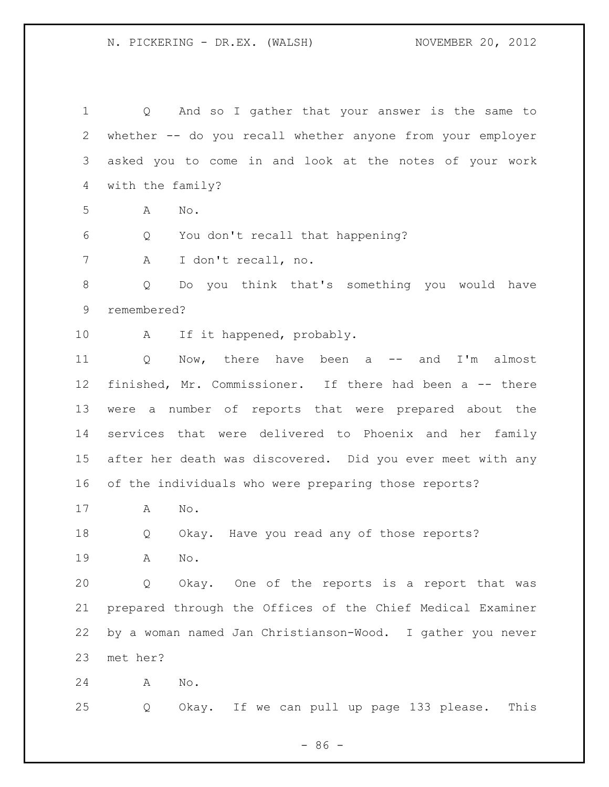Q And so I gather that your answer is the same to whether -- do you recall whether anyone from your employer asked you to come in and look at the notes of your work with the family? A No. Q You don't recall that happening? A I don't recall, no. Q Do you think that's something you would have remembered? 10 A If it happened, probably. 11 Q Now, there have been a -- and I'm almost finished, Mr. Commissioner. If there had been a -- there were a number of reports that were prepared about the services that were delivered to Phoenix and her family after her death was discovered. Did you ever meet with any of the individuals who were preparing those reports? A No. Q Okay. Have you read any of those reports? A No. Q Okay. One of the reports is a report that was prepared through the Offices of the Chief Medical Examiner by a woman named Jan Christianson-Wood. I gather you never met her? A No. Q Okay. If we can pull up page 133 please. This

 $-86 -$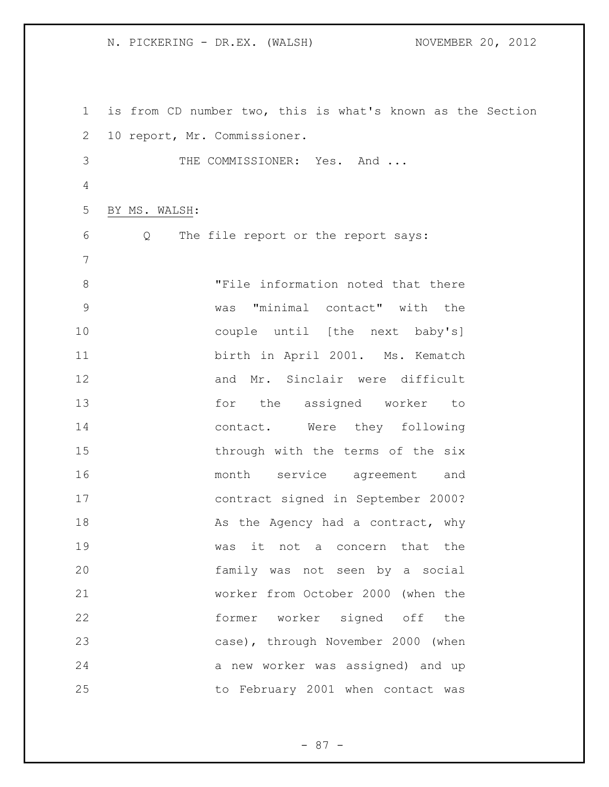is from CD number two, this is what's known as the Section 10 report, Mr. Commissioner. 3 THE COMMISSIONER: Yes. And ... BY MS. WALSH: Q The file report or the report says: "File information noted that there was "minimal contact" with the couple until [the next baby's] birth in April 2001. Ms. Kematch and Mr. Sinclair were difficult for the assigned worker to 14 contact. Were they following 15 through with the terms of the six month service agreement and contract signed in September 2000? 18 As the Agency had a contract, why was it not a concern that the family was not seen by a social worker from October 2000 (when the former worker signed off the case), through November 2000 (when a new worker was assigned) and up to February 2001 when contact was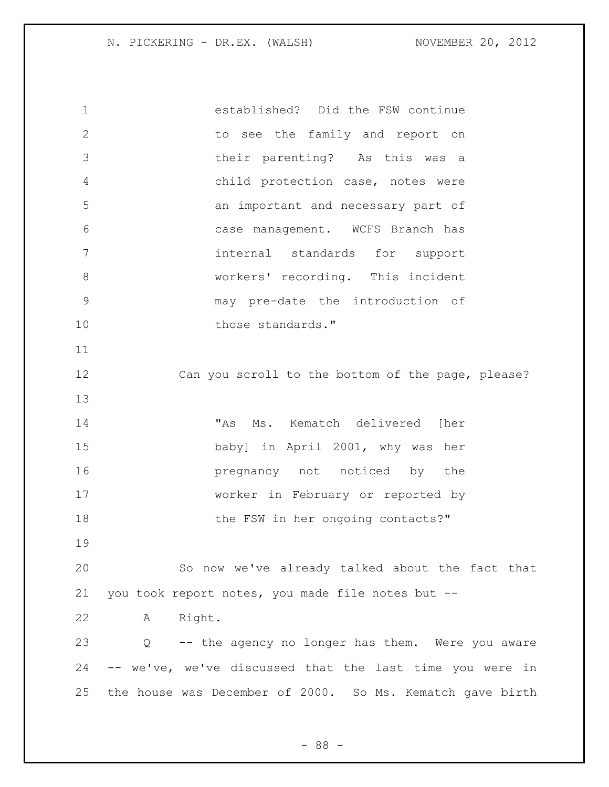| $\mathbf 1$  | established? Did the FSW continue                              |
|--------------|----------------------------------------------------------------|
| $\mathbf{2}$ | to see the family and report on                                |
| 3            | their parenting? As this was a                                 |
| 4            | child protection case, notes were                              |
| 5            | an important and necessary part of                             |
| 6            | case management. WCFS Branch has                               |
| 7            | internal standards for support                                 |
| 8            | workers' recording. This incident                              |
| $\mathsf{S}$ | may pre-date the introduction of                               |
| 10           | those standards."                                              |
| 11           |                                                                |
| 12           | Can you scroll to the bottom of the page, please?              |
| 13           |                                                                |
| 14           | "As Ms. Kematch delivered [her                                 |
| 15           | baby] in April 2001, why was her                               |
| 16           | pregnancy not noticed by the                                   |
| 17           | worker in February or reported by                              |
| 18           | the FSW in her ongoing contacts?"                              |
| 19           |                                                                |
| 20           | So now we've already talked about the fact that                |
| 21           | you took report notes, you made file notes but --              |
| 22           | Right.<br>A                                                    |
| 23           | -- the agency no longer has them. Were you aware<br>$Q \qquad$ |
| 24           | -- we've, we've discussed that the last time you were in       |
| 25           | the house was December of 2000. So Ms. Kematch gave birth      |

- 88 -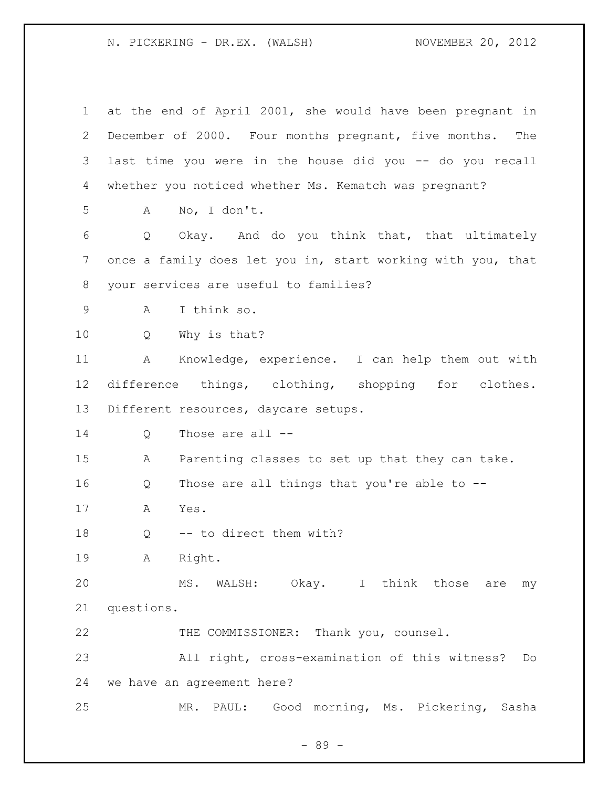| $\mathbf 1$ | at the end of April 2001, she would have been pregnant in   |
|-------------|-------------------------------------------------------------|
| 2           | December of 2000. Four months pregnant, five months. The    |
| 3           | last time you were in the house did you -- do you recall    |
| 4           | whether you noticed whether Ms. Kematch was pregnant?       |
| 5           | No, I don't.<br>A                                           |
| 6           | Q<br>Okay. And do you think that, that ultimately           |
| 7           | once a family does let you in, start working with you, that |
| 8           | your services are useful to families?                       |
| 9           | I think so.<br>Α                                            |
| 10          | Why is that?<br>Q                                           |
| 11          | Knowledge, experience. I can help them out with<br>А        |
| 12          | difference things, clothing, shopping for clothes.          |
| 13          | Different resources, daycare setups.                        |
| 14          | Those are all --<br>Q                                       |
| 15          | Parenting classes to set up that they can take.<br>A        |
| 16          | Those are all things that you're able to --<br>Q            |
| 17          | Yes.<br>Α                                                   |
| 18          | -- to direct them with?<br>Q                                |
| 19          | Right.<br>Α                                                 |
| 20          | MS. WALSH: Okay. I think those<br>are<br>my                 |
| 21          | questions.                                                  |
| 22          | THE COMMISSIONER: Thank you, counsel.                       |
| 23          | All right, cross-examination of this witness?<br>Do         |
| 24          | we have an agreement here?                                  |
| 25          | PAUL: Good morning, Ms. Pickering, Sasha<br>MR.             |

- 89 -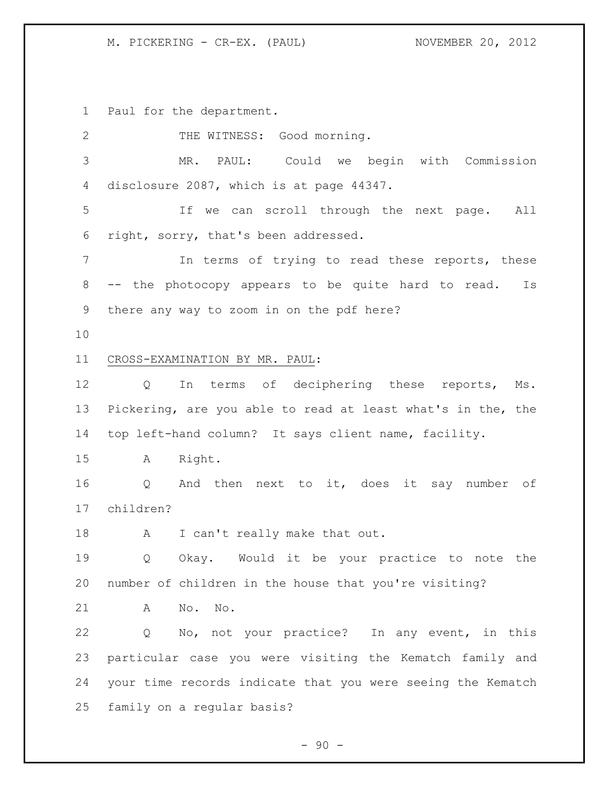Paul for the department.

| $\overline{2}$ | THE WITNESS: Good morning.                                  |
|----------------|-------------------------------------------------------------|
| 3              | MR. PAUL: Could we begin with Commission                    |
| 4              | disclosure 2087, which is at page 44347.                    |
| 5              | If we can scroll through the next page. All                 |
| 6              | right, sorry, that's been addressed.                        |
| $\overline{7}$ | In terms of trying to read these reports, these             |
| 8              | -- the photocopy appears to be quite hard to read.<br>Is    |
| 9              | there any way to zoom in on the pdf here?                   |
| 10             |                                                             |
| 11             | CROSS-EXAMINATION BY MR. PAUL:                              |
| 12             | In terms of deciphering these reports, Ms.<br>Q             |
| 13             | Pickering, are you able to read at least what's in the, the |
| 14             | top left-hand column? It says client name, facility.        |
| 15             | Right.<br>$\mathbf{A}$                                      |
| 16             | And then next to it, does it say number of<br>Q             |
| 17             | children?                                                   |
| 18             | I can't really make that out.<br>A                          |
| 19             | Okay. Would it be your practice to note the<br>Q            |
| 20             | number of children in the house that you're visiting?       |
| 21             | A<br>No. No.                                                |
| 22             | No, not your practice? In any event, in this<br>Q           |
| 23             | particular case you were visiting the Kematch family and    |
| 24             | your time records indicate that you were seeing the Kematch |
| 25             | family on a regular basis?                                  |

- 90 -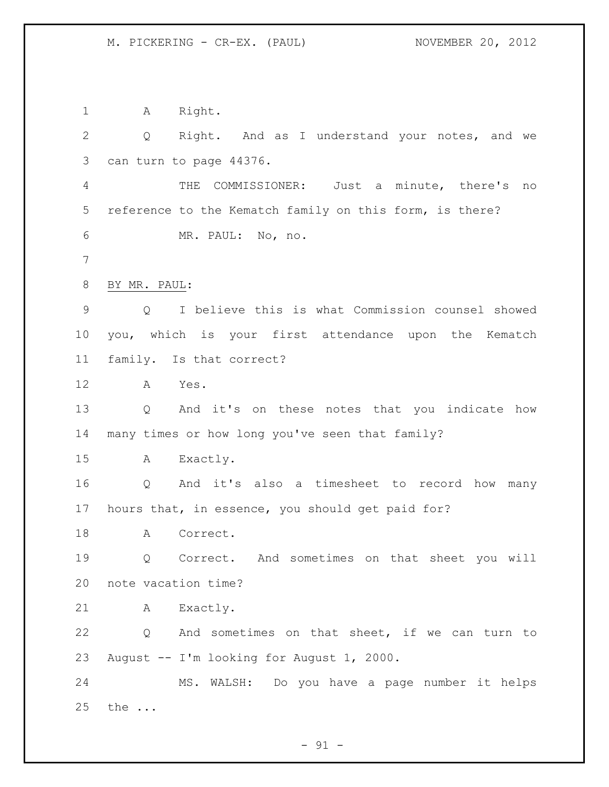1 A Right. Q Right. And as I understand your notes, and we can turn to page 44376. THE COMMISSIONER: Just a minute, there's no reference to the Kematch family on this form, is there? MR. PAUL: No, no. BY MR. PAUL: Q I believe this is what Commission counsel showed

 you, which is your first attendance upon the Kematch family. Is that correct?

A Yes.

 Q And it's on these notes that you indicate how many times or how long you've seen that family?

A Exactly.

 Q And it's also a timesheet to record how many hours that, in essence, you should get paid for?

18 A Correct.

 Q Correct. And sometimes on that sheet you will note vacation time?

A Exactly.

 Q And sometimes on that sheet, if we can turn to August -- I'm looking for August 1, 2000.

 MS. WALSH: Do you have a page number it helps the ...

 $-91 -$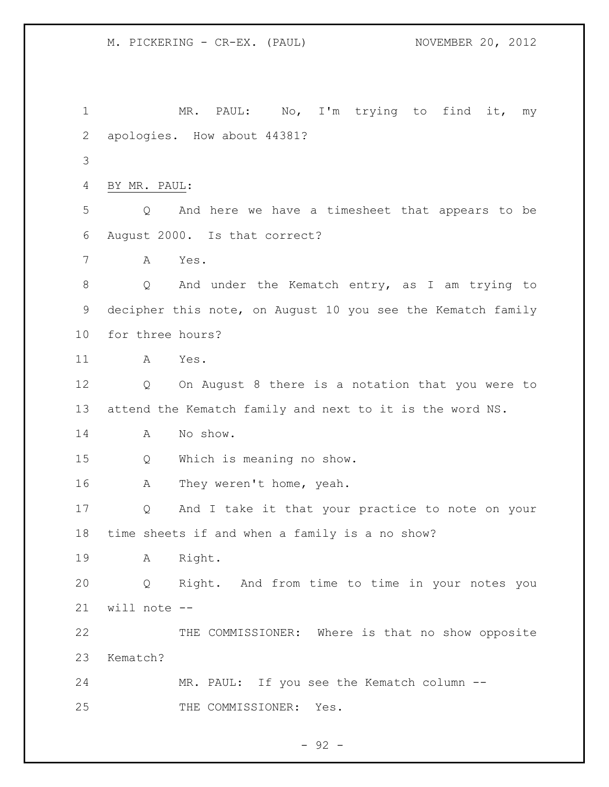1 MR. PAUL: No, I'm trying to find it, my apologies. How about 44381? BY MR. PAUL: Q And here we have a timesheet that appears to be August 2000. Is that correct? A Yes. Q And under the Kematch entry, as I am trying to decipher this note, on August 10 you see the Kematch family for three hours? A Yes. Q On August 8 there is a notation that you were to attend the Kematch family and next to it is the word NS. A No show. Q Which is meaning no show. A They weren't home, yeah. Q And I take it that your practice to note on your time sheets if and when a family is a no show? A Right. Q Right. And from time to time in your notes you will note -- THE COMMISSIONER: Where is that no show opposite Kematch? MR. PAUL: If you see the Kematch column -- THE COMMISSIONER: Yes.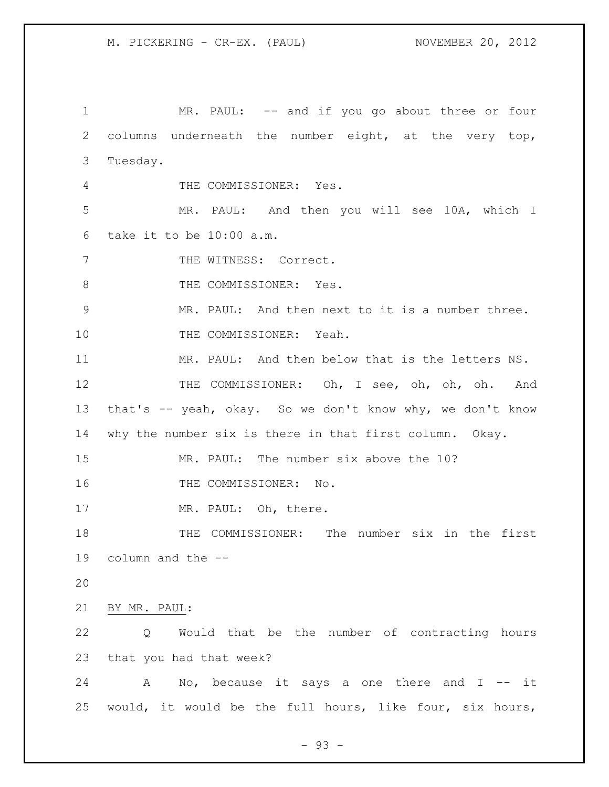1 MR. PAUL: -- and if you go about three or four columns underneath the number eight, at the very top, Tuesday. THE COMMISSIONER: Yes. MR. PAUL: And then you will see 10A, which I take it to be 10:00 a.m. 7 THE WITNESS: Correct. 8 THE COMMISSIONER: Yes. MR. PAUL: And then next to it is a number three. 10 THE COMMISSIONER: Yeah. MR. PAUL: And then below that is the letters NS. 12 THE COMMISSIONER: Oh, I see, oh, oh, oh. And that's -- yeah, okay. So we don't know why, we don't know why the number six is there in that first column. Okay. MR. PAUL: The number six above the 10? 16 THE COMMISSIONER: No. 17 MR. PAUL: Oh, there. THE COMMISSIONER: The number six in the first column and the -- BY MR. PAUL: Q Would that be the number of contracting hours that you had that week? 24 A No, because it says a one there and I -- it would, it would be the full hours, like four, six hours,

- 93 -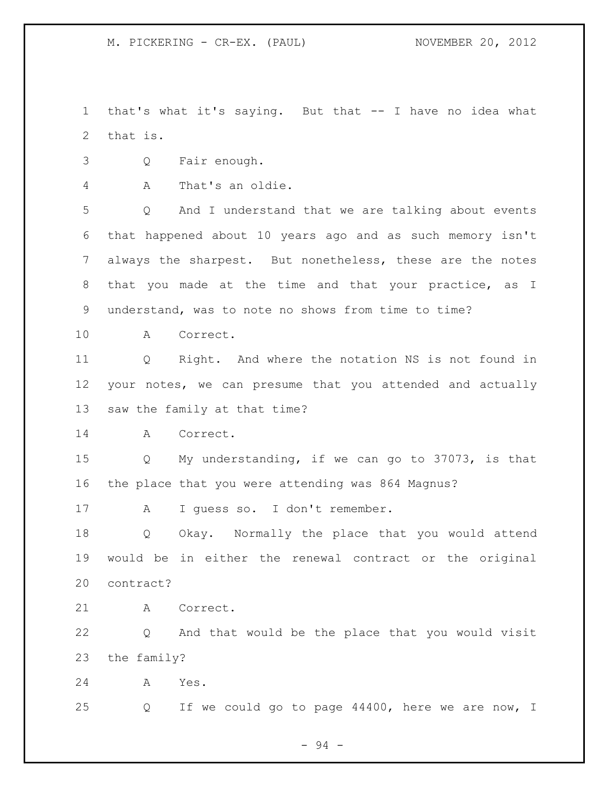that's what it's saying. But that -- I have no idea what that is.

- Q Fair enough.
- A That's an oldie.

 Q And I understand that we are talking about events that happened about 10 years ago and as such memory isn't always the sharpest. But nonetheless, these are the notes that you made at the time and that your practice, as I understand, was to note no shows from time to time?

A Correct.

 Q Right. And where the notation NS is not found in your notes, we can presume that you attended and actually saw the family at that time?

A Correct.

 Q My understanding, if we can go to 37073, is that the place that you were attending was 864 Magnus?

A I guess so. I don't remember.

 Q Okay. Normally the place that you would attend would be in either the renewal contract or the original contract?

A Correct.

 Q And that would be the place that you would visit the family?

A Yes.

Q If we could go to page 44400, here we are now, I

- 94 -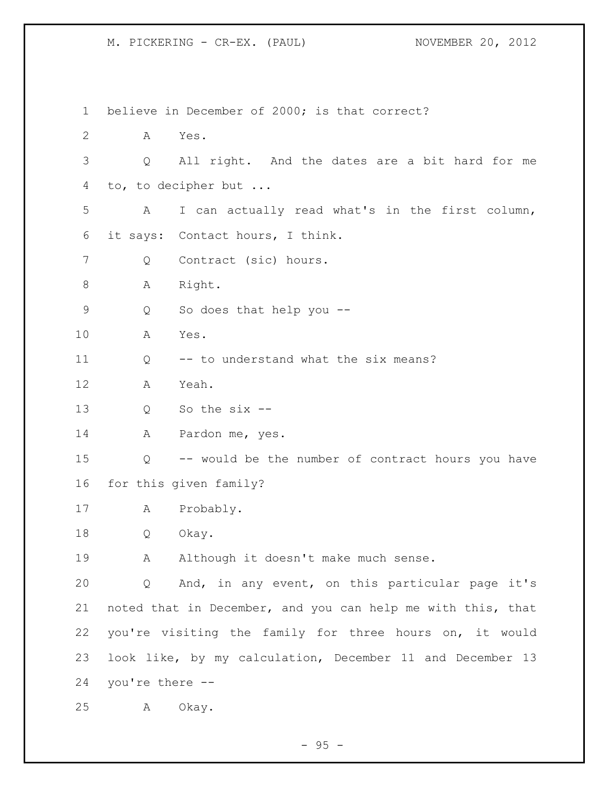believe in December of 2000; is that correct? A Yes. Q All right. And the dates are a bit hard for me to, to decipher but ... A I can actually read what's in the first column, it says: Contact hours, I think. 7 Q Contract (sic) hours. 8 A Right. Q So does that help you -- A Yes. 11 O -- to understand what the six means? A Yeah. Q So the six -- 14 A Pardon me, yes. Q -- would be the number of contract hours you have for this given family? A Probably. Q Okay. 19 A Although it doesn't make much sense. Q And, in any event, on this particular page it's noted that in December, and you can help me with this, that you're visiting the family for three hours on, it would look like, by my calculation, December 11 and December 13 you're there -- A Okay.

 $-95 -$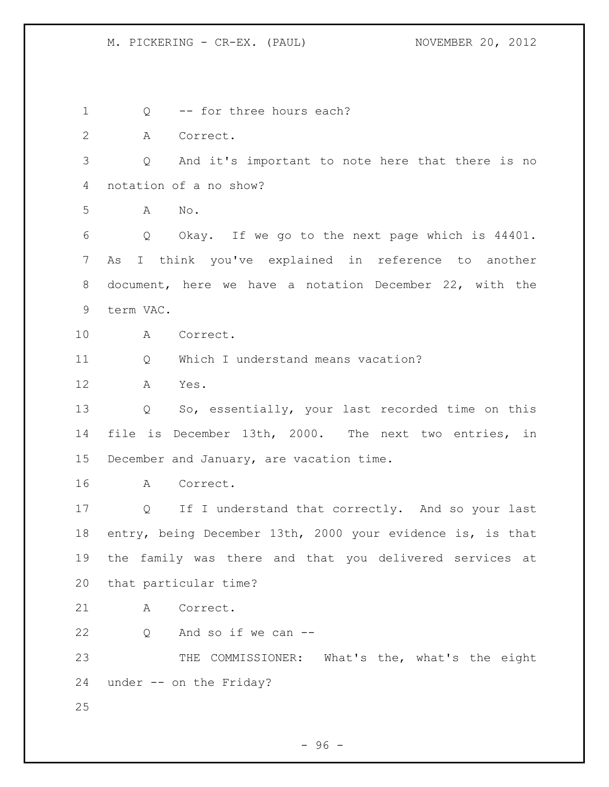1 0 -- for three hours each? A Correct. Q And it's important to note here that there is no notation of a no show? A No. Q Okay. If we go to the next page which is 44401. As I think you've explained in reference to another document, here we have a notation December 22, with the term VAC. A Correct. Q Which I understand means vacation? A Yes. Q So, essentially, your last recorded time on this file is December 13th, 2000. The next two entries, in 15 December and January, are vacation time. A Correct. Q If I understand that correctly. And so your last entry, being December 13th, 2000 your evidence is, is that the family was there and that you delivered services at that particular time? A Correct. Q And so if we can -- THE COMMISSIONER: What's the, what's the eight under -- on the Friday?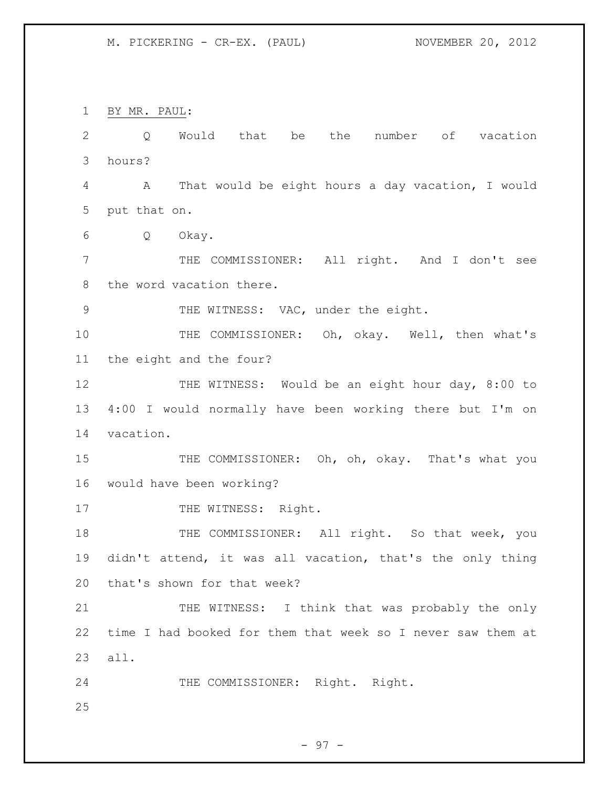BY MR. PAUL: Q Would that be the number of vacation hours? A That would be eight hours a day vacation, I would put that on. Q Okay. THE COMMISSIONER: All right. And I don't see the word vacation there. 9 THE WITNESS: VAC, under the eight. THE COMMISSIONER: Oh, okay. Well, then what's the eight and the four? 12 THE WITNESS: Would be an eight hour day, 8:00 to 4:00 I would normally have been working there but I'm on vacation. 15 THE COMMISSIONER: Oh, oh, okay. That's what you would have been working? 17 THE WITNESS: Right. 18 THE COMMISSIONER: All right. So that week, you didn't attend, it was all vacation, that's the only thing that's shown for that week? 21 THE WITNESS: I think that was probably the only time I had booked for them that week so I never saw them at all. THE COMMISSIONER: Right. Right.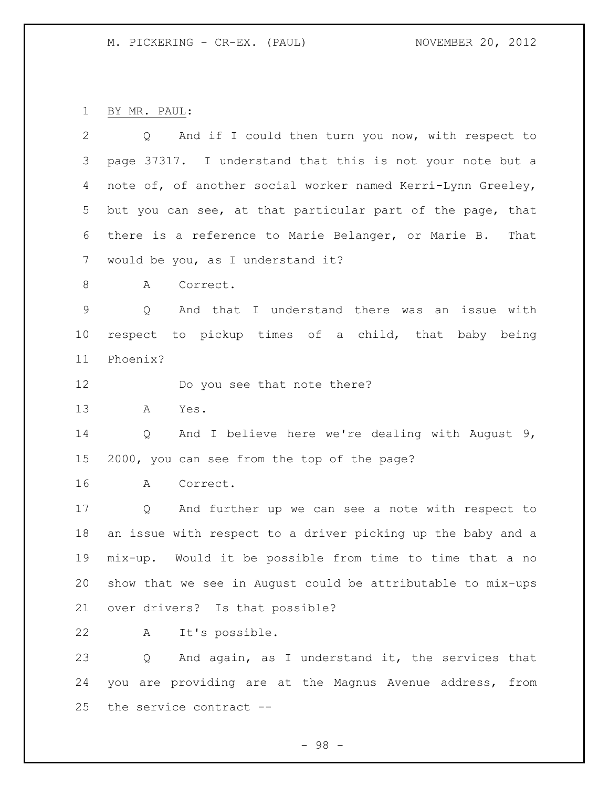BY MR. PAUL:

| $\overline{2}$ | And if I could then turn you now, with respect to<br>$Q \qquad \qquad$ |
|----------------|------------------------------------------------------------------------|
| 3              | page 37317. I understand that this is not your note but a              |
| 4              | note of, of another social worker named Kerri-Lynn Greeley,            |
| 5              | but you can see, at that particular part of the page, that             |
| 6              | there is a reference to Marie Belanger, or Marie B.<br>That            |
| 7              | would be you, as I understand it?                                      |
| 8              | Correct.<br>A                                                          |
| $\mathsf 9$    | And that I understand there was an<br>Q<br>issue with                  |
| 10             | respect to pickup times of a child, that baby being                    |
| 11             | Phoenix?                                                               |
| 12             | Do you see that note there?                                            |
| 13             | A<br>Yes.                                                              |
| 14             | And I believe here we're dealing with August 9,<br>Q                   |
| 15             | 2000, you can see from the top of the page?                            |
| 16             | Correct.<br>A                                                          |
| 17             | And further up we can see a note with respect to<br>$\overline{Q}$     |
| 18             | an issue with respect to a driver picking up the baby and a            |
| 19             | mix-up. Would it be possible from time to time that a no               |
| 20             | show that we see in August could be attributable to mix-ups            |
| 21             | over drivers? Is that possible?                                        |
| 22             | It's possible.<br>A                                                    |
| 23             | And again, as I understand it, the services that<br>Q                  |
| 24             | are providing are at the Magnus Avenue address, from<br>you            |
| 25             | the service contract --                                                |

- 98 -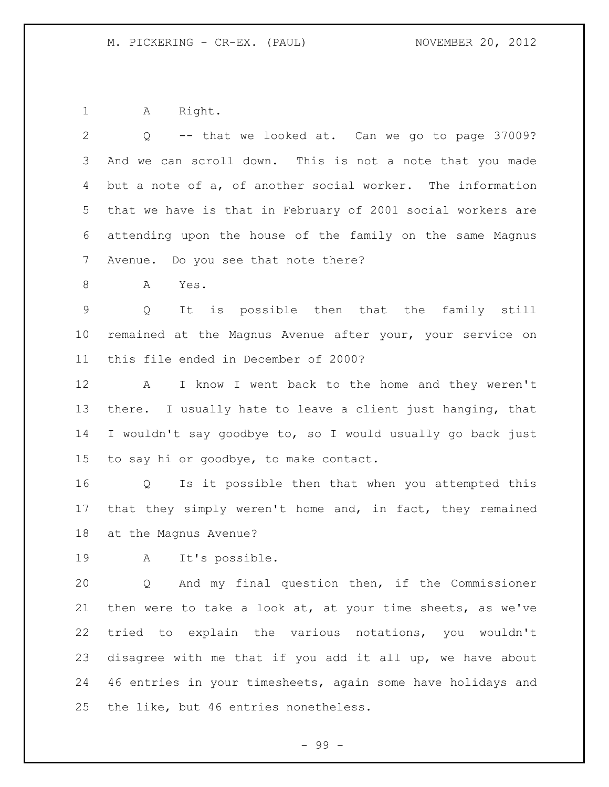A Right.

| 2               | -- that we looked at. Can we go to page 37009?<br>Q                   |
|-----------------|-----------------------------------------------------------------------|
| 3               | And we can scroll down. This is not a note that you made              |
| 4               | but a note of a, of another social worker. The information            |
| 5               | that we have is that in February of 2001 social workers are           |
| 6               | attending upon the house of the family on the same Magnus             |
| 7               | Avenue. Do you see that note there?                                   |
| 8               | Yes.<br>A                                                             |
| $\overline{9}$  | It is possible then that the family still<br>Q                        |
| 10              | remained at the Magnus Avenue after your, your service on             |
| 11              | this file ended in December of 2000?                                  |
| 12              | I know I went back to the home and they weren't<br>A                  |
| 13              | there. I usually hate to leave a client just hanging, that            |
| 14              | I wouldn't say goodbye to, so I would usually go back just            |
| 15 <sub>2</sub> | to say hi or goodbye, to make contact.                                |
| 16              | Is it possible then that when you attempted this<br>$Q \qquad \qquad$ |
| 17              | that they simply weren't home and, in fact, they remained             |
| 18              | at the Magnus Avenue?                                                 |
| 19              | It's possible.<br>$\mathbf{A}$                                        |
| 20              | And my final question then, if the Commissioner<br>Q                  |
| 21              | then were to take a look at, at your time sheets, as we've            |
| 22              | tried to explain the various notations, you wouldn't                  |
| 23              | disagree with me that if you add it all up, we have about             |
| 24              | 46 entries in your timesheets, again some have holidays and           |
| 25              | the like, but 46 entries nonetheless.                                 |

- 99 -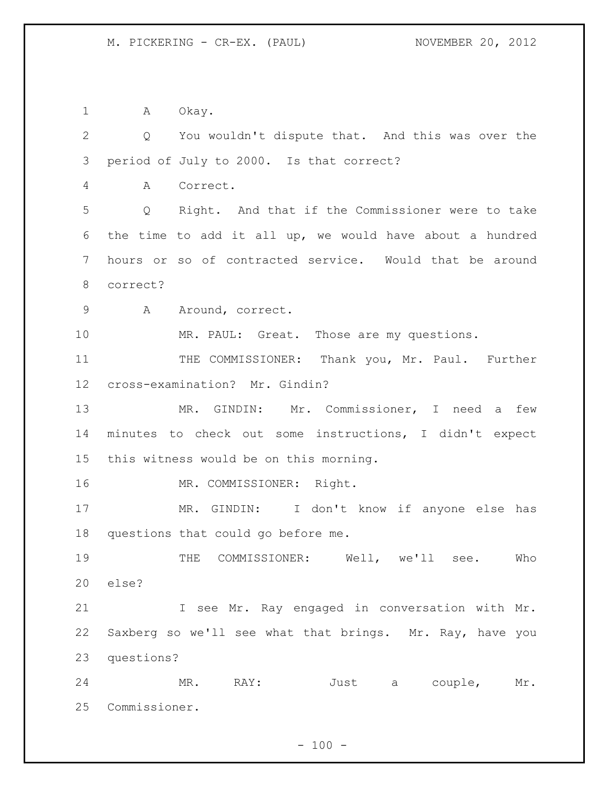1 A Okay.

 Q You wouldn't dispute that. And this was over the period of July to 2000. Is that correct? A Correct. Q Right. And that if the Commissioner were to take the time to add it all up, we would have about a hundred hours or so of contracted service. Would that be around correct? 9 A Around, correct. 10 MR. PAUL: Great. Those are my questions. 11 THE COMMISSIONER: Thank you, Mr. Paul. Further cross-examination? Mr. Gindin? MR. GINDIN: Mr. Commissioner, I need a few minutes to check out some instructions, I didn't expect this witness would be on this morning. 16 MR. COMMISSIONER: Right. MR. GINDIN: I don't know if anyone else has questions that could go before me. THE COMMISSIONER: Well, we'll see. Who else? I see Mr. Ray engaged in conversation with Mr. Saxberg so we'll see what that brings. Mr. Ray, have you questions? MR. RAY: Just a couple, Mr. Commissioner.

 $- 100 -$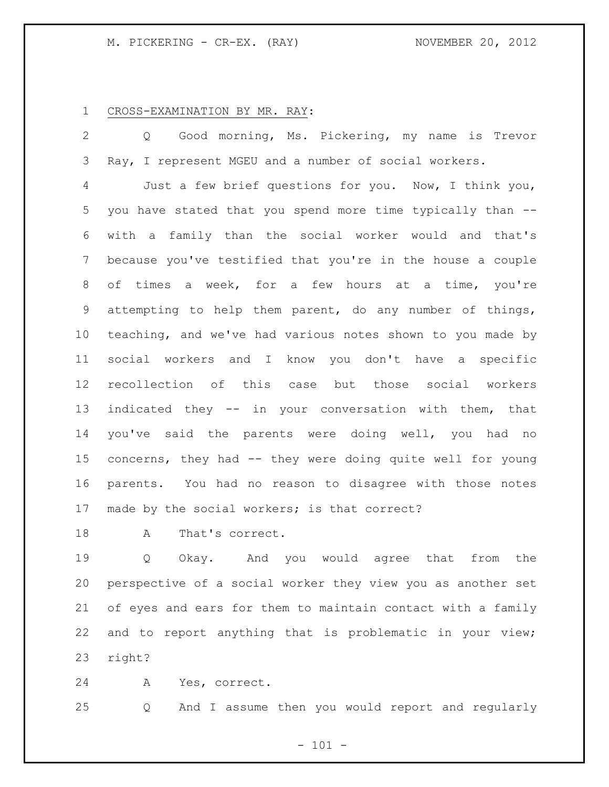### CROSS-EXAMINATION BY MR. RAY:

 Q Good morning, Ms. Pickering, my name is Trevor Ray, I represent MGEU and a number of social workers.

 Just a few brief questions for you. Now, I think you, you have stated that you spend more time typically than -- with a family than the social worker would and that's because you've testified that you're in the house a couple of times a week, for a few hours at a time, you're attempting to help them parent, do any number of things, teaching, and we've had various notes shown to you made by social workers and I know you don't have a specific recollection of this case but those social workers indicated they -- in your conversation with them, that you've said the parents were doing well, you had no concerns, they had -- they were doing quite well for young parents. You had no reason to disagree with those notes made by the social workers; is that correct?

18 A That's correct.

 Q Okay. And you would agree that from the perspective of a social worker they view you as another set of eyes and ears for them to maintain contact with a family and to report anything that is problematic in your view; right?

A Yes, correct.

Q And I assume then you would report and regularly

 $- 101 -$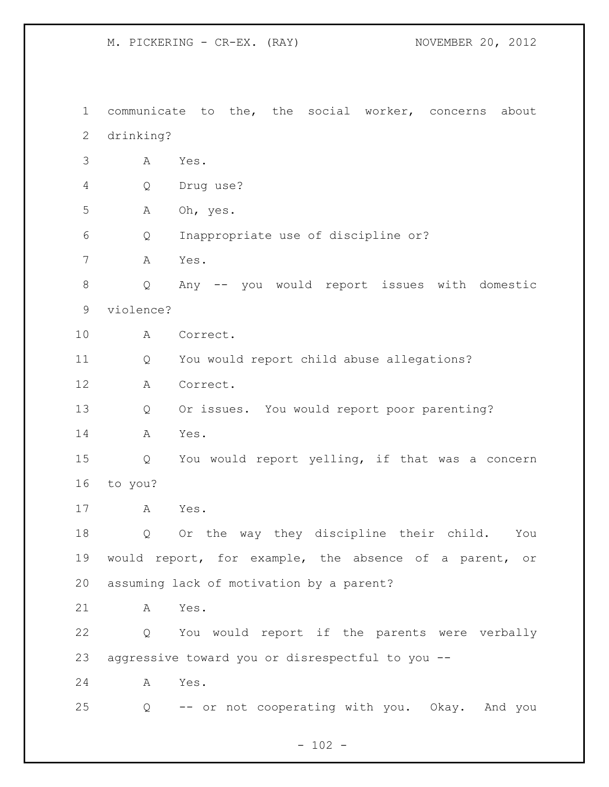communicate to the, the social worker, concerns about drinking? A Yes. Q Drug use? A Oh, yes. Q Inappropriate use of discipline or? A Yes. Q Any -- you would report issues with domestic violence? A Correct. Q You would report child abuse allegations? A Correct. Q Or issues. You would report poor parenting? A Yes. Q You would report yelling, if that was a concern to you? A Yes. Q Or the way they discipline their child. You would report, for example, the absence of a parent, or assuming lack of motivation by a parent? A Yes. Q You would report if the parents were verbally aggressive toward you or disrespectful to you -- A Yes. Q -- or not cooperating with you. Okay. And you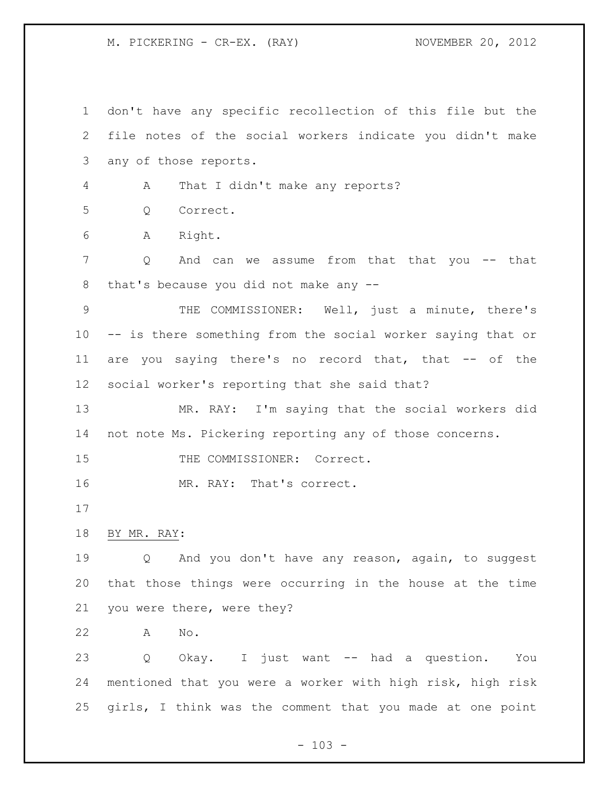don't have any specific recollection of this file but the file notes of the social workers indicate you didn't make any of those reports. A That I didn't make any reports? Q Correct. A Right. Q And can we assume from that that you -- that that's because you did not make any -- THE COMMISSIONER: Well, just a minute, there's -- is there something from the social worker saying that or are you saying there's no record that, that -- of the social worker's reporting that she said that? MR. RAY: I'm saying that the social workers did not note Ms. Pickering reporting any of those concerns. 15 THE COMMISSIONER: Correct. MR. RAY: That's correct. BY MR. RAY: Q And you don't have any reason, again, to suggest that those things were occurring in the house at the time you were there, were they? A No. Q Okay. I just want -- had a question. You mentioned that you were a worker with high risk, high risk girls, I think was the comment that you made at one point

 $- 103 -$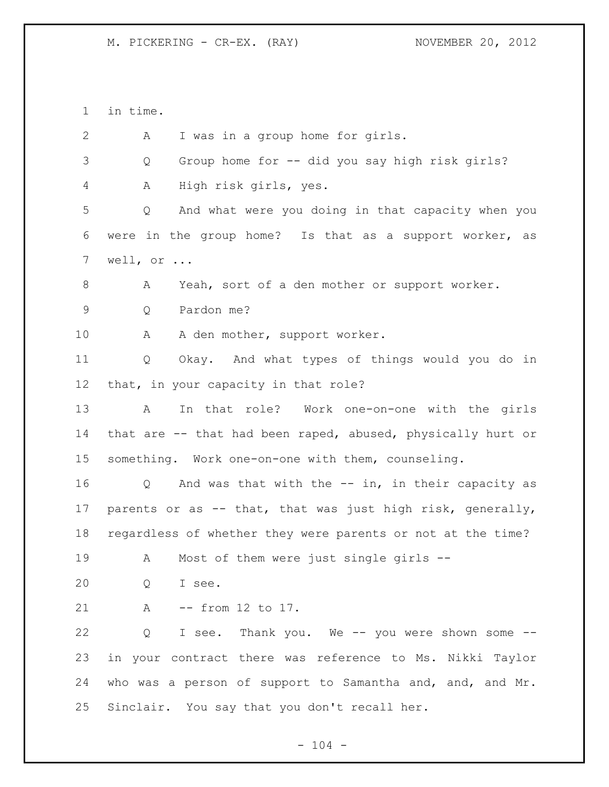in time. A I was in a group home for girls. Q Group home for -- did you say high risk girls? A High risk girls, yes. Q And what were you doing in that capacity when you were in the group home? Is that as a support worker, as well, or ... A Yeah, sort of a den mother or support worker. Q Pardon me? A A den mother, support worker. Q Okay. And what types of things would you do in that, in your capacity in that role? A In that role? Work one-on-one with the girls that are -- that had been raped, abused, physically hurt or something. Work one-on-one with them, counseling. Q And was that with the -- in, in their capacity as parents or as -- that, that was just high risk, generally, regardless of whether they were parents or not at the time? 19 A Most of them were just single girls -- Q I see. A -- from 12 to 17. Q I see. Thank you. We -- you were shown some -- in your contract there was reference to Ms. Nikki Taylor who was a person of support to Samantha and, and, and Mr. Sinclair. You say that you don't recall her.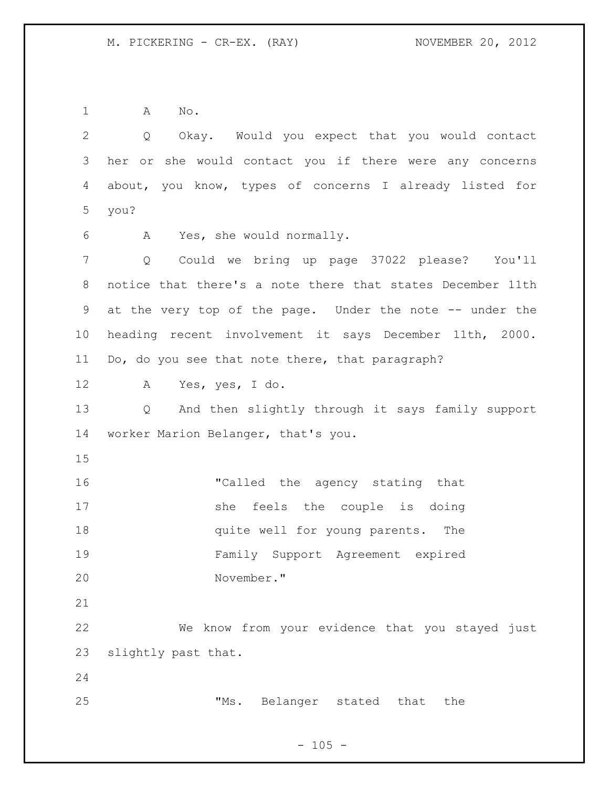A No.

 Q Okay. Would you expect that you would contact her or she would contact you if there were any concerns about, you know, types of concerns I already listed for you? A Yes, she would normally. Q Could we bring up page 37022 please? You'll notice that there's a note there that states December 11th at the very top of the page. Under the note -- under the heading recent involvement it says December 11th, 2000. Do, do you see that note there, that paragraph? A Yes, yes, I do. Q And then slightly through it says family support worker Marion Belanger, that's you. **"Called the agency stating that** 17 she feels the couple is doing **18 quite well for young parents.** The Family Support Agreement expired November." We know from your evidence that you stayed just slightly past that. "Ms. Belanger stated that the

# $- 105 -$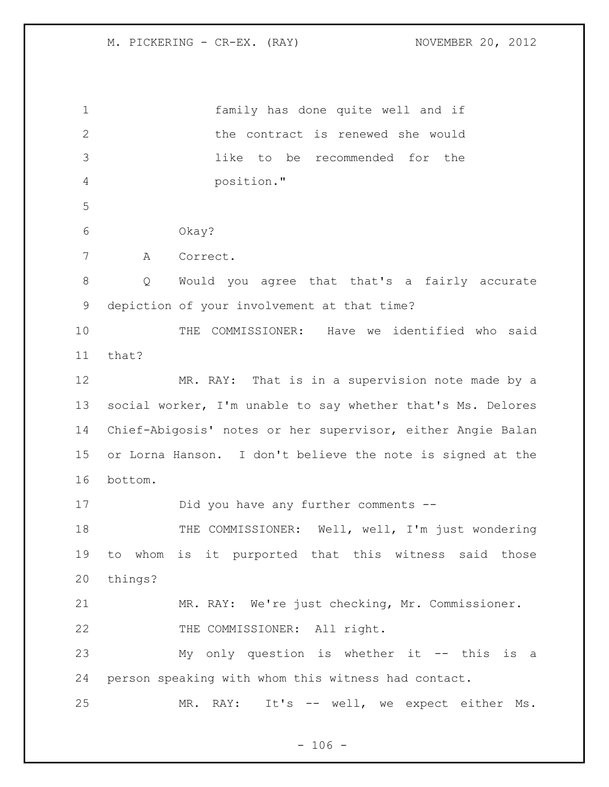| $\mathbf 1$    | family has done quite well and if                           |  |  |
|----------------|-------------------------------------------------------------|--|--|
| $\mathbf{2}$   | the contract is renewed she would                           |  |  |
| 3              | like to be recommended for<br>the                           |  |  |
| $\overline{4}$ | position."                                                  |  |  |
| 5              |                                                             |  |  |
| 6              | Okay?                                                       |  |  |
| 7              | Α<br>Correct.                                               |  |  |
| $8\,$          | Would you agree that that's a fairly accurate<br>Q          |  |  |
| $\mathsf 9$    | depiction of your involvement at that time?                 |  |  |
| 10             | THE COMMISSIONER: Have we identified who said               |  |  |
| 11             | that?                                                       |  |  |
| 12             | MR. RAY: That is in a supervision note made by a            |  |  |
| 13             | social worker, I'm unable to say whether that's Ms. Delores |  |  |
| 14             | Chief-Abigosis' notes or her supervisor, either Angie Balan |  |  |
| 15             | or Lorna Hanson. I don't believe the note is signed at the  |  |  |
| 16             | bottom.                                                     |  |  |
| 17             | Did you have any further comments --                        |  |  |
| 18             | THE COMMISSIONER: Well, well, I'm just wondering            |  |  |
| 19             | to whom is it purported that this witness said those        |  |  |
| 20             | things?                                                     |  |  |
| 21             | MR. RAY: We're just checking, Mr. Commissioner.             |  |  |
| 22             | THE COMMISSIONER: All right.                                |  |  |
| 23             | My only question is whether it -- this is a                 |  |  |
| 24             | person speaking with whom this witness had contact.         |  |  |
| 25             | It's -- well, we expect either Ms.<br>RAY:<br>MR.           |  |  |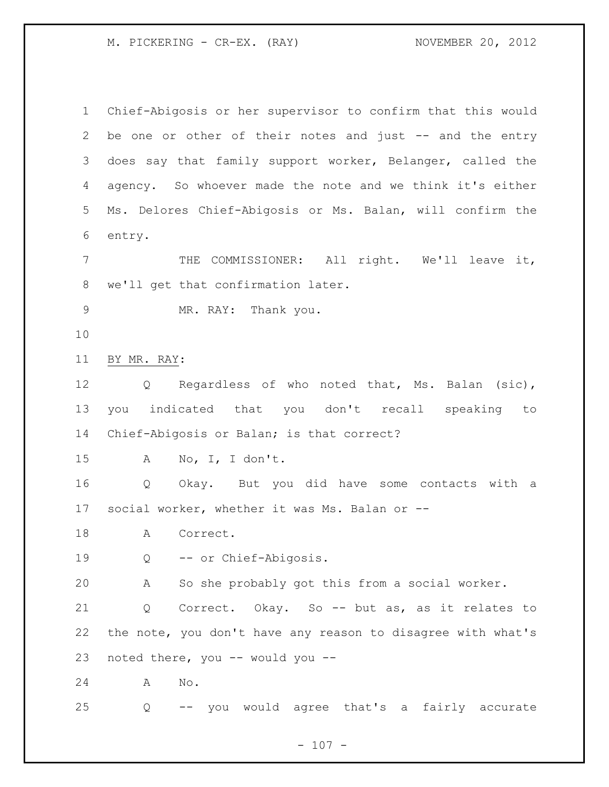M. PICKERING - CR-EX. (RAY) NOVEMBER 20, 2012

 Chief-Abigosis or her supervisor to confirm that this would 2 be one or other of their notes and just -- and the entry does say that family support worker, Belanger, called the agency. So whoever made the note and we think it's either Ms. Delores Chief-Abigosis or Ms. Balan, will confirm the entry. THE COMMISSIONER: All right. We'll leave it, we'll get that confirmation later. MR. RAY: Thank you. BY MR. RAY: Q Regardless of who noted that, Ms. Balan (sic), you indicated that you don't recall speaking to Chief-Abigosis or Balan; is that correct? A No, I, I don't. Q Okay. But you did have some contacts with a social worker, whether it was Ms. Balan or -- 18 A Correct. Q -- or Chief-Abigosis. A So she probably got this from a social worker. Q Correct. Okay. So -- but as, as it relates to the note, you don't have any reason to disagree with what's noted there, you -- would you -- A No. Q -- you would agree that's a fairly accurate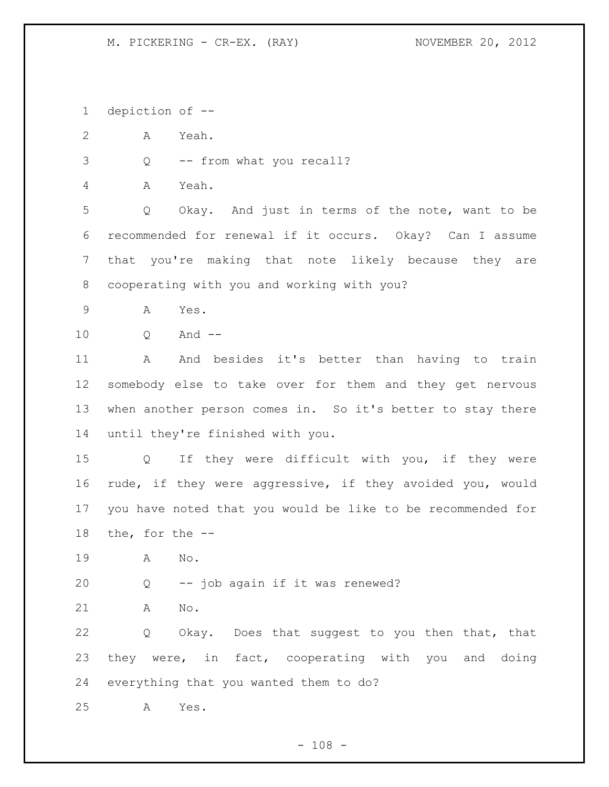depiction of --

A Yeah.

Q -- from what you recall?

A Yeah.

 Q Okay. And just in terms of the note, want to be recommended for renewal if it occurs. Okay? Can I assume that you're making that note likely because they are cooperating with you and working with you?

- A Yes.
- Q And --

 A And besides it's better than having to train somebody else to take over for them and they get nervous when another person comes in. So it's better to stay there until they're finished with you.

 Q If they were difficult with you, if they were rude, if they were aggressive, if they avoided you, would you have noted that you would be like to be recommended for the, for the --

A No.

Q -- job again if it was renewed?

A No.

 Q Okay. Does that suggest to you then that, that they were, in fact, cooperating with you and doing everything that you wanted them to do?

A Yes.

 $- 108 -$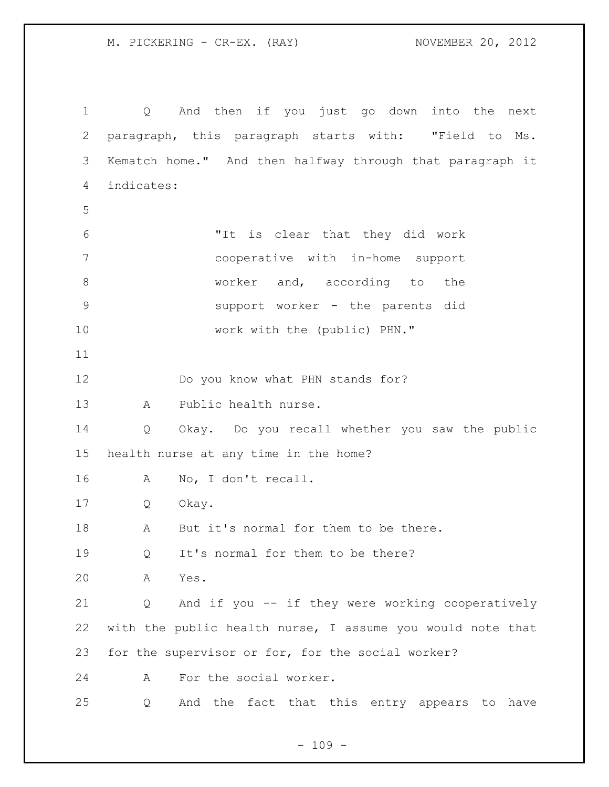M. PICKERING - CR-EX. (RAY) NOVEMBER 20, 2012

 Q And then if you just go down into the next paragraph, this paragraph starts with: "Field to Ms. Kematch home." And then halfway through that paragraph it indicates: "It is clear that they did work cooperative with in-home support 8 worker and, according to the support worker - the parents did 10 work with the (public) PHN." Do you know what PHN stands for? A Public health nurse. Q Okay. Do you recall whether you saw the public health nurse at any time in the home? A No, I don't recall. Q Okay. 18 A But it's normal for them to be there. 19 Q It's normal for them to be there? A Yes. Q And if you -- if they were working cooperatively with the public health nurse, I assume you would note that for the supervisor or for, for the social worker? A For the social worker. Q And the fact that this entry appears to have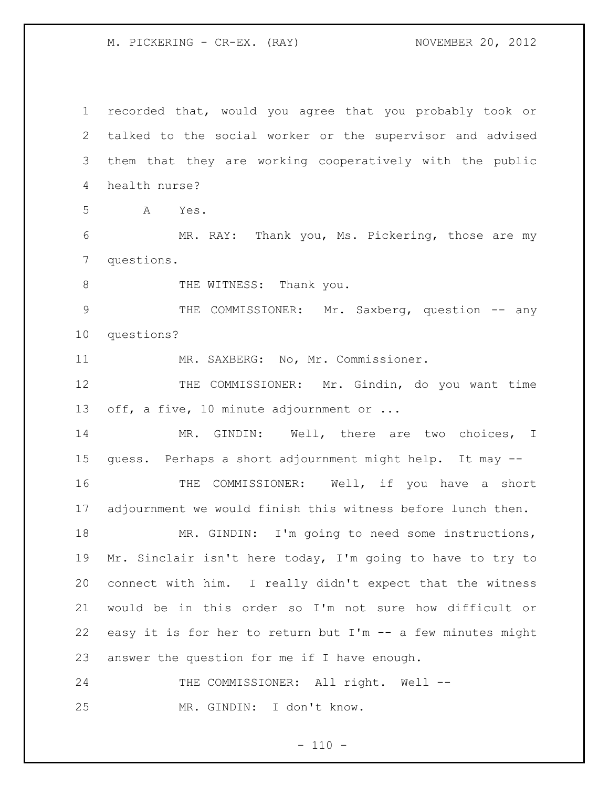M. PICKERING - CR-EX. (RAY) NOVEMBER 20, 2012

 recorded that, would you agree that you probably took or talked to the social worker or the supervisor and advised them that they are working cooperatively with the public health nurse? A Yes. MR. RAY: Thank you, Ms. Pickering, those are my questions. 8 THE WITNESS: Thank you. 9 THE COMMISSIONER: Mr. Saxberg, question -- any questions? 11 MR. SAXBERG: No, Mr. Commissioner. THE COMMISSIONER: Mr. Gindin, do you want time 13 off, a five, 10 minute adjournment or ... 14 MR. GINDIN: Well, there are two choices, I guess. Perhaps a short adjournment might help. It may -- 16 THE COMMISSIONER: Well, if you have a short adjournment we would finish this witness before lunch then. 18 MR. GINDIN: I'm going to need some instructions, Mr. Sinclair isn't here today, I'm going to have to try to connect with him. I really didn't expect that the witness would be in this order so I'm not sure how difficult or easy it is for her to return but I'm -- a few minutes might answer the question for me if I have enough. 24 THE COMMISSIONER: All right. Well --MR. GINDIN: I don't know.

 $- 110 -$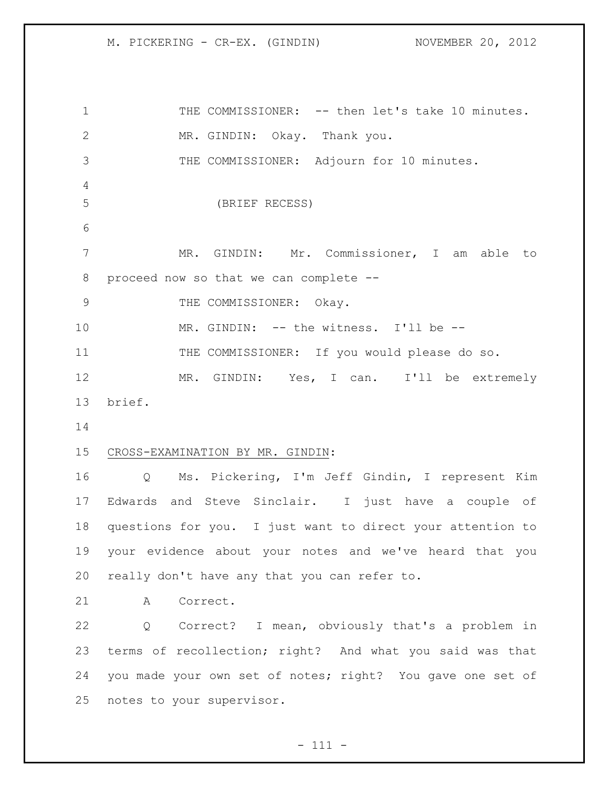# M. PICKERING - CR-EX. (GINDIN) NOVEMBER 20, 2012

1 THE COMMISSIONER: -- then let's take 10 minutes. MR. GINDIN: Okay. Thank you. 3 THE COMMISSIONER: Adjourn for 10 minutes. (BRIEF RECESS) MR. GINDIN: Mr. Commissioner, I am able to proceed now so that we can complete -- 9 THE COMMISSIONER: Okay. 10 MR. GINDIN: -- the witness. I'll be -- THE COMMISSIONER: If you would please do so. MR. GINDIN: Yes, I can. I'll be extremely brief. CROSS-EXAMINATION BY MR. GINDIN: Q Ms. Pickering, I'm Jeff Gindin, I represent Kim Edwards and Steve Sinclair. I just have a couple of questions for you. I just want to direct your attention to your evidence about your notes and we've heard that you really don't have any that you can refer to. A Correct. Q Correct? I mean, obviously that's a problem in terms of recollection; right? And what you said was that you made your own set of notes; right? You gave one set of

notes to your supervisor.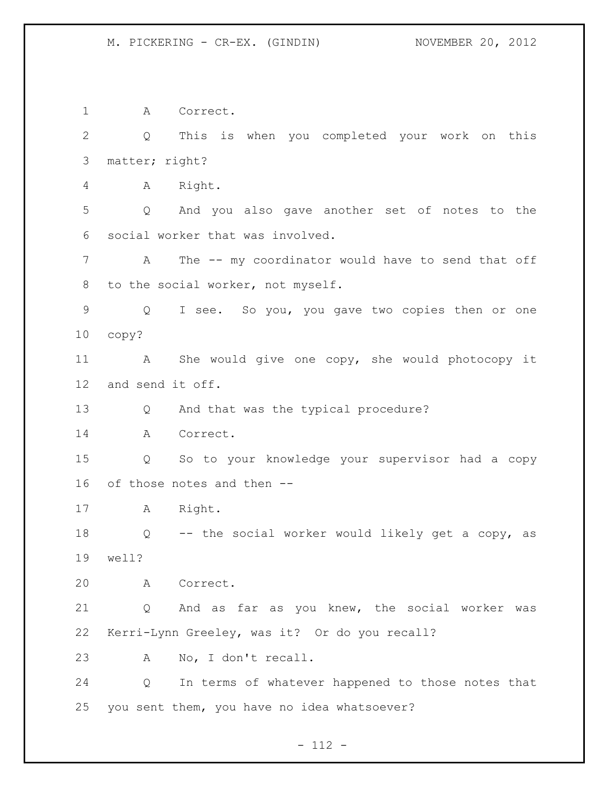#### M. PICKERING - CR-EX. (GINDIN) NOVEMBER 20, 2012

 A Correct. Q This is when you completed your work on this matter; right? A Right. Q And you also gave another set of notes to the social worker that was involved. A The -- my coordinator would have to send that off to the social worker, not myself. Q I see. So you, you gave two copies then or one copy? A She would give one copy, she would photocopy it and send it off. Q And that was the typical procedure? A Correct. Q So to your knowledge your supervisor had a copy of those notes and then -- A Right. Q -- the social worker would likely get a copy, as well? A Correct. Q And as far as you knew, the social worker was Kerri-Lynn Greeley, was it? Or do you recall? A No, I don't recall. Q In terms of whatever happened to those notes that you sent them, you have no idea whatsoever?

## $- 112 -$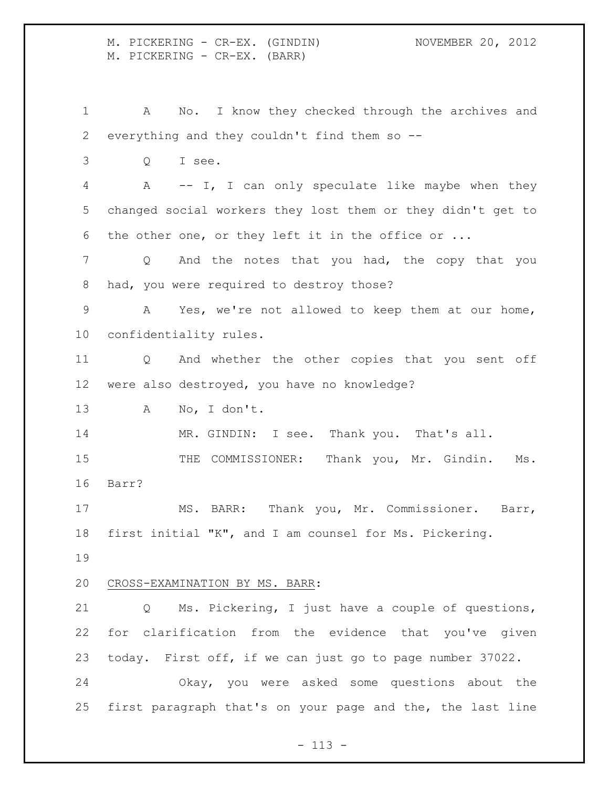M. PICKERING - CR-EX. (GINDIN) NOVEMBER 20, 2012 M. PICKERING - CR-EX. (BARR)

 A No. I know they checked through the archives and everything and they couldn't find them so --

Q I see.

 A -- I, I can only speculate like maybe when they changed social workers they lost them or they didn't get to the other one, or they left it in the office or ...

 Q And the notes that you had, the copy that you had, you were required to destroy those?

 A Yes, we're not allowed to keep them at our home, confidentiality rules.

 Q And whether the other copies that you sent off were also destroyed, you have no knowledge?

A No, I don't.

14 MR. GINDIN: I see. Thank you. That's all.

15 THE COMMISSIONER: Thank you, Mr. Gindin. Ms. Barr?

 MS. BARR: Thank you, Mr. Commissioner. Barr, first initial "K", and I am counsel for Ms. Pickering.

# CROSS-EXAMINATION BY MS. BARR:

 Q Ms. Pickering, I just have a couple of questions, for clarification from the evidence that you've given today. First off, if we can just go to page number 37022.

 Okay, you were asked some questions about the first paragraph that's on your page and the, the last line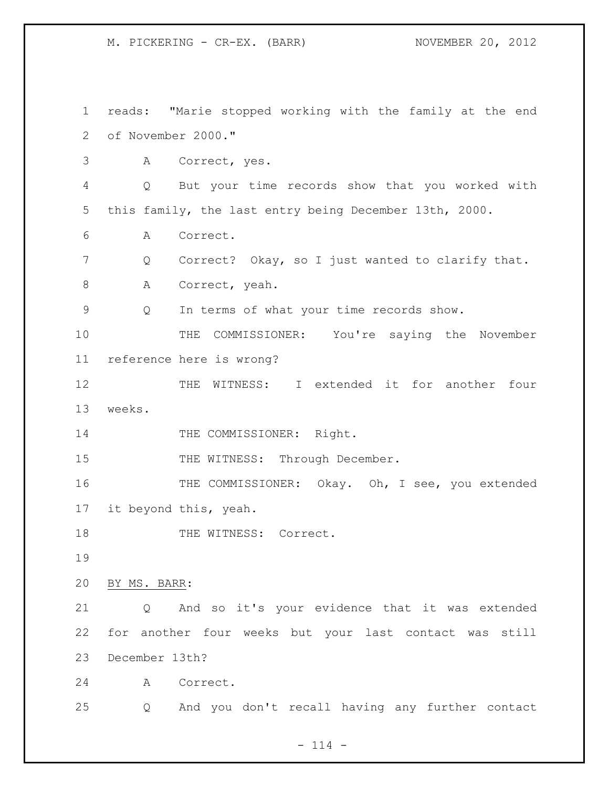M. PICKERING - CR-EX. (BARR) NOVEMBER 20, 2012

 reads: "Marie stopped working with the family at the end of November 2000." A Correct, yes. Q But your time records show that you worked with this family, the last entry being December 13th, 2000. A Correct. Q Correct? Okay, so I just wanted to clarify that. 8 A Correct, yeah. Q In terms of what your time records show. THE COMMISSIONER: You're saying the November reference here is wrong? 12 THE WITNESS: I extended it for another four weeks. 14 THE COMMISSIONER: Right. 15 THE WITNESS: Through December. THE COMMISSIONER: Okay. Oh, I see, you extended it beyond this, yeah. 18 THE WITNESS: Correct. BY MS. BARR: Q And so it's your evidence that it was extended for another four weeks but your last contact was still December 13th? A Correct. Q And you don't recall having any further contact

 $- 114 -$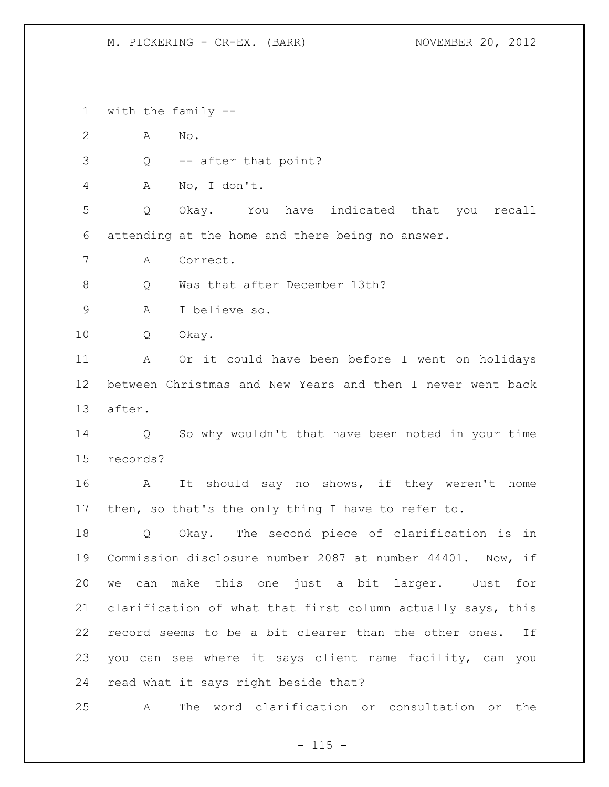#### M. PICKERING - CR-EX. (BARR) NOVEMBER 20, 2012

with the family --

A No.

Q -- after that point?

A No, I don't.

 Q Okay. You have indicated that you recall attending at the home and there being no answer.

A Correct.

8 O Was that after December 13th?

A I believe so.

Q Okay.

 A Or it could have been before I went on holidays between Christmas and New Years and then I never went back after.

 Q So why wouldn't that have been noted in your time records?

 A It should say no shows, if they weren't home then, so that's the only thing I have to refer to.

 Q Okay. The second piece of clarification is in Commission disclosure number 2087 at number 44401. Now, if we can make this one just a bit larger. Just for clarification of what that first column actually says, this record seems to be a bit clearer than the other ones. If you can see where it says client name facility, can you read what it says right beside that?

A The word clarification or consultation or the

 $- 115 -$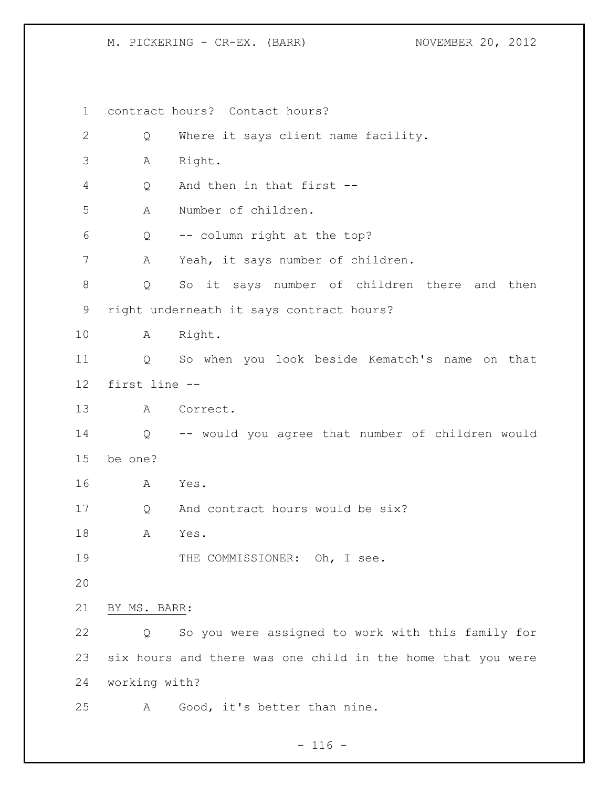M. PICKERING - CR-EX. (BARR) NOVEMBER 20, 2012

 contract hours? Contact hours? Q Where it says client name facility. A Right. Q And then in that first -- A Number of children. Q -- column right at the top? A Yeah, it says number of children. Q So it says number of children there and then right underneath it says contract hours? A Right. Q So when you look beside Kematch's name on that first line -- A Correct. Q -- would you agree that number of children would be one? A Yes. Q And contract hours would be six? A Yes. 19 THE COMMISSIONER: Oh, I see. BY MS. BARR: Q So you were assigned to work with this family for six hours and there was one child in the home that you were working with? A Good, it's better than nine.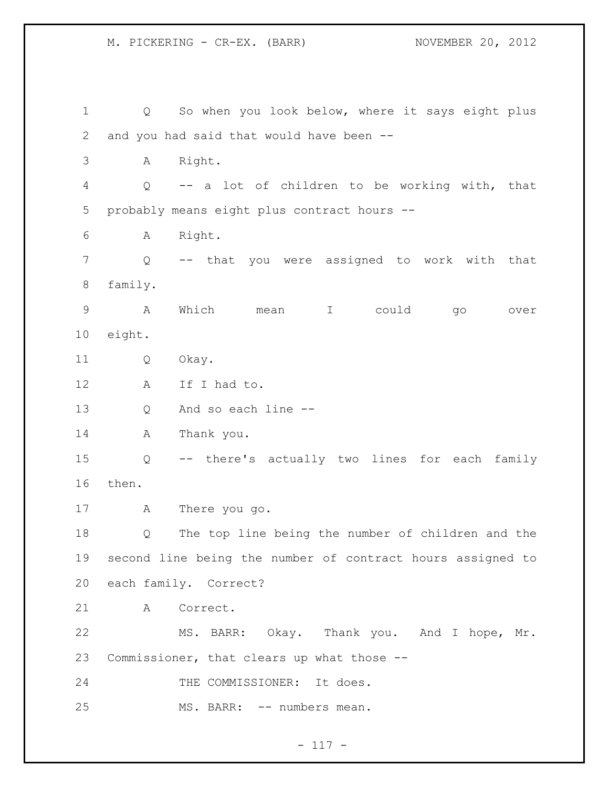Q So when you look below, where it says eight plus and you had said that would have been -- A Right. Q -- a lot of children to be working with, that probably means eight plus contract hours -- A Right. Q -- that you were assigned to work with that family. A Which mean I could go over eight. Q Okay. A If I had to. Q And so each line -- A Thank you. Q -- there's actually two lines for each family then. A There you go. Q The top line being the number of children and the second line being the number of contract hours assigned to each family. Correct? A Correct. MS. BARR: Okay. Thank you. And I hope, Mr. Commissioner, that clears up what those -- 24 THE COMMISSIONER: It does. 25 MS. BARR: -- numbers mean.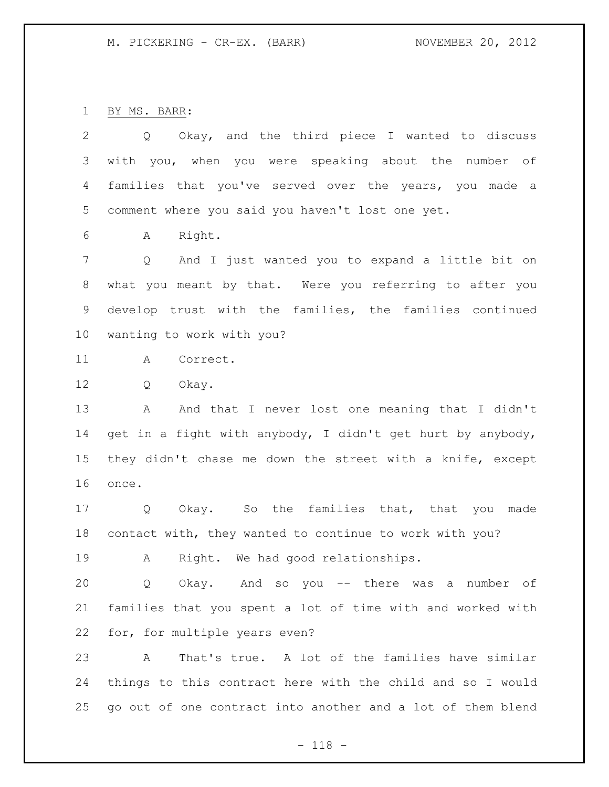BY MS. BARR:

 Q Okay, and the third piece I wanted to discuss with you, when you were speaking about the number of families that you've served over the years, you made a comment where you said you haven't lost one yet. A Right. Q And I just wanted you to expand a little bit on what you meant by that. Were you referring to after you develop trust with the families, the families continued wanting to work with you? A Correct. Q Okay. 13 A And that I never lost one meaning that I didn't

 get in a fight with anybody, I didn't get hurt by anybody, they didn't chase me down the street with a knife, except once.

 Q Okay. So the families that, that you made contact with, they wanted to continue to work with you?

A Right. We had good relationships.

 Q Okay. And so you -- there was a number of families that you spent a lot of time with and worked with for, for multiple years even?

 A That's true. A lot of the families have similar things to this contract here with the child and so I would go out of one contract into another and a lot of them blend

- 118 -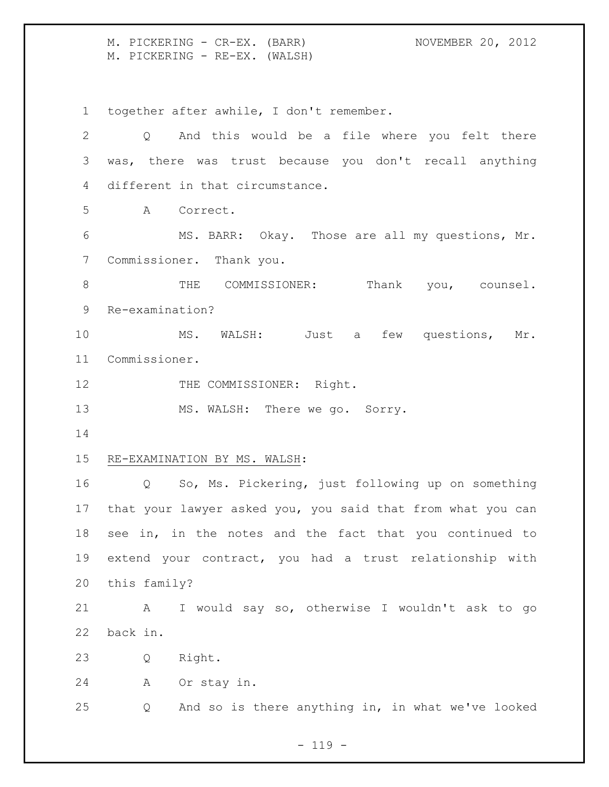M. PICKERING - CR-EX. (BARR) NOVEMBER 20, 2012 M. PICKERING - RE-EX. (WALSH)

together after awhile, I don't remember.

| $\overline{2}$ | Q                            | And this would be a file where you felt there               |  |
|----------------|------------------------------|-------------------------------------------------------------|--|
| 3              |                              | was, there was trust because you don't recall anything      |  |
| 4              |                              | different in that circumstance.                             |  |
| 5              | A                            | Correct.                                                    |  |
| 6              |                              | MS. BARR: Okay. Those are all my questions, Mr.             |  |
| $\overline{7}$ |                              | Commissioner. Thank you.                                    |  |
| 8              |                              | THE COMMISSIONER: Thank you, counsel.                       |  |
| 9              | Re-examination?              |                                                             |  |
| 10             |                              | MS. WALSH: Just a few questions, Mr.                        |  |
| 11             | Commissioner.                |                                                             |  |
| 12             |                              | THE COMMISSIONER: Right.                                    |  |
| 13             |                              | MS. WALSH: There we go. Sorry.                              |  |
| 14             |                              |                                                             |  |
| 15             | RE-EXAMINATION BY MS. WALSH: |                                                             |  |
| 16             | $Q \qquad \qquad$            | So, Ms. Pickering, just following up on something           |  |
| 17             |                              | that your lawyer asked you, you said that from what you can |  |
| 18             |                              | see in, in the notes and the fact that you continued to     |  |
| 19             |                              | extend your contract, you had a trust relationship with     |  |
| 20             | this family?                 |                                                             |  |
| 21             | А                            | I would say so, otherwise I wouldn't ask to go              |  |
| 22             | back in.                     |                                                             |  |
| 23             | Q                            | Right.                                                      |  |
| 24             | Α                            | Or stay in.                                                 |  |
| 25             | Q                            | And so is there anything in, in what we've looked           |  |
|                |                              |                                                             |  |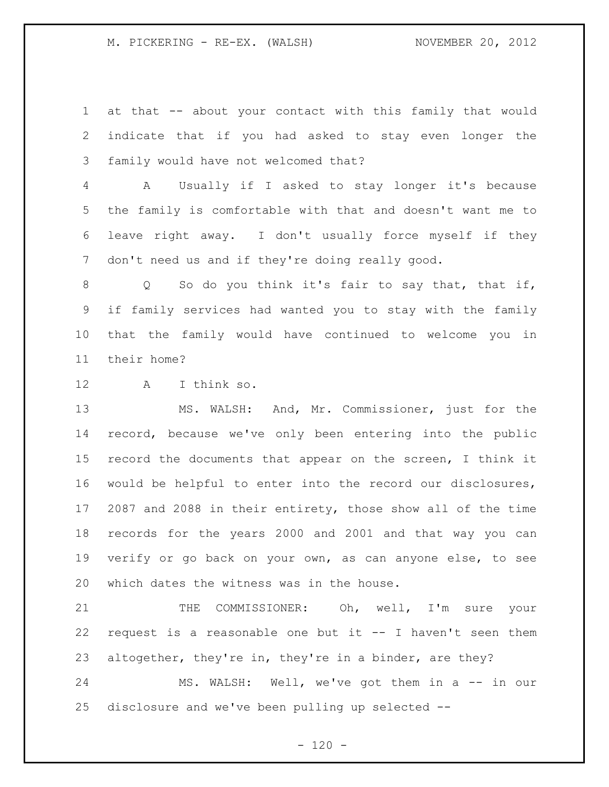at that -- about your contact with this family that would indicate that if you had asked to stay even longer the family would have not welcomed that?

 A Usually if I asked to stay longer it's because the family is comfortable with that and doesn't want me to leave right away. I don't usually force myself if they don't need us and if they're doing really good.

8 Q So do you think it's fair to say that, that if, if family services had wanted you to stay with the family that the family would have continued to welcome you in their home?

A I think so.

 MS. WALSH: And, Mr. Commissioner, just for the record, because we've only been entering into the public record the documents that appear on the screen, I think it would be helpful to enter into the record our disclosures, 2087 and 2088 in their entirety, those show all of the time records for the years 2000 and 2001 and that way you can verify or go back on your own, as can anyone else, to see which dates the witness was in the house.

 THE COMMISSIONER: Oh, well, I'm sure your request is a reasonable one but it -- I haven't seen them altogether, they're in, they're in a binder, are they?

24 MS. WALSH: Well, we've got them in a -- in our disclosure and we've been pulling up selected --

 $- 120 -$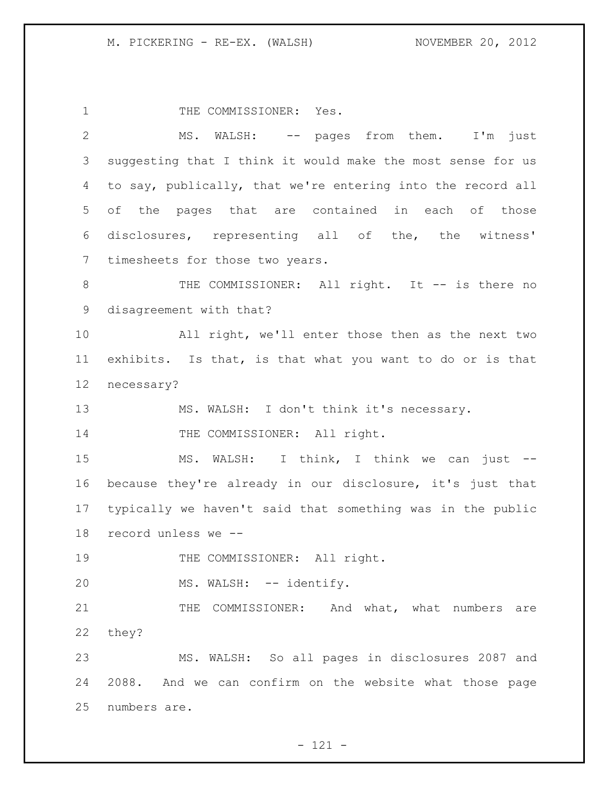1 THE COMMISSIONER: Yes. MS. WALSH: -- pages from them. I'm just suggesting that I think it would make the most sense for us to say, publically, that we're entering into the record all of the pages that are contained in each of those disclosures, representing all of the, the witness' timesheets for those two years. 8 THE COMMISSIONER: All right. It -- is there no disagreement with that? All right, we'll enter those then as the next two exhibits. Is that, is that what you want to do or is that necessary? 13 MS. WALSH: I don't think it's necessary. 14 THE COMMISSIONER: All right. MS. WALSH: I think, I think we can just -- because they're already in our disclosure, it's just that typically we haven't said that something was in the public record unless we -- 19 THE COMMISSIONER: All right. 20 MS. WALSH: -- identify. 21 THE COMMISSIONER: And what, what numbers are they? MS. WALSH: So all pages in disclosures 2087 and 2088. And we can confirm on the website what those page numbers are.

- 121 -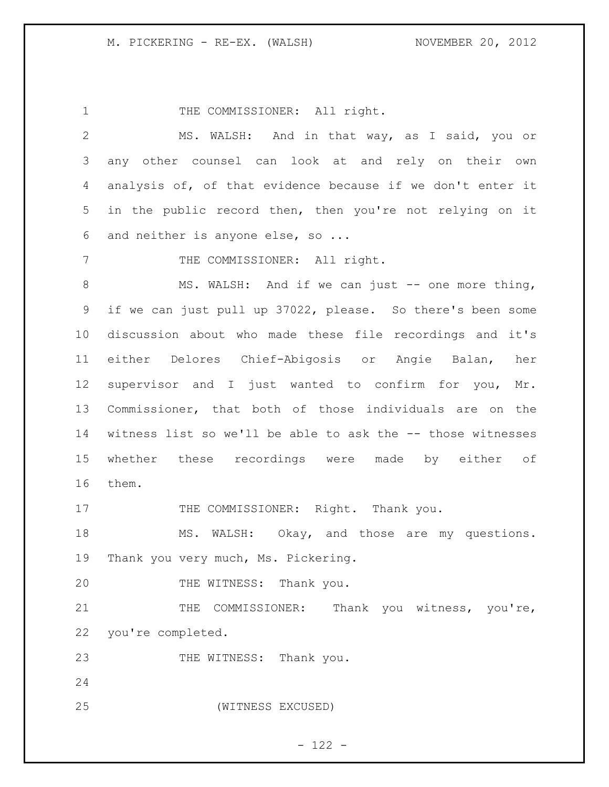1 THE COMMISSIONER: All right. MS. WALSH: And in that way, as I said, you or any other counsel can look at and rely on their own analysis of, of that evidence because if we don't enter it in the public record then, then you're not relying on it and neither is anyone else, so ... 7 THE COMMISSIONER: All right. 8 MS. WALSH: And if we can just -- one more thing, if we can just pull up 37022, please. So there's been some discussion about who made these file recordings and it's either Delores Chief-Abigosis or Angie Balan, her supervisor and I just wanted to confirm for you, Mr. Commissioner, that both of those individuals are on the witness list so we'll be able to ask the -- those witnesses whether these recordings were made by either of them. 17 THE COMMISSIONER: Right. Thank you. 18 MS. WALSH: Okay, and those are my questions. Thank you very much, Ms. Pickering. 20 THE WITNESS: Thank you. 21 THE COMMISSIONER: Thank you witness, you're, you're completed. 23 THE WITNESS: Thank you. (WITNESS EXCUSED)

# - 122 -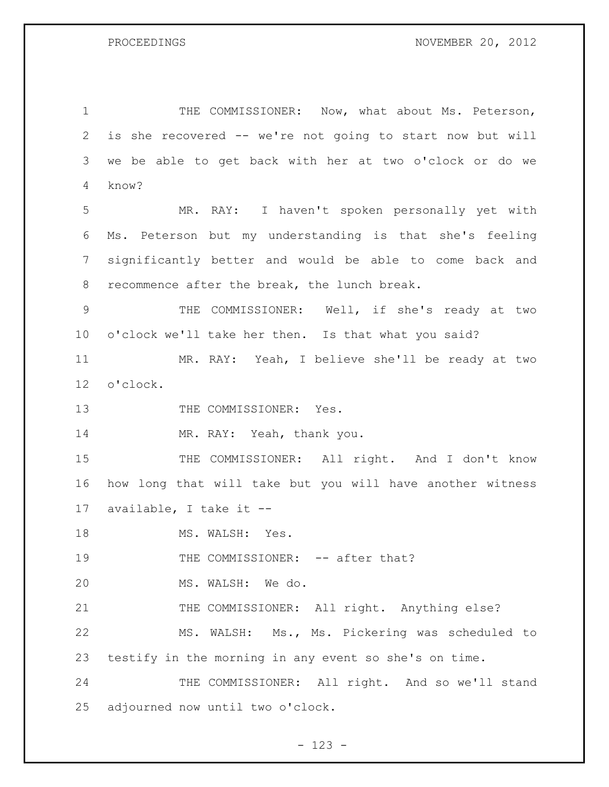1 THE COMMISSIONER: Now, what about Ms. Peterson, is she recovered -- we're not going to start now but will we be able to get back with her at two o'clock or do we know? MR. RAY: I haven't spoken personally yet with Ms. Peterson but my understanding is that she's feeling significantly better and would be able to come back and recommence after the break, the lunch break. THE COMMISSIONER: Well, if she's ready at two o'clock we'll take her then. Is that what you said? MR. RAY: Yeah, I believe she'll be ready at two o'clock. 13 THE COMMISSIONER: Yes. 14 MR. RAY: Yeah, thank you. 15 THE COMMISSIONER: All right. And I don't know how long that will take but you will have another witness available, I take it -- 18 MS. WALSH: Yes. 19 THE COMMISSIONER: -- after that? MS. WALSH: We do. 21 THE COMMISSIONER: All right. Anything else? MS. WALSH: Ms., Ms. Pickering was scheduled to testify in the morning in any event so she's on time. 24 THE COMMISSIONER: All right. And so we'll stand adjourned now until two o'clock.

- 123 -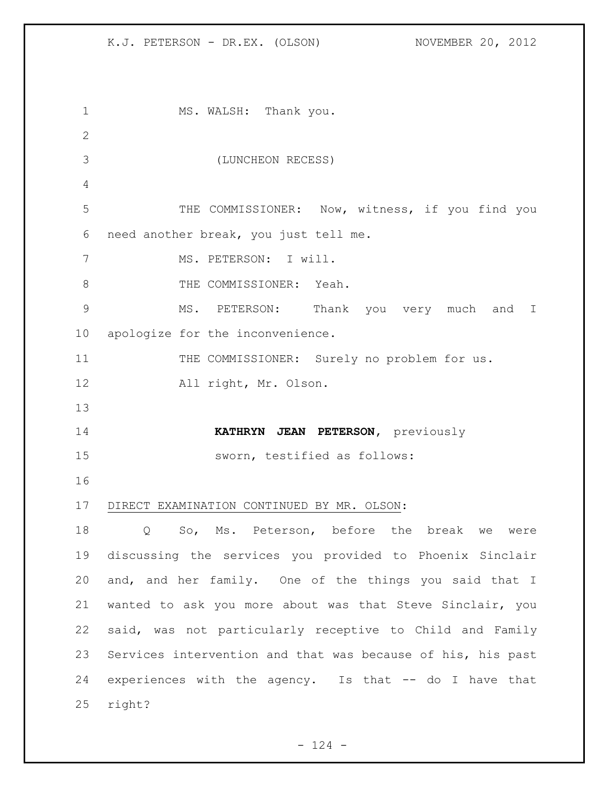1 MS. WALSH: Thank you. (LUNCHEON RECESS) THE COMMISSIONER: Now, witness, if you find you need another break, you just tell me. 7 MS. PETERSON: I will. 8 THE COMMISSIONER: Yeah. MS. PETERSON: Thank you very much and I apologize for the inconvenience. 11 THE COMMISSIONER: Surely no problem for us. All right, Mr. Olson. **KATHRYN JEAN PETERSON,** previously sworn, testified as follows: DIRECT EXAMINATION CONTINUED BY MR. OLSON: Q So, Ms. Peterson, before the break we were discussing the services you provided to Phoenix Sinclair and, and her family. One of the things you said that I wanted to ask you more about was that Steve Sinclair, you said, was not particularly receptive to Child and Family Services intervention and that was because of his, his past experiences with the agency. Is that -- do I have that right?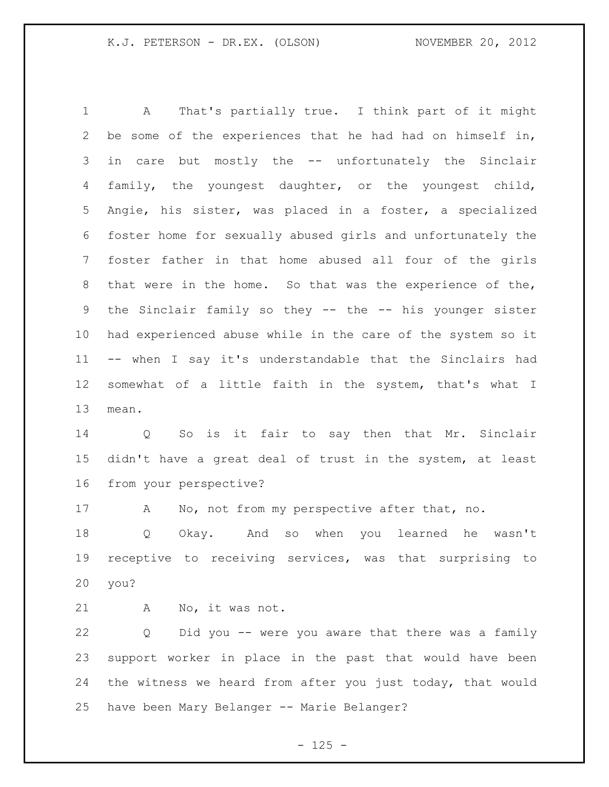A That's partially true. I think part of it might be some of the experiences that he had had on himself in, in care but mostly the -- unfortunately the Sinclair family, the youngest daughter, or the youngest child, Angie, his sister, was placed in a foster, a specialized foster home for sexually abused girls and unfortunately the foster father in that home abused all four of the girls that were in the home. So that was the experience of the, the Sinclair family so they -- the -- his younger sister had experienced abuse while in the care of the system so it -- when I say it's understandable that the Sinclairs had somewhat of a little faith in the system, that's what I mean.

 Q So is it fair to say then that Mr. Sinclair didn't have a great deal of trust in the system, at least from your perspective?

A No, not from my perspective after that, no.

 Q Okay. And so when you learned he wasn't receptive to receiving services, was that surprising to you?

A No, it was not.

 Q Did you -- were you aware that there was a family support worker in place in the past that would have been the witness we heard from after you just today, that would have been Mary Belanger -- Marie Belanger?

 $- 125 -$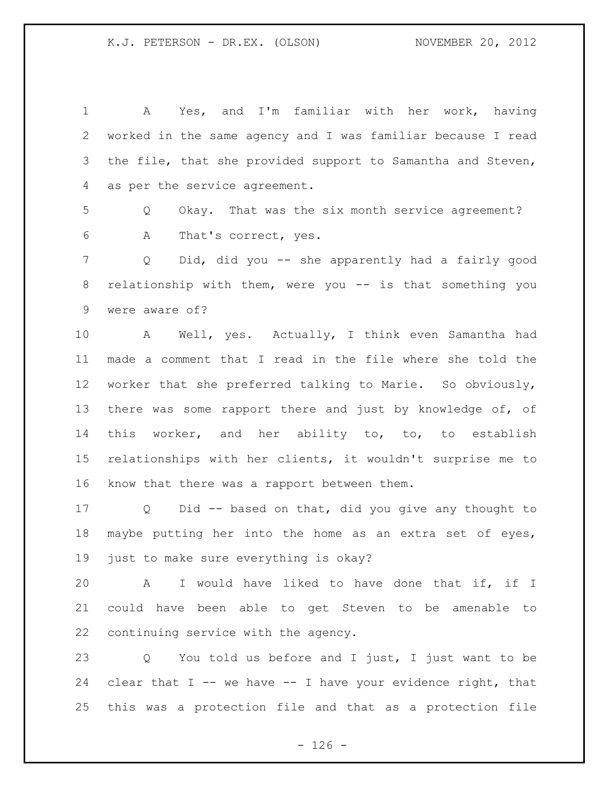A Yes, and I'm familiar with her work, having worked in the same agency and I was familiar because I read 3 the file, that she provided support to Samantha and Steven, as per the service agreement. Q Okay. That was the six month service agreement? A That's correct, yes. Q Did, did you -- she apparently had a fairly good relationship with them, were you -- is that something you were aware of? A Well, yes. Actually, I think even Samantha had made a comment that I read in the file where she told the worker that she preferred talking to Marie. So obviously, there was some rapport there and just by knowledge of, of this worker, and her ability to, to, to establish relationships with her clients, it wouldn't surprise me to know that there was a rapport between them. Q Did -- based on that, did you give any thought to maybe putting her into the home as an extra set of eyes, just to make sure everything is okay? A I would have liked to have done that if, if I could have been able to get Steven to be amenable to continuing service with the agency. Q You told us before and I just, I just want to be 24 clear that  $I$  -- we have -- I have your evidence right, that this was a protection file and that as a protection file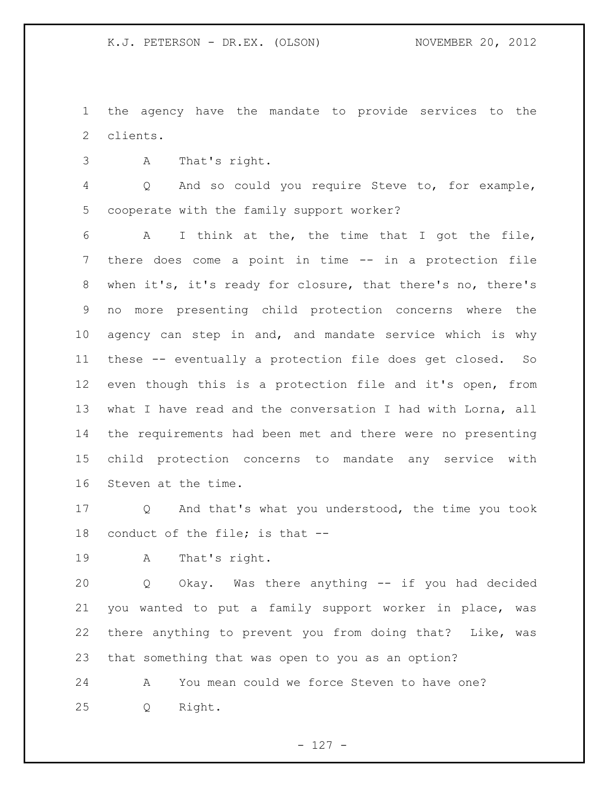the agency have the mandate to provide services to the clients.

A That's right.

 Q And so could you require Steve to, for example, cooperate with the family support worker?

 A I think at the, the time that I got the file, there does come a point in time -- in a protection file when it's, it's ready for closure, that there's no, there's no more presenting child protection concerns where the 10 agency can step in and, and mandate service which is why these -- eventually a protection file does get closed. So even though this is a protection file and it's open, from what I have read and the conversation I had with Lorna, all the requirements had been met and there were no presenting child protection concerns to mandate any service with Steven at the time.

 Q And that's what you understood, the time you took conduct of the file; is that --

A That's right.

 Q Okay. Was there anything -- if you had decided you wanted to put a family support worker in place, was there anything to prevent you from doing that? Like, was that something that was open to you as an option?

 A You mean could we force Steven to have one? Q Right.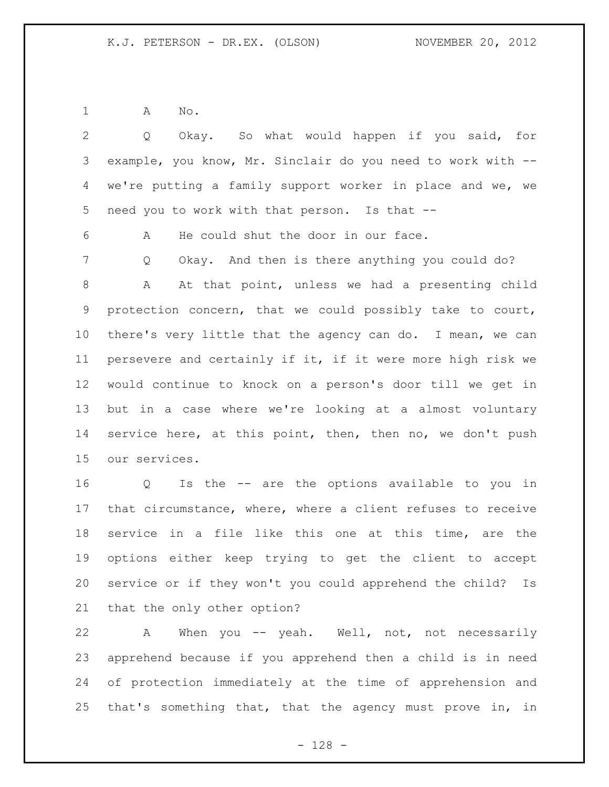A No.

 Q Okay. So what would happen if you said, for example, you know, Mr. Sinclair do you need to work with -- we're putting a family support worker in place and we, we need you to work with that person. Is that -- A He could shut the door in our face. Q Okay. And then is there anything you could do? A At that point, unless we had a presenting child protection concern, that we could possibly take to court, there's very little that the agency can do. I mean, we can persevere and certainly if it, if it were more high risk we would continue to knock on a person's door till we get in but in a case where we're looking at a almost voluntary 14 service here, at this point, then, then no, we don't push our services. Q Is the -- are the options available to you in

 that circumstance, where, where a client refuses to receive service in a file like this one at this time, are the options either keep trying to get the client to accept service or if they won't you could apprehend the child? Is that the only other option?

 A When you -- yeah. Well, not, not necessarily apprehend because if you apprehend then a child is in need of protection immediately at the time of apprehension and that's something that, that the agency must prove in, in

- 128 -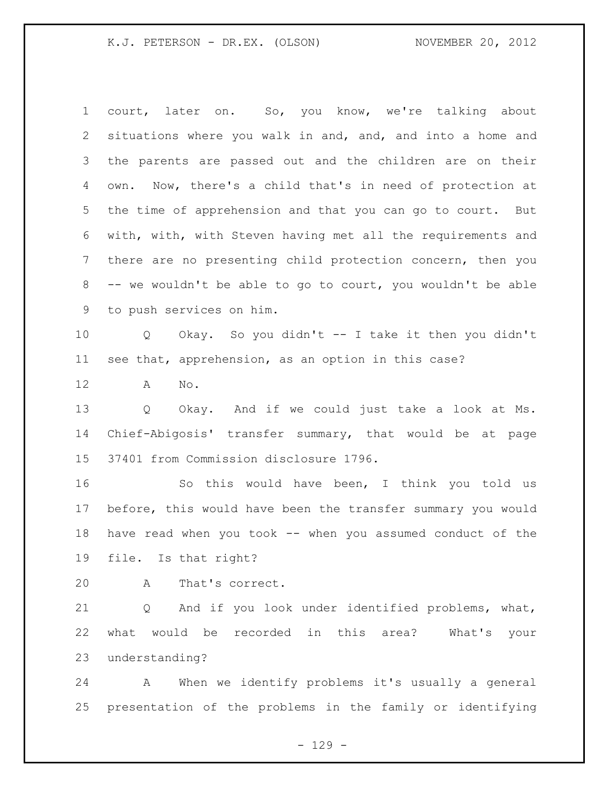court, later on. So, you know, we're talking about situations where you walk in and, and, and into a home and the parents are passed out and the children are on their own. Now, there's a child that's in need of protection at the time of apprehension and that you can go to court. But with, with, with Steven having met all the requirements and there are no presenting child protection concern, then you -- we wouldn't be able to go to court, you wouldn't be able to push services on him. Q Okay. So you didn't -- I take it then you didn't see that, apprehension, as an option in this case? A No. Q Okay. And if we could just take a look at Ms. Chief-Abigosis' transfer summary, that would be at page 37401 from Commission disclosure 1796. So this would have been, I think you told us before, this would have been the transfer summary you would have read when you took -- when you assumed conduct of the file. Is that right? A That's correct. Q And if you look under identified problems, what, what would be recorded in this area? What's your

understanding?

 A When we identify problems it's usually a general presentation of the problems in the family or identifying

 $- 129 -$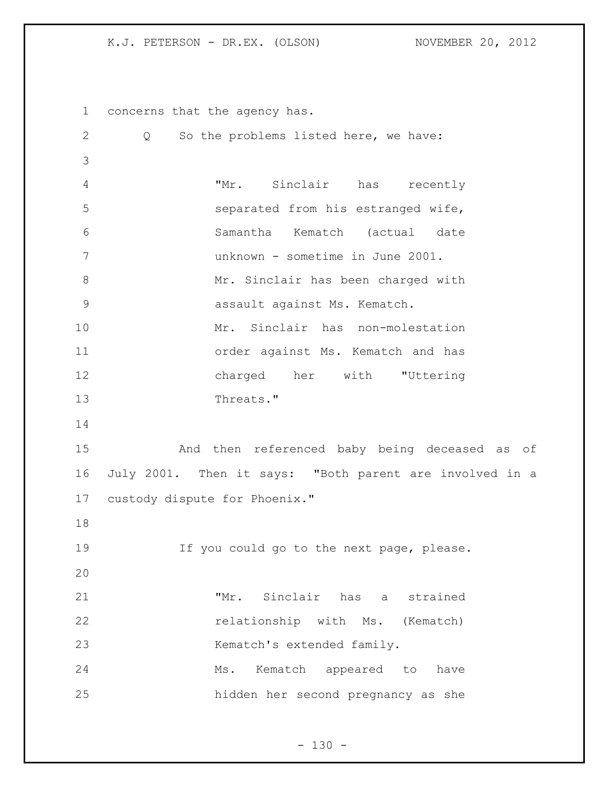concerns that the agency has. Q So the problems listed here, we have: "Mr. Sinclair has recently separated from his estranged wife, Samantha Kematch (actual date unknown - sometime in June 2001. Mr. Sinclair has been charged with assault against Ms. Kematch. Mr. Sinclair has non-molestation order against Ms. Kematch and has charged her with "Uttering 13 Threats." And then referenced baby being deceased as of July 2001. Then it says: "Both parent are involved in a custody dispute for Phoenix." 19 19 If you could go to the next page, please. "Mr. Sinclair has a strained 22 relationship with Ms. (Kematch) 23 Kematch's extended family. 24 Ms. Kematch appeared to have hidden her second pregnancy as she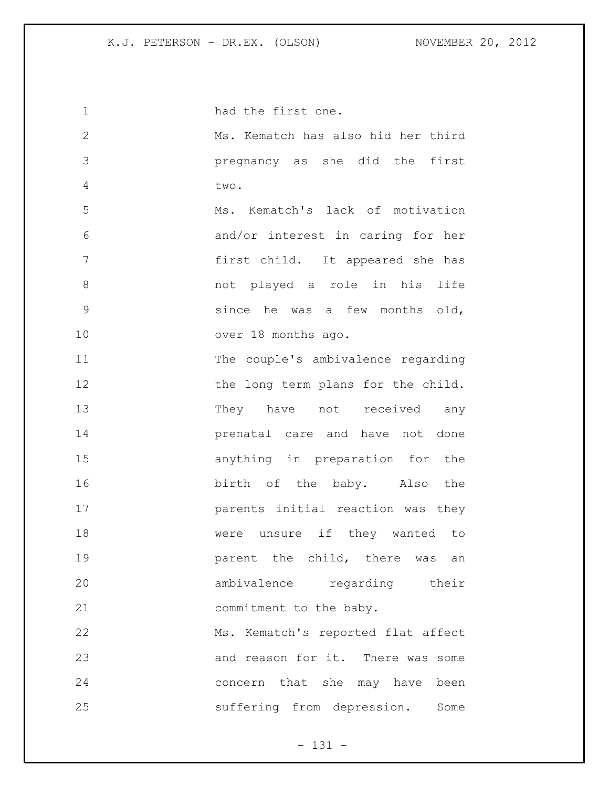| 1             | had the first one.                 |
|---------------|------------------------------------|
| $\mathbf{2}$  | Ms. Kematch has also hid her third |
| 3             | pregnancy as she did the first     |
| 4             | two.                               |
| 5             | Ms. Kematch's lack of motivation   |
| 6             | and/or interest in caring for her  |
| 7             | first child. It appeared she has   |
| 8             | not played a role in his life      |
| $\mathcal{G}$ | since he was a few months old,     |
| 10            | over 18 months ago.                |
| 11            | The couple's ambivalence regarding |
| 12            | the long term plans for the child. |
| 13            | They have not received any         |
| 14            | prenatal care and have not done    |
| 15            | anything in preparation for the    |
| 16            | birth of the baby. Also the        |
| 17            | parents initial reaction was they  |
| 18            | were unsure if they wanted to      |
| 19            | parent the child, there was<br>an  |
| 20            | ambivalence regarding their        |
| 21            | commitment to the baby.            |
| 22            | Ms. Kematch's reported flat affect |
| 23            | and reason for it. There was some  |
| 24            | concern that she may have been     |
| 25            | suffering from depression. Some    |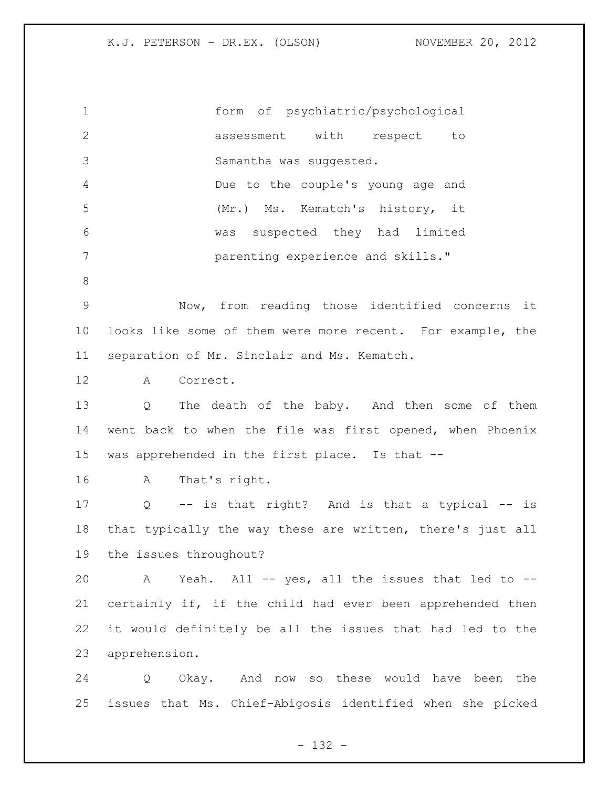form of psychiatric/psychological assessment with respect to Samantha was suggested. Due to the couple's young age and (Mr.) Ms. Kematch's history, it was suspected they had limited parenting experience and skills." Now, from reading those identified concerns it looks like some of them were more recent. For example, the separation of Mr. Sinclair and Ms. Kematch. A Correct. Q The death of the baby. And then some of them went back to when the file was first opened, when Phoenix was apprehended in the first place. Is that -- A That's right. Q -- is that right? And is that a typical -- is that typically the way these are written, there's just all the issues throughout? A Yeah. All -- yes, all the issues that led to -- certainly if, if the child had ever been apprehended then it would definitely be all the issues that had led to the apprehension. Q Okay. And now so these would have been the issues that Ms. Chief-Abigosis identified when she picked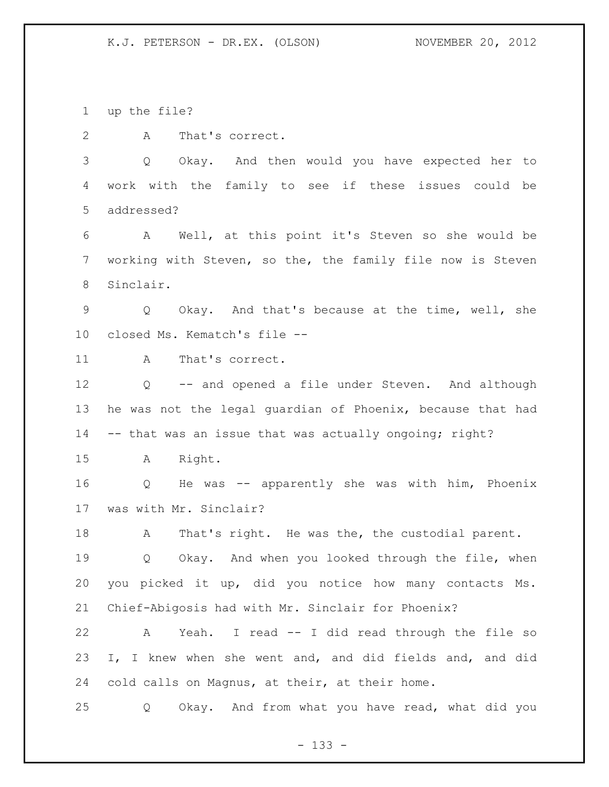up the file?

A That's correct.

 Q Okay. And then would you have expected her to work with the family to see if these issues could be addressed?

 A Well, at this point it's Steven so she would be working with Steven, so the, the family file now is Steven Sinclair.

 Q Okay. And that's because at the time, well, she closed Ms. Kematch's file --

11 A That's correct.

 Q -- and opened a file under Steven. And although he was not the legal guardian of Phoenix, because that had -- that was an issue that was actually ongoing; right?

A Right.

 Q He was -- apparently she was with him, Phoenix was with Mr. Sinclair?

18 A That's right. He was the, the custodial parent.

 Q Okay. And when you looked through the file, when you picked it up, did you notice how many contacts Ms. Chief-Abigosis had with Mr. Sinclair for Phoenix?

 A Yeah. I read -- I did read through the file so I, I knew when she went and, and did fields and, and did cold calls on Magnus, at their, at their home.

Q Okay. And from what you have read, what did you

- 133 -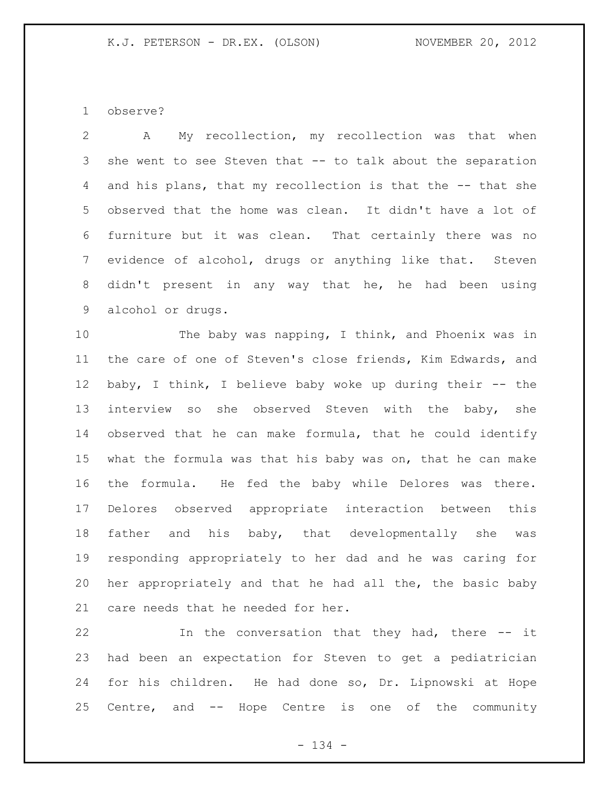observe?

 A My recollection, my recollection was that when she went to see Steven that -- to talk about the separation and his plans, that my recollection is that the -- that she observed that the home was clean. It didn't have a lot of furniture but it was clean. That certainly there was no evidence of alcohol, drugs or anything like that. Steven didn't present in any way that he, he had been using alcohol or drugs.

 The baby was napping, I think, and Phoenix was in the care of one of Steven's close friends, Kim Edwards, and baby, I think, I believe baby woke up during their -- the interview so she observed Steven with the baby, she observed that he can make formula, that he could identify what the formula was that his baby was on, that he can make the formula. He fed the baby while Delores was there. Delores observed appropriate interaction between this father and his baby, that developmentally she was responding appropriately to her dad and he was caring for her appropriately and that he had all the, the basic baby care needs that he needed for her.

 In the conversation that they had, there -- it had been an expectation for Steven to get a pediatrician for his children. He had done so, Dr. Lipnowski at Hope Centre, and -- Hope Centre is one of the community

- 134 -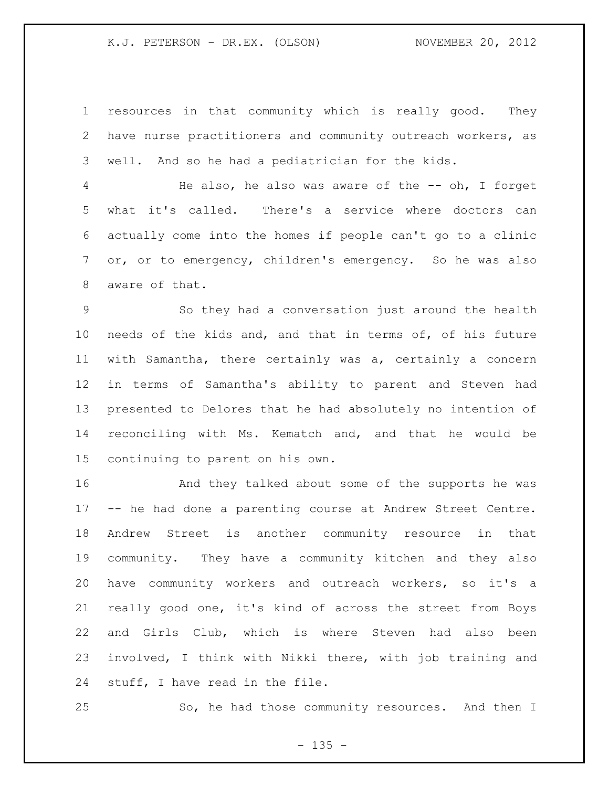resources in that community which is really good. They have nurse practitioners and community outreach workers, as well. And so he had a pediatrician for the kids.

 He also, he also was aware of the -- oh, I forget what it's called. There's a service where doctors can actually come into the homes if people can't go to a clinic or, or to emergency, children's emergency. So he was also aware of that.

 So they had a conversation just around the health needs of the kids and, and that in terms of, of his future with Samantha, there certainly was a, certainly a concern in terms of Samantha's ability to parent and Steven had presented to Delores that he had absolutely no intention of reconciling with Ms. Kematch and, and that he would be continuing to parent on his own.

 And they talked about some of the supports he was -- he had done a parenting course at Andrew Street Centre. Andrew Street is another community resource in that community. They have a community kitchen and they also have community workers and outreach workers, so it's a really good one, it's kind of across the street from Boys and Girls Club, which is where Steven had also been involved, I think with Nikki there, with job training and stuff, I have read in the file.

25 So, he had those community resources. And then I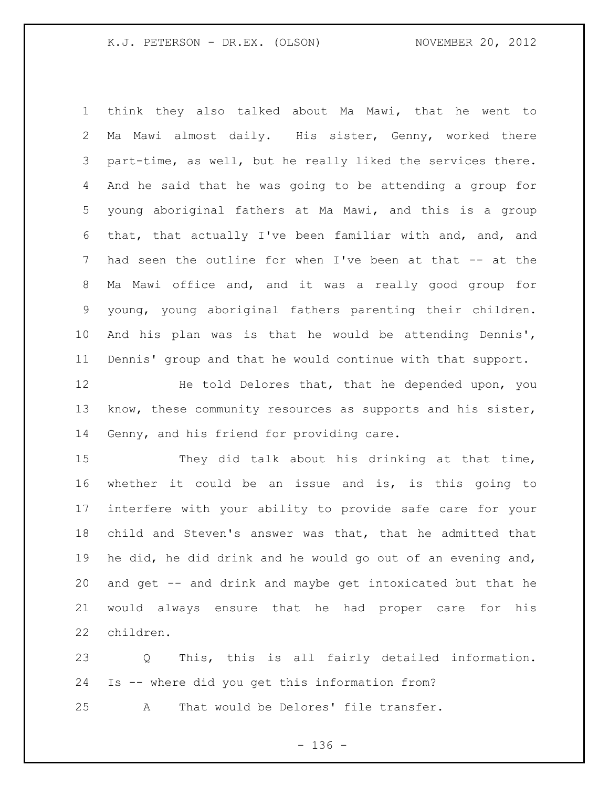think they also talked about Ma Mawi, that he went to Ma Mawi almost daily. His sister, Genny, worked there part-time, as well, but he really liked the services there. And he said that he was going to be attending a group for young aboriginal fathers at Ma Mawi, and this is a group that, that actually I've been familiar with and, and, and had seen the outline for when I've been at that -- at the Ma Mawi office and, and it was a really good group for young, young aboriginal fathers parenting their children. And his plan was is that he would be attending Dennis', Dennis' group and that he would continue with that support.

12 He told Delores that, that he depended upon, you know, these community resources as supports and his sister, Genny, and his friend for providing care.

 They did talk about his drinking at that time, whether it could be an issue and is, is this going to interfere with your ability to provide safe care for your child and Steven's answer was that, that he admitted that he did, he did drink and he would go out of an evening and, and get -- and drink and maybe get intoxicated but that he would always ensure that he had proper care for his children.

 Q This, this is all fairly detailed information. Is -- where did you get this information from? A That would be Delores' file transfer.

- 136 -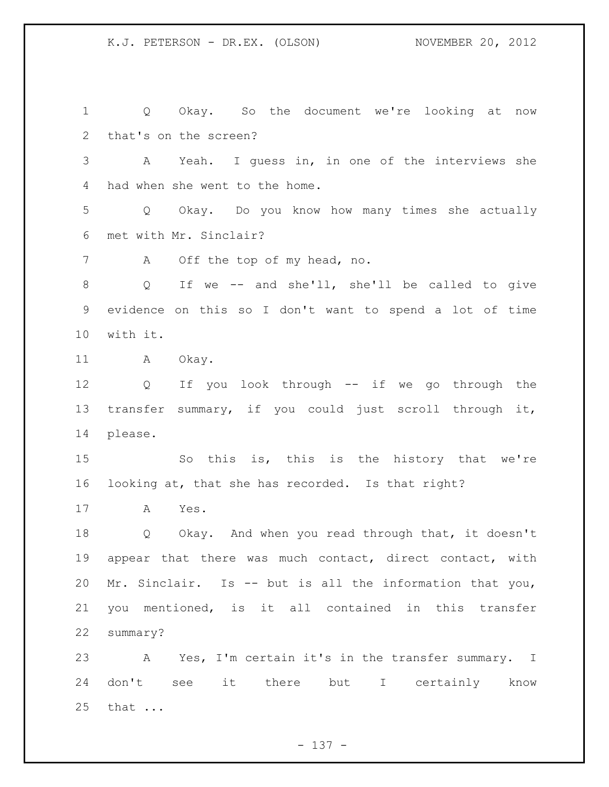Q Okay. So the document we're looking at now that's on the screen? A Yeah. I guess in, in one of the interviews she had when she went to the home. Q Okay. Do you know how many times she actually met with Mr. Sinclair? A Off the top of my head, no. Q If we -- and she'll, she'll be called to give evidence on this so I don't want to spend a lot of time with it. 11 A Okay. Q If you look through -- if we go through the transfer summary, if you could just scroll through it, please. So this is, this is the history that we're looking at, that she has recorded. Is that right? A Yes. Q Okay. And when you read through that, it doesn't appear that there was much contact, direct contact, with Mr. Sinclair. Is -- but is all the information that you, you mentioned, is it all contained in this transfer summary? A Yes, I'm certain it's in the transfer summary. I don't see it there but I certainly know that ...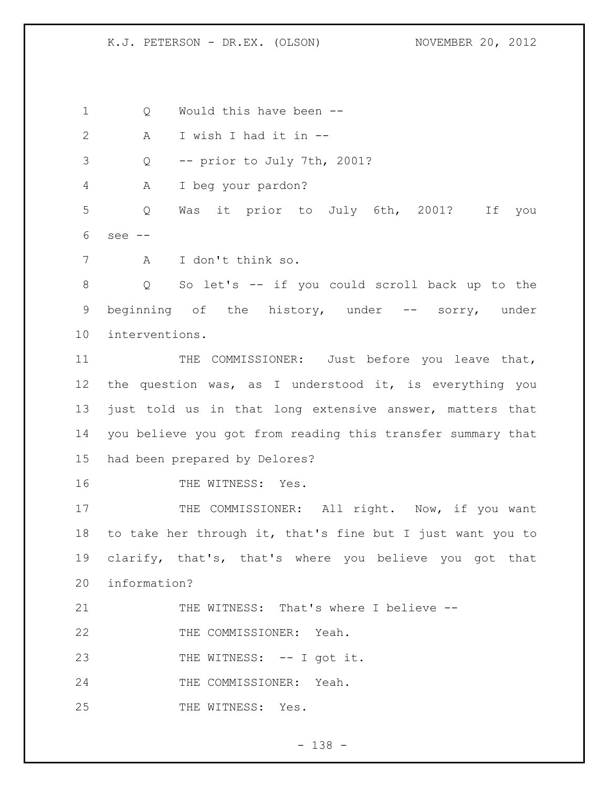1 Q Would this have been --

A I wish I had it in --

Q -- prior to July 7th, 2001?

A I beg your pardon?

 Q Was it prior to July 6th, 2001? If you see --

A I don't think so.

 Q So let's -- if you could scroll back up to the beginning of the history, under -- sorry, under interventions.

11 THE COMMISSIONER: Just before you leave that, the question was, as I understood it, is everything you just told us in that long extensive answer, matters that you believe you got from reading this transfer summary that had been prepared by Delores?

THE WITNESS: Yes.

17 THE COMMISSIONER: All right. Now, if you want to take her through it, that's fine but I just want you to clarify, that's, that's where you believe you got that information?

21 THE WITNESS: That's where I believe --

22 THE COMMISSIONER: Yeah.

23 THE WITNESS: -- I got it.

THE COMMISSIONER: Yeah.

25 THE WITNESS: Yes.

- 138 -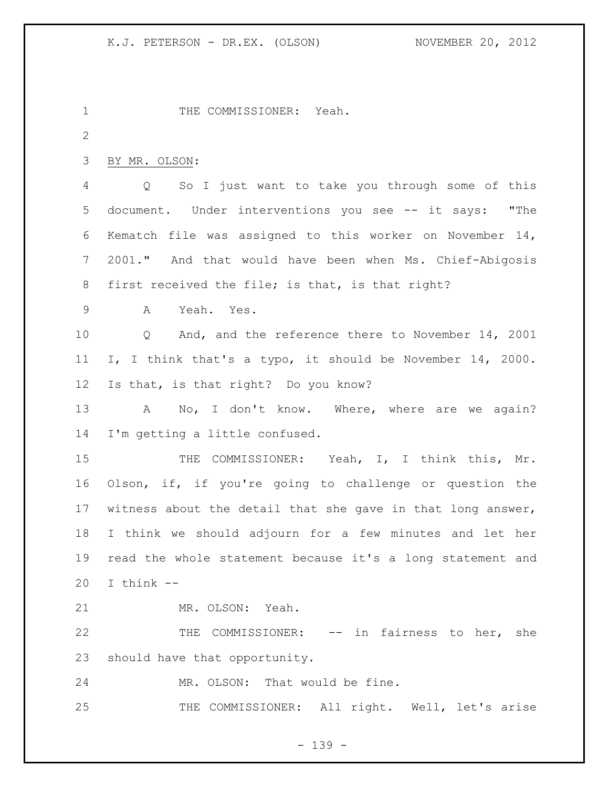1 THE COMMISSIONER: Yeah. BY MR. OLSON: Q So I just want to take you through some of this document. Under interventions you see -- it says: "The Kematch file was assigned to this worker on November 14, 2001." And that would have been when Ms. Chief-Abigosis 8 first received the file; is that, is that right? A Yeah. Yes. Q And, and the reference there to November 14, 2001 I, I think that's a typo, it should be November 14, 2000. Is that, is that right? Do you know? 13 A No, I don't know. Where, where are we again? I'm getting a little confused. 15 THE COMMISSIONER: Yeah, I, I think this, Mr. Olson, if, if you're going to challenge or question the witness about the detail that she gave in that long answer, I think we should adjourn for a few minutes and let her read the whole statement because it's a long statement and I think  $-$  MR. OLSON: Yeah. 22 THE COMMISSIONER: -- in fairness to her, she should have that opportunity. MR. OLSON: That would be fine. 25 THE COMMISSIONER: All right. Well, let's arise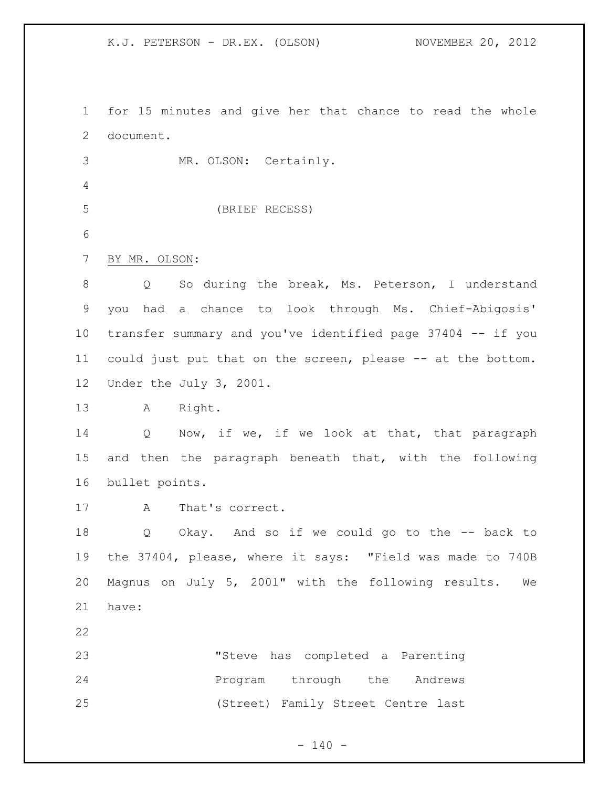for 15 minutes and give her that chance to read the whole document.

 MR. OLSON: Certainly. 

(BRIEF RECESS)

BY MR. OLSON:

 Q So during the break, Ms. Peterson, I understand you had a chance to look through Ms. Chief-Abigosis' transfer summary and you've identified page 37404 -- if you could just put that on the screen, please -- at the bottom. Under the July 3, 2001.

A Right.

14 Q Now, if we, if we look at that, that paragraph and then the paragraph beneath that, with the following bullet points.

A That's correct.

 Q Okay. And so if we could go to the -- back to the 37404, please, where it says: "Field was made to 740B Magnus on July 5, 2001" with the following results. We have:

 "Steve has completed a Parenting **Program** through the Andrews (Street) Family Street Centre last

 $- 140 -$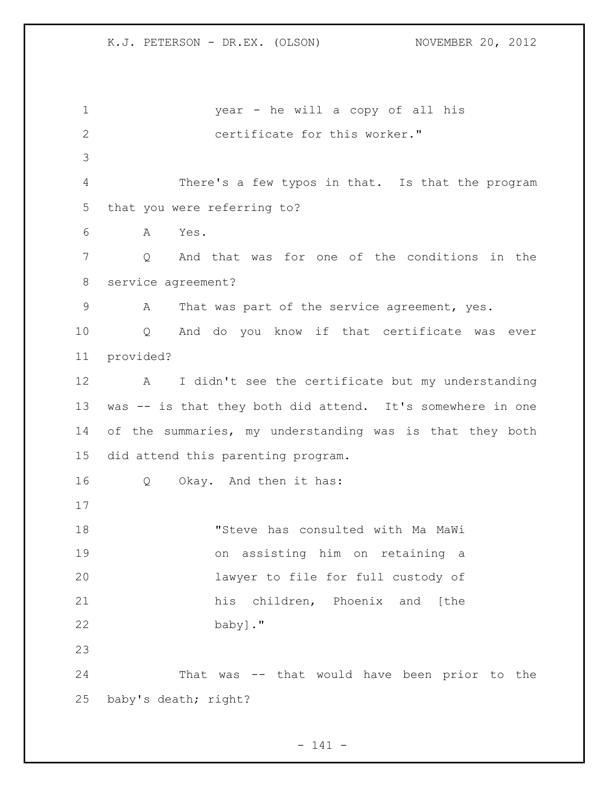year - he will a copy of all his 2 certificate for this worker." There's a few typos in that. Is that the program that you were referring to? A Yes. Q And that was for one of the conditions in the service agreement? 9 A That was part of the service agreement, yes. Q And do you know if that certificate was ever provided? A I didn't see the certificate but my understanding was -- is that they both did attend. It's somewhere in one of the summaries, my understanding was is that they both did attend this parenting program. Q Okay. And then it has: "Steve has consulted with Ma MaWi on assisting him on retaining a lawyer to file for full custody of his children, Phoenix and [the baby]." That was -- that would have been prior to the baby's death; right?

- 141 -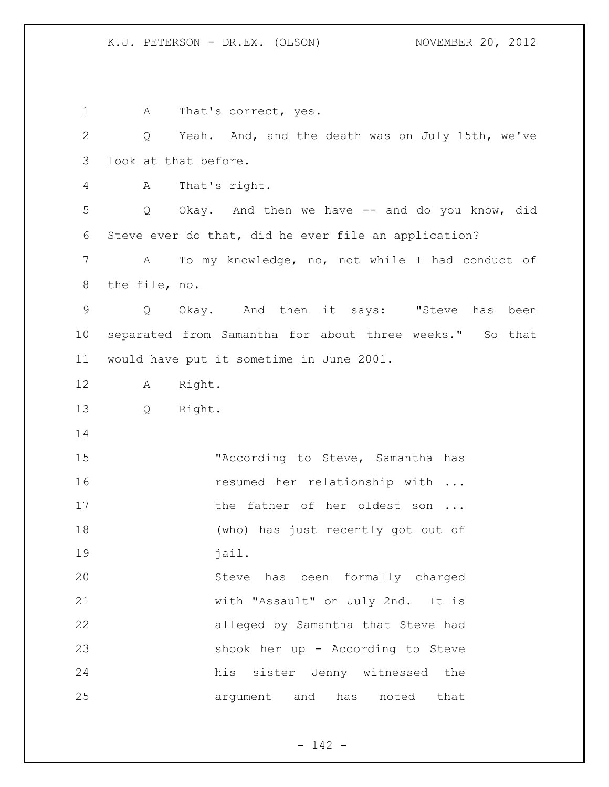1 A That's correct, yes. Q Yeah. And, and the death was on July 15th, we've look at that before. A That's right. Q Okay. And then we have -- and do you know, did Steve ever do that, did he ever file an application? A To my knowledge, no, not while I had conduct of the file, no. Q Okay. And then it says: "Steve has been separated from Samantha for about three weeks." So that would have put it sometime in June 2001. A Right. Q Right. "According to Steve, Samantha has 16 resumed her relationship with ... 17 the father of her oldest son ... (who) has just recently got out of 19 iail. Steve has been formally charged with "Assault" on July 2nd. It is alleged by Samantha that Steve had shook her up - According to Steve his sister Jenny witnessed the argument and has noted that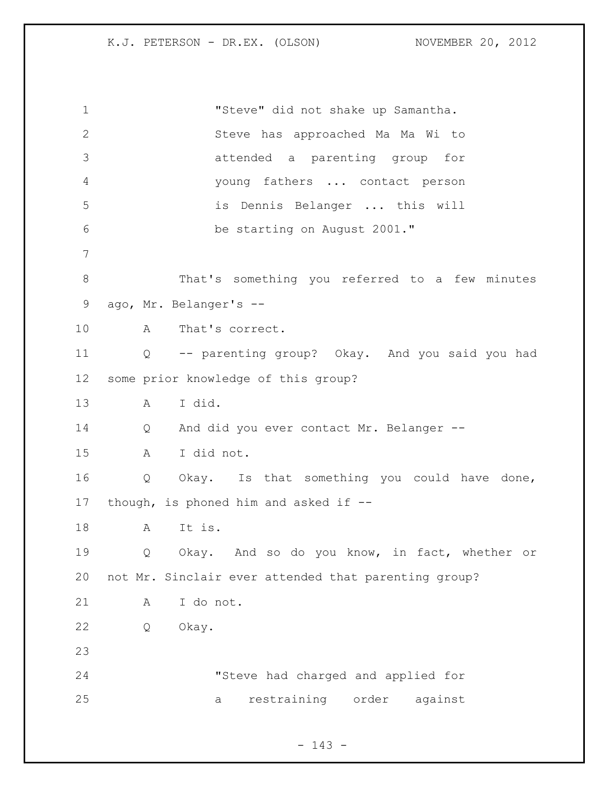"Steve" did not shake up Samantha. Steve has approached Ma Ma Wi to attended a parenting group for young fathers ... contact person is Dennis Belanger ... this will be starting on August 2001." That's something you referred to a few minutes ago, Mr. Belanger's -- A That's correct. Q -- parenting group? Okay. And you said you had some prior knowledge of this group? A I did. Q And did you ever contact Mr. Belanger -- A I did not. Q Okay. Is that something you could have done, though, is phoned him and asked if -- A It is. Q Okay. And so do you know, in fact, whether or not Mr. Sinclair ever attended that parenting group? A I do not. Q Okay. "Steve had charged and applied for a restraining order against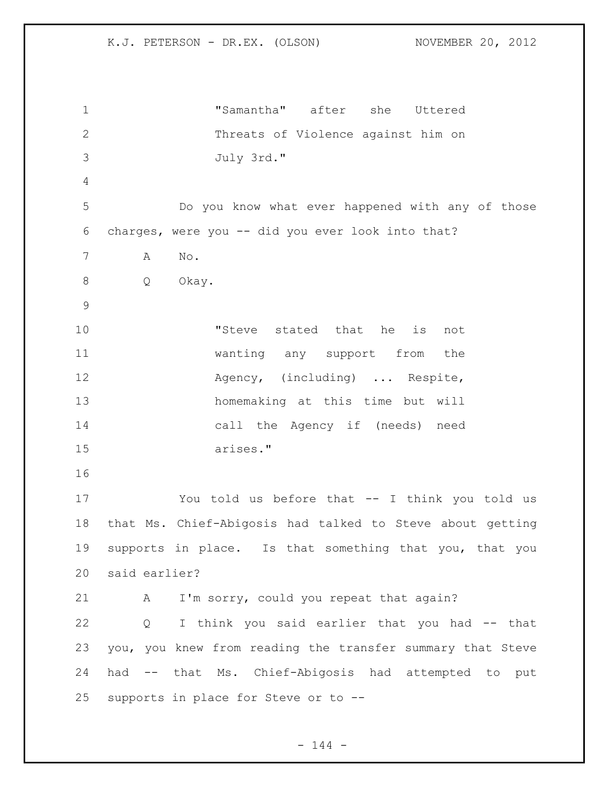"Samantha" after she Uttered Threats of Violence against him on July 3rd." Do you know what ever happened with any of those charges, were you -- did you ever look into that? A No. Q Okay. "Steve stated that he is not wanting any support from the 12 Agency, (including) ... Respite, homemaking at this time but will call the Agency if (needs) need arises." You told us before that -- I think you told us that Ms. Chief-Abigosis had talked to Steve about getting supports in place. Is that something that you, that you said earlier? 21 A I'm sorry, could you repeat that again? Q I think you said earlier that you had -- that you, you knew from reading the transfer summary that Steve had -- that Ms. Chief-Abigosis had attempted to put supports in place for Steve or to --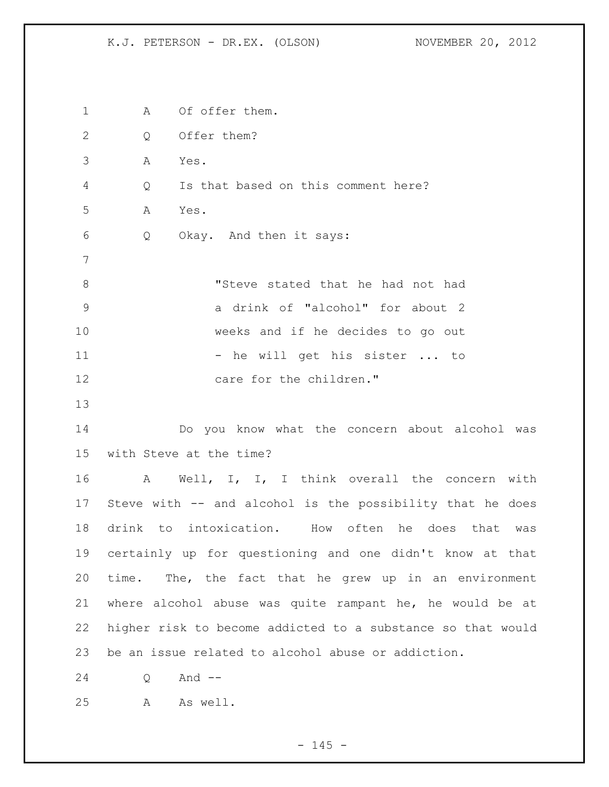1 A Of offer them. 2 Q Offer them? A Yes. Q Is that based on this comment here? A Yes. Q Okay. And then it says: "Steve stated that he had not had a drink of "alcohol" for about 2 weeks and if he decides to go out 11 - he will get his sister ... to 12 care for the children." Do you know what the concern about alcohol was with Steve at the time? 16 A Well, I, I, I think overall the concern with Steve with -- and alcohol is the possibility that he does drink to intoxication. How often he does that was certainly up for questioning and one didn't know at that time. The, the fact that he grew up in an environment where alcohol abuse was quite rampant he, he would be at higher risk to become addicted to a substance so that would be an issue related to alcohol abuse or addiction. Q And -- A As well.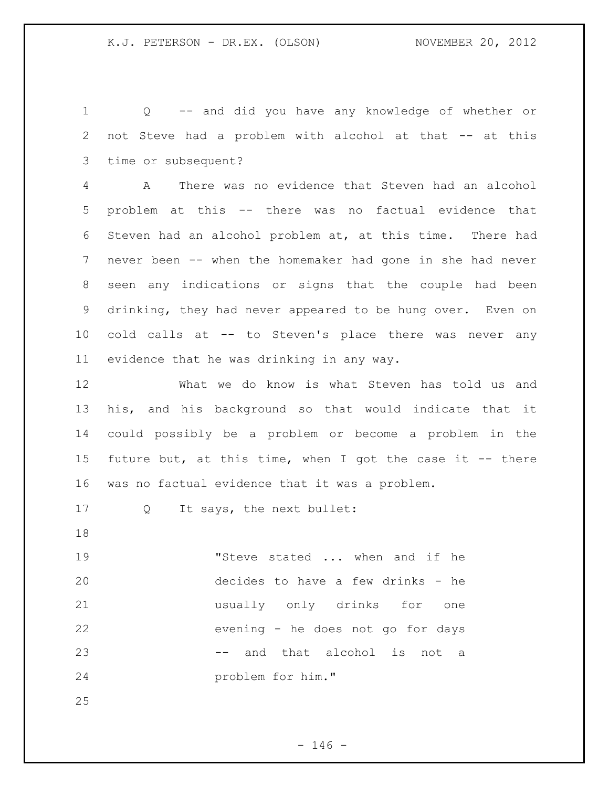Q -- and did you have any knowledge of whether or not Steve had a problem with alcohol at that -- at this time or subsequent?

 A There was no evidence that Steven had an alcohol problem at this -- there was no factual evidence that Steven had an alcohol problem at, at this time. There had never been -- when the homemaker had gone in she had never seen any indications or signs that the couple had been drinking, they had never appeared to be hung over. Even on cold calls at -- to Steven's place there was never any evidence that he was drinking in any way.

 What we do know is what Steven has told us and his, and his background so that would indicate that it could possibly be a problem or become a problem in the future but, at this time, when I got the case it -- there was no factual evidence that it was a problem.

17 Q It says, the next bullet:

19 The Steve stated ... when and if he decides to have a few drinks - he usually only drinks for one evening - he does not go for days 23 and that alcohol is not a problem for him."

 $- 146 -$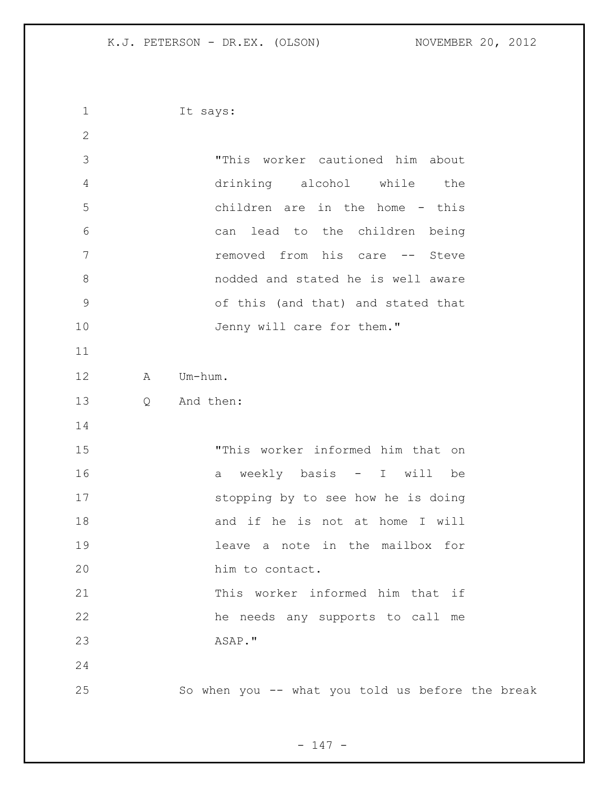It says: "This worker cautioned him about drinking alcohol while the children are in the home - this can lead to the children being **removed** from his care -- Steve nodded and stated he is well aware of this (and that) and stated that 10 Jenny will care for them." A Um-hum. Q And then: "This worker informed him that on a weekly basis - I will be stopping by to see how he is doing 18 and if he is not at home I will leave a note in the mailbox for 20 him to contact. This worker informed him that if he needs any supports to call me ASAP." So when you -- what you told us before the break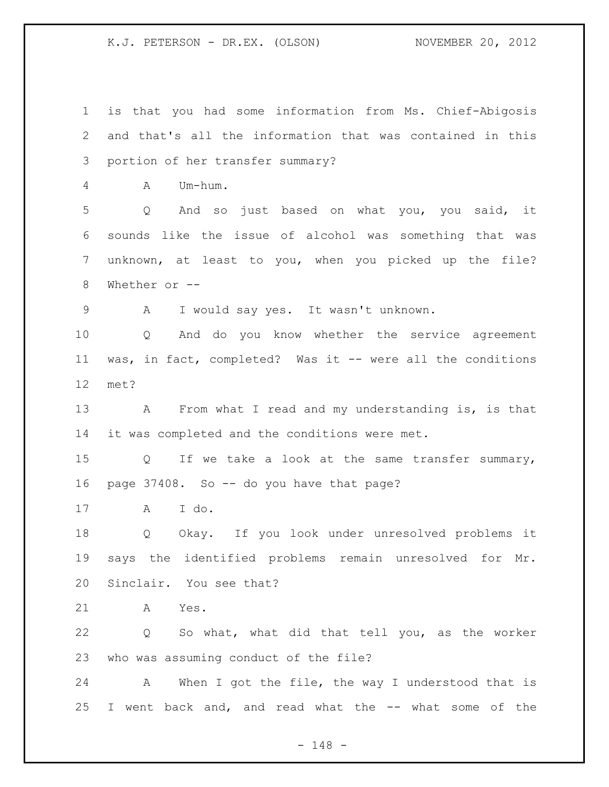is that you had some information from Ms. Chief-Abigosis and that's all the information that was contained in this portion of her transfer summary? A Um-hum. Q And so just based on what you, you said, it sounds like the issue of alcohol was something that was unknown, at least to you, when you picked up the file? Whether or -- A I would say yes. It wasn't unknown. Q And do you know whether the service agreement was, in fact, completed? Was it -- were all the conditions met? A From what I read and my understanding is, is that it was completed and the conditions were met. Q If we take a look at the same transfer summary, 16 page 37408. So -- do you have that page? A I do. Q Okay. If you look under unresolved problems it says the identified problems remain unresolved for Mr. Sinclair. You see that? A Yes. Q So what, what did that tell you, as the worker who was assuming conduct of the file? A When I got the file, the way I understood that is I went back and, and read what the -- what some of the

- 148 -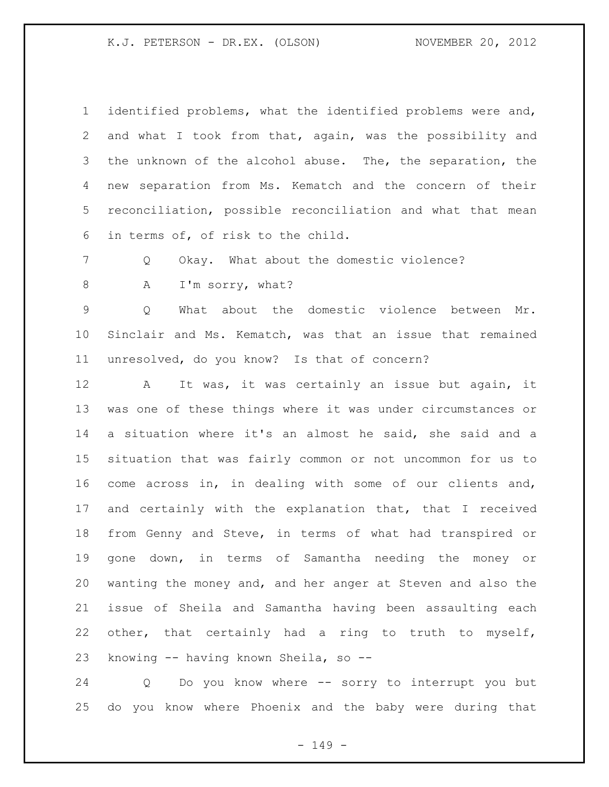identified problems, what the identified problems were and, and what I took from that, again, was the possibility and the unknown of the alcohol abuse. The, the separation, the new separation from Ms. Kematch and the concern of their reconciliation, possible reconciliation and what that mean in terms of, of risk to the child.

Q Okay. What about the domestic violence?

8 A I'm sorry, what?

 Q What about the domestic violence between Mr. Sinclair and Ms. Kematch, was that an issue that remained unresolved, do you know? Is that of concern?

 A It was, it was certainly an issue but again, it was one of these things where it was under circumstances or a situation where it's an almost he said, she said and a situation that was fairly common or not uncommon for us to come across in, in dealing with some of our clients and, and certainly with the explanation that, that I received from Genny and Steve, in terms of what had transpired or gone down, in terms of Samantha needing the money or wanting the money and, and her anger at Steven and also the issue of Sheila and Samantha having been assaulting each other, that certainly had a ring to truth to myself, knowing -- having known Sheila, so --

 Q Do you know where -- sorry to interrupt you but do you know where Phoenix and the baby were during that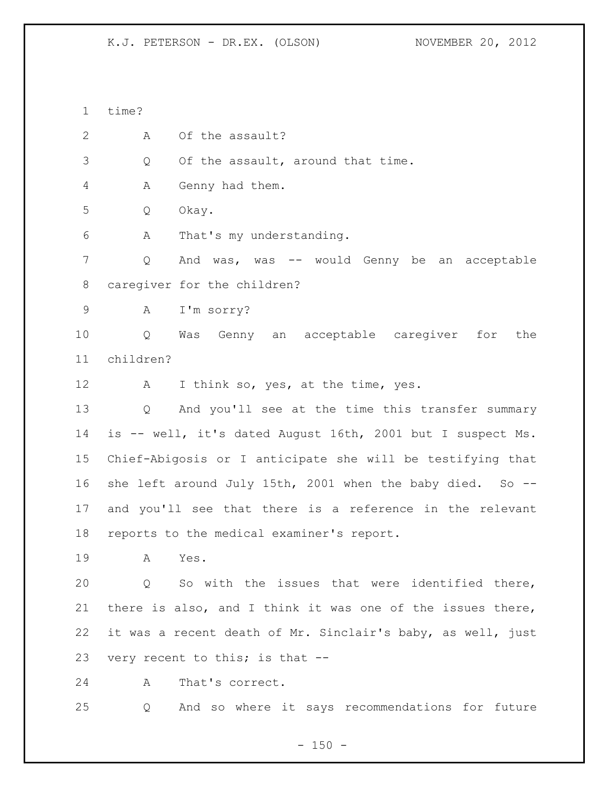time?

2 A Of the assault?

3 Q Of the assault, around that time.

A Genny had them.

Q Okay.

A That's my understanding.

 Q And was, was -- would Genny be an acceptable caregiver for the children?

A I'm sorry?

 Q Was Genny an acceptable caregiver for the children?

12 A I think so, yes, at the time, yes.

 Q And you'll see at the time this transfer summary is -- well, it's dated August 16th, 2001 but I suspect Ms. Chief-Abigosis or I anticipate she will be testifying that 16 she left around July 15th, 2001 when the baby died. So -- and you'll see that there is a reference in the relevant reports to the medical examiner's report.

A Yes.

 Q So with the issues that were identified there, there is also, and I think it was one of the issues there, it was a recent death of Mr. Sinclair's baby, as well, just very recent to this; is that --

A That's correct.

Q And so where it says recommendations for future

 $- 150 -$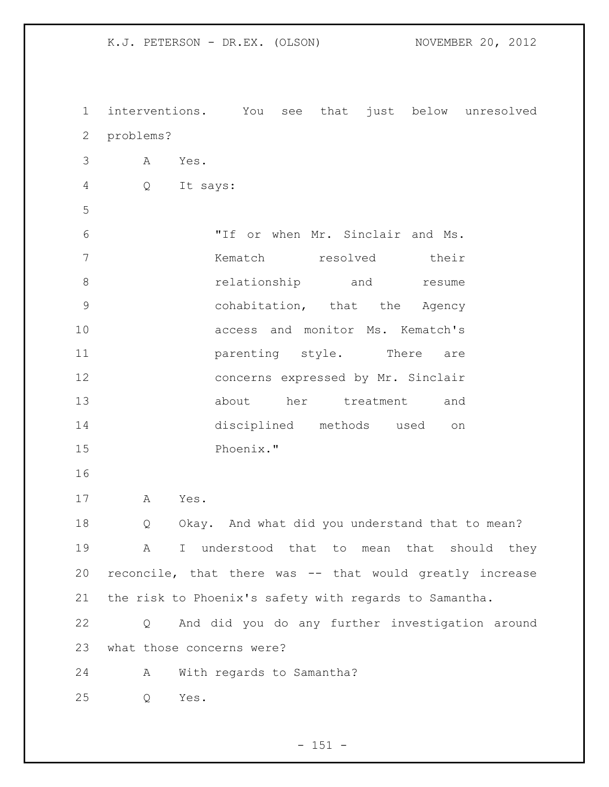interventions. You see that just below unresolved problems? A Yes. Q It says: "If or when Mr. Sinclair and Ms. Kematch resolved their **8 relationship** and **resume**  cohabitation, that the Agency access and monitor Ms. Kematch's **parenting** style. There are concerns expressed by Mr. Sinclair about her treatment and disciplined methods used on Phoenix." A Yes. Q Okay. And what did you understand that to mean? A I understood that to mean that should they reconcile, that there was -- that would greatly increase the risk to Phoenix's safety with regards to Samantha. Q And did you do any further investigation around what those concerns were? A With regards to Samantha? Q Yes.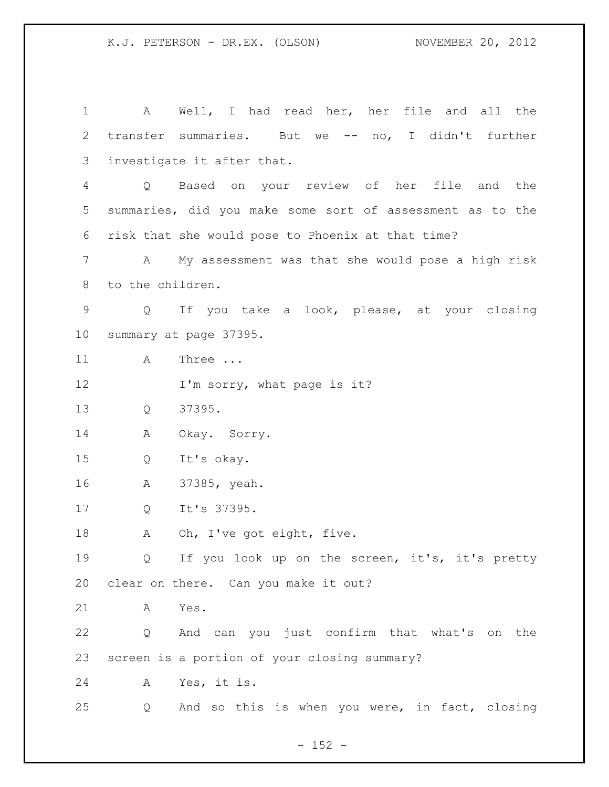| $\mathbf 1$ |                   | A Well, I had read her, her file and all the              |
|-------------|-------------------|-----------------------------------------------------------|
| 2           |                   | transfer summaries. But we -- no, I didn't further        |
| 3           |                   | investigate it after that.                                |
| 4           | Q                 | Based on your review of her file and the                  |
| 5           |                   | summaries, did you make some sort of assessment as to the |
| 6           |                   | risk that she would pose to Phoenix at that time?         |
| 7           | A                 | My assessment was that she would pose a high risk         |
| 8           | to the children.  |                                                           |
| 9           | $Q \qquad \qquad$ | If you take a look, please, at your closing               |
| 10          |                   | summary at page 37395.                                    |
| 11          | A                 | Three                                                     |
| 12          |                   | I'm sorry, what page is it?                               |
| 13          | Q                 | 37395.                                                    |
| 14          | Α                 | Okay. Sorry.                                              |
| 15          | Q                 | It's okay.                                                |
| 16          | A                 | 37385, yeah.                                              |
| 17          | Q                 | It's 37395.                                               |
| 18          | Α                 | Oh, I've got eight, five.                                 |
| 19          |                   | Q If you look up on the screen, it's, it's pretty         |
| 20          |                   | clear on there. Can you make it out?                      |
| 21          | A                 | Yes.                                                      |
| 22          | Q                 | And can you just confirm that what's on the               |
| 23          |                   | screen is a portion of your closing summary?              |
| 24          | Α                 | Yes, it is.                                               |
| 25          | Q                 | And so this is when you were, in fact, closing            |

- 152 -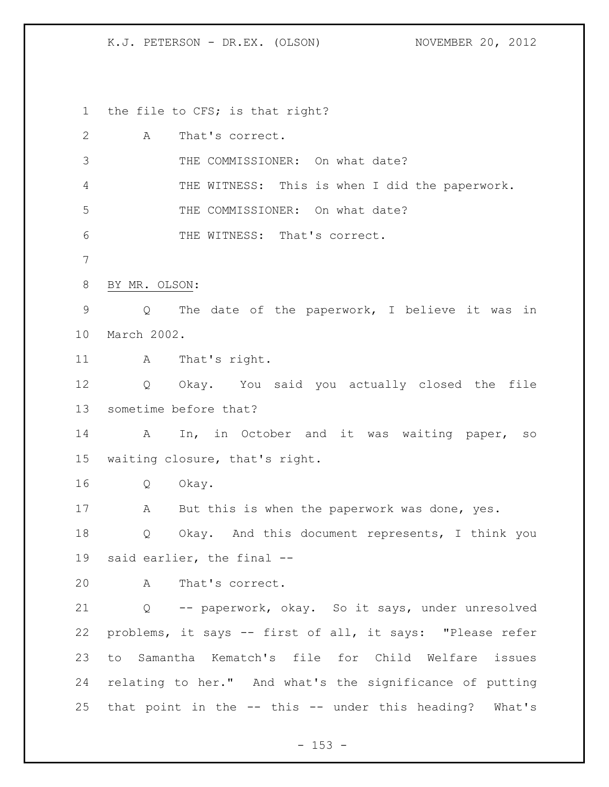the file to CFS; is that right?

| $\mathbf{2}$  | A             | That's correct.                                           |
|---------------|---------------|-----------------------------------------------------------|
| 3             |               | THE COMMISSIONER: On what date?                           |
| 4             |               | THE WITNESS: This is when I did the paperwork.            |
| 5             |               | THE COMMISSIONER: On what date?                           |
| 6             |               | THE WITNESS: That's correct.                              |
| 7             |               |                                                           |
| 8             | BY MR. OLSON: |                                                           |
| $\mathcal{G}$ | $Q \sim$      | The date of the paperwork, I believe it was in            |
| 10            | March 2002.   |                                                           |
| 11            | $\mathbf{A}$  | That's right.                                             |
| 12            |               | Q Okay. You said you actually closed the file             |
| 13            |               | sometime before that?                                     |
| 14            | $\mathbf{A}$  | In, in October and it was waiting paper, so               |
| 15            |               | waiting closure, that's right.                            |
| 16            | Q             | Okay.                                                     |
| 17            | A             | But this is when the paperwork was done, yes.             |
| 18            | Q             | Okay. And this document represents, I think you           |
| 19            |               | said earlier, the final --                                |
| 20            |               | A That's correct.                                         |
| 21            |               | Q -- paperwork, okay. So it says, under unresolved        |
| 22            |               | problems, it says -- first of all, it says: "Please refer |
| 23            | to            | Samantha Kematch's file for Child Welfare issues          |
| 24            |               | relating to her." And what's the significance of putting  |
| 25            |               | that point in the -- this -- under this heading? What's   |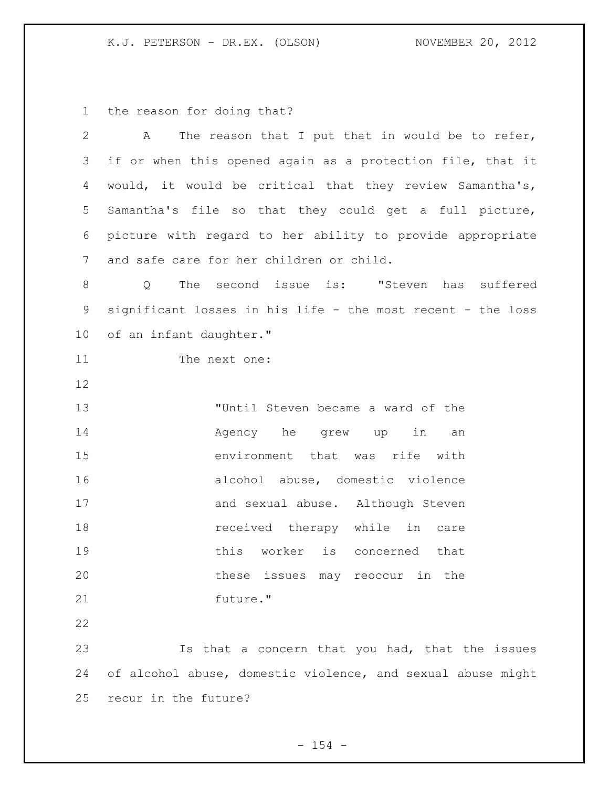the reason for doing that?

| $\overline{2}$ | The reason that I put that in would be to refer,<br>A          |
|----------------|----------------------------------------------------------------|
| 3              | if or when this opened again as a protection file, that it     |
| 4              | would, it would be critical that they review Samantha's,       |
| 5              | Samantha's file so that they could get a full picture,         |
| 6              | picture with regard to her ability to provide appropriate      |
| 7              | and safe care for her children or child.                       |
| 8              | The second issue is: "Steven has suffered<br>$Q \qquad \qquad$ |
| $\mathsf 9$    | significant losses in his life - the most recent - the loss    |
| 10             | of an infant daughter."                                        |
| 11             | The next one:                                                  |
| 12             |                                                                |
| 13             | "Until Steven became a ward of the                             |
| 14             | Agency he<br>in<br>grew up<br>an                               |
| 15             | environment that was rife with                                 |
| 16             | alcohol abuse, domestic violence                               |
| 17             | and sexual abuse. Although Steven                              |
| 18             | received therapy while in care                                 |
| 19             | this worker is concerned that                                  |
| 20             | these issues may reoccur in<br>the                             |
| 21             | future."                                                       |
| 22             |                                                                |
| 23             | Is that a concern that you had, that the issues                |
| 24             | of alcohol abuse, domestic violence, and sexual abuse might    |
| 25             | recur in the future?                                           |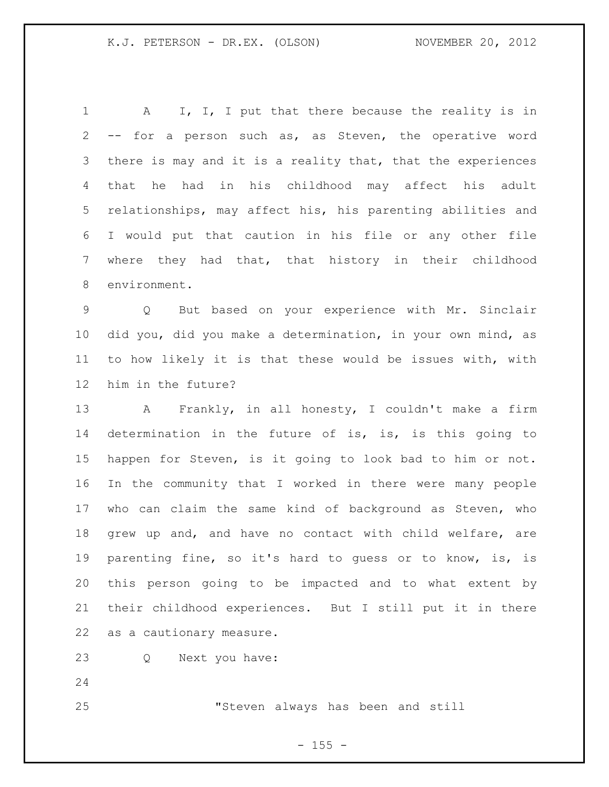1 A I, I, I put that there because the reality is in -- for a person such as, as Steven, the operative word there is may and it is a reality that, that the experiences that he had in his childhood may affect his adult relationships, may affect his, his parenting abilities and I would put that caution in his file or any other file where they had that, that history in their childhood environment.

 Q But based on your experience with Mr. Sinclair did you, did you make a determination, in your own mind, as to how likely it is that these would be issues with, with him in the future?

 A Frankly, in all honesty, I couldn't make a firm 14 determination in the future of is, is, is this going to happen for Steven, is it going to look bad to him or not. In the community that I worked in there were many people who can claim the same kind of background as Steven, who grew up and, and have no contact with child welfare, are parenting fine, so it's hard to guess or to know, is, is this person going to be impacted and to what extent by their childhood experiences. But I still put it in there as a cautionary measure.

Q Next you have:

"Steven always has been and still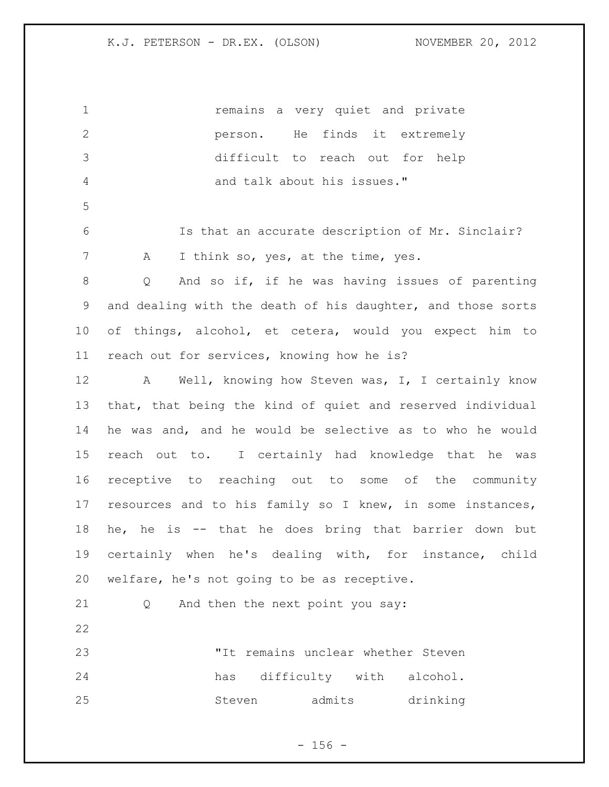| 1            | remains a very quiet and private                            |
|--------------|-------------------------------------------------------------|
| $\mathbf{2}$ | finds it extremely<br>He<br>person.                         |
| 3            | difficult to reach out for<br>help                          |
| 4            | and talk about his issues."                                 |
| 5            |                                                             |
| 6            | Is that an accurate description of Mr. Sinclair?            |
| 7            | I think so, yes, at the time, yes.<br>A                     |
| $8\,$        | And so if, if he was having issues of parenting<br>Q        |
| 9            | and dealing with the death of his daughter, and those sorts |
| 10           | of things, alcohol, et cetera, would you expect him to      |
| 11           | reach out for services, knowing how he is?                  |
| 12           | Well, knowing how Steven was, I, I certainly know<br>A      |
| 13           | that, that being the kind of quiet and reserved individual  |
| 14           | he was and, and he would be selective as to who he would    |
| 15           | reach out to. I certainly had knowledge that he was         |
| 16           | receptive to reaching out to some of the community          |
| 17           | resources and to his family so I knew, in some instances,   |
| 18           | he is -- that he does bring that barrier down<br>he,<br>but |
| 19           | certainly when he's dealing with, for instance, child       |
| 20           | welfare, he's not going to be as receptive.                 |
| 21           | And then the next point you say:<br>Q                       |
| 22           |                                                             |
| 23           | "It remains unclear whether Steven                          |
| 24           | difficulty with alcohol.<br>has                             |
| 25           | admits<br>drinking<br>Steven                                |
|              |                                                             |

- 156 -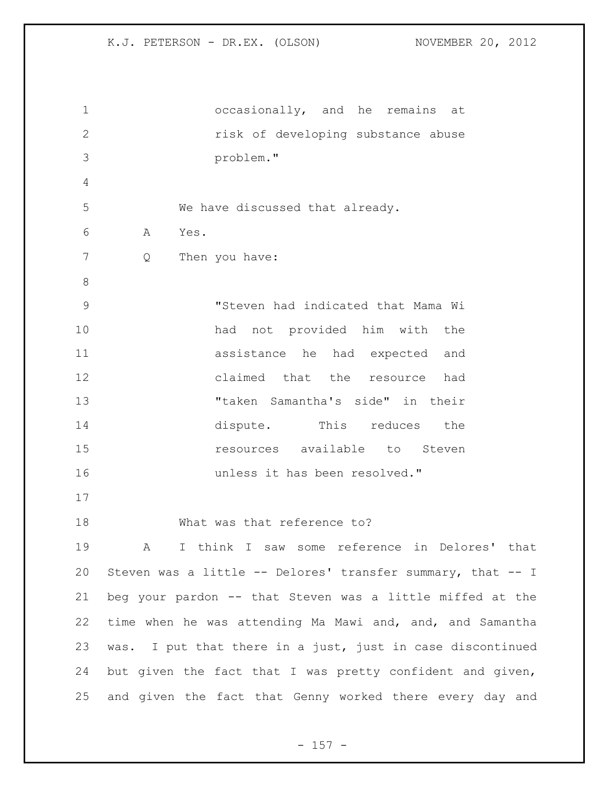| $\mathbf 1$   | occasionally, and he remains at                             |
|---------------|-------------------------------------------------------------|
| $\mathbf{2}$  | risk of developing substance abuse                          |
| 3             | problem."                                                   |
| 4             |                                                             |
| 5             | We have discussed that already.                             |
| 6             | Yes.<br>A                                                   |
| 7             | Then you have:<br>Q                                         |
| $8\,$         |                                                             |
| $\mathcal{G}$ | "Steven had indicated that Mama Wi                          |
| 10            | had not provided him with the                               |
| 11            | assistance he had expected and                              |
| 12            | claimed that the resource had                               |
| 13            | "taken Samantha's side" in their                            |
| 14            | dispute. This reduces<br>the                                |
| 15            | resources available to Steven                               |
| 16            | unless it has been resolved."                               |
| 17            |                                                             |
| 18            | What was that reference to?                                 |
| 19            | I think I saw some reference in Delores' that<br>A          |
| 20            | Steven was a little -- Delores' transfer summary, that -- I |
| 21            | beg your pardon -- that Steven was a little miffed at the   |
| 22            | time when he was attending Ma Mawi and, and, and Samantha   |
| 23            | was. I put that there in a just, just in case discontinued  |
| 24            | but given the fact that I was pretty confident and given,   |
| 25            | and given the fact that Genny worked there every day and    |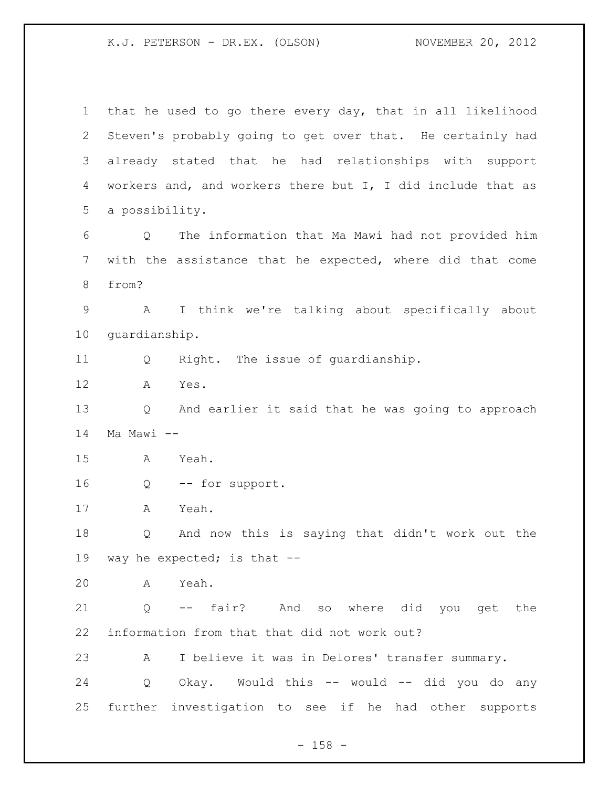that he used to go there every day, that in all likelihood Steven's probably going to get over that. He certainly had already stated that he had relationships with support workers and, and workers there but I, I did include that as a possibility. Q The information that Ma Mawi had not provided him with the assistance that he expected, where did that come from? A I think we're talking about specifically about guardianship. Q Right. The issue of guardianship. A Yes. Q And earlier it said that he was going to approach Ma Mawi -- A Yeah. Q -- for support. A Yeah. Q And now this is saying that didn't work out the way he expected; is that -- A Yeah. Q -- fair? And so where did you get the information from that that did not work out? A I believe it was in Delores' transfer summary. Q Okay. Would this -- would -- did you do any further investigation to see if he had other supports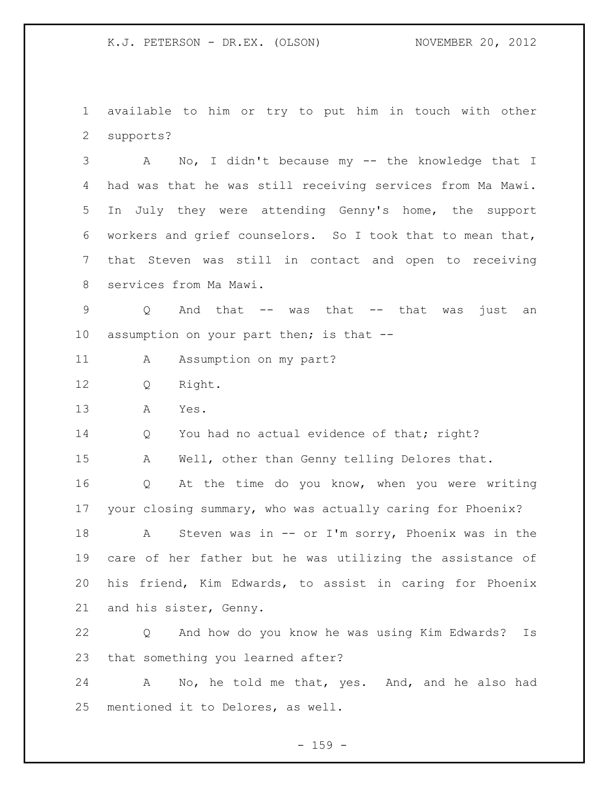available to him or try to put him in touch with other supports?

 A No, I didn't because my -- the knowledge that I had was that he was still receiving services from Ma Mawi. In July they were attending Genny's home, the support workers and grief counselors. So I took that to mean that, that Steven was still in contact and open to receiving services from Ma Mawi.

 Q And that -- was that -- that was just an 10 assumption on your part then; is that --

11 A Assumption on my part?

Q Right.

A Yes.

14 Q You had no actual evidence of that; right?

A Well, other than Genny telling Delores that.

 Q At the time do you know, when you were writing your closing summary, who was actually caring for Phoenix?

 A Steven was in -- or I'm sorry, Phoenix was in the care of her father but he was utilizing the assistance of his friend, Kim Edwards, to assist in caring for Phoenix and his sister, Genny.

 Q And how do you know he was using Kim Edwards? Is that something you learned after?

 A No, he told me that, yes. And, and he also had mentioned it to Delores, as well.

 $- 159 -$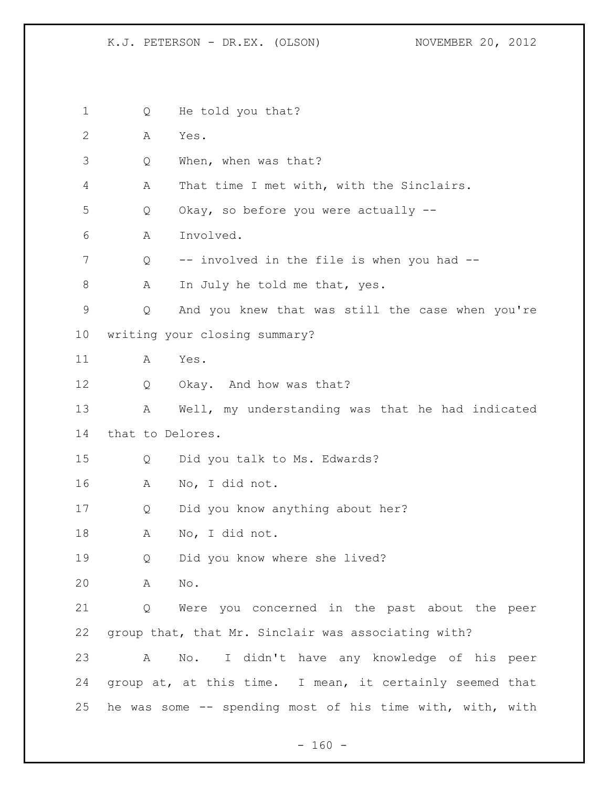1 Q He told you that? A Yes. Q When, when was that? A That time I met with, with the Sinclairs. Q Okay, so before you were actually -- A Involved. Q -- involved in the file is when you had -- 8 A In July he told me that, yes. Q And you knew that was still the case when you're writing your closing summary? A Yes. Q Okay. And how was that? A Well, my understanding was that he had indicated that to Delores. Q Did you talk to Ms. Edwards? A No, I did not. Q Did you know anything about her? A No, I did not. Q Did you know where she lived? A No. Q Were you concerned in the past about the peer group that, that Mr. Sinclair was associating with? A No. I didn't have any knowledge of his peer group at, at this time. I mean, it certainly seemed that he was some -- spending most of his time with, with, with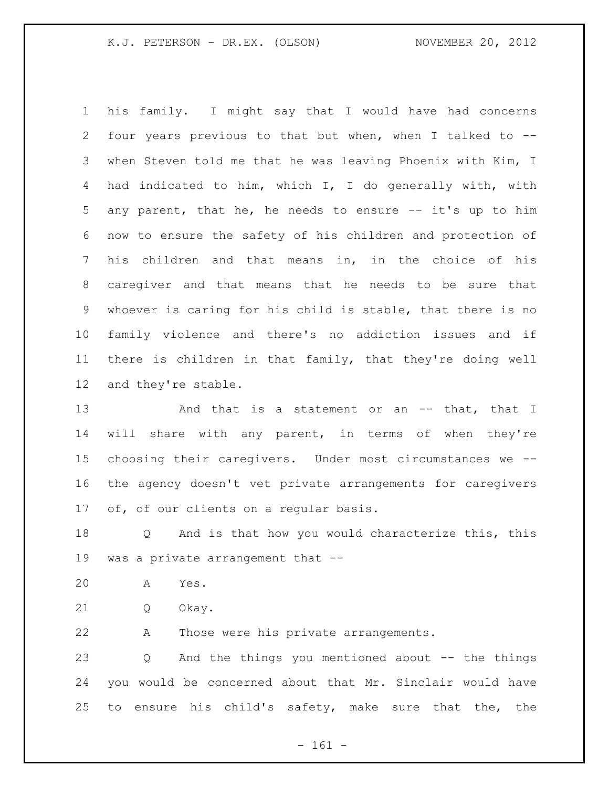his family. I might say that I would have had concerns four years previous to that but when, when I talked to -- when Steven told me that he was leaving Phoenix with Kim, I had indicated to him, which I, I do generally with, with any parent, that he, he needs to ensure -- it's up to him now to ensure the safety of his children and protection of his children and that means in, in the choice of his caregiver and that means that he needs to be sure that whoever is caring for his child is stable, that there is no family violence and there's no addiction issues and if there is children in that family, that they're doing well and they're stable.

13 And that is a statement or an -- that, that I will share with any parent, in terms of when they're choosing their caregivers. Under most circumstances we -- the agency doesn't vet private arrangements for caregivers of, of our clients on a regular basis.

 Q And is that how you would characterize this, this was a private arrangement that --

- A Yes.
- Q Okay.

A Those were his private arrangements.

 Q And the things you mentioned about -- the things you would be concerned about that Mr. Sinclair would have to ensure his child's safety, make sure that the, the

- 161 -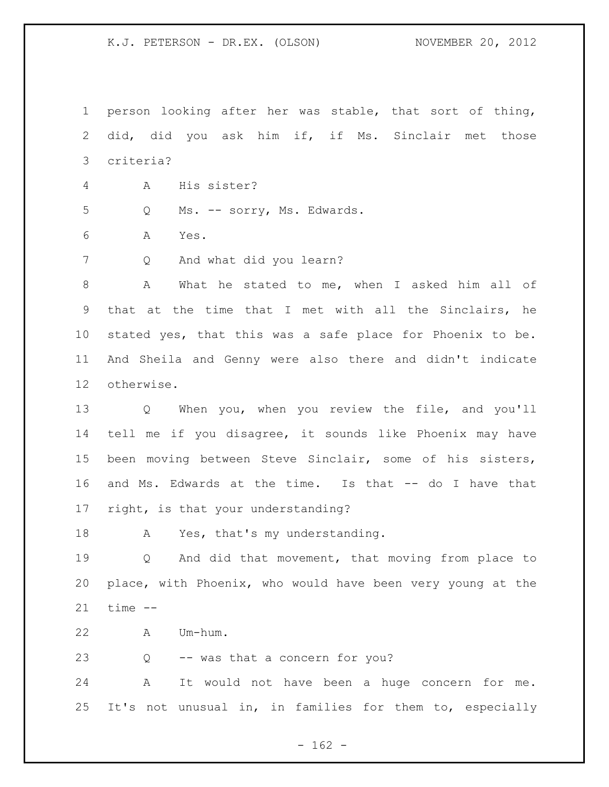person looking after her was stable, that sort of thing, did, did you ask him if, if Ms. Sinclair met those criteria?

- A His sister?
- Q Ms. -- sorry, Ms. Edwards.
- A Yes.
- Q And what did you learn?

 A What he stated to me, when I asked him all of that at the time that I met with all the Sinclairs, he stated yes, that this was a safe place for Phoenix to be. And Sheila and Genny were also there and didn't indicate otherwise.

 Q When you, when you review the file, and you'll tell me if you disagree, it sounds like Phoenix may have been moving between Steve Sinclair, some of his sisters, and Ms. Edwards at the time. Is that -- do I have that right, is that your understanding?

18 A Yes, that's my understanding.

 Q And did that movement, that moving from place to place, with Phoenix, who would have been very young at the time --

A Um-hum.

Q -- was that a concern for you?

 A It would not have been a huge concern for me. It's not unusual in, in families for them to, especially

 $- 162 -$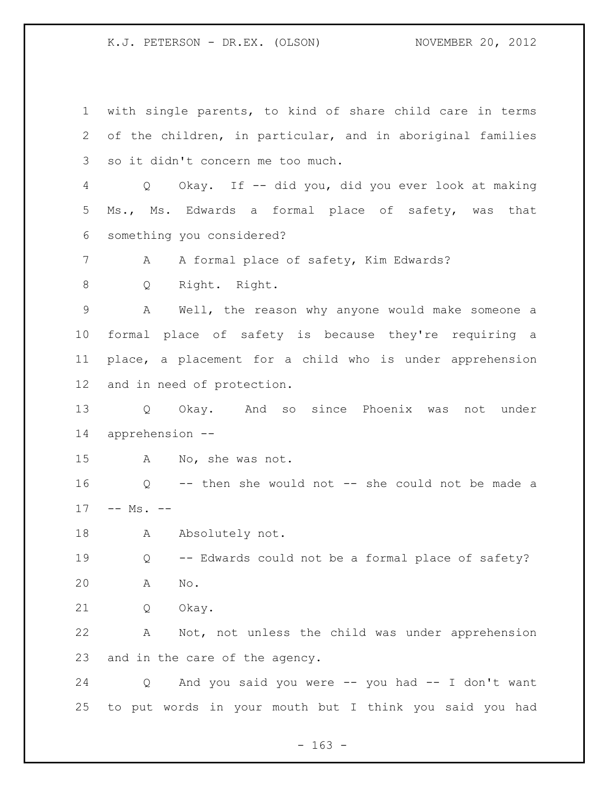with single parents, to kind of share child care in terms of the children, in particular, and in aboriginal families so it didn't concern me too much. Q Okay. If -- did you, did you ever look at making Ms., Ms. Edwards a formal place of safety, was that something you considered? 7 A A formal place of safety, Kim Edwards? Q Right. Right. A Well, the reason why anyone would make someone a formal place of safety is because they're requiring a place, a placement for a child who is under apprehension and in need of protection. Q Okay. And so since Phoenix was not under apprehension -- A No, she was not. Q -- then she would not -- she could not be made a 17 -- Ms. --18 Absolutely not. Q -- Edwards could not be a formal place of safety? A No. Q Okay. A Not, not unless the child was under apprehension and in the care of the agency. Q And you said you were -- you had -- I don't want to put words in your mouth but I think you said you had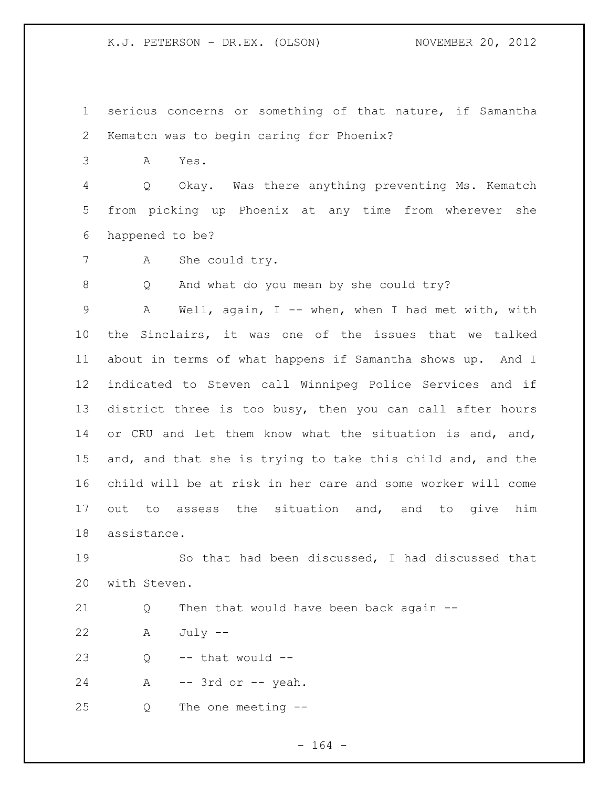serious concerns or something of that nature, if Samantha Kematch was to begin caring for Phoenix?

A Yes.

 Q Okay. Was there anything preventing Ms. Kematch from picking up Phoenix at any time from wherever she happened to be?

A She could try.

Q And what do you mean by she could try?

 A Well, again, I -- when, when I had met with, with the Sinclairs, it was one of the issues that we talked about in terms of what happens if Samantha shows up. And I indicated to Steven call Winnipeg Police Services and if district three is too busy, then you can call after hours 14 or CRU and let them know what the situation is and, and, and, and that she is trying to take this child and, and the child will be at risk in her care and some worker will come out to assess the situation and, and to give him assistance.

 So that had been discussed, I had discussed that with Steven.

Q Then that would have been back again --

A July --

Q  $-$  that would  $-$ 

A -- 3rd or -- yeah.

Q The one meeting --

- 164 -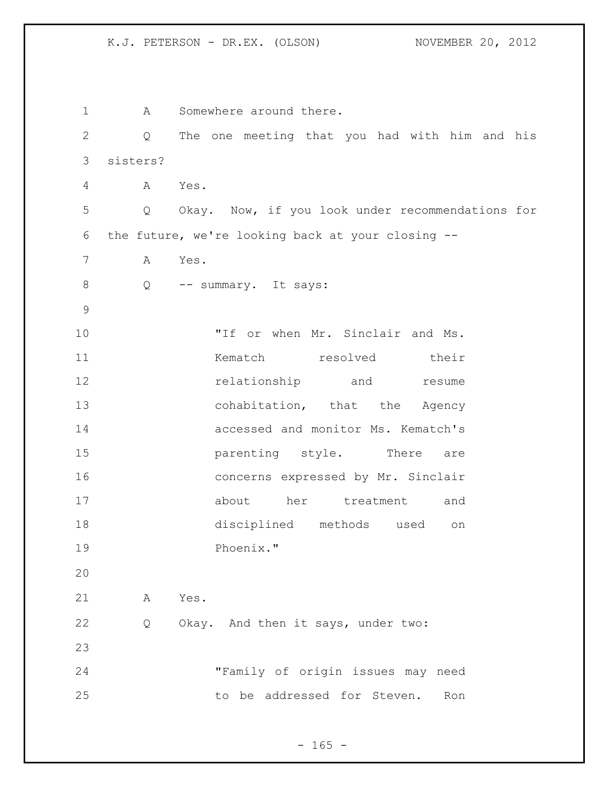1 A Somewhere around there. Q The one meeting that you had with him and his sisters? A Yes. Q Okay. Now, if you look under recommendations for the future, we're looking back at your closing -- A Yes. 8 Q -- summary. It says: 10 TH or when Mr. Sinclair and Ms. **Kematch resolved** their 12 relationship and resume 13 cohabitation, that the Agency accessed and monitor Ms. Kematch's **parenting** style. There are concerns expressed by Mr. Sinclair about her treatment and disciplined methods used on Phoenix." A Yes. Q Okay. And then it says, under two: "Family of origin issues may need to be addressed for Steven. Ron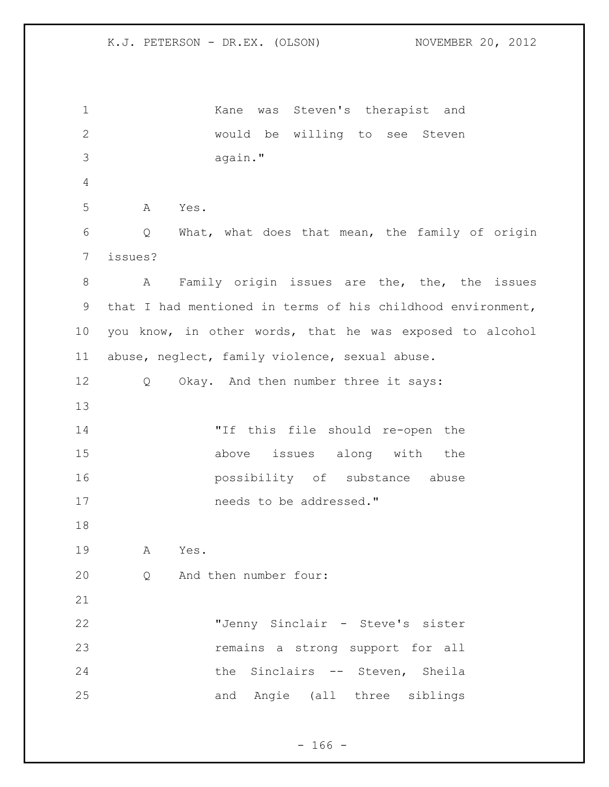Kane was Steven's therapist and would be willing to see Steven again." A Yes. Q What, what does that mean, the family of origin issues? A Family origin issues are the, the, the issues that I had mentioned in terms of his childhood environment, you know, in other words, that he was exposed to alcohol abuse, neglect, family violence, sexual abuse. Q Okay. And then number three it says: "If this file should re-open the above issues along with the possibility of substance abuse **needs** to be addressed." A Yes. Q And then number four: "Jenny Sinclair - Steve's sister remains a strong support for all the Sinclairs -- Steven, Sheila and Angie (all three siblings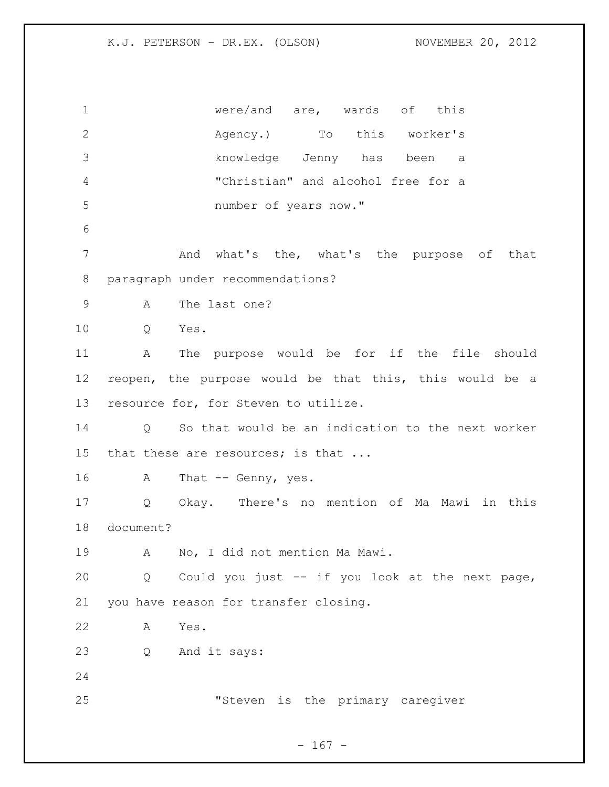| $\mathbf 1$     | were/and $are$ , wards of this                          |
|-----------------|---------------------------------------------------------|
| $\mathbf{2}$    | Agency.) To this worker's                               |
| 3               | knowledge Jenny has been a                              |
| 4               | "Christian" and alcohol free for a                      |
| 5               | number of years now."                                   |
| 6               |                                                         |
| 7               | And what's the, what's the purpose of that              |
| 8               | paragraph under recommendations?                        |
| $\mathsf 9$     | The last one?<br>A                                      |
| 10              | Q<br>Yes.                                               |
| 11              | The purpose would be for if the file should<br>A        |
| 12 <sup>°</sup> | reopen, the purpose would be that this, this would be a |
| 13              | resource for, for Steven to utilize.                    |
| 14              | Q So that would be an indication to the next worker     |
| 15              | that these are resources; is that                       |
| 16              | A<br>That $--$ Genny, yes.                              |
| 17              | Okay. There's no mention of Ma Mawi in this<br>Q        |
| 18              | document?                                               |
| 19              | No, I did not mention Ma Mawi.<br>$\mathbb A$           |
| 20              | Could you just -- if you look at the next page,<br>Q    |
| 21              | you have reason for transfer closing.                   |
| 22              | Α<br>Yes.                                               |
| 23              | Q<br>And it says:                                       |
| 24              |                                                         |
| 25              | "Steven is the primary caregiver                        |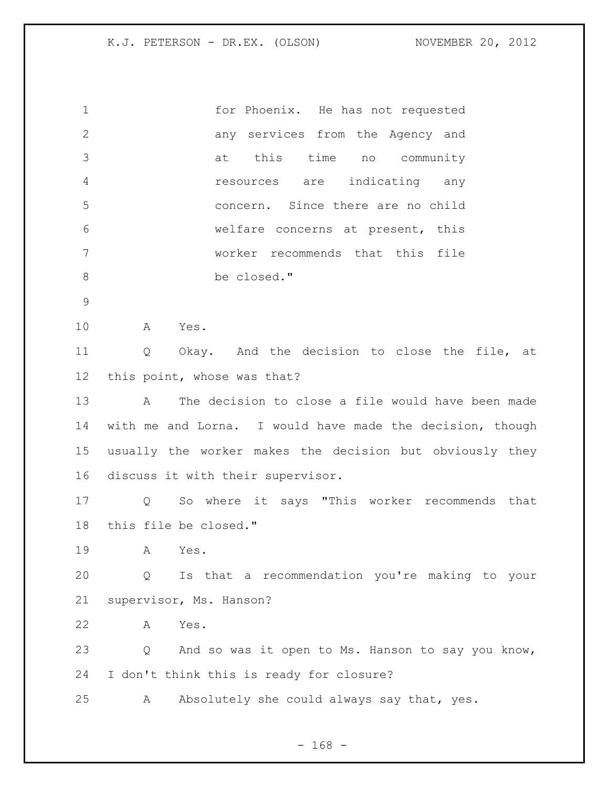| $\mathbf 1$    | for Phoenix. He has not requested                         |
|----------------|-----------------------------------------------------------|
| $\mathbf{2}$   | any services from the Agency and                          |
| 3              | this time<br>no community<br>at                           |
| $\overline{4}$ | resources are<br>indicating any                           |
| 5              | concern. Since there are no child                         |
| 6              | welfare concerns at present, this                         |
| $7\phantom{.}$ | worker recommends that this file                          |
| $\,8\,$        | be closed."                                               |
| $\mathcal{G}$  |                                                           |
| 10             | A<br>Yes.                                                 |
| 11             | Okay. And the decision to close the file, at<br>Q         |
| 12             | this point, whose was that?                               |
| 13             | The decision to close a file would have been made<br>Α    |
| 14             | with me and Lorna. I would have made the decision, though |
| 15             | usually the worker makes the decision but obviously they  |
| 16             | discuss it with their supervisor.                         |
| 17             | So where it says "This worker recommends that<br>Q        |
| 18             | this file be closed."                                     |
| 19             | Α<br>Yes.                                                 |
| 20             | Is that a recommendation you're making to your<br>Q       |
| 21             | supervisor, Ms. Hanson?                                   |
| 22             | Yes.<br>Α                                                 |
| 23             | And so was it open to Ms. Hanson to say you know,<br>Q    |
| 24             | I don't think this is ready for closure?                  |
| 25             | Absolutely she could always say that, yes.<br>Α           |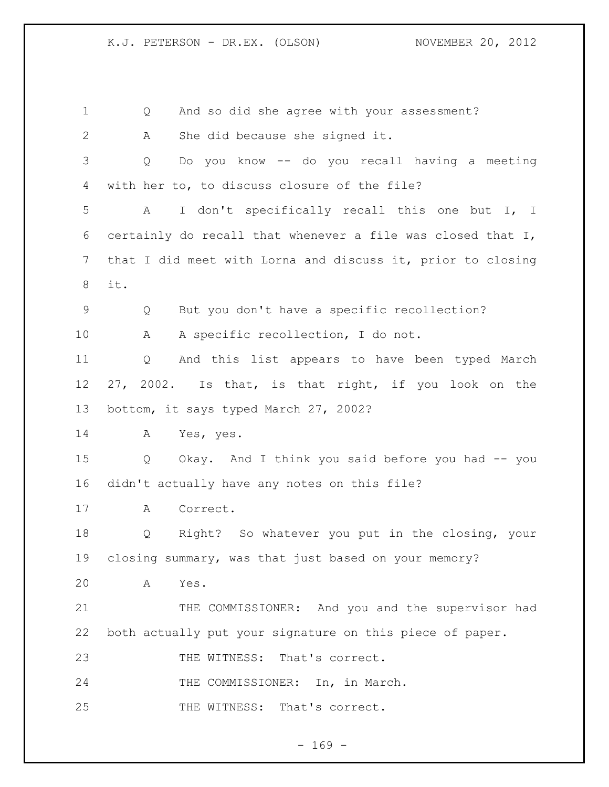Q And so did she agree with your assessment? A She did because she signed it. Q Do you know -- do you recall having a meeting with her to, to discuss closure of the file? A I don't specifically recall this one but I, I 6 certainly do recall that whenever a file was closed that  $I$ , that I did meet with Lorna and discuss it, prior to closing it. Q But you don't have a specific recollection? A A specific recollection, I do not. Q And this list appears to have been typed March 27, 2002. Is that, is that right, if you look on the bottom, it says typed March 27, 2002? A Yes, yes. Q Okay. And I think you said before you had -- you didn't actually have any notes on this file? A Correct. Q Right? So whatever you put in the closing, your closing summary, was that just based on your memory? A Yes. 21 THE COMMISSIONER: And you and the supervisor had both actually put your signature on this piece of paper. 23 THE WITNESS: That's correct. 24 THE COMMISSIONER: In, in March. 25 THE WITNESS: That's correct.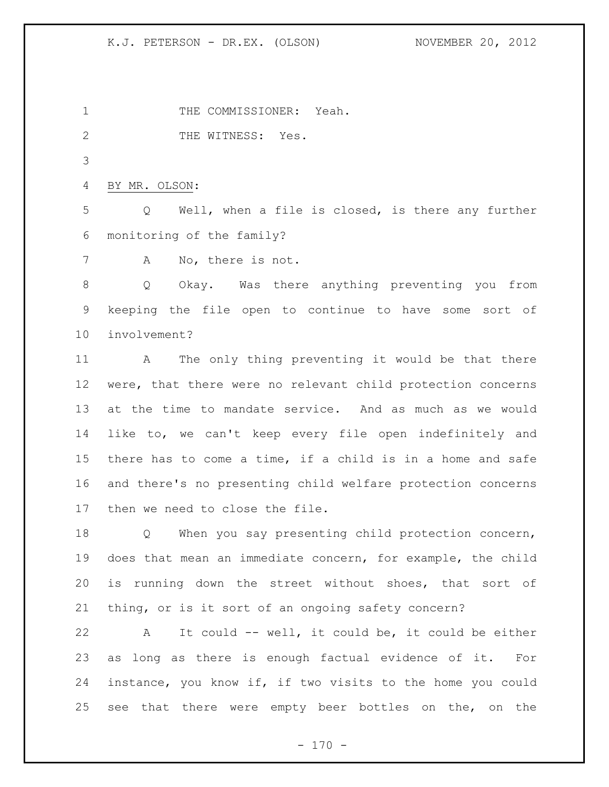1 THE COMMISSIONER: Yeah.

2 THE WITNESS: Yes.

BY MR. OLSON:

 Q Well, when a file is closed, is there any further monitoring of the family?

A No, there is not.

 Q Okay. Was there anything preventing you from keeping the file open to continue to have some sort of involvement?

 A The only thing preventing it would be that there were, that there were no relevant child protection concerns at the time to mandate service. And as much as we would like to, we can't keep every file open indefinitely and there has to come a time, if a child is in a home and safe and there's no presenting child welfare protection concerns then we need to close the file.

18 Q When you say presenting child protection concern, does that mean an immediate concern, for example, the child is running down the street without shoes, that sort of thing, or is it sort of an ongoing safety concern?

 A It could -- well, it could be, it could be either as long as there is enough factual evidence of it. For instance, you know if, if two visits to the home you could see that there were empty beer bottles on the, on the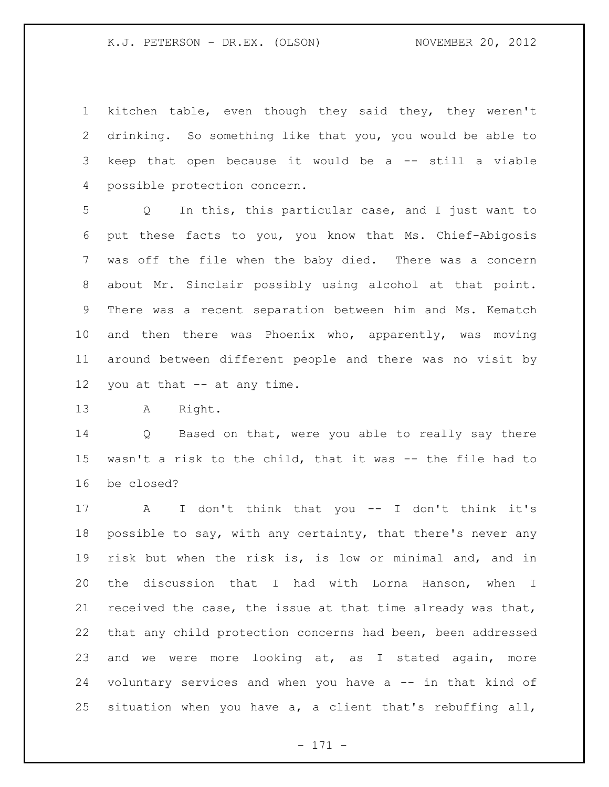kitchen table, even though they said they, they weren't drinking. So something like that you, you would be able to keep that open because it would be a -- still a viable possible protection concern.

 Q In this, this particular case, and I just want to put these facts to you, you know that Ms. Chief-Abigosis was off the file when the baby died. There was a concern about Mr. Sinclair possibly using alcohol at that point. There was a recent separation between him and Ms. Kematch and then there was Phoenix who, apparently, was moving around between different people and there was no visit by you at that -- at any time.

A Right.

 Q Based on that, were you able to really say there wasn't a risk to the child, that it was -- the file had to be closed?

 A I don't think that you -- I don't think it's possible to say, with any certainty, that there's never any risk but when the risk is, is low or minimal and, and in the discussion that I had with Lorna Hanson, when I received the case, the issue at that time already was that, that any child protection concerns had been, been addressed and we were more looking at, as I stated again, more voluntary services and when you have a -- in that kind of situation when you have a, a client that's rebuffing all,

- 171 -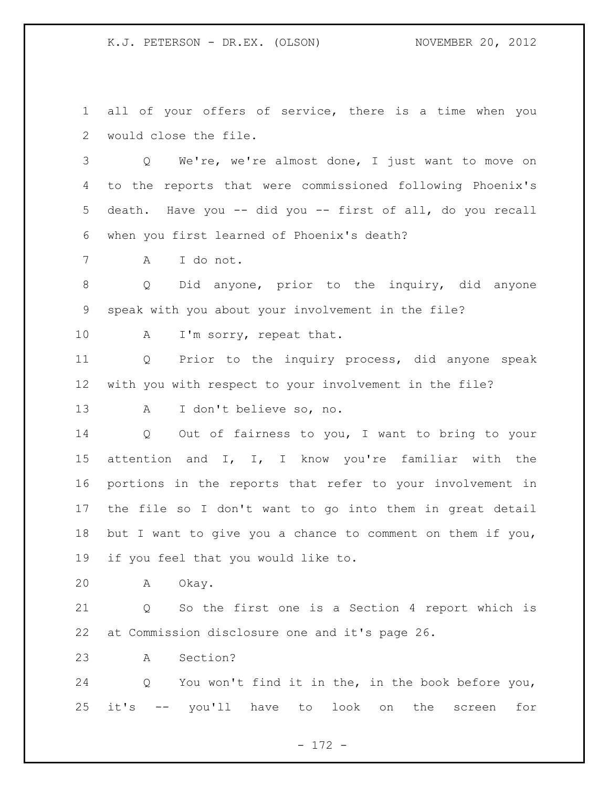all of your offers of service, there is a time when you would close the file.

 Q We're, we're almost done, I just want to move on to the reports that were commissioned following Phoenix's death. Have you -- did you -- first of all, do you recall when you first learned of Phoenix's death?

A I do not.

 Q Did anyone, prior to the inquiry, did anyone speak with you about your involvement in the file?

10 A I'm sorry, repeat that.

 Q Prior to the inquiry process, did anyone speak with you with respect to your involvement in the file?

A I don't believe so, no.

 Q Out of fairness to you, I want to bring to your attention and I, I, I know you're familiar with the portions in the reports that refer to your involvement in the file so I don't want to go into them in great detail but I want to give you a chance to comment on them if you, if you feel that you would like to.

A Okay.

 Q So the first one is a Section 4 report which is at Commission disclosure one and it's page 26.

A Section?

 Q You won't find it in the, in the book before you, it's -- you'll have to look on the screen for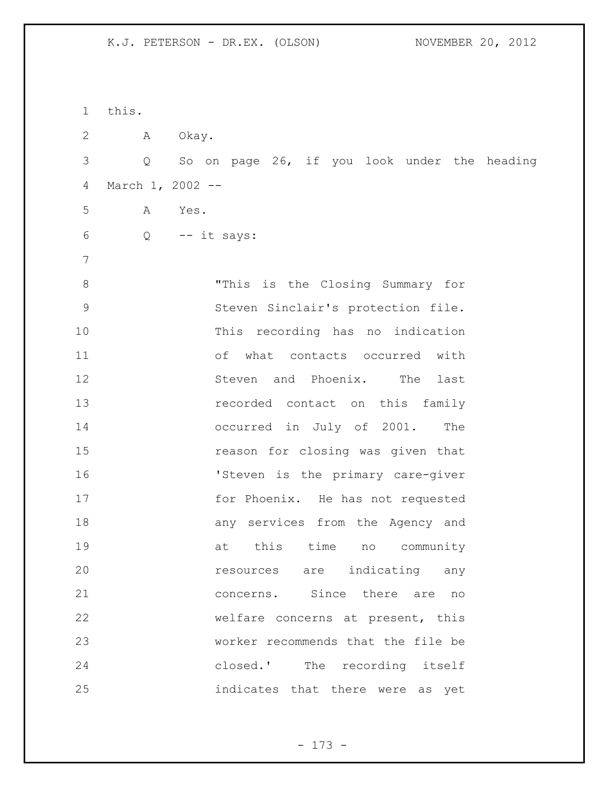this. A Okay. Q So on page 26, if you look under the heading March 1, 2002 -- A Yes.  $6 \qquad Q \qquad -- \text{ it says:}$  "This is the Closing Summary for Steven Sinclair's protection file. This recording has no indication of what contacts occurred with 12 Steven and Phoenix. The last recorded contact on this family occurred in July of 2001. The reason for closing was given that **'Steven is the primary care-giver** 17 for Phoenix. He has not requested any services from the Agency and 19 at this time no community resources are indicating any concerns. Since there are no welfare concerns at present, this worker recommends that the file be closed.' The recording itself indicates that there were as yet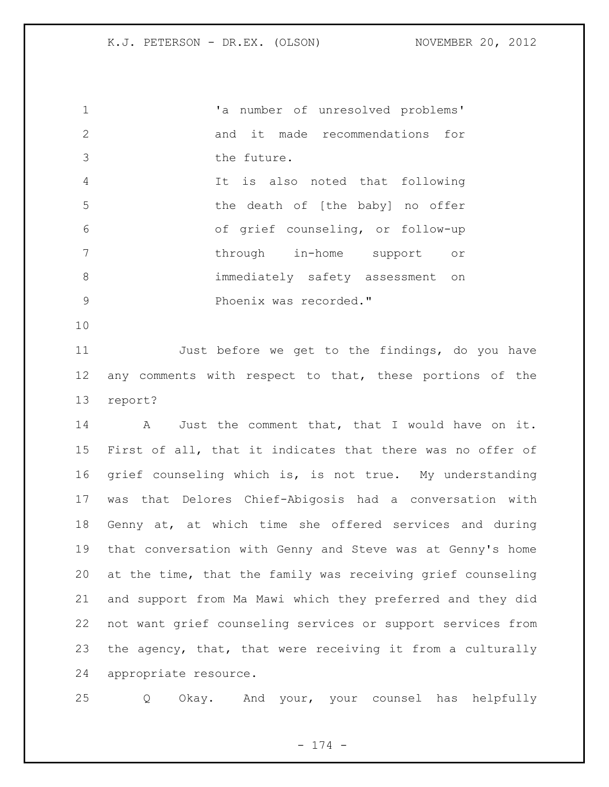'a number of unresolved problems' and it made recommendations for the future. It is also noted that following the death of [the baby] no offer of grief counseling, or follow-up 7 through in-home support or immediately safety assessment on 9 Phoenix was recorded."

 Just before we get to the findings, do you have any comments with respect to that, these portions of the report?

 A Just the comment that, that I would have on it. First of all, that it indicates that there was no offer of grief counseling which is, is not true. My understanding was that Delores Chief-Abigosis had a conversation with Genny at, at which time she offered services and during that conversation with Genny and Steve was at Genny's home at the time, that the family was receiving grief counseling and support from Ma Mawi which they preferred and they did not want grief counseling services or support services from the agency, that, that were receiving it from a culturally appropriate resource.

Q Okay. And your, your counsel has helpfully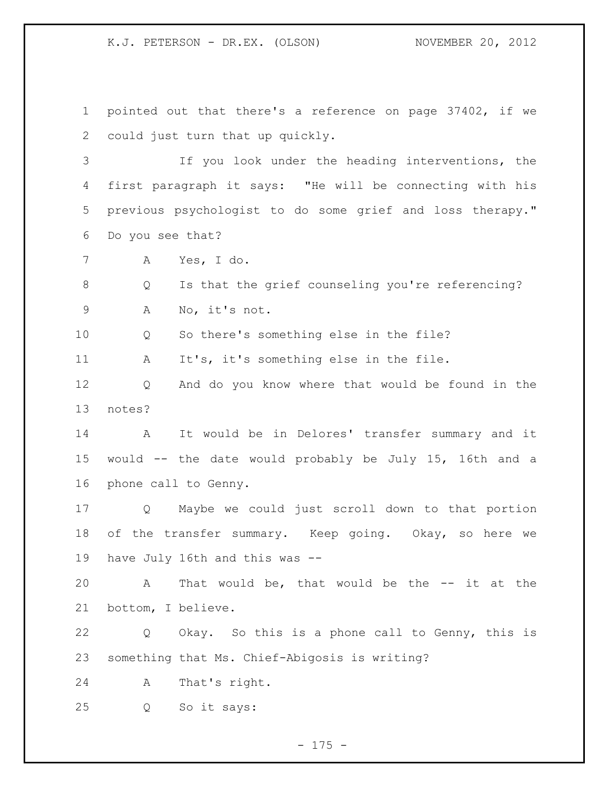pointed out that there's a reference on page 37402, if we could just turn that up quickly.

 If you look under the heading interventions, the first paragraph it says: "He will be connecting with his previous psychologist to do some grief and loss therapy." Do you see that?

A Yes, I do.

 Q Is that the grief counseling you're referencing? A No, it's not.

10 0 So there's something else in the file?

A It's, it's something else in the file.

 Q And do you know where that would be found in the notes?

 A It would be in Delores' transfer summary and it would -- the date would probably be July 15, 16th and a phone call to Genny.

 Q Maybe we could just scroll down to that portion of the transfer summary. Keep going. Okay, so here we have July 16th and this was --

 A That would be, that would be the -- it at the bottom, I believe.

 Q Okay. So this is a phone call to Genny, this is something that Ms. Chief-Abigosis is writing?

A That's right.

Q So it says:

- 175 -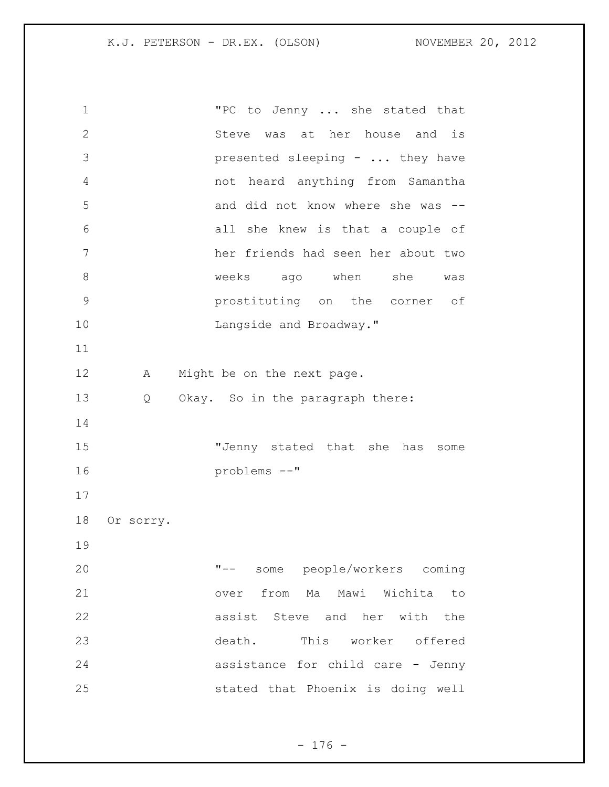"PC to Jenny ... she stated that Steve was at her house and is presented sleeping - ... they have not heard anything from Samantha and did not know where she was -- all she knew is that a couple of her friends had seen her about two weeks ago when she was prostituting on the corner of 10 Langside and Broadway." 12 A Might be on the next page. Q Okay. So in the paragraph there: "Jenny stated that she has some problems --" Or sorry. "-- some people/workers coming over from Ma Mawi Wichita to assist Steve and her with the death. This worker offered assistance for child care - Jenny stated that Phoenix is doing well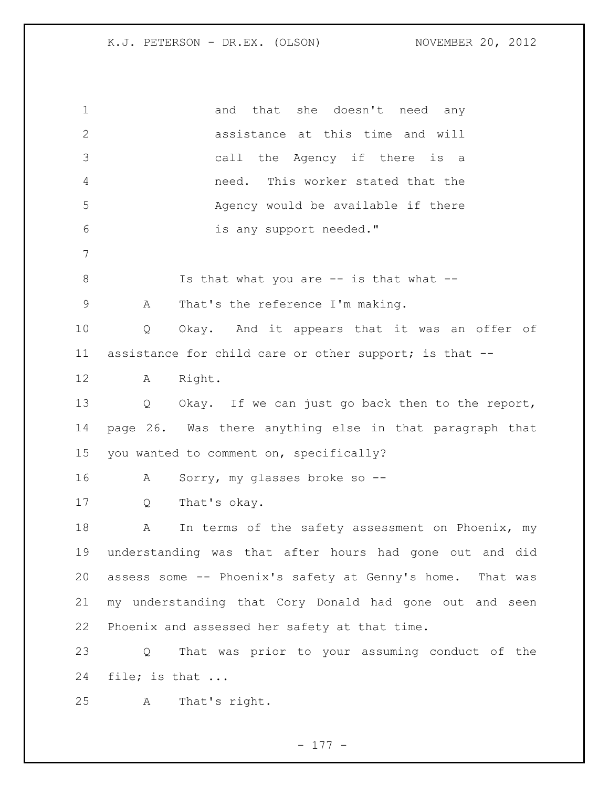1 and that she doesn't need any assistance at this time and will call the Agency if there is a need. This worker stated that the Agency would be available if there is any support needed." 8 Is that what you are -- is that what -- A That's the reference I'm making. Q Okay. And it appears that it was an offer of assistance for child care or other support; is that -- A Right. Q Okay. If we can just go back then to the report, page 26. Was there anything else in that paragraph that you wanted to comment on, specifically? A Sorry, my glasses broke so -- Q That's okay. 18 A In terms of the safety assessment on Phoenix, my understanding was that after hours had gone out and did assess some -- Phoenix's safety at Genny's home. That was my understanding that Cory Donald had gone out and seen Phoenix and assessed her safety at that time. Q That was prior to your assuming conduct of the file; is that ... A That's right.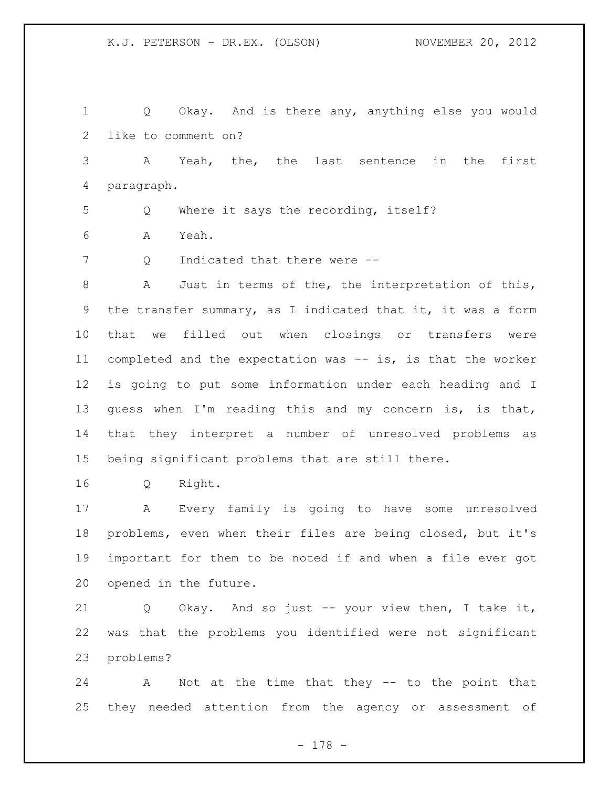Q Okay. And is there any, anything else you would like to comment on? A Yeah, the, the last sentence in the first paragraph. Q Where it says the recording, itself? A Yeah. 7 Q Indicated that there were -- A Just in terms of the, the interpretation of this, the transfer summary, as I indicated that it, it was a form that we filled out when closings or transfers were completed and the expectation was -- is, is that the worker is going to put some information under each heading and I guess when I'm reading this and my concern is, is that, that they interpret a number of unresolved problems as being significant problems that are still there. Q Right. A Every family is going to have some unresolved

 problems, even when their files are being closed, but it's important for them to be noted if and when a file ever got opened in the future.

 Q Okay. And so just -- your view then, I take it, was that the problems you identified were not significant problems?

 A Not at the time that they -- to the point that they needed attention from the agency or assessment of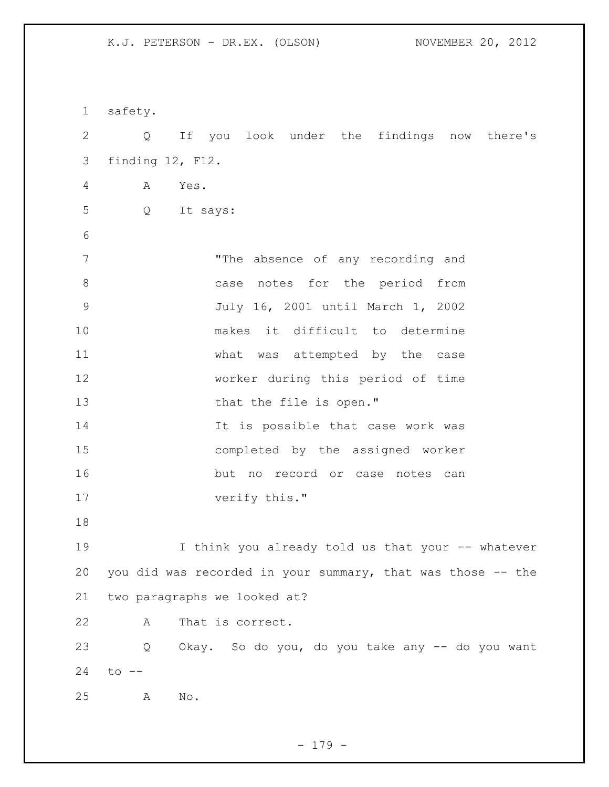| $\mathbf 1$  | safety.                                                     |
|--------------|-------------------------------------------------------------|
| $\mathbf{2}$ | If you look under the findings now there's<br>Q             |
| 3            | finding 12, F12.                                            |
| 4            | Α<br>Yes.                                                   |
| 5            | Q<br>It says:                                               |
| 6            |                                                             |
| 7            | "The absence of any recording and                           |
| $8\,$        | case notes for the period from                              |
| $\mathsf 9$  | July 16, 2001 until March 1, 2002                           |
| 10           | makes it difficult to determine                             |
| 11           | what was attempted by the case                              |
| 12           | worker during this period of time                           |
| 13           | that the file is open."                                     |
| 14           | It is possible that case work was                           |
| 15           | completed by the assigned worker                            |
| 16           | but no record or case notes can                             |
| 17           | verify this."                                               |
| 18           |                                                             |
| 19           | I think you already told us that your -- whatever           |
| 20           | you did was recorded in your summary, that was those -- the |
| 21           | two paragraphs we looked at?                                |
| 22           | That is correct.<br>A                                       |
| 23           | Q<br>Okay. So do you, do you take any -- do you want        |
| 24           | $to$ $--$                                                   |
| 25           | $\mathbb{N} \circ$ .<br>Α                                   |

- 179 -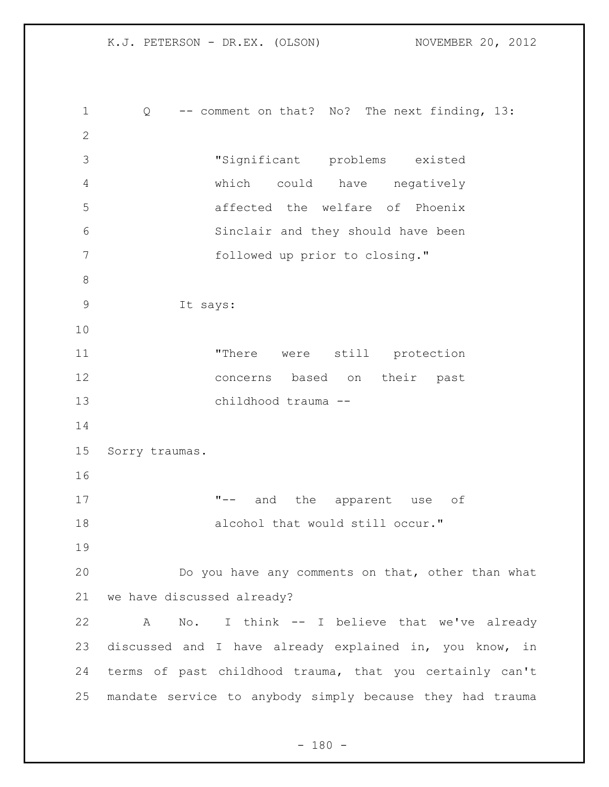K.J. PETERSON - DR.EX. (OLSON) NOVEMBER 20, 2012 Q -- comment on that? No? The next finding, 13: "Significant problems existed which could have negatively affected the welfare of Phoenix Sinclair and they should have been followed up prior to closing." It says: "There were still protection concerns based on their past childhood trauma -- Sorry traumas. 17 T-- and the apparent use of 18 alcohol that would still occur." Do you have any comments on that, other than what we have discussed already? A No. I think -- I believe that we've already discussed and I have already explained in, you know, in terms of past childhood trauma, that you certainly can't mandate service to anybody simply because they had trauma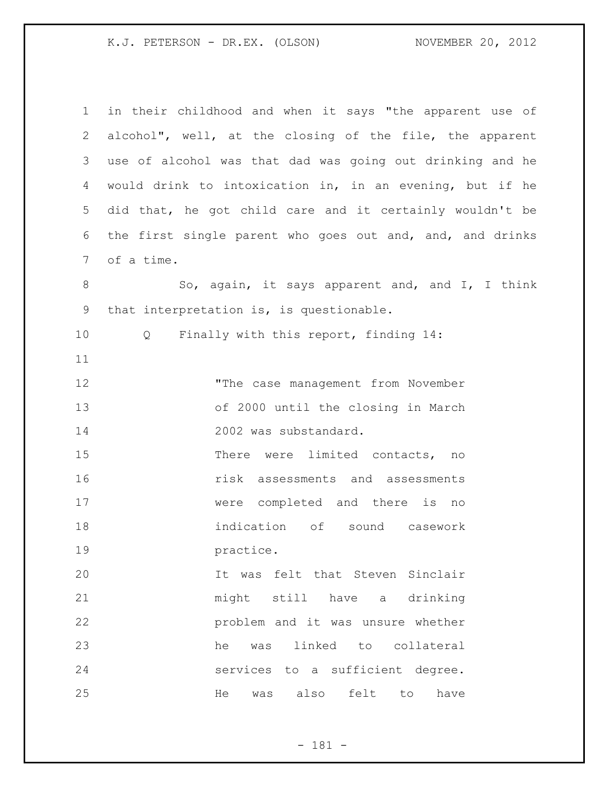| $\mathbf 1$     | in their childhood and when it says "the apparent use of  |
|-----------------|-----------------------------------------------------------|
| $\mathbf{2}$    | alcohol", well, at the closing of the file, the apparent  |
| 3               | use of alcohol was that dad was going out drinking and he |
| 4               | would drink to intoxication in, in an evening, but if he  |
| 5               | did that, he got child care and it certainly wouldn't be  |
| 6               | the first single parent who goes out and, and, and drinks |
| $7\phantom{.0}$ | of a time.                                                |
| $8\,$           | So, again, it says apparent and, and I, I think           |
| $\mathsf 9$     | that interpretation is, is questionable.                  |
| 10              | Finally with this report, finding 14:<br>Q                |
| 11              |                                                           |
| 12              | "The case management from November                        |
| 13              | of 2000 until the closing in March                        |
| 14              | 2002 was substandard.                                     |
| 15              | There were limited contacts, no                           |
| 16              | risk assessments and assessments                          |
| 17              | were completed and there is no                            |
| 18              | indication of<br>sound casework                           |
| 19              | practice.                                                 |
| 20              | It was felt that Steven Sinclair                          |
| 21              | might still have a drinking                               |
| 22              | problem and it was unsure whether                         |
| 23              | linked to collateral<br>he<br>was                         |
| 24              | services to a sufficient degree.                          |
| 25              | was also<br>felt<br>have<br>He<br>to                      |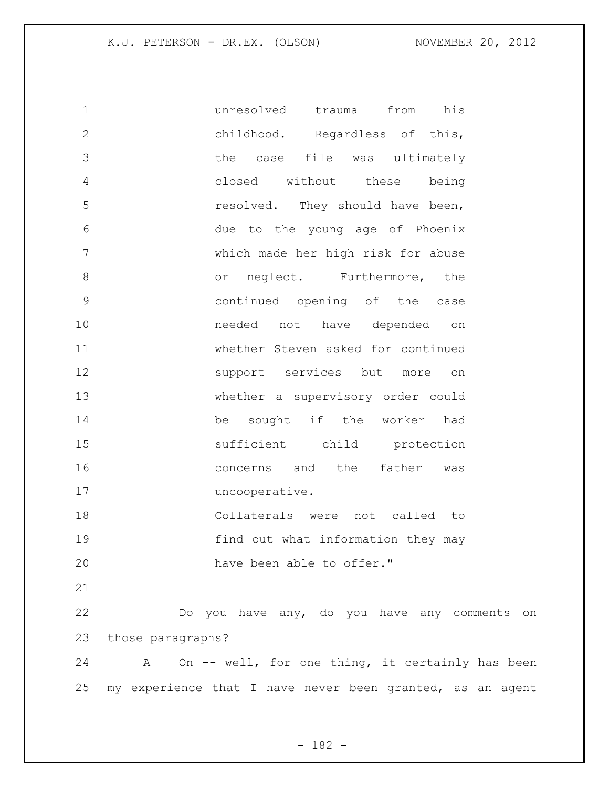| $\mathbf 1$    | unresolved<br>from<br>his<br>trauma                       |
|----------------|-----------------------------------------------------------|
| $\mathbf{2}$   | childhood. Regardless of this,                            |
| 3              | the<br>case file was ultimately                           |
| $\overline{4}$ | closed without these<br>being                             |
| 5              | resolved. They should have been,                          |
| 6              | due to the young age of Phoenix                           |
| $\overline{7}$ | which made her high risk for abuse                        |
| 8              | neglect. Furthermore, the<br>or                           |
| $\mathsf 9$    | continued opening of the<br>case                          |
| 10             | needed not have depended<br>on                            |
| 11             | whether Steven asked for continued                        |
| 12             | support services but<br>more<br>on                        |
| 13             | whether a supervisory order could                         |
| 14             | sought if the worker<br>be<br>had                         |
| 15             | sufficient child protection                               |
| 16             | the father<br>concerns and<br>was                         |
| 17             | uncooperative.                                            |
| 18             | Collaterals were not called<br>to                         |
| 19             | find out what information they may                        |
| 20             | have been able to offer."                                 |
| 21             |                                                           |
| 22             | Do you have any, do you have any comments on              |
| 23             | those paragraphs?                                         |
| 24             | On -- well, for one thing, it certainly has been<br>Α     |
| 25             | my experience that I have never been granted, as an agent |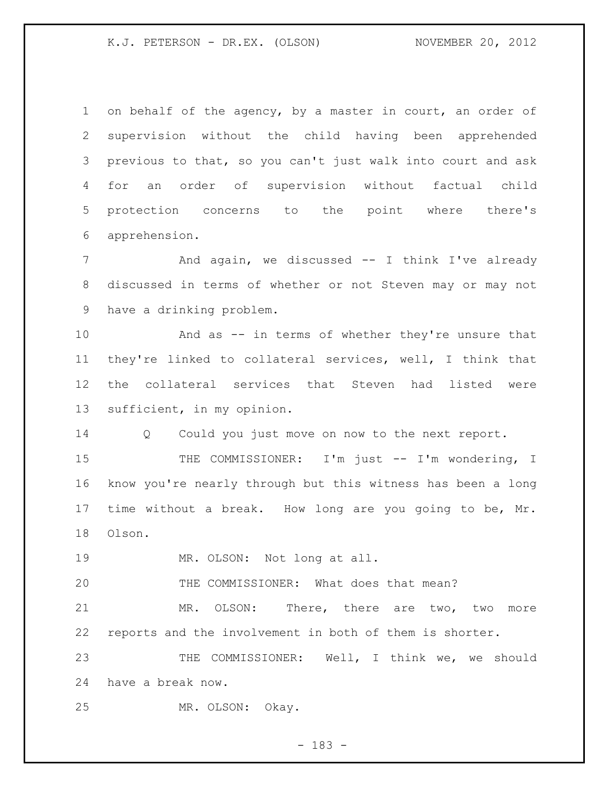on behalf of the agency, by a master in court, an order of supervision without the child having been apprehended previous to that, so you can't just walk into court and ask for an order of supervision without factual child protection concerns to the point where there's apprehension.

7 Think I've already and again, we discussed -- I think I've already discussed in terms of whether or not Steven may or may not have a drinking problem.

 And as -- in terms of whether they're unsure that they're linked to collateral services, well, I think that the collateral services that Steven had listed were sufficient, in my opinion.

Q Could you just move on now to the next report.

15 THE COMMISSIONER: I'm just -- I'm wondering, I know you're nearly through but this witness has been a long time without a break. How long are you going to be, Mr. Olson.

MR. OLSON: Not long at all.

THE COMMISSIONER: What does that mean?

 MR. OLSON: There, there are two, two more reports and the involvement in both of them is shorter.

 THE COMMISSIONER: Well, I think we, we should have a break now.

MR. OLSON: Okay.

- 183 -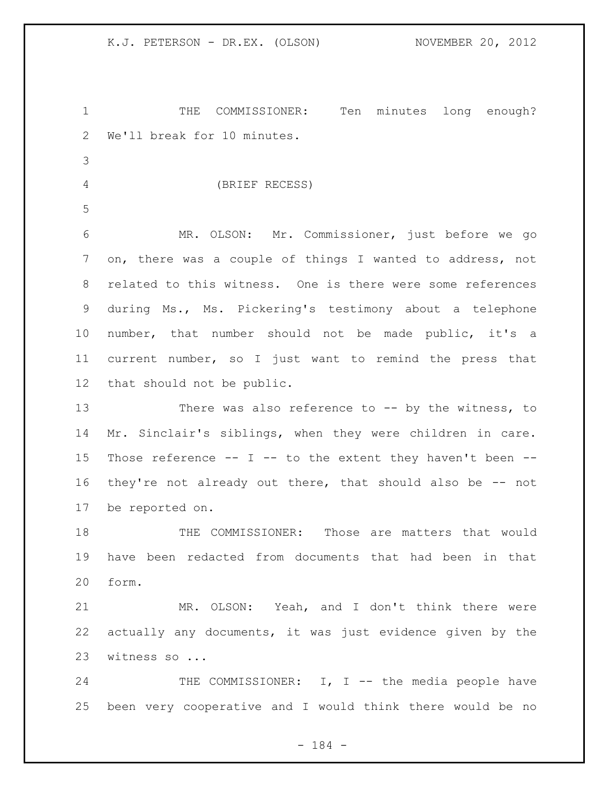THE COMMISSIONER: Ten minutes long enough? We'll break for 10 minutes. (BRIEF RECESS) MR. OLSON: Mr. Commissioner, just before we go on, there was a couple of things I wanted to address, not related to this witness. One is there were some references during Ms., Ms. Pickering's testimony about a telephone number, that number should not be made public, it's a current number, so I just want to remind the press that that should not be public. There was also reference to -- by the witness, to Mr. Sinclair's siblings, when they were children in care. Those reference -- I -- to the extent they haven't been -- they're not already out there, that should also be -- not be reported on. THE COMMISSIONER: Those are matters that would have been redacted from documents that had been in that form. MR. OLSON: Yeah, and I don't think there were actually any documents, it was just evidence given by the witness so ... 24 THE COMMISSIONER: I, I -- the media people have been very cooperative and I would think there would be no

- 184 -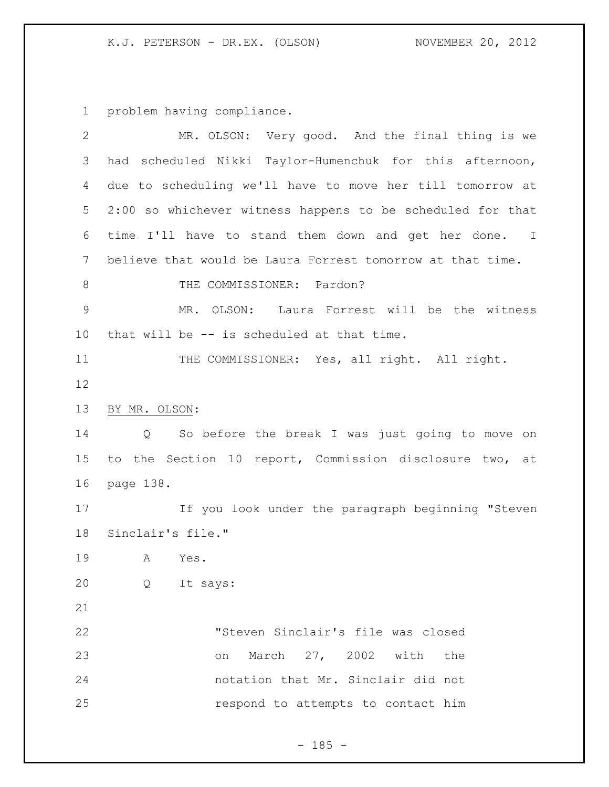problem having compliance.

| $\mathbf{2}$    | MR. OLSON: Very good. And the final thing is we             |  |  |
|-----------------|-------------------------------------------------------------|--|--|
| 3               | scheduled Nikki Taylor-Humenchuk for this afternoon,<br>had |  |  |
| 4               | due to scheduling we'll have to move her till tomorrow at   |  |  |
| 5               | 2:00 so whichever witness happens to be scheduled for that  |  |  |
| 6               | time I'll have to stand them down and get her done. I       |  |  |
| $7\phantom{.0}$ | believe that would be Laura Forrest tomorrow at that time.  |  |  |
| $\,8\,$         | THE COMMISSIONER: Pardon?                                   |  |  |
| $\mathcal{G}$   | MR. OLSON: Laura Forrest will be the witness                |  |  |
| 10              | that will be -- is scheduled at that time.                  |  |  |
| 11              | THE COMMISSIONER: Yes, all right. All right.                |  |  |
| 12              |                                                             |  |  |
| 13              | BY MR. OLSON:                                               |  |  |
| 14              | So before the break I was just going to move on<br>Q        |  |  |
| 15              | to the Section 10 report, Commission disclosure two, at     |  |  |
| 16              | page 138.                                                   |  |  |
| 17              | If you look under the paragraph beginning "Steven           |  |  |
| 18              | Sinclair's file."                                           |  |  |
| 19              | A<br>Yes.                                                   |  |  |
| 20              | It says:<br>Q                                               |  |  |
| 21              |                                                             |  |  |
| 22              | "Steven Sinclair's file was closed                          |  |  |
| 23              | March 27, 2002 with<br>the<br>on                            |  |  |
| 24              | notation that Mr. Sinclair did not                          |  |  |
| 25              | respond to attempts to contact him                          |  |  |
|                 |                                                             |  |  |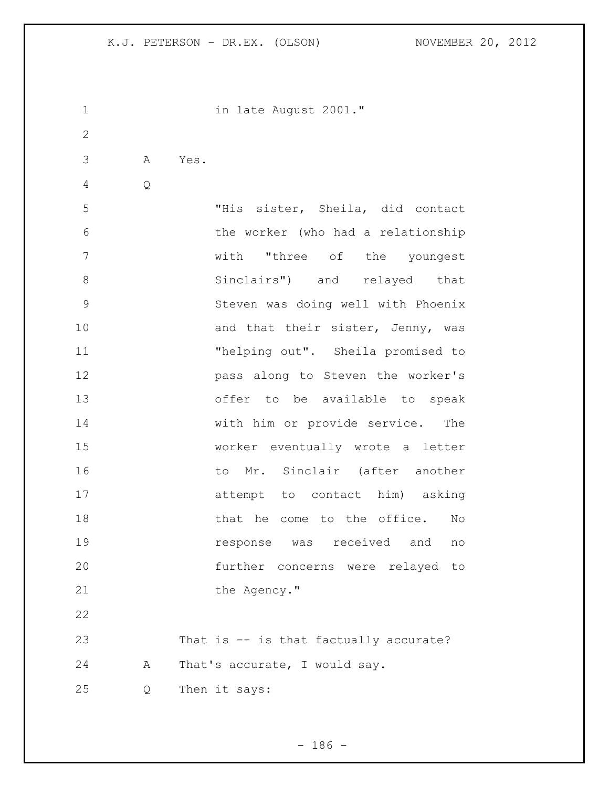| $\mathbf 1$  |   |      | in late August 2001."                  |
|--------------|---|------|----------------------------------------|
| $\mathbf{2}$ |   |      |                                        |
| 3            | A | Yes. |                                        |
| 4            | Q |      |                                        |
| 5            |   |      | "His sister, Sheila, did contact       |
| 6            |   |      | the worker (who had a relationship     |
| 7            |   |      | with "three of the youngest            |
| 8            |   |      | Sinclairs") and relayed that           |
| 9            |   |      | Steven was doing well with Phoenix     |
| 10           |   |      | and that their sister, Jenny, was      |
| 11           |   |      | "helping out". Sheila promised to      |
| 12           |   |      | pass along to Steven the worker's      |
| 13           |   |      | offer to be available to speak         |
| 14           |   |      | with him or provide service. The       |
| 15           |   |      | worker eventually wrote a letter       |
| 16           |   |      | to Mr. Sinclair (after another         |
| 17           |   |      | attempt to contact him) asking         |
| 18           |   |      | that he come to the office.<br>No      |
| 19           |   |      | response was received and no           |
| 20           |   |      | further concerns were relayed to       |
| 21           |   |      | the Agency."                           |
| 22           |   |      |                                        |
| 23           |   |      | That is -- is that factually accurate? |
| 24           | А |      | That's accurate, I would say.          |
| 25           | Q |      | Then it says:                          |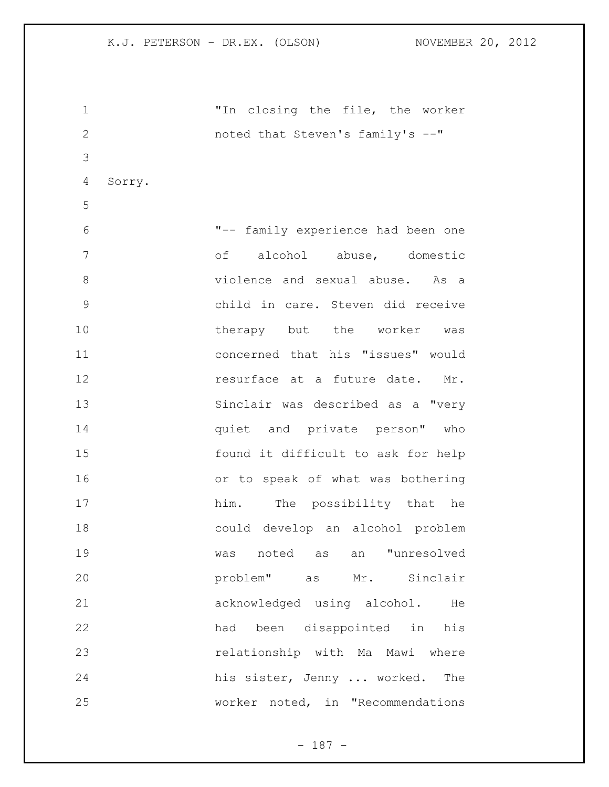| 1            |        | "In closing the file, the worker     |
|--------------|--------|--------------------------------------|
| $\mathbf{2}$ |        | noted that Steven's family's --"     |
| 3            |        |                                      |
| 4            | Sorry. |                                      |
| 5            |        |                                      |
| 6            |        | "-- family experience had been one   |
| 7            |        | of alcohol abuse, domestic           |
| 8            |        | violence and sexual abuse.<br>As a   |
| 9            |        | child in care. Steven did receive    |
| 10           |        | therapy but the worker was           |
| 11           |        | concerned that his "issues" would    |
| 12           |        | resurface at a future date. Mr.      |
| 13           |        | Sinclair was described as a "very    |
| 14           |        | quiet and private person" who        |
| 15           |        | found it difficult to ask for help   |
| 16           |        | or to speak of what was bothering    |
| 17           |        | him. The possibility that he         |
| 18           |        | could develop an alcohol problem     |
| 19           |        | noted<br>an "unresolved<br>as<br>was |
| 20           |        | problem" as Mr. Sinclair             |
| 21           |        | acknowledged using alcohol. He       |
| 22           |        | been disappointed in his<br>had      |
| 23           |        | relationship with Ma Mawi where      |
| 24           |        | his sister, Jenny  worked.<br>The    |
| 25           |        | worker noted, in "Recommendations    |

- 187 -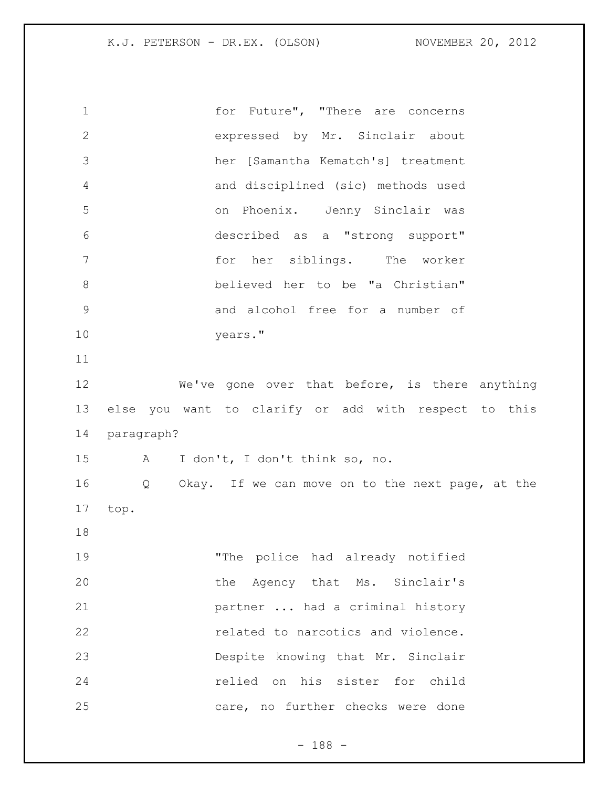for Future", "There are concerns expressed by Mr. Sinclair about her [Samantha Kematch's] treatment and disciplined (sic) methods used on Phoenix. Jenny Sinclair was described as a "strong support" for her siblings. The worker believed her to be "a Christian" and alcohol free for a number of years." We've gone over that before, is there anything else you want to clarify or add with respect to this paragraph? A I don't, I don't think so, no. Q Okay. If we can move on to the next page, at the top. "The police had already notified 20 the Agency that Ms. Sinclair's partner ... had a criminal history **related to narcotics and violence.**  Despite knowing that Mr. Sinclair relied on his sister for child care, no further checks were done

- 188 -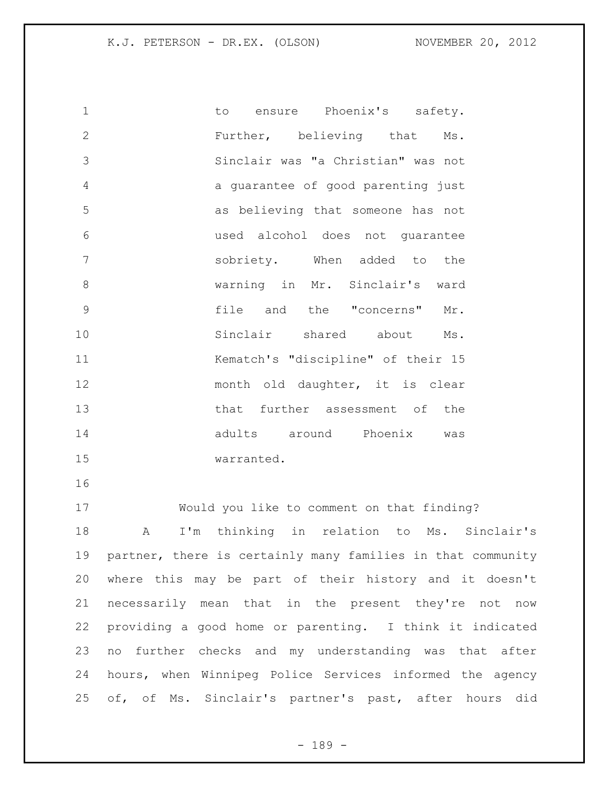to ensure Phoenix's safety. Further, believing that Ms. Sinclair was "a Christian" was not a guarantee of good parenting just as believing that someone has not used alcohol does not guarantee sobriety. When added to the warning in Mr. Sinclair's ward file and the "concerns" Mr. Sinclair shared about Ms. Kematch's "discipline" of their 15 month old daughter, it is clear that further assessment of the adults around Phoenix was warranted. Would you like to comment on that finding? A I'm thinking in relation to Ms. Sinclair's partner, there is certainly many families in that community where this may be part of their history and it doesn't necessarily mean that in the present they're not now providing a good home or parenting. I think it indicated no further checks and my understanding was that after hours, when Winnipeg Police Services informed the agency

of, of Ms. Sinclair's partner's past, after hours did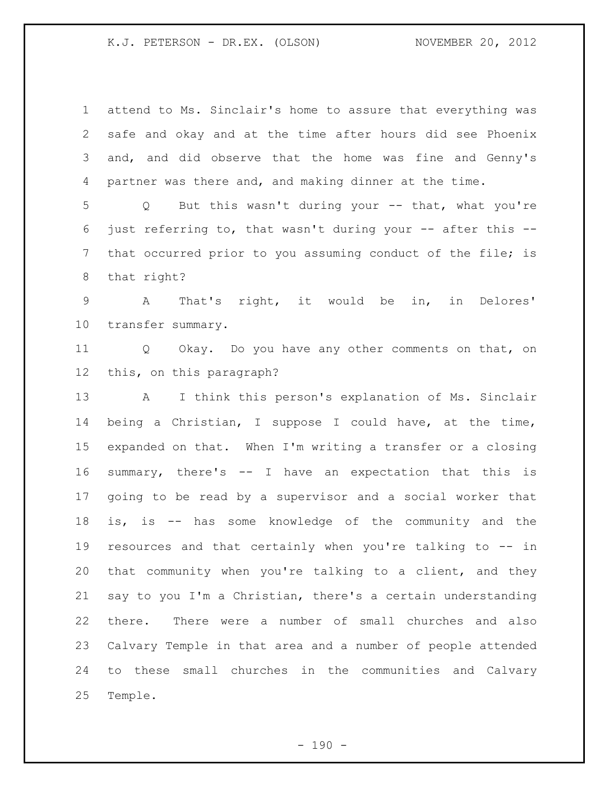attend to Ms. Sinclair's home to assure that everything was safe and okay and at the time after hours did see Phoenix and, and did observe that the home was fine and Genny's partner was there and, and making dinner at the time. Q But this wasn't during your -- that, what you're just referring to, that wasn't during your -- after this -- that occurred prior to you assuming conduct of the file; is that right? A That's right, it would be in, in Delores' transfer summary. Q Okay. Do you have any other comments on that, on this, on this paragraph? A I think this person's explanation of Ms. Sinclair being a Christian, I suppose I could have, at the time, expanded on that. When I'm writing a transfer or a closing summary, there's -- I have an expectation that this is going to be read by a supervisor and a social worker that is, is -- has some knowledge of the community and the resources and that certainly when you're talking to -- in that community when you're talking to a client, and they say to you I'm a Christian, there's a certain understanding there. There were a number of small churches and also Calvary Temple in that area and a number of people attended to these small churches in the communities and Calvary Temple.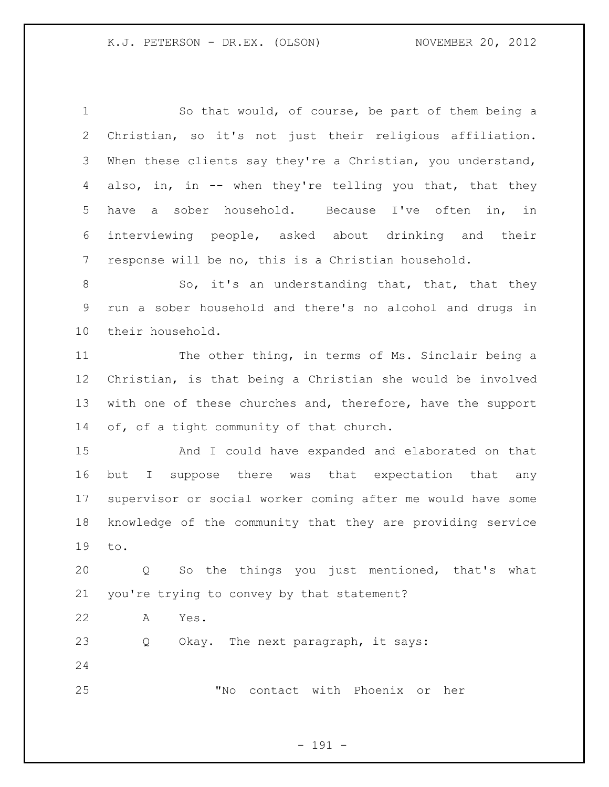So that would, of course, be part of them being a Christian, so it's not just their religious affiliation. When these clients say they're a Christian, you understand, also, in, in -- when they're telling you that, that they have a sober household. Because I've often in, in interviewing people, asked about drinking and their response will be no, this is a Christian household. 8 So, it's an understanding that, that, that they run a sober household and there's no alcohol and drugs in their household. The other thing, in terms of Ms. Sinclair being a Christian, is that being a Christian she would be involved 13 with one of these churches and, therefore, have the support 14 of, of a tight community of that church. And I could have expanded and elaborated on that but I suppose there was that expectation that any supervisor or social worker coming after me would have some knowledge of the community that they are providing service to. Q So the things you just mentioned, that's what you're trying to convey by that statement? A Yes. Q Okay. The next paragraph, it says: "No contact with Phoenix or her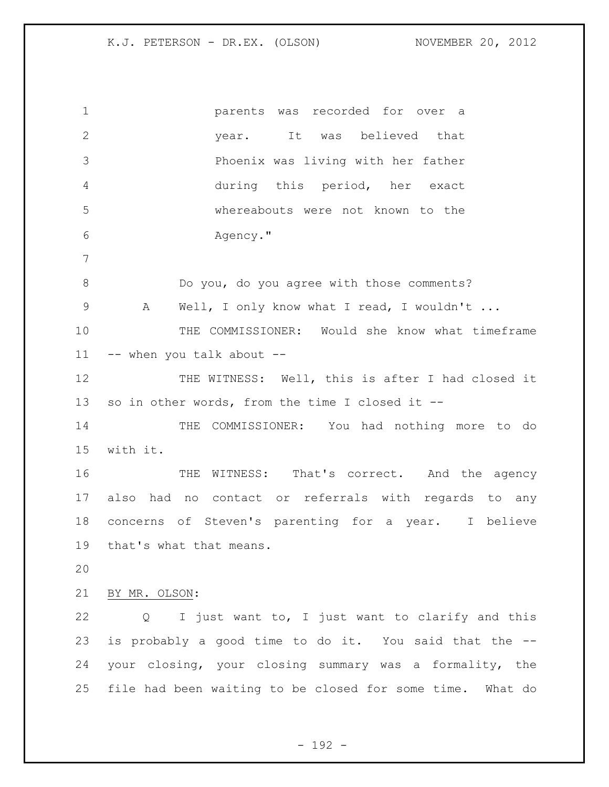parents was recorded for over a year. It was believed that Phoenix was living with her father during this period, her exact whereabouts were not known to the Agency." Do you, do you agree with those comments? 9 A Well, I only know what I read, I wouldn't ... THE COMMISSIONER: Would she know what timeframe -- when you talk about -- THE WITNESS: Well, this is after I had closed it so in other words, from the time I closed it -- THE COMMISSIONER: You had nothing more to do with it. 16 THE WITNESS: That's correct. And the agency also had no contact or referrals with regards to any concerns of Steven's parenting for a year. I believe that's what that means. BY MR. OLSON: Q I just want to, I just want to clarify and this is probably a good time to do it. You said that the -- your closing, your closing summary was a formality, the file had been waiting to be closed for some time. What do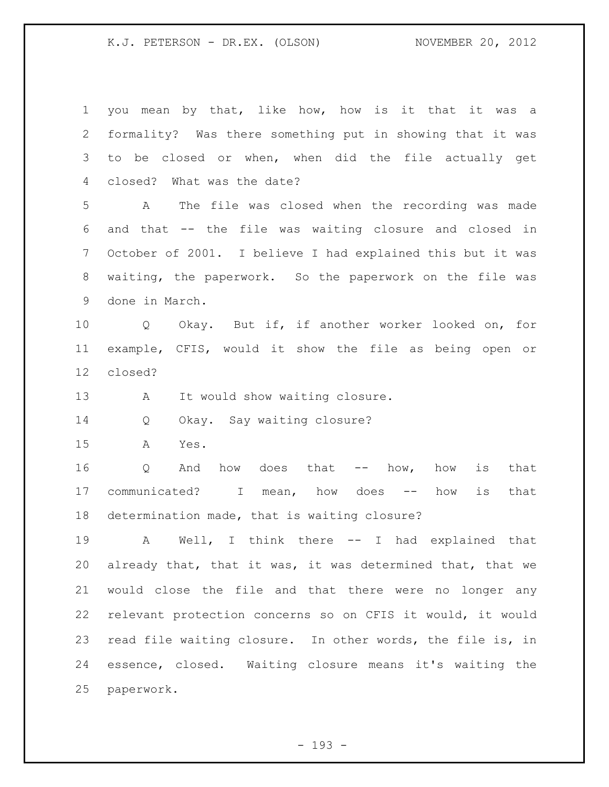you mean by that, like how, how is it that it was a formality? Was there something put in showing that it was to be closed or when, when did the file actually get closed? What was the date? A The file was closed when the recording was made and that -- the file was waiting closure and closed in October of 2001. I believe I had explained this but it was waiting, the paperwork. So the paperwork on the file was done in March. Q Okay. But if, if another worker looked on, for example, CFIS, would it show the file as being open or closed? 13 A It would show waiting closure. Q Okay. Say waiting closure? A Yes. Q And how does that -- how, how is that 17 communicated? I mean, how does -- how is that determination made, that is waiting closure? A Well, I think there -- I had explained that already that, that it was, it was determined that, that we would close the file and that there were no longer any relevant protection concerns so on CFIS it would, it would read file waiting closure. In other words, the file is, in essence, closed. Waiting closure means it's waiting the paperwork.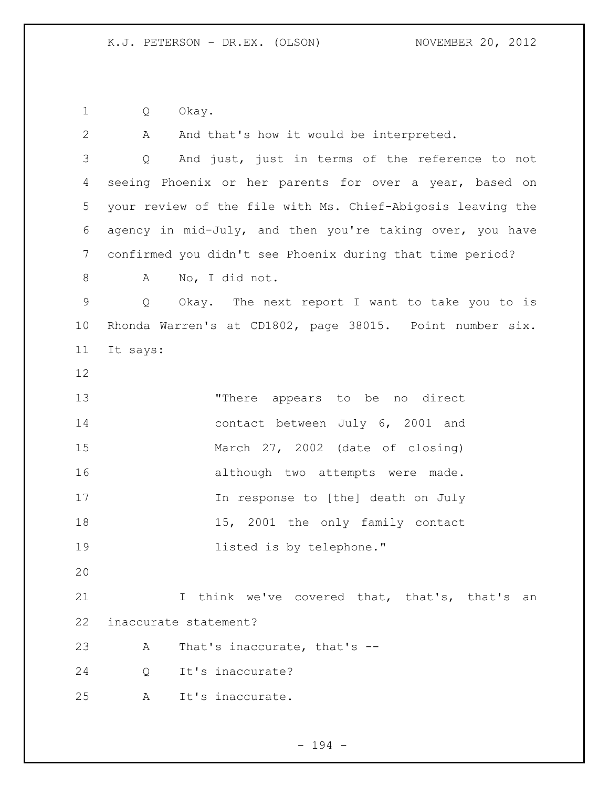Q Okay.

2 A And that's how it would be interpreted. Q And just, just in terms of the reference to not seeing Phoenix or her parents for over a year, based on your review of the file with Ms. Chief-Abigosis leaving the agency in mid-July, and then you're taking over, you have confirmed you didn't see Phoenix during that time period? A No, I did not. Q Okay. The next report I want to take you to is Rhonda Warren's at CD1802, page 38015. Point number six. It says: "There appears to be no direct contact between July 6, 2001 and March 27, 2002 (date of closing) 16 although two attempts were made. In response to [the] death on July 18 15, 2001 the only family contact listed is by telephone." 21 I think we've covered that, that's, that's an inaccurate statement? A That's inaccurate, that's -- Q It's inaccurate? A It's inaccurate.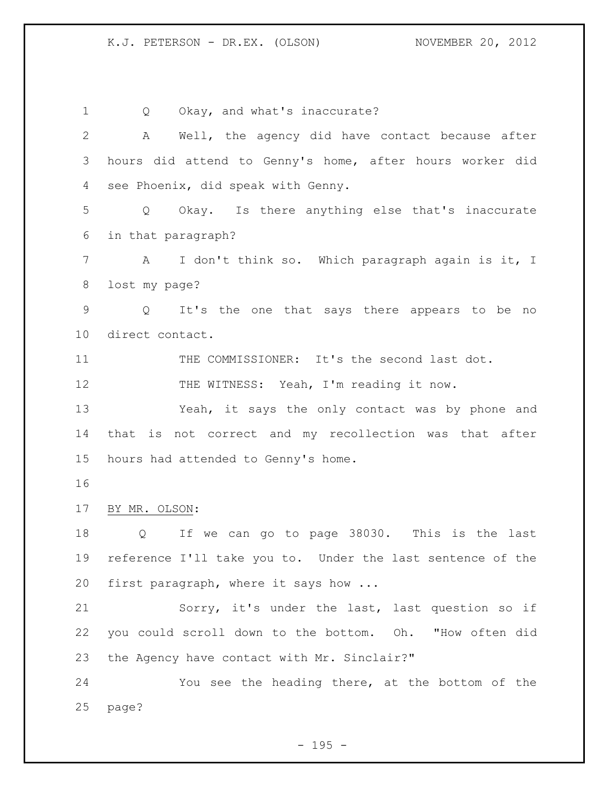Q Okay, and what's inaccurate? A Well, the agency did have contact because after hours did attend to Genny's home, after hours worker did see Phoenix, did speak with Genny. Q Okay. Is there anything else that's inaccurate in that paragraph? A I don't think so. Which paragraph again is it, I lost my page? Q It's the one that says there appears to be no direct contact. 11 THE COMMISSIONER: It's the second last dot. 12 THE WITNESS: Yeah, I'm reading it now. Yeah, it says the only contact was by phone and that is not correct and my recollection was that after hours had attended to Genny's home. BY MR. OLSON: Q If we can go to page 38030. This is the last reference I'll take you to. Under the last sentence of the first paragraph, where it says how ... Sorry, it's under the last, last question so if you could scroll down to the bottom. Oh. "How often did the Agency have contact with Mr. Sinclair?" You see the heading there, at the bottom of the page?

 $- 195 -$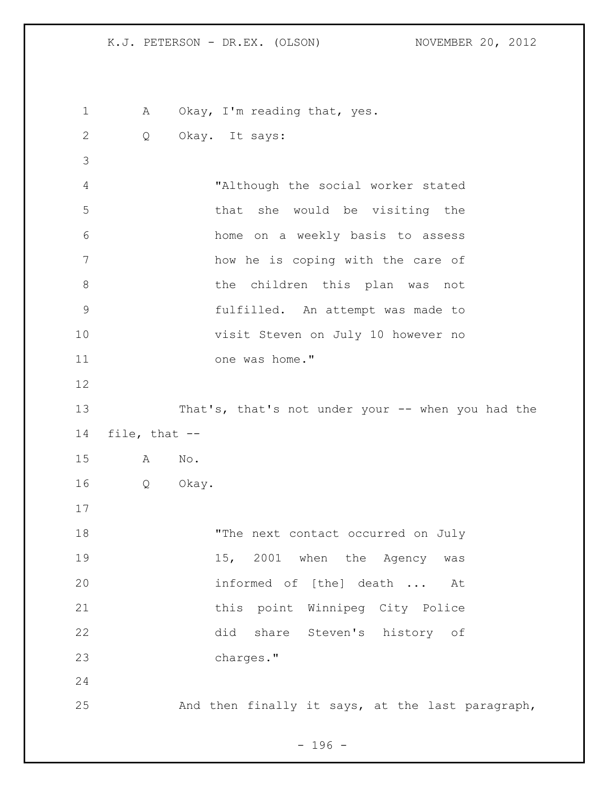1 A Okay, I'm reading that, yes. Q Okay. It says: "Although the social worker stated that she would be visiting the home on a weekly basis to assess how he is coping with the care of 8 b the children this plan was not fulfilled. An attempt was made to visit Steven on July 10 however no 11 one was home." That's, that's not under your -- when you had the file, that -- A No. Q Okay. 18 The next contact occurred on July 19 15, 2001 when the Agency was informed of [the] death ... At 21 this point Winnipeg City Police did share Steven's history of charges." And then finally it says, at the last paragraph,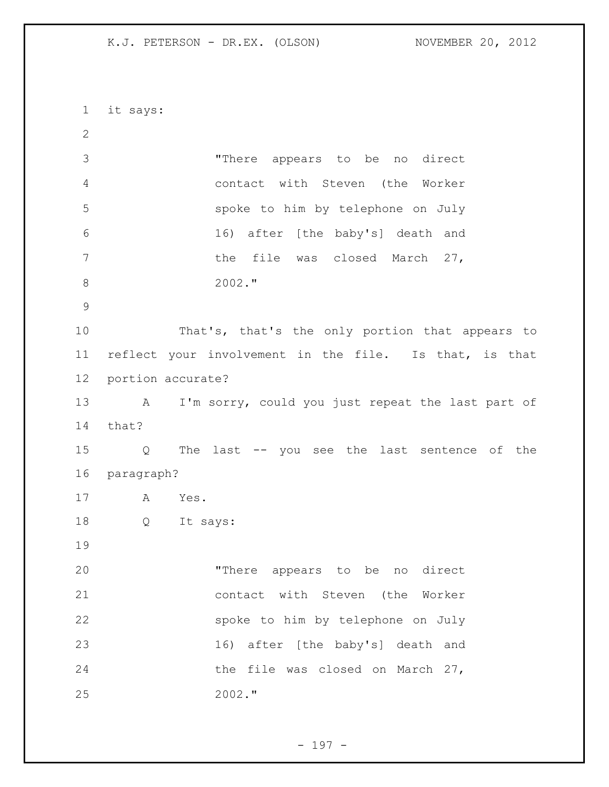it says: "There appears to be no direct contact with Steven (the Worker spoke to him by telephone on July 16) after [the baby's] death and 7 the file was closed March 27, 2002." That's, that's the only portion that appears to reflect your involvement in the file. Is that, is that portion accurate? A I'm sorry, could you just repeat the last part of that? Q The last -- you see the last sentence of the paragraph? A Yes. Q It says: "There appears to be no direct contact with Steven (the Worker spoke to him by telephone on July 16) after [the baby's] death and 24 the file was closed on March 27, 2002."

- 197 -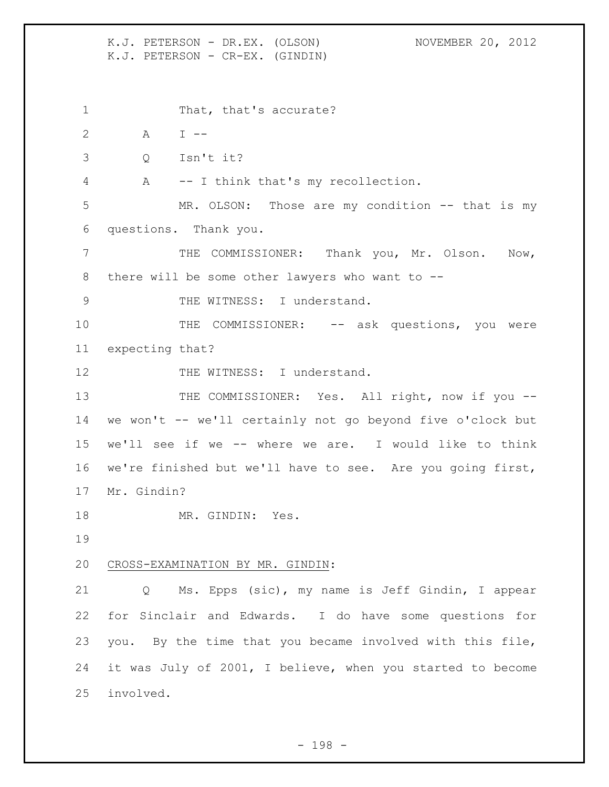K.J. PETERSON - DR.EX. (OLSON) NOVEMBER 20, 2012 K.J. PETERSON - CR-EX. (GINDIN) 1 That, that's accurate? A I -- Q Isn't it? A -- I think that's my recollection. MR. OLSON: Those are my condition -- that is my questions. Thank you. 7 THE COMMISSIONER: Thank you, Mr. Olson. Now, there will be some other lawyers who want to -- 9 THE WITNESS: I understand. 10 THE COMMISSIONER: -- ask questions, you were expecting that? 12 THE WITNESS: I understand. 13 THE COMMISSIONER: Yes. All right, now if you -- we won't -- we'll certainly not go beyond five o'clock but we'll see if we -- where we are. I would like to think we're finished but we'll have to see. Are you going first, Mr. Gindin? 18 MR. GINDIN: Yes. CROSS-EXAMINATION BY MR. GINDIN: Q Ms. Epps (sic), my name is Jeff Gindin, I appear for Sinclair and Edwards. I do have some questions for you. By the time that you became involved with this file, it was July of 2001, I believe, when you started to become involved.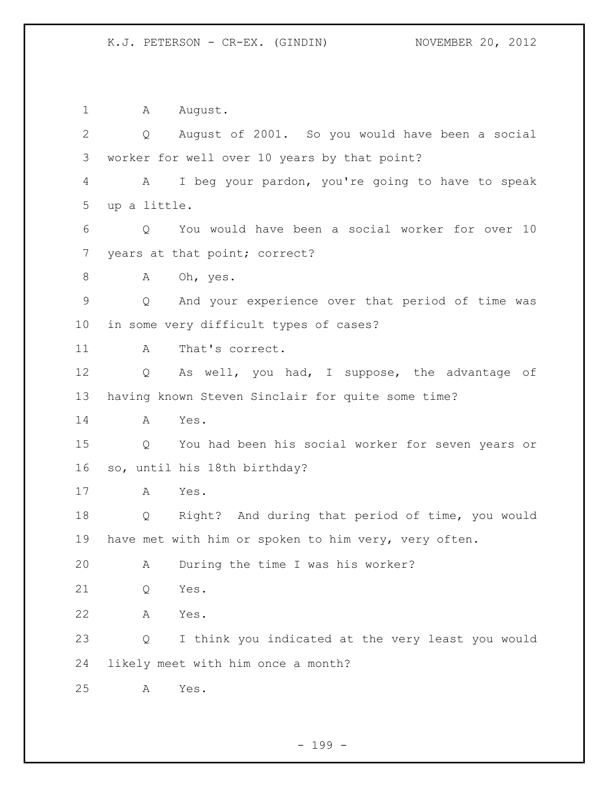1 A August. Q August of 2001. So you would have been a social worker for well over 10 years by that point? A I beg your pardon, you're going to have to speak up a little. Q You would have been a social worker for over 10 years at that point; correct? 8 A Oh, yes. Q And your experience over that period of time was in some very difficult types of cases? 11 A That's correct. Q As well, you had, I suppose, the advantage of having known Steven Sinclair for quite some time? A Yes. Q You had been his social worker for seven years or so, until his 18th birthday? A Yes. Q Right? And during that period of time, you would have met with him or spoken to him very, very often. A During the time I was his worker? Q Yes. A Yes. Q I think you indicated at the very least you would likely meet with him once a month? A Yes.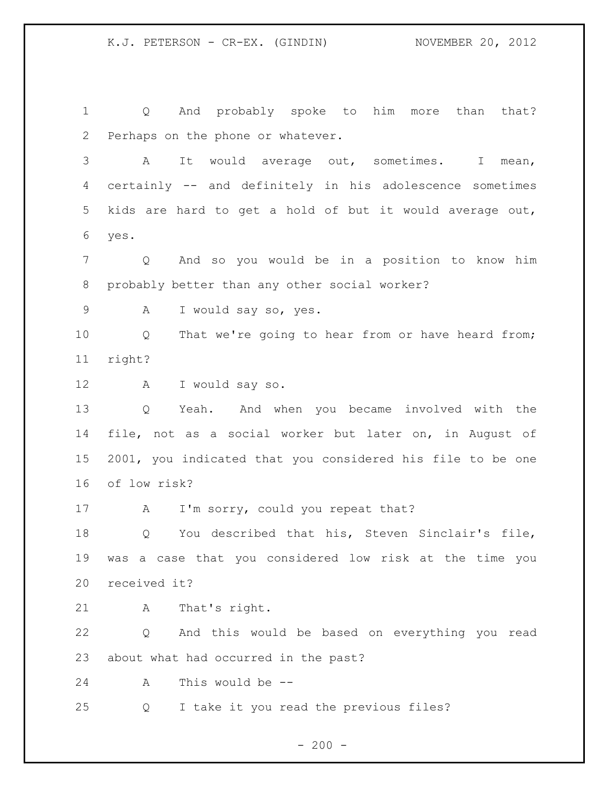Q And probably spoke to him more than that? Perhaps on the phone or whatever. A It would average out, sometimes. I mean, certainly -- and definitely in his adolescence sometimes

 kids are hard to get a hold of but it would average out, yes.

 Q And so you would be in a position to know him probably better than any other social worker?

9 A I would say so, yes.

 Q That we're going to hear from or have heard from; right?

A I would say so.

 Q Yeah. And when you became involved with the file, not as a social worker but later on, in August of 2001, you indicated that you considered his file to be one of low risk?

17 A I'm sorry, could you repeat that?

 Q You described that his, Steven Sinclair's file, was a case that you considered low risk at the time you received it?

A That's right.

 Q And this would be based on everything you read about what had occurred in the past?

A This would be --

Q I take it you read the previous files?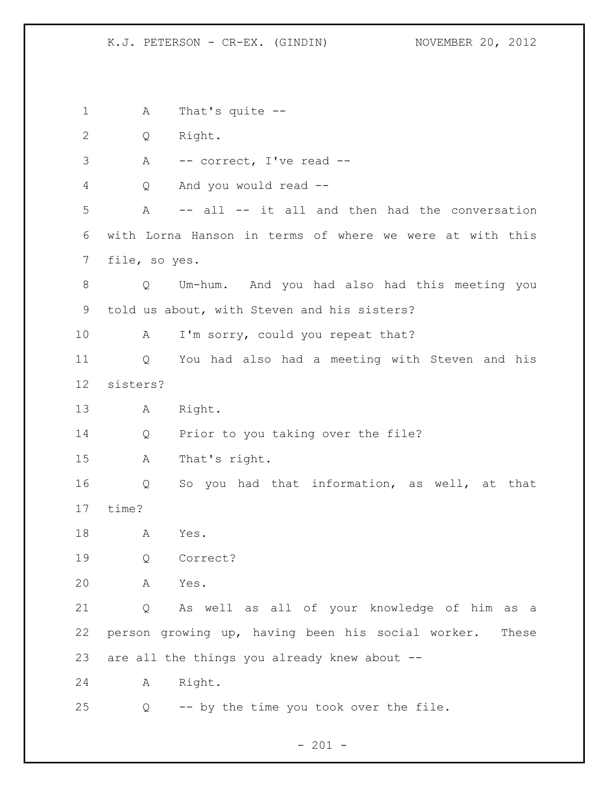1 A That's quite -- Q Right. A -- correct, I've read -- Q And you would read -- A -- all -- it all and then had the conversation with Lorna Hanson in terms of where we were at with this file, so yes. Q Um-hum. And you had also had this meeting you told us about, with Steven and his sisters? 10 A I'm sorry, could you repeat that? Q You had also had a meeting with Steven and his sisters? A Right. Q Prior to you taking over the file? A That's right. Q So you had that information, as well, at that time? A Yes. Q Correct? A Yes. Q As well as all of your knowledge of him as a person growing up, having been his social worker. These are all the things you already knew about -- A Right. Q -- by the time you took over the file.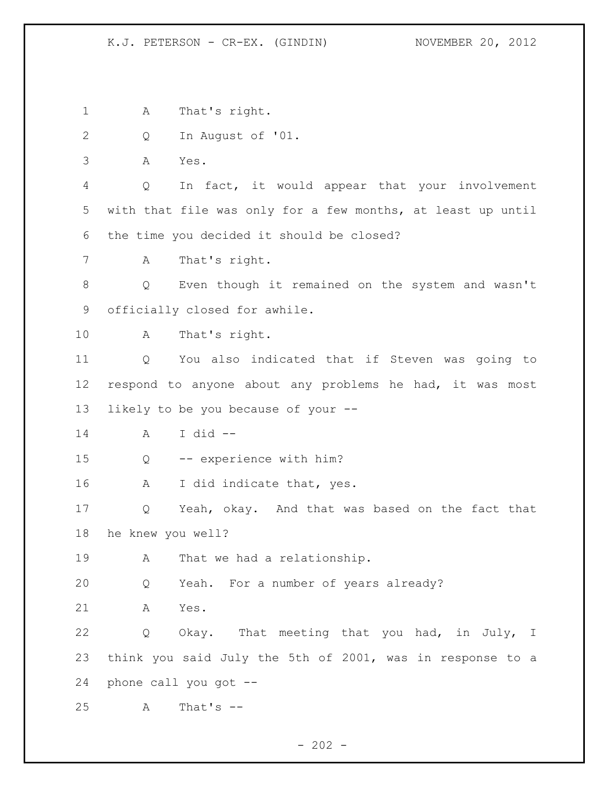A That's right. Q In August of '01. A Yes. Q In fact, it would appear that your involvement with that file was only for a few months, at least up until the time you decided it should be closed? A That's right. Q Even though it remained on the system and wasn't officially closed for awhile. A That's right. Q You also indicated that if Steven was going to respond to anyone about any problems he had, it was most likely to be you because of your -- A I did -- Q -- experience with him? A I did indicate that, yes. Q Yeah, okay. And that was based on the fact that he knew you well? 19 A That we had a relationship. Q Yeah. For a number of years already? A Yes. Q Okay. That meeting that you had, in July, I think you said July the 5th of 2001, was in response to a phone call you got -- A That's --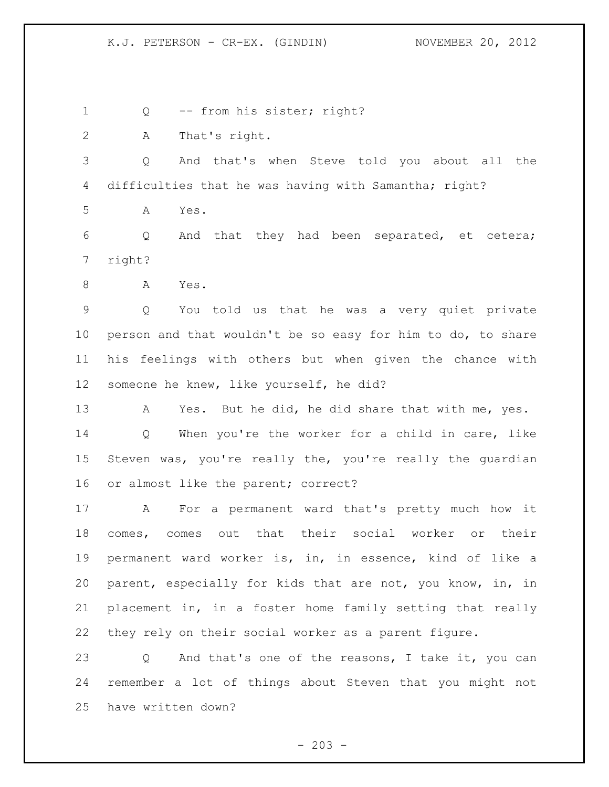1 Q -- from his sister; right?

A That's right.

 Q And that's when Steve told you about all the difficulties that he was having with Samantha; right?

A Yes.

 Q And that they had been separated, et cetera; right?

8 A Yes.

 Q You told us that he was a very quiet private person and that wouldn't be so easy for him to do, to share his feelings with others but when given the chance with someone he knew, like yourself, he did?

 A Yes. But he did, he did share that with me, yes. Q When you're the worker for a child in care, like Steven was, you're really the, you're really the guardian or almost like the parent; correct?

 A For a permanent ward that's pretty much how it comes, comes out that their social worker or their permanent ward worker is, in, in essence, kind of like a parent, especially for kids that are not, you know, in, in placement in, in a foster home family setting that really they rely on their social worker as a parent figure.

 Q And that's one of the reasons, I take it, you can remember a lot of things about Steven that you might not have written down?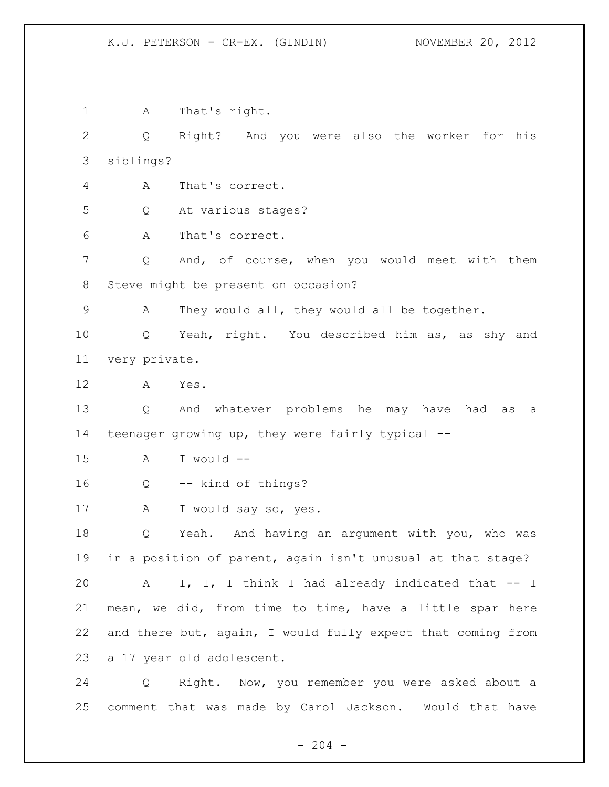A That's right. Q Right? And you were also the worker for his siblings? A That's correct. Q At various stages? A That's correct. Q And, of course, when you would meet with them Steve might be present on occasion? A They would all, they would all be together. Q Yeah, right. You described him as, as shy and very private. A Yes. Q And whatever problems he may have had as a teenager growing up, they were fairly typical -- A I would -- Q -- kind of things? A I would say so, yes. Q Yeah. And having an argument with you, who was in a position of parent, again isn't unusual at that stage? A I, I, I think I had already indicated that -- I mean, we did, from time to time, have a little spar here and there but, again, I would fully expect that coming from a 17 year old adolescent. Q Right. Now, you remember you were asked about a comment that was made by Carol Jackson. Would that have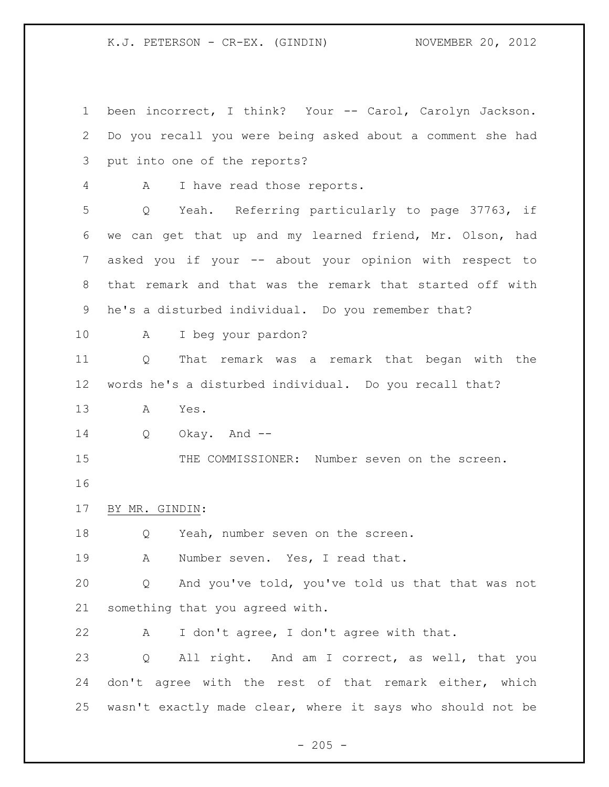been incorrect, I think? Your -- Carol, Carolyn Jackson. Do you recall you were being asked about a comment she had put into one of the reports? A I have read those reports. Q Yeah. Referring particularly to page 37763, if we can get that up and my learned friend, Mr. Olson, had asked you if your -- about your opinion with respect to that remark and that was the remark that started off with he's a disturbed individual. Do you remember that? A I beg your pardon? Q That remark was a remark that began with the words he's a disturbed individual. Do you recall that? A Yes. Q Okay. And -- THE COMMISSIONER: Number seven on the screen. BY MR. GINDIN: Q Yeah, number seven on the screen. A Number seven. Yes, I read that. Q And you've told, you've told us that that was not something that you agreed with. A I don't agree, I don't agree with that. Q All right. And am I correct, as well, that you don't agree with the rest of that remark either, which wasn't exactly made clear, where it says who should not be

 $- 205 -$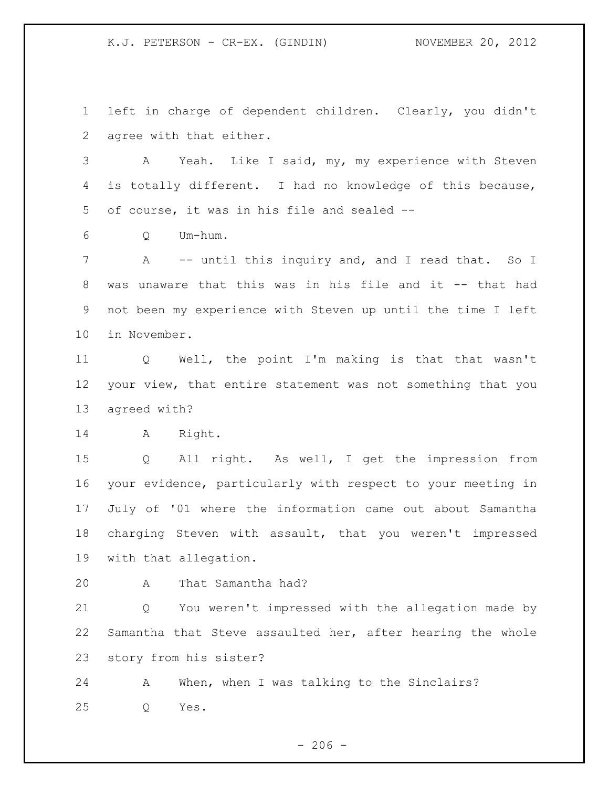left in charge of dependent children. Clearly, you didn't agree with that either.

 A Yeah. Like I said, my, my experience with Steven is totally different. I had no knowledge of this because, of course, it was in his file and sealed --

Q Um-hum.

7 A -- until this inquiry and, and I read that. So I was unaware that this was in his file and it -- that had not been my experience with Steven up until the time I left in November.

 Q Well, the point I'm making is that that wasn't your view, that entire statement was not something that you agreed with?

14 A Right.

 Q All right. As well, I get the impression from your evidence, particularly with respect to your meeting in July of '01 where the information came out about Samantha charging Steven with assault, that you weren't impressed with that allegation.

A That Samantha had?

 Q You weren't impressed with the allegation made by Samantha that Steve assaulted her, after hearing the whole story from his sister?

 A When, when I was talking to the Sinclairs? Q Yes.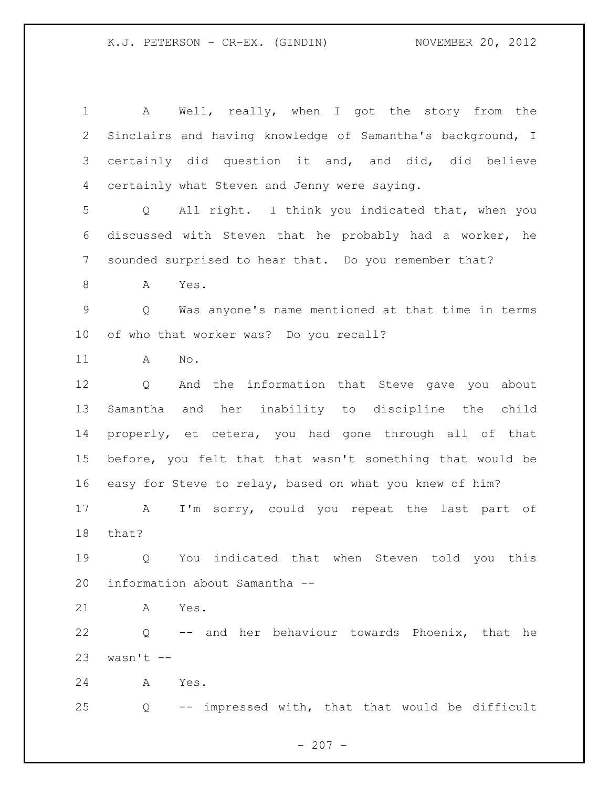A Well, really, when I got the story from the Sinclairs and having knowledge of Samantha's background, I certainly did question it and, and did, did believe certainly what Steven and Jenny were saying. Q All right. I think you indicated that, when you discussed with Steven that he probably had a worker, he sounded surprised to hear that. Do you remember that? A Yes. Q Was anyone's name mentioned at that time in terms of who that worker was? Do you recall? A No. Q And the information that Steve gave you about Samantha and her inability to discipline the child properly, et cetera, you had gone through all of that before, you felt that that wasn't something that would be easy for Steve to relay, based on what you knew of him? A I'm sorry, could you repeat the last part of that? Q You indicated that when Steven told you this information about Samantha -- A Yes. Q -- and her behaviour towards Phoenix, that he wasn't  $-$  A Yes. Q -- impressed with, that that would be difficult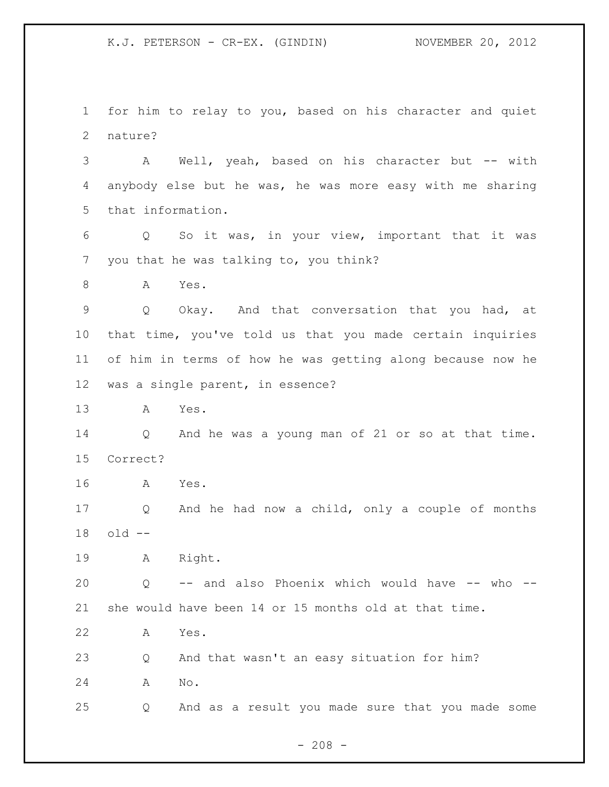for him to relay to you, based on his character and quiet nature?

 A Well, yeah, based on his character but -- with anybody else but he was, he was more easy with me sharing that information.

 Q So it was, in your view, important that it was you that he was talking to, you think?

8 A Yes.

 Q Okay. And that conversation that you had, at that time, you've told us that you made certain inquiries of him in terms of how he was getting along because now he was a single parent, in essence?

A Yes.

 Q And he was a young man of 21 or so at that time. Correct?

A Yes.

 Q And he had now a child, only a couple of months old --

A Right.

 Q -- and also Phoenix which would have -- who -- she would have been 14 or 15 months old at that time.

A Yes.

 Q And that wasn't an easy situation for him? A No.

Q And as a result you made sure that you made some

 $- 208 -$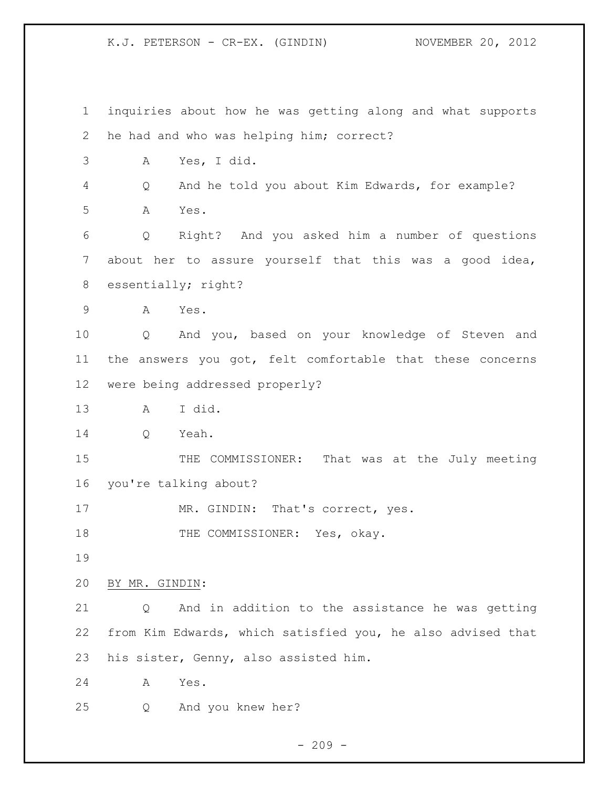inquiries about how he was getting along and what supports he had and who was helping him; correct? A Yes, I did. Q And he told you about Kim Edwards, for example? A Yes. Q Right? And you asked him a number of questions about her to assure yourself that this was a good idea, essentially; right? A Yes. Q And you, based on your knowledge of Steven and the answers you got, felt comfortable that these concerns were being addressed properly? A I did. Q Yeah. 15 THE COMMISSIONER: That was at the July meeting you're talking about? 17 MR. GINDIN: That's correct, yes. 18 THE COMMISSIONER: Yes, okay. BY MR. GINDIN: Q And in addition to the assistance he was getting from Kim Edwards, which satisfied you, he also advised that his sister, Genny, also assisted him. A Yes. Q And you knew her?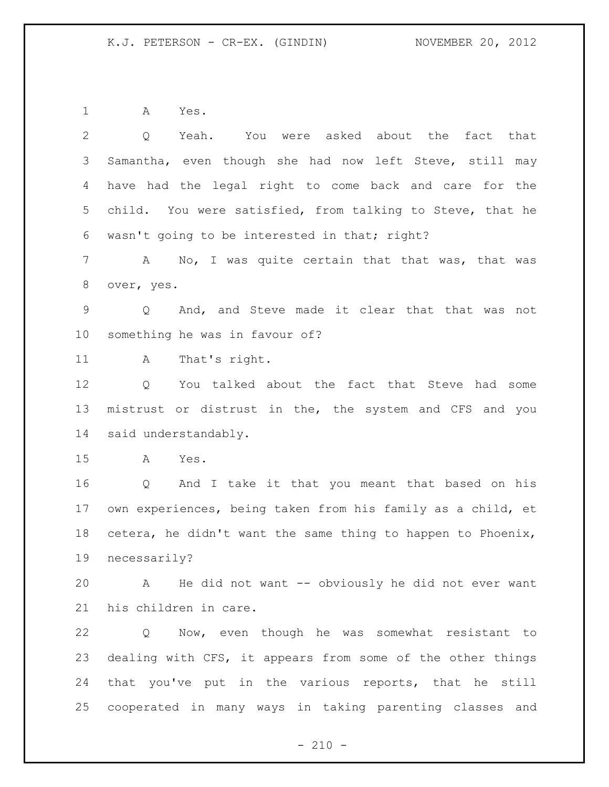A Yes.

 Q Yeah. You were asked about the fact that Samantha, even though she had now left Steve, still may have had the legal right to come back and care for the child. You were satisfied, from talking to Steve, that he wasn't going to be interested in that; right? 7 A No, I was quite certain that that was, that was over, yes. Q And, and Steve made it clear that that was not something he was in favour of? 11 A That's right. Q You talked about the fact that Steve had some mistrust or distrust in the, the system and CFS and you said understandably. A Yes. Q And I take it that you meant that based on his own experiences, being taken from his family as a child, et cetera, he didn't want the same thing to happen to Phoenix, necessarily? A He did not want -- obviously he did not ever want his children in care.

 Q Now, even though he was somewhat resistant to dealing with CFS, it appears from some of the other things that you've put in the various reports, that he still cooperated in many ways in taking parenting classes and

 $- 210 -$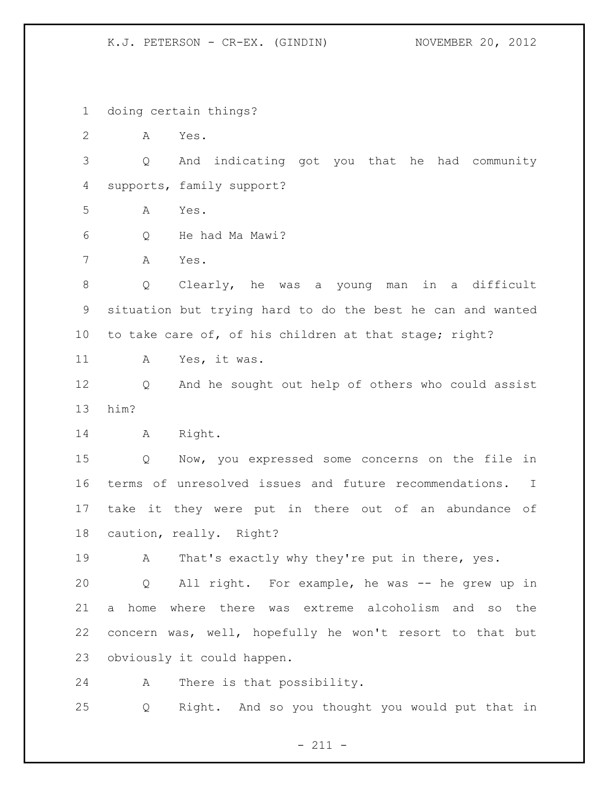doing certain things?

A Yes.

 Q And indicating got you that he had community supports, family support?

A Yes.

Q He had Ma Mawi?

A Yes.

 Q Clearly, he was a young man in a difficult situation but trying hard to do the best he can and wanted to take care of, of his children at that stage; right?

A Yes, it was.

 Q And he sought out help of others who could assist him?

A Right.

 Q Now, you expressed some concerns on the file in terms of unresolved issues and future recommendations. I take it they were put in there out of an abundance of caution, really. Right?

19 A That's exactly why they're put in there, yes.

 Q All right. For example, he was -- he grew up in a home where there was extreme alcoholism and so the concern was, well, hopefully he won't resort to that but obviously it could happen.

A There is that possibility.

Q Right. And so you thought you would put that in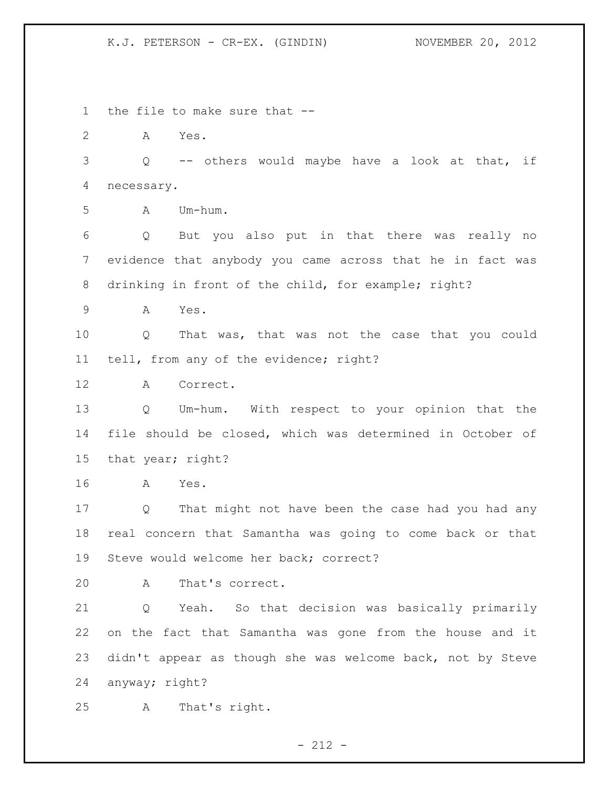the file to make sure that -- A Yes. Q -- others would maybe have a look at that, if necessary. A Um-hum. Q But you also put in that there was really no evidence that anybody you came across that he in fact was drinking in front of the child, for example; right? A Yes. Q That was, that was not the case that you could tell, from any of the evidence; right? A Correct. Q Um-hum. With respect to your opinion that the file should be closed, which was determined in October of that year; right? A Yes. Q That might not have been the case had you had any real concern that Samantha was going to come back or that Steve would welcome her back; correct? A That's correct. Q Yeah. So that decision was basically primarily on the fact that Samantha was gone from the house and it didn't appear as though she was welcome back, not by Steve anyway; right? A That's right.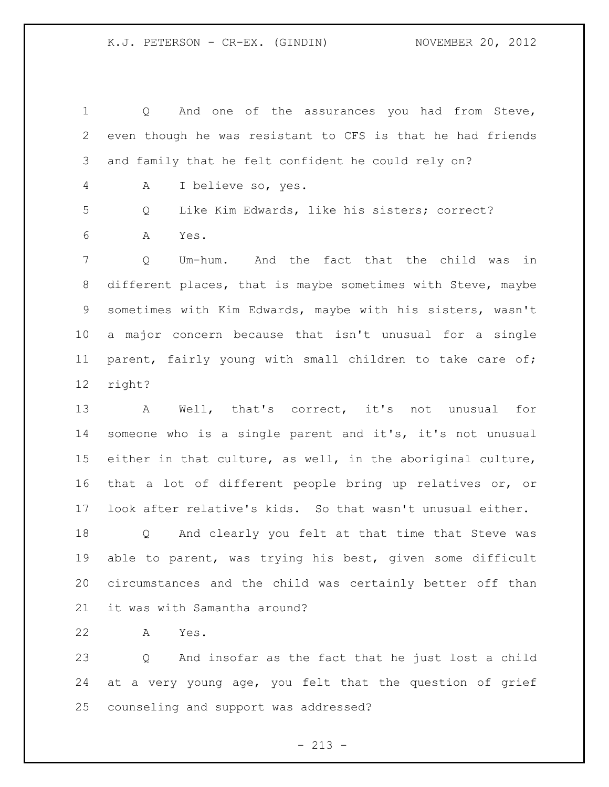Q And one of the assurances you had from Steve, even though he was resistant to CFS is that he had friends and family that he felt confident he could rely on? A I believe so, yes. Q Like Kim Edwards, like his sisters; correct? A Yes. Q Um-hum. And the fact that the child was in different places, that is maybe sometimes with Steve, maybe sometimes with Kim Edwards, maybe with his sisters, wasn't a major concern because that isn't unusual for a single parent, fairly young with small children to take care of; right? A Well, that's correct, it's not unusual for someone who is a single parent and it's, it's not unusual either in that culture, as well, in the aboriginal culture, that a lot of different people bring up relatives or, or look after relative's kids. So that wasn't unusual either. Q And clearly you felt at that time that Steve was able to parent, was trying his best, given some difficult circumstances and the child was certainly better off than it was with Samantha around?

A Yes.

 Q And insofar as the fact that he just lost a child at a very young age, you felt that the question of grief counseling and support was addressed?

 $- 213 -$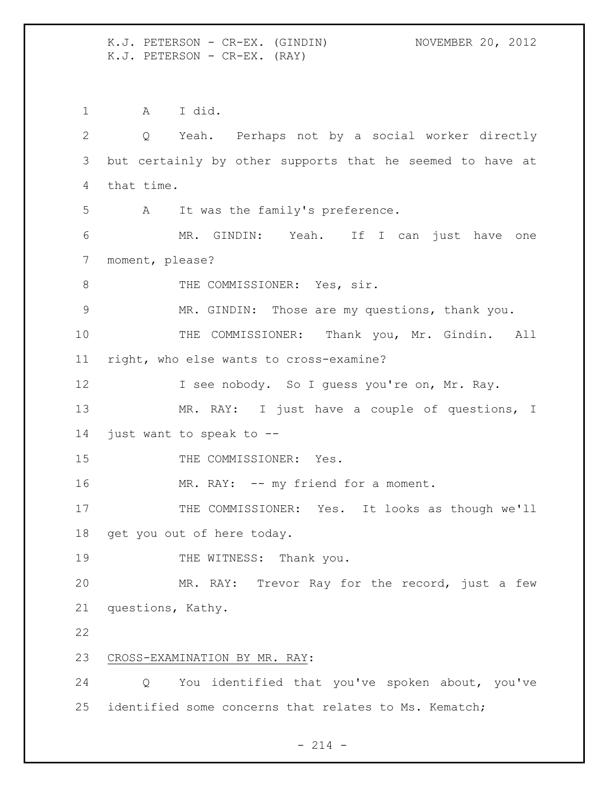K.J. PETERSON - CR-EX. (GINDIN) NOVEMBER 20, 2012 K.J. PETERSON - CR-EX. (RAY)

 A I did. Q Yeah. Perhaps not by a social worker directly but certainly by other supports that he seemed to have at that time. A It was the family's preference. MR. GINDIN: Yeah. If I can just have one moment, please? 8 THE COMMISSIONER: Yes, sir. MR. GINDIN: Those are my questions, thank you. THE COMMISSIONER: Thank you, Mr. Gindin. All right, who else wants to cross-examine? 12 I see nobody. So I guess you're on, Mr. Ray. MR. RAY: I just have a couple of questions, I just want to speak to -- 15 THE COMMISSIONER: Yes. 16 MR. RAY: -- my friend for a moment. 17 THE COMMISSIONER: Yes. It looks as though we'll get you out of here today. 19 THE WITNESS: Thank you. MR. RAY: Trevor Ray for the record, just a few questions, Kathy. CROSS-EXAMINATION BY MR. RAY: Q You identified that you've spoken about, you've identified some concerns that relates to Ms. Kematch;

 $- 214 -$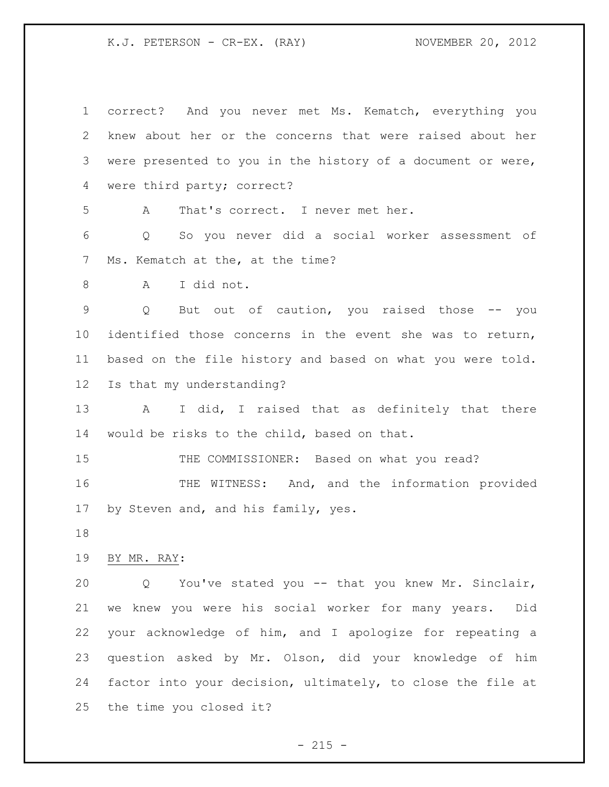K.J. PETERSON - CR-EX. (RAY) NOVEMBER 20, 2012

| $\mathbf 1$     | correct? And you never met Ms. Kematch, everything you           |
|-----------------|------------------------------------------------------------------|
| 2               | knew about her or the concerns that were raised about her        |
|                 |                                                                  |
| 3               | were presented to you in the history of a document or were,      |
| 4               | were third party; correct?                                       |
| 5               | That's correct. I never met her.<br>A                            |
| 6               | So you never did a social worker assessment of<br>Q              |
| 7               | Ms. Kematch at the, at the time?                                 |
| 8               | I did not.<br>A                                                  |
| 9               | But out of caution, you raised those -- you<br>$Q \qquad \qquad$ |
| 10              | identified those concerns in the event she was to return,        |
| 11              | based on the file history and based on what you were told.       |
| 12 <sup>°</sup> | Is that my understanding?                                        |
| 13              | A<br>I did, I raised that as definitely that there               |
| 14              | would be risks to the child, based on that.                      |
| 15              | THE COMMISSIONER: Based on what you read?                        |
| 16              | THE WITNESS: And, and the information provided                   |
| 17              | by Steven and, and his family, yes.                              |
| 18              |                                                                  |
| 19              | BY MR. RAY:                                                      |
| 20              | You've stated you -- that you knew Mr. Sinclair,<br>Q            |
| 21              | we knew you were his social worker for many years.<br>Did        |
| 22              | your acknowledge of him, and I apologize for repeating a         |
| 23              | question asked by Mr. Olson, did your knowledge of him           |
| 24              | factor into your decision, ultimately, to close the file at      |
| 25              | the time you closed it?                                          |

- 215 -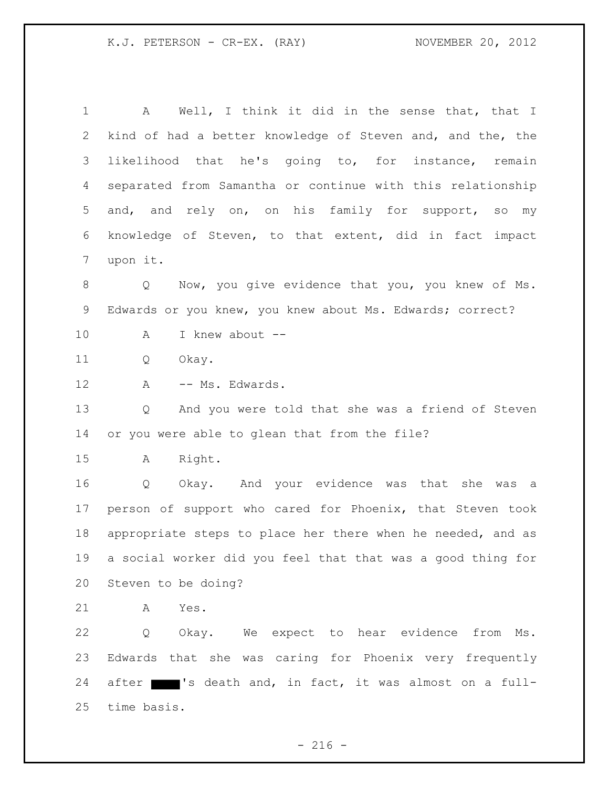A Well, I think it did in the sense that, that I kind of had a better knowledge of Steven and, and the, the likelihood that he's going to, for instance, remain separated from Samantha or continue with this relationship and, and rely on, on his family for support, so my knowledge of Steven, to that extent, did in fact impact upon it. Q Now, you give evidence that you, you knew of Ms. Edwards or you knew, you knew about Ms. Edwards; correct? A I knew about -- Q Okay. 12 A -- Ms. Edwards. Q And you were told that she was a friend of Steven or you were able to glean that from the file? A Right. Q Okay. And your evidence was that she was a person of support who cared for Phoenix, that Steven took appropriate steps to place her there when he needed, and as a social worker did you feel that that was a good thing for Steven to be doing? A Yes. Q Okay. We expect to hear evidence from Ms. Edwards that she was caring for Phoenix very frequently 24 after 's death and, in fact, it was almost on a full-time basis.

 $-216 -$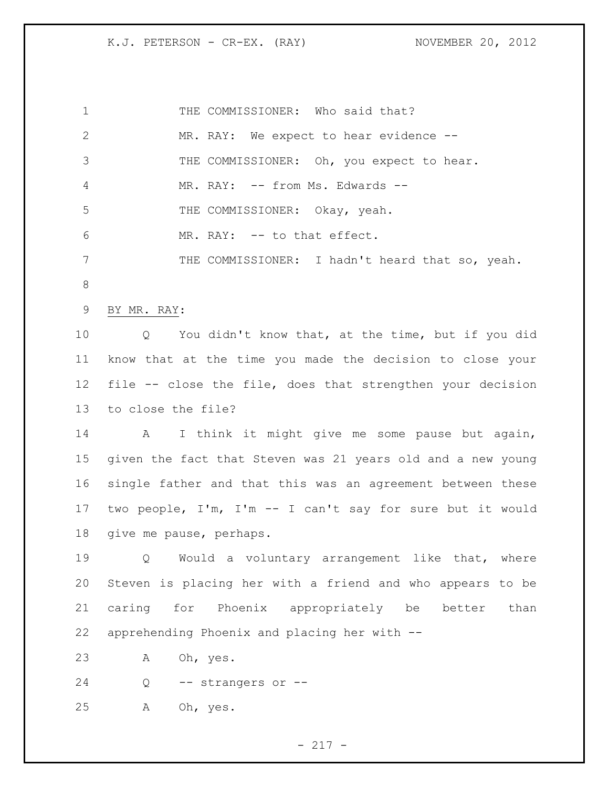K.J. PETERSON - CR-EX. (RAY) NOVEMBER 20, 2012

| $\mathbf 1$  | THE COMMISSIONER: Who said that?                                       |
|--------------|------------------------------------------------------------------------|
| $\mathbf{2}$ | MR. RAY: We expect to hear evidence --                                 |
| 3            | THE COMMISSIONER: Oh, you expect to hear.                              |
| 4            | MR. RAY: -- from Ms. Edwards --                                        |
| 5            | THE COMMISSIONER: Okay, yeah.                                          |
| 6            | MR. RAY: -- to that effect.                                            |
| 7            | THE COMMISSIONER: I hadn't heard that so, yeah.                        |
| $8\,$        |                                                                        |
| 9            | BY MR. RAY:                                                            |
| 10           | You didn't know that, at the time, but if you did<br>$Q \qquad \qquad$ |
| 11           | know that at the time you made the decision to close your              |
| 12           | file -- close the file, does that strengthen your decision             |
| 13           | to close the file?                                                     |
| 14           | I think it might give me some pause but again,<br>A                    |
| 15           | given the fact that Steven was 21 years old and a new young            |
| 16           | single father and that this was an agreement between these             |
| 17           | two people, I'm, I'm -- I can't say for sure but it would              |
| 18           | give me pause, perhaps.                                                |
| 19           | Would a voluntary arrangement like that, where<br>Q                    |
| 20           | Steven is placing her with a friend and who appears to be              |
| 21           | caring for Phoenix appropriately be better<br>than                     |
| 22           | apprehending Phoenix and placing her with --                           |
| 23           | Oh, yes.<br>Α                                                          |
| 24           | Q<br>-- strangers or --                                                |
| 25           | А<br>Oh, yes.                                                          |
|              |                                                                        |

- 217 -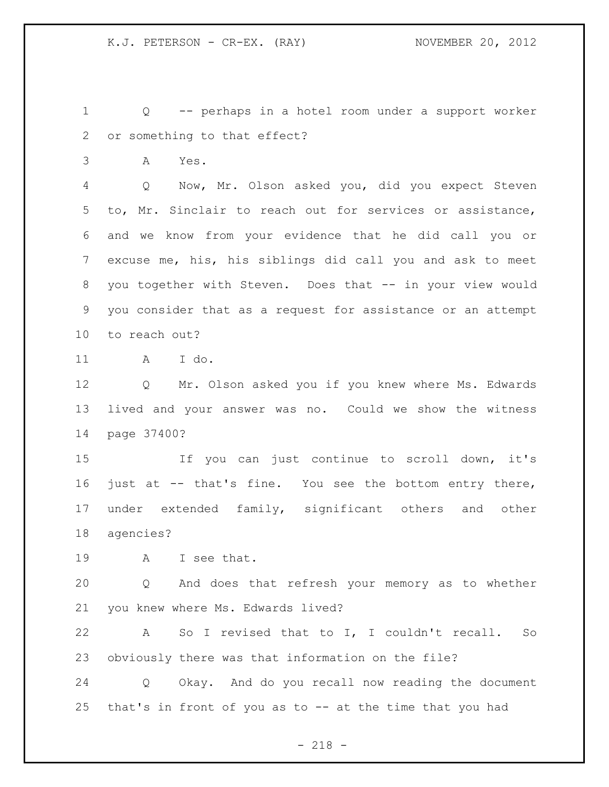Q -- perhaps in a hotel room under a support worker or something to that effect?

A Yes.

 Q Now, Mr. Olson asked you, did you expect Steven to, Mr. Sinclair to reach out for services or assistance, and we know from your evidence that he did call you or excuse me, his, his siblings did call you and ask to meet you together with Steven. Does that -- in your view would you consider that as a request for assistance or an attempt to reach out?

A I do.

 Q Mr. Olson asked you if you knew where Ms. Edwards lived and your answer was no. Could we show the witness page 37400?

 If you can just continue to scroll down, it's just at -- that's fine. You see the bottom entry there, 17 under extended family, significant others and other agencies?

A I see that.

 Q And does that refresh your memory as to whether you knew where Ms. Edwards lived?

 A So I revised that to I, I couldn't recall. So obviously there was that information on the file?

 Q Okay. And do you recall now reading the document that's in front of you as to -- at the time that you had

- 218 -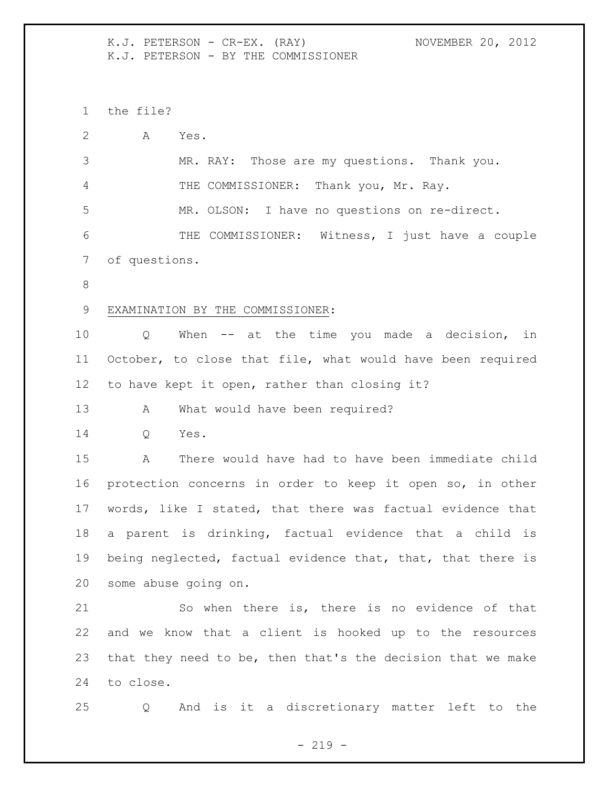K.J. PETERSON - CR-EX. (RAY) NOVEMBER 20, 2012 K.J. PETERSON - BY THE COMMISSIONER

the file?

| 2  | A<br>Yes.                                                   |
|----|-------------------------------------------------------------|
| 3  | MR. RAY: Those are my questions. Thank you.                 |
| 4  | THE COMMISSIONER: Thank you, Mr. Ray.                       |
| 5  | MR. OLSON: I have no questions on re-direct.                |
| 6  | THE COMMISSIONER: Witness, I just have a couple             |
| 7  | of questions.                                               |
| 8  |                                                             |
| 9  | EXAMINATION BY THE COMMISSIONER:                            |
| 10 | When $--$ at the time you made a decision, in<br>Q          |
| 11 | October, to close that file, what would have been required  |
| 12 | to have kept it open, rather than closing it?               |
| 13 | What would have been required?<br>A                         |
| 14 | Yes.<br>Q                                                   |
| 15 | There would have had to have been immediate child<br>A      |
| 16 | protection concerns in order to keep it open so, in other   |
| 17 | words, like I stated, that there was factual evidence that  |
| 18 | a parent is drinking, factual evidence that a child is      |
| 19 | being neglected, factual evidence that, that, that there is |
| 20 | some abuse going on.                                        |
| 21 | So when there is, there is no evidence of that              |
| 22 | and we know that a client is hooked up to the resources     |
| 23 | that they need to be, then that's the decision that we make |
| 24 | to close.                                                   |

Q And is it a discretionary matter left to the

- 219 -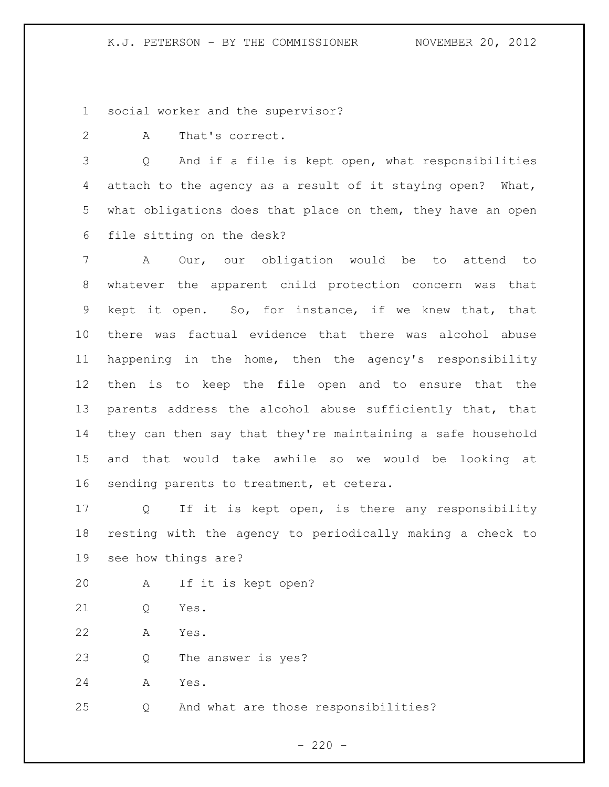social worker and the supervisor?

A That's correct.

 Q And if a file is kept open, what responsibilities attach to the agency as a result of it staying open? What, what obligations does that place on them, they have an open file sitting on the desk?

 A Our, our obligation would be to attend to whatever the apparent child protection concern was that kept it open. So, for instance, if we knew that, that there was factual evidence that there was alcohol abuse happening in the home, then the agency's responsibility then is to keep the file open and to ensure that the parents address the alcohol abuse sufficiently that, that they can then say that they're maintaining a safe household and that would take awhile so we would be looking at sending parents to treatment, et cetera.

 Q If it is kept open, is there any responsibility resting with the agency to periodically making a check to see how things are?

- A If it is kept open?
- Q Yes.
- A Yes.
- Q The answer is yes?

A Yes.

Q And what are those responsibilities?

 $- 220 -$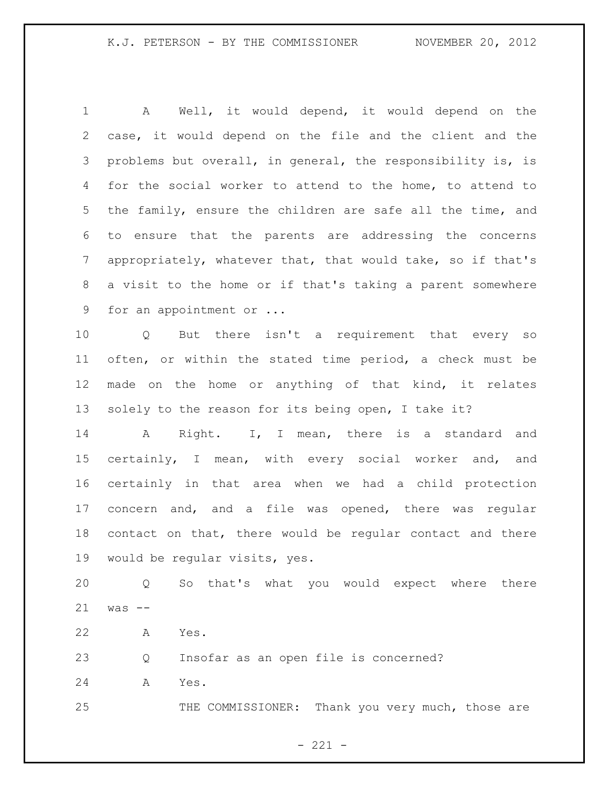A Well, it would depend, it would depend on the case, it would depend on the file and the client and the problems but overall, in general, the responsibility is, is for the social worker to attend to the home, to attend to the family, ensure the children are safe all the time, and to ensure that the parents are addressing the concerns appropriately, whatever that, that would take, so if that's a visit to the home or if that's taking a parent somewhere 9 for an appointment or ...

 Q But there isn't a requirement that every so often, or within the stated time period, a check must be made on the home or anything of that kind, it relates solely to the reason for its being open, I take it?

 A Right. I, I mean, there is a standard and certainly, I mean, with every social worker and, and certainly in that area when we had a child protection concern and, and a file was opened, there was regular contact on that, there would be regular contact and there would be regular visits, yes.

 Q So that's what you would expect where there was --

A Yes.

Q Insofar as an open file is concerned?

A Yes.

25 THE COMMISSIONER: Thank you very much, those are

 $- 221 -$